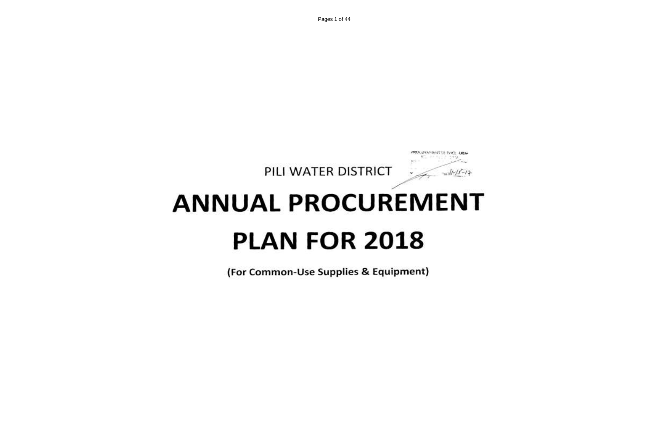Pages 1 of 44



# **ANNUAL PROCUREMENT PLAN FOR 2018**

(For Common-Use Supplies & Equipment)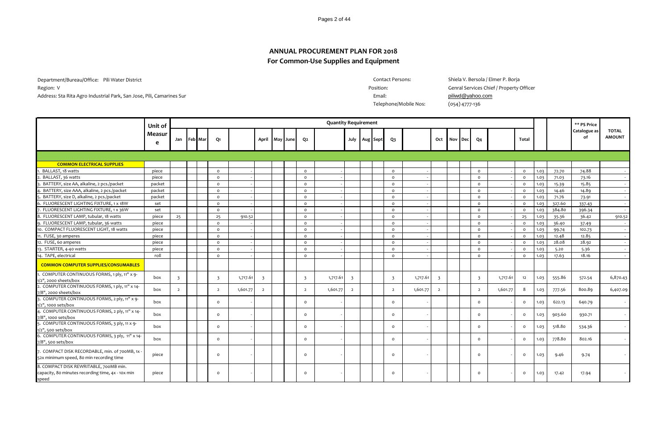Pages 2 of 44

## **For Common-Use Supplies and Equipment ANNUAL PROCUREMENT PLAN FOR 2018**

Department/Bureau/Office: Pili Water District Region: V<br>
Region: V<br>
Genral Services Chief / Property Officer Address: Sta Rita Agro Industrial Park, San Jose, Pili, Camarines Sur **Email:** Park, Ban Jose, Pili, Camarines Sur

Contact Persons: Shiela V. Bersola / Elmer P. Borja

Telephone/Mobile Nos: (054) 4777-136

|                                                                                                      | Unit of     |                |         |                         |          |                         |     |      |                | <b>Quantity Requirement</b> |                |          |                         |          |                |     |            |                         |          |         |      |        | ** PS Price        |                               |
|------------------------------------------------------------------------------------------------------|-------------|----------------|---------|-------------------------|----------|-------------------------|-----|------|----------------|-----------------------------|----------------|----------|-------------------------|----------|----------------|-----|------------|-------------------------|----------|---------|------|--------|--------------------|-------------------------------|
|                                                                                                      | Measur<br>e | Jan            | Feb Mar | Q1                      |          | April                   | May | June | Q2             |                             | July           | Aug Sept | Q3                      |          | Oct            | Nov | <b>Dec</b> | Q4                      |          | Total   |      |        | Catalogue as<br>of | <b>TOTAL</b><br><b>AMOUNT</b> |
|                                                                                                      |             |                |         |                         |          |                         |     |      |                |                             |                |          |                         |          |                |     |            |                         |          |         |      |        |                    |                               |
| <b>COMMON ELECTRICAL SUPPLIES</b>                                                                    |             |                |         |                         |          |                         |     |      |                |                             |                |          |                         |          |                |     |            |                         |          |         |      |        |                    |                               |
| BALLAST, 18 watts                                                                                    | piece       |                |         | $\circ$                 |          |                         |     |      | $\circ$        |                             |                |          | $\circ$                 |          |                |     |            | $\circ$                 |          | $\circ$ | 1.03 | 72.70  | 74.88              |                               |
| BALLAST, 36 watts                                                                                    | piece       |                |         | $\circ$                 |          |                         |     |      | $\circ$        |                             |                |          | $\circ$                 |          |                |     |            | $\circ$                 |          | $\circ$ | 1.03 | 71.03  | 73.16              |                               |
| BATTERY, size AA, alkaline, 2 pcs./packet                                                            | packet      |                |         | $\circ$                 |          |                         |     |      | $\circ$        |                             |                |          | $\circ$                 |          |                |     |            | $\circ$                 |          | $\circ$ | 1.03 | 15.39  | 15.85              | $\sim$                        |
| BATTERY, size AAA, alkaline, 2 pcs./packet                                                           | packet      |                |         | $\circ$                 |          |                         |     |      | $\circ$        |                             |                |          | $\circ$                 |          |                |     |            | $\circ$                 |          | $\circ$ | 1.03 | 14.46  | 14.89              |                               |
| BATTERY, size D, alkaline, 2 pcs./packet                                                             | packet      |                |         | $\circ$                 |          |                         |     |      | $\circ$        |                             |                |          | $\circ$                 |          |                |     |            | $\circ$                 |          | $\circ$ | 1.03 | 71.76  | 73.91              |                               |
| 6. FLUORESCENT LIGHTING FIXTURE, 1 x 18W                                                             | set         |                |         | $\circ$                 |          |                         |     |      | $\circ$        |                             |                |          | $\circ$                 |          |                |     |            | $\circ$                 |          | $\circ$ | 1.03 | 327.60 | 337.43             | $\sim$ $-$                    |
| . FLUORESCENT LIGHTING FIXTURE, 1 x 36W                                                              | set         |                |         | $\circ$                 |          |                         |     |      | $\circ$        |                             |                |          | $\circ$                 |          |                |     |            | $\circ$                 |          | $\circ$ | 1.03 | 384.80 | 396.34             |                               |
| 3. FLUORESCENT LAMP, tubular, 18 watts                                                               | piece       | 25             |         | 25                      | 910.52   |                         |     |      | $\circ$        |                             |                |          | $\circ$                 |          |                |     |            | $\circ$                 |          | 25      | 1.03 | 35.36  | 36.42              | 910.52                        |
| 9. FLUORESCENT LAMP, tubular, 36 watts                                                               | piece       |                |         | $\circ$                 |          |                         |     |      | $\circ$        |                             |                |          | $\circ$                 |          |                |     |            | $\circ$                 |          | $\circ$ | 1.03 | 36.40  | 37.49              |                               |
| 10. COMPACT FLUORESCENT LIGHT, 18 watts                                                              | piece       |                |         | $\circ$                 |          |                         |     |      | $\circ$        |                             |                |          | $\circ$                 |          |                |     |            | $\circ$                 |          | $\circ$ | 1.03 | 99.74  | 102.73             |                               |
| 11. FUSE, 30 amperes                                                                                 | piece       |                |         | $\circ$                 |          |                         |     |      | $\circ$        |                             |                |          | $\circ$                 |          |                |     |            | $\circ$                 |          | $\circ$ | 1.03 | 12.48  | 12.85              | $\sim$                        |
| 12. FUSE, 60 amperes                                                                                 | piece       |                |         | $\Omega$                |          |                         |     |      | $\Omega$       |                             |                |          | $\Omega$                |          |                |     |            | $\Omega$                |          | $\circ$ | 1.03 | 28.08  | 28.92              | $\sim$                        |
| 13. STARTER, 4-40 watts                                                                              | piece       |                |         | $\Omega$                |          |                         |     |      | $\Omega$       |                             |                |          | $\Omega$                |          |                |     |            | $\circ$                 |          | $\circ$ | 1.03 | 5.20   | 5.36               | $\sim$                        |
| 4. TAPE, electrical                                                                                  | roll        |                |         | $\circ$                 |          |                         |     |      | $\circ$        |                             |                |          | $\circ$                 |          |                |     |            | $\circ$                 |          | $\circ$ | 1.03 | 17.63  | 18.16              |                               |
| <b>COMMON COMPUTER SUPPLIES/CONSUMABLES</b>                                                          |             |                |         |                         |          |                         |     |      |                |                             |                |          |                         |          |                |     |            |                         |          |         |      |        |                    |                               |
| COMPUTER CONTINUOUS FORMS, 1 ply, 11" x 9-<br>1/2", 2000 sheets/box                                  | box         | $\overline{3}$ |         | $\overline{\mathbf{3}}$ | 1,717.61 | $\overline{\mathbf{3}}$ |     |      | $\overline{3}$ | 1,717.61                    | $\overline{3}$ |          | $\overline{\mathbf{3}}$ | 1,717.61 | $\overline{3}$ |     |            | $\overline{\mathbf{3}}$ | 1,717.61 | 12      | 1.03 | 555.86 | 572.54             | 6,870.43                      |
| 2. COMPUTER CONTINUOUS FORMS, 1 ply, 11" x 14-<br>7/8", 2000 sheets/box                              | box         | $\overline{2}$ |         | $\overline{2}$          | 1,601.77 | $\overline{2}$          |     |      | $\overline{2}$ | 1,601.77                    | $\overline{2}$ |          | $\overline{2}$          | 1,601.77 | $\overline{2}$ |     |            | $\overline{2}$          | 1,601.77 | - 8     | 1.03 | 777.56 | 800.89             | 6,407.09                      |
| 3. COMPUTER CONTINUOUS FORMS, 2 ply, 11" x 9-<br>1/2", 1000 sets/box                                 | box         |                |         | $\circ$                 |          |                         |     |      | $\circ$        |                             |                |          | $\circ$                 |          |                |     |            | $\circ$                 |          | $\circ$ | 1.03 | 622.13 | 640.79             | $\sim$                        |
| 4. COMPUTER CONTINUOUS FORMS, 2 ply, 11" x 14-<br>7/8", 1000 sets/box                                | box         |                |         | $\Omega$                |          |                         |     |      | $\Omega$       |                             |                |          | $\circ$                 |          |                |     |            | $\circ$                 |          | $\circ$ | 1.03 | 903.60 | 930.71             | $\sim$                        |
| 5. COMPUTER CONTINUOUS FORMS, 3 ply, 11 x 9-<br>1/2", 500 sets/box                                   | box         |                |         | $\circ$                 |          |                         |     |      | $\circ$        |                             |                |          | $\Omega$                |          |                |     |            | $\circ$                 |          | $\circ$ | 1.03 | 518.80 | 534.36             | $\sim$                        |
| 6. COMPUTER CONTINUOUS FORMS, 3 ply, 11" x 14-<br>7/8", 500 sets/box                                 | box         |                |         | $\Omega$                |          |                         |     |      | $\Omega$       |                             |                |          | $\circ$                 |          |                |     |            | $\Omega$                |          | $\circ$ | 1.03 | 778.80 | 802.16             | $\sim$                        |
| 7. COMPACT DISK RECORDABLE, min. of 700MB, 1x -<br>52x minimum speed, 80 min recording time          | piece       |                |         | $\circ$                 |          |                         |     |      | $\circ$        |                             |                |          | $\circ$                 |          |                |     |            | $\circ$                 |          | $\circ$ | 1.03 | 9.46   | 9.74               |                               |
| 8. COMPACT DISK REWRITABLE, 700MB min.<br>capacity, 80 minutes recording time, 4x - 10x min<br>speed | piece       |                |         | $\Omega$                |          |                         |     |      | $\Omega$       |                             |                |          | $\Omega$                |          |                |     |            | $\circ$                 |          | $\circ$ | 1.03 | 17.42  | 17.94              |                               |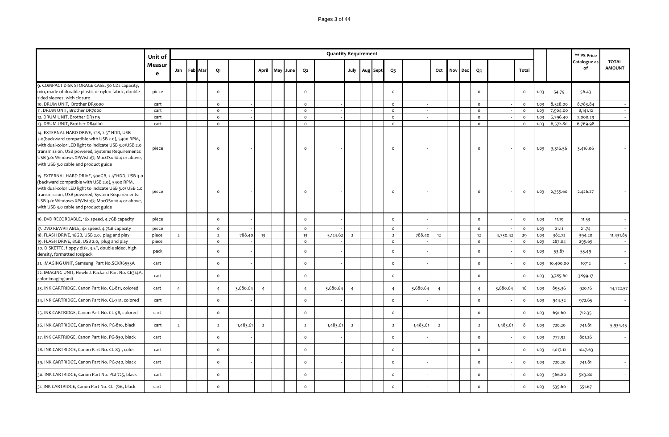|                                                                                                                                                                                                                                                                                                              | Unit of     |                |  |                |          |                |          |                | <b>Quantity Requirement</b> |                |          |                |          |                |     |     |                |          |                     |      |           | ** PS Price        |                               |
|--------------------------------------------------------------------------------------------------------------------------------------------------------------------------------------------------------------------------------------------------------------------------------------------------------------|-------------|----------------|--|----------------|----------|----------------|----------|----------------|-----------------------------|----------------|----------|----------------|----------|----------------|-----|-----|----------------|----------|---------------------|------|-----------|--------------------|-------------------------------|
|                                                                                                                                                                                                                                                                                                              | Measur<br>e | Jan Feb Mar    |  | Q1             |          | April          | May June | Q2             |                             | July           | Aug Sept | Q <sub>3</sub> |          | Oct            | Nov | Dec | Q <sub>4</sub> |          | <b>Total</b>        |      |           | Catalogue as<br>of | <b>TOTAL</b><br><b>AMOUNT</b> |
| 9. COMPACT DISK STORAGE CASE, 50 CDs capacity,<br>min, made of durable plastic or nylon fabric, double<br>sided sleeves, with closure                                                                                                                                                                        | piece       |                |  | $\circ$        |          |                |          | $\circ$        |                             |                |          | $\mathsf{o}\,$ |          |                |     |     | $\circ$        |          | $\circ$             | 1.03 | 54.79     | 56.43              |                               |
| 10. DRUM UNIT, Brother DR3000                                                                                                                                                                                                                                                                                | cart        |                |  | $\Omega$       |          |                |          | $\circ$        |                             |                |          | $\Omega$       |          |                |     |     | $\circ$        |          | $\circ$             | 1.03 | 8,528.00  | 8,783.84           |                               |
| 11. DRUM UNIT, Brother DR7000                                                                                                                                                                                                                                                                                | cart        |                |  | $\circ$        |          |                |          | $\circ$        |                             |                |          | $\circ$        |          |                |     |     | $\circ$        |          | $\circ$             | 1.03 | 7,904.00  | 8,141.12           |                               |
| 12. DRUM UNIT, Brother DR3115                                                                                                                                                                                                                                                                                | cart        |                |  | $\circ$        |          |                |          | $\circ$        |                             |                |          | $\mathsf{o}$   |          |                |     |     | $\circ$        |          | $\circ$             | 1.03 | 6,796.40  | 7,000.29           |                               |
| 13. DRUM UNIT, Brother DR4000                                                                                                                                                                                                                                                                                | cart        |                |  | $\circ$        |          |                |          | $\circ$        |                             |                |          | $\circ$        |          |                |     |     | $\circ$        |          | $\circ$             | 1.03 | 6,572.80  | 6,769.98           |                               |
| 14. EXTERNAL HARD DRIVE, 1TB, 2.5" HDD, USB<br>3.0(backward compatible with USB 2.0), 5400 RPM,<br>with dual-color LED light to indicate USB 3.0/USB 2.0<br>transmission, USB powered, Systems Requirements:<br>USB 3.0: Windows XP/Vista/7; MacOSx 10.4 or above,<br>with USB 3.0 cable and product guide   | piece       |                |  | $\Omega$       |          |                |          | $\Omega$       |                             |                |          | $\Omega$       |          |                |     |     | $\Omega$       |          | $\circ$             | 1.03 | 3,316.56  | 3,416.06           |                               |
| 15. EXTERNAL HARD DRIVE, 500GB, 2.5"HDD, USB 3.0<br>(backward compatible with USB 2.0), 5400 RPM,<br>with dual-color LED light to indicate USB 3.0/ USB 2.0<br>transmission, USB powered, System Requirements:<br>USB 3.0: Windows XP/Vista/7; MacOSx 10.4 or above,<br>with USB 3.0 cable and product guide | piece       |                |  | $\Omega$       |          |                |          | $\Omega$       |                             |                |          | $\Omega$       |          |                |     |     | $\Omega$       |          | $\circ$             | 1.03 | 2,355.60  | 2,426.27           |                               |
| 16. DVD RECORDABLE, 16x speed, 4.7GB capacity                                                                                                                                                                                                                                                                | piece       |                |  | $\circ$        |          |                |          | $\circ$        |                             |                |          | $\circ$        |          |                |     |     | $\circ$        |          | $\circ$             | 1.03 | 11.19     | 11.53              |                               |
| 17. DVD REWRITABLE, 4x speed, 4.7GB capacity                                                                                                                                                                                                                                                                 | piece       |                |  | $\circ$        |          |                |          | $\mathsf{o}$   |                             |                |          | $\circ$        |          |                |     |     | $\mathsf{o}$   |          | $\circ$             | 1.03 | 21.11     | 21.74              |                               |
| 18. FLASH DRIVE, 16GB, USB 2.0, plug and play                                                                                                                                                                                                                                                                | piece       | $\overline{2}$ |  | $\overline{2}$ | 788.40   | 13             |          | 13             | 5,124.62                    | $\overline{2}$ |          | $\overline{2}$ | 788.40   | 12             |     |     | 12             | 4,730.42 | 29                  | 1.03 | 382.72    | 394.20             | 11,431.85                     |
| 19. FLASH DRIVE, 8GB, USB 2.0, plug and play                                                                                                                                                                                                                                                                 | piece       |                |  | $\circ$        |          |                |          | $\mathsf{o}$   |                             |                |          | $\circ$        |          |                |     |     | $\circ$        |          | $\circ$             | 1.03 | 287.04    | 295.65             |                               |
| 20. DISKETTE, floppy disk, 3.5", double sided, high<br>density, formatted 10s/pack                                                                                                                                                                                                                           | pack        |                |  | $\circ$        |          |                |          | $\circ$        |                             |                |          | $\Omega$       |          |                |     |     | $\Omega$       |          | $\mathsf{o}\xspace$ | 1.03 | 53.87     | 55.49              |                               |
| 21. IMAGING UNIT, Samsung Part No.SCXR6555A                                                                                                                                                                                                                                                                  | cart        |                |  | $\circ$        |          |                |          | $\circ$        |                             |                |          | $\circ$        |          |                |     |     | $\circ$        |          | $\circ$             | 1.03 | 10,400.00 | 10712              |                               |
| 22. IMAGING UNIT, Hewlett Packard Part No. CE314A,<br>color imaging unit                                                                                                                                                                                                                                     | cart        |                |  | $\mathsf{o}\,$ |          |                |          | $\circ$        |                             |                |          | $\circ$        |          |                |     |     | $\circ$        |          | $\circ$             | 1.03 | 3,785.60  | 3899.17            |                               |
| 23. INK CARTRIDGE, Canon Part No. CL-811, colored                                                                                                                                                                                                                                                            | cart        | $\overline{4}$ |  | $\overline{4}$ | 3,680.64 | $\overline{4}$ |          | $\overline{4}$ | 3,680.64                    | $\overline{4}$ |          | $\overline{4}$ | 3,680.64 | $\overline{4}$ |     |     | $\overline{4}$ | 3,680.64 | 16                  | 1.03 | 893.36    | 920.16             | 14,722.57                     |
| 24. INK CARTRIDGE, Canon Part No. CL-741, colored                                                                                                                                                                                                                                                            | cart        |                |  | $\circ$        |          |                |          | $\circ$        |                             |                |          | $\circ$        |          |                |     |     | $\circ$        |          | $\circ$             | 1.03 | 944.32    | 972.65             |                               |
| 25. INK CARTRIDGE, Canon Part No. CL-98, colored                                                                                                                                                                                                                                                             | cart        |                |  | $\circ$        |          |                |          | $\mathsf{o}\,$ |                             |                |          | $\mathsf{o}\,$ |          |                |     |     | $\circ$        |          | $\circ$             | 1.03 | 691.60    | 712.35             |                               |
| 26. INK CARTRIDGE, Canon Part No. PG-810, black                                                                                                                                                                                                                                                              | cart        | $\overline{2}$ |  | $\overline{2}$ | 1,483.61 | $\overline{2}$ |          | $\overline{2}$ | 1,483.61                    | $\overline{2}$ |          | $\overline{2}$ | 1,483.61 | $\overline{2}$ |     |     | $\overline{2}$ | 1,483.61 | 8                   | 1.03 | 720.20    | 741.81             | 5,934.45                      |
| 27. INK CARTRIDGE, Canon Part No. PG-830, black                                                                                                                                                                                                                                                              | cart        |                |  | $\circ$        |          |                |          | $\mathsf{o}\,$ |                             |                |          | $\circ$        |          |                |     |     | $\circ$        |          | $\circ$             | 1.03 | 777.92    | 801.26             |                               |
| 28. INK CARTRIDGE, Canon Part No. CL-831, color                                                                                                                                                                                                                                                              | cart        |                |  | $\circ$        |          |                |          | $\circ$        |                             |                |          | $\circ$        |          |                |     |     | $\Omega$       |          | $\circ$             | 1.03 | 1,017.12  | 1047.63            |                               |
| 29. INK CARTRIDGE, Canon Part No. PG-740, black                                                                                                                                                                                                                                                              | cart        |                |  | $\circ$        |          |                |          | $\circ$        |                             |                |          | $\circ$        |          |                |     |     | $\circ$        |          | $\circ$             | 1.03 | 720.20    | 741.81             |                               |
| 30. INK CARTRIDGE, Canon Part No. PGI-725, black                                                                                                                                                                                                                                                             | cart        |                |  | $\circ$        |          |                |          | $\circ$        |                             |                |          | $\circ$        |          |                |     |     | $\circ$        |          | $\circ$             | 1.03 | 566.80    | 583.80             |                               |
| 31. INK CARTRIDGE, Canon Part No. CLI-726, black                                                                                                                                                                                                                                                             | cart        |                |  | $\circ$        |          |                |          | $\Omega$       |                             |                |          | $\Omega$       |          |                |     |     | $\Omega$       |          | $\circ$             | 1.03 | 535.60    | 551.67             |                               |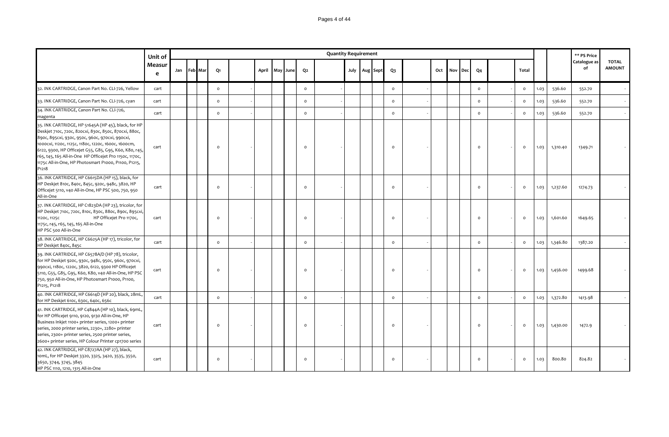### Pages 4 of 44

|                                                                                                                                                                                                                                                                                                                                                                                                                           | Unit of     |     |         |          |       |          |                | <b>Quantity Requirement</b> |               |  |                     |     |     |     |                |                     |      |          | ** PS Price        |                               |
|---------------------------------------------------------------------------------------------------------------------------------------------------------------------------------------------------------------------------------------------------------------------------------------------------------------------------------------------------------------------------------------------------------------------------|-------------|-----|---------|----------|-------|----------|----------------|-----------------------------|---------------|--|---------------------|-----|-----|-----|----------------|---------------------|------|----------|--------------------|-------------------------------|
|                                                                                                                                                                                                                                                                                                                                                                                                                           | Measur<br>e | Jan | Feb Mar | Q1       | April | May June | Q <sub>2</sub> |                             | July Aug Sept |  | $Q_3$               | Oct | Nov | Dec | Q <sub>4</sub> | Total               |      |          | Catalogue as<br>of | <b>TOTAL</b><br><b>AMOUNT</b> |
| 32. INK CARTRIDGE, Canon Part No. CLI-726, Yellow                                                                                                                                                                                                                                                                                                                                                                         | cart        |     |         | $\circ$  |       |          | $\circ$        |                             |               |  | $\mathsf{o}$        |     |     |     | $\circ$        | $\circ$             | 1.03 | 536.60   | 552.70             |                               |
| 33. INK CARTRIDGE, Canon Part No. CLI-726, cyan                                                                                                                                                                                                                                                                                                                                                                           | cart        |     |         | $\circ$  |       |          | $\circ$        |                             |               |  | $\circ$             |     |     |     | $\circ$        | $\mathsf{o}\,$      | 1.03 | 536.60   | 552.70             |                               |
| 34. INK CARTRIDGE, Canon Part No. CLI-726,<br>magenta                                                                                                                                                                                                                                                                                                                                                                     | cart        |     |         | $\circ$  |       |          | $\circ$        |                             |               |  | $\circ$             |     |     |     | $\circ$        | $\mathsf{o}\xspace$ | 1.03 | 536.60   | 552.70             |                               |
| 35. INK CARTRIDGE, HP 51645A (HP 45), black, for HP<br>Deskjet 710c, 720c, 820cxi, 830c, 850c, 870cxi, 880c,<br>890с, 895схі, 930с, 950с, 960с, 970схі, 990схі,<br>1000схі, 1120с, 1125с, 1180с, 1220с, 1600с, 1600ст,<br>6122, 9300, HP Officejet G55, G85, G95, K60, K80, r45,<br>r65, t45, t65 All-in-One HP Officejet Pro 1150c, 1170c,<br>1175c All-in-One, HP Photosmart P1000, P1100, P1215,<br>P <sub>121</sub> 8 | cart        |     |         | $\circ$  |       |          | $\mathsf{o}$   |                             |               |  | $\circ$             |     |     |     | $\circ$        | $\mathsf{o}\,$      | 1.03 | 1,310.40 | 1349.71            |                               |
| 36. INK CARTRIDGE, HP C6615DA (HP 15), black, for<br>HP Deskjet 810c, 840c, 845c, 920c, 948c, 3820, HP<br>Officejet 5110, v40 All-in-One, HP PSC 500, 750, 950<br>All-in-One                                                                                                                                                                                                                                              | cart        |     |         | $\Omega$ |       |          | $\circ$        |                             |               |  | $\circ$             |     |     |     | $\circ$        | $\mathsf{o}\xspace$ | 1.03 | 1,237.60 | 1274.73            |                               |
| 37. INK CARTRIDGE, HP C1823DA (HP 23), tricolor, for<br>HP Deskjet 710c, 720c, 810c, 830c, 880c, 890c, 895cxi,<br>HP Officejet Pro 1170c,<br>1120C, 1125C<br>1175c, r45, r65, t45, t65 All-in-One<br>HP PSC 500 All-in-One                                                                                                                                                                                                | cart        |     |         | $\circ$  |       |          | $\circ$        |                             |               |  | $\circ$             |     |     |     | $\circ$        | $\circ$             | 1.03 | 1,601.60 | 1649.65            |                               |
| 38. INK CARTRIDGE, HP C6625A (HP 17), tricolor, for<br>HP Deskjet 840c, 845c                                                                                                                                                                                                                                                                                                                                              | cart        |     |         | $\circ$  |       |          | $\circ$        |                             |               |  | $\circ$             |     |     |     | $\circ$        | $\mathsf{o}\xspace$ | 1.03 | 1,346.80 | 1387.20            |                               |
| 39. INK CARTRIDGE, HP C6578A/D (HP 78), tricolor,<br>for HP Deskjet 920c, 930c, 948c, 950c, 960c, 970cxi,<br>990cxi, 1180c, 1220c, 3820, 6122, 9300 HP Officejet<br>5110, G55, G85, G95, K60, K80, v40 All-in-One, HP PSC<br>750, 950 All-in-One, HP Photosmart P1000, P1100,<br>P1215, P1218                                                                                                                             | cart        |     |         | $\circ$  |       |          | $\mathsf{o}$   |                             |               |  | $\circ$             |     |     |     | $\circ$        | $\circ$             | 1.03 | 1,456.00 | 1499.68            |                               |
| 40. INK CARTRIDGE, HP C6614D (HP 20), black, 28mL,<br>for HP Deskjet 610c, 630c, 640c, 656c                                                                                                                                                                                                                                                                                                                               | cart        |     |         | $\circ$  |       |          | $\mathsf{o}$   |                             |               |  | $\mathsf{o}\xspace$ |     |     |     | $\circ$        | $\mathsf{o}\xspace$ | 1.03 | 1,372.80 | 1413.98            |                               |
| 41. INK CARTRIDGE, HP C4844A (HP 10), black, 69mL,<br>for HP Officejet 9110, 9120, 9130 All-in-One, HP<br>Business Inkjet 1100+ printer series, 1200+ printer<br>series, 2000 printer series, 2230+, 2280+ printer<br>series, 2300+ printer series, 2500 printer series,<br>2600+ printer series, HP Colour Printer cp1700 series                                                                                         | cart        |     |         | $\Omega$ |       |          | $\circ$        |                             |               |  | $\circ$             |     |     |     | $\circ$        | $\mathsf{o}\,$      | 1.03 | 1,430.00 | 1472.9             |                               |
| 42. INK CARTRIDGE, HP C8727AA (HP 27), black,<br>10mL, for HP Deskjet 3320, 3325, 3420, 3535, 3550,<br>3650, 3744, 3745, 3845<br>HP PSC 1110, 1210, 1315 All-in-One                                                                                                                                                                                                                                                       | cart        |     |         | $\circ$  |       |          | $\circ$        |                             |               |  | $\circ$             |     |     |     | $\circ$        | $\circ$             | 1.03 | 800.80   | 824.82             |                               |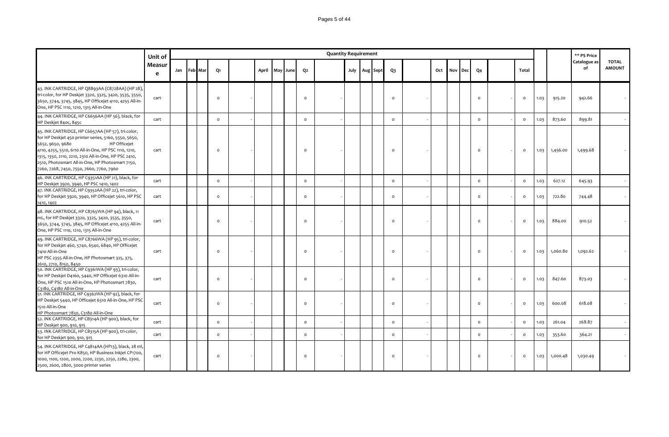|                                                                                                                                                                                                                                                                                                                                                                        | Unit of     |     |         |          |       |     |      |                | <b>Quantity Requirement</b> |  |                   |                |     |     |                             |                |          |      |          | ** PS Price        |                               |
|------------------------------------------------------------------------------------------------------------------------------------------------------------------------------------------------------------------------------------------------------------------------------------------------------------------------------------------------------------------------|-------------|-----|---------|----------|-------|-----|------|----------------|-----------------------------|--|-------------------|----------------|-----|-----|-----------------------------|----------------|----------|------|----------|--------------------|-------------------------------|
|                                                                                                                                                                                                                                                                                                                                                                        | Measur<br>e | Jan | Feb Mar | Q1       | April | May | June | Q <sub>2</sub> |                             |  | July   Aug   Sept | Q <sub>3</sub> | Oct | Nov | $\ensuremath{\mathsf{Dec}}$ | Q <sub>4</sub> | Total    |      |          | Catalogue as<br>of | <b>TOTAL</b><br><b>AMOUNT</b> |
| 43. INK CARTRIDGE, HP Q8893AA (C8728AA) (HP 28),<br>tri-color, for HP Deskjet 3320, 3325, 3420, 3535, 3550,<br>3650, 3744, 3745, 3845, HP Officejet 4110, 4255 All-in-<br>One, HP PSC 1110, 1210, 1315 All-in-One                                                                                                                                                      | cart        |     |         | $\Omega$ |       |     |      | $\circ$        |                             |  |                   | $\Omega$       |     |     |                             | $\circ$        | $\Omega$ | 1.03 | 915.20   | 942.66             |                               |
| 44. INK CARTRIDGE, HP C6656AA (HP 56), black, for<br>HP Deskjet 840c, 845c                                                                                                                                                                                                                                                                                             | cart        |     |         | $\Omega$ |       |     |      | $\circ$        |                             |  |                   | $\circ$        |     |     |                             | $\Omega$       | $\circ$  | 1.03 | 873.60   | 899.81             |                               |
| 45. INK CARTRIDGE, HP C6657AA (HP 57), tri-color,<br>for HP Deskjet 450 printer series, 5160, 5550, 5650,<br>5652, 9650, 9680<br><b>HP Officejet</b><br>4110, 4255, 5510, 6110 All-in-One, HP PSC 1110, 1210,<br>1315, 1350, 2110, 2210, 2310 All-in-One, HP PSC 2410,<br>2510, Photosmart All-in-One, HP Photosmart 7150,<br>7260, 7268, 7450, 7550, 7660, 7760, 7960 | cart        |     |         | $\Omega$ |       |     |      | $\circ$        |                             |  |                   | $\Omega$       |     |     |                             | $\circ$        | $\circ$  | 1.03 | 1,456.00 | 1,499.68           |                               |
| 46. INK CARTRIDGE, HP C9351AA (HP 21), black, for<br>HP Deskjet 3920, 3940, HP PSC 1410, 1402                                                                                                                                                                                                                                                                          | cart        |     |         | $\circ$  |       |     |      | $\circ$        |                             |  |                   | $\circ$        |     |     |                             | $\circ$        | $\circ$  | 1.03 | 627.12   | 645.93             |                               |
| 47. INK CARTRIDGE, HP C9352AA (HP 22), tri-color,<br>for HP Deskjet 3920, 3940, HP Officejet 5610, HP PSC<br>1410, 1402                                                                                                                                                                                                                                                | cart        |     |         | $\circ$  |       |     |      | $\circ$        |                             |  |                   | $\circ$        |     |     |                             | $\circ$        | $\circ$  | 1.03 | 722.80   | 744.48             |                               |
| 48. INK CARTRIDGE, HP C8765WA (HP 94), black, 11<br>mL, for HP Deskjet 3320, 3325, 3420, 3535, 3550,<br>3650, 3744, 3745, 3845, HP Officejet 4110, 4255 All-in-<br>One, HP PSC 1110, 1210, 1315 All-in-One                                                                                                                                                             | cart        |     |         | $\Omega$ |       |     |      | $\circ$        |                             |  |                   | $\circ$        |     |     |                             | $\circ$        | $\circ$  | 1.03 | 884.00   | 910.52             |                               |
| 49. INK CARTRIDGE, HP C8766WA (HP 95), tri-color,<br>for HP Deskjet 460, 5740, 6540, 6840, HP Officejet<br>7410 All-in-One<br>HP PSC 2355 All-in-One, HP Photosmart 325, 375,<br>2610, 2710, 8150, 8450                                                                                                                                                                | cart        |     |         | $\Omega$ |       |     |      | $\circ$        |                             |  |                   | $\circ$        |     |     |                             | $\circ$        | $\circ$  | 1.03 | 1,060.80 | 1,092.62           |                               |
| 50. INK CARTRIDGE, HP C9361WA (HP 93), tri-color,<br>for HP Deskjet D4160, 5440, HP Officejet 6310 All-in-<br>One, HP PSC 1510 All-in-One, HP Photosmart 7830,<br>C3180, C4180 All-in-One                                                                                                                                                                              | cart        |     |         | $\Omega$ |       |     |      | $\circ$        |                             |  |                   | $\circ$        |     |     |                             | $\circ$        | $\circ$  | 1.03 | 847.60   | 873.03             |                               |
| 51. INK CARTRIDGE, HP C9362WA (HP 92), black, for<br>HP Deskjet 5440, HP Officejet 6310 All-in-One, HP PSC<br>1510 All-in-One<br>HP Photosmart 7830, C3180 All-in-One                                                                                                                                                                                                  | cart        |     |         | $\Omega$ |       |     |      | $\circ$        |                             |  |                   | $\circ$        |     |     |                             | $\circ$        | $\circ$  | 1.03 | 600.08   | 618.08             |                               |
| 52. INK CARTRIDGE, HP CB314A (HP 900), black, for<br>HP Deskjet 900, 910, 915                                                                                                                                                                                                                                                                                          | cart        |     |         | $\Omega$ |       |     |      | $\circ$        |                             |  |                   | $\circ$        |     |     |                             | $\circ$        | $\circ$  | 1.03 | 261.04   | 268.87             |                               |
| 53. INK CARTRIDGE, HP CB315A (HP 900), tri-color,<br>for HP Deskjet 900, 910, 915                                                                                                                                                                                                                                                                                      | cart        |     |         | $\circ$  |       |     |      | $\circ$        |                             |  |                   | $\circ$        |     |     |                             | $\mathsf{o}\,$ | $\circ$  | 1.03 | 353.60   | 364.21             |                               |
| 54. INK CARTRIDGE, HP C4814AA (HP13), black, 28 ml,<br>for HP Officejet Pro K850, HP Business Inkjet CP1700,<br>1000, 1100, 1200, 2000, 2200, 2230, 2250, 2280, 2300,<br>2500, 2600, 2800, 3000 printer series                                                                                                                                                         | cart        |     |         | $\Omega$ |       |     |      | $\circ$        |                             |  |                   | $\Omega$       |     |     |                             | $\circ$        | $\circ$  | 1.03 | 1,000.48 | 1,030.49           |                               |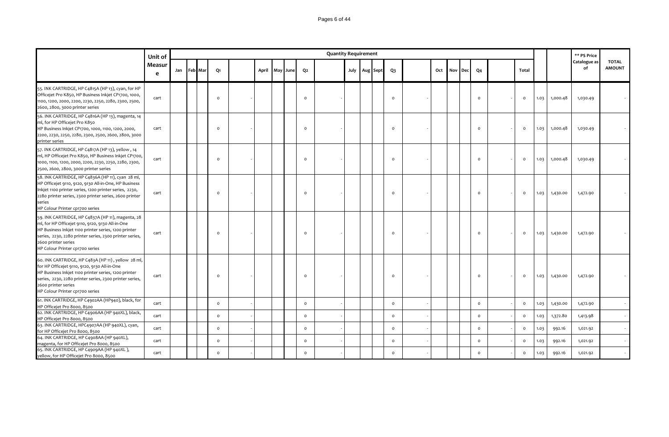### Pages 6 of 44

|                                                                                                                                                                                                                                                                                    | Unit of     |     |         |          |       |          |                | <b>Quantity Requirement</b> |                   |                |     |         |                |                |      |          | ** PS Price        |                               |
|------------------------------------------------------------------------------------------------------------------------------------------------------------------------------------------------------------------------------------------------------------------------------------|-------------|-----|---------|----------|-------|----------|----------------|-----------------------------|-------------------|----------------|-----|---------|----------------|----------------|------|----------|--------------------|-------------------------------|
|                                                                                                                                                                                                                                                                                    | Measur<br>e | Jan | Feb Mar | Q1       | April | May June | Q <sub>2</sub> |                             | July   Aug   Sept | Q <sub>3</sub> | Oct | Nov Dec | Q <sub>4</sub> | Total          |      |          | Catalogue as<br>of | <b>TOTAL</b><br><b>AMOUNT</b> |
| 55. INK CARTRIDGE, HP C4815A (HP 13), cyan, for HP<br>Officejet Pro K850, HP Business Inkjet CP1700, 1000,<br>1100, 1200, 2000, 2200, 2230, 2250, 2280, 2300, 2500,<br>2600, 2800, 3000 printer series                                                                             | cart        |     |         | $\Omega$ |       |          | $\circ$        |                             |                   | $\circ$        |     |         | $\circ$        | $\circ$        | 1.03 | 1,000.48 | 1,030.49           |                               |
| 56. INK CARTRIDGE, HP C4816A (HP 13), magenta, 14<br>ml, for HP Officejet Pro K850<br>HP Business Inkjet CP1700, 1000, 1100, 1200, 2000,<br>2200, 2230, 2250, 2280, 2300, 2500, 2600, 2800, 3000<br>printer series                                                                 | cart        |     |         | $\Omega$ |       |          | $\Omega$       |                             |                   | $\Omega$       |     |         | $\circ$        | $\circ$        | 1.03 | 1,000.48 | 1,030.49           |                               |
| 57. INK CARTRIDGE, HP C4817A (HP 13), yellow, 14<br>ml, HP Officejet Pro K850, HP Business Inkjet CP1700,<br>1000, 1100, 1200, 2000, 2200, 2230, 2250, 2280, 2300,<br>2500, 2600, 2800, 3000 printer series                                                                        | cart        |     |         | $\Omega$ |       |          | $\circ$        |                             |                   | $\circ$        |     |         | $\circ$        | $\circ$        | 1.03 | 1,000.48 | 1,030.49           |                               |
| 58. INK CARTRIDGE, HP C4836A (HP 11), cyan 28 ml,<br>HP Officejet 9110, 9120, 9130 All-in-One, HP Business<br>Inkjet 1100 printer series, 1200 printer series, 2230,<br>2280 printer series, 2300 printer series, 2600 printer<br>series<br>HP Colour Printer cp1700 series        | cart        |     |         | $\Omega$ |       |          | $\circ$        |                             |                   | $\Omega$       |     |         | $\circ$        | $\circ$        | 1.03 | 1,430.00 | 1,472.90           |                               |
| 59. INK CARTRIDGE, HP C4837A (HP 11), magenta, 28<br>ml, for HP Officejet 9110, 9120, 9130 All-in-One<br>HP Business Inkjet 1100 printer series, 1200 printer<br>series, 2230, 2280 printer series, 2300 printer series,<br>2600 printer series<br>HP Colour Printer cp1700 series | cart        |     |         | $\Omega$ |       |          | $\circ$        |                             |                   | $\Omega$       |     |         | $\circ$        | $\circ$        | 1.03 | 1,430.00 | 1,472.90           |                               |
| 60. INK CARTRIDGE, HP C483A (HP 11), yellow 28 ml,<br>for HP Officejet 9110, 9120, 9130 All-in-One<br>HP Business Inkjet 1100 printer series, 1200 printer<br>series, 2230, 2280 printer series, 2300 printer series,<br>2600 printer series<br>HP Colour Printer cp1700 series    | cart        |     |         | $\Omega$ |       |          | $\circ$        |                             |                   | $\Omega$       |     |         | $\circ$        | $\circ$        | 1.03 | 1,430.00 | 1,472.90           |                               |
| 61. INK CARTRIDGE, HP C4902AA (HP940), black, for<br>HP Officejet Pro 8000, 8500                                                                                                                                                                                                   | cart        |     |         | $\circ$  |       |          | $\circ$        |                             |                   | $\circ$        |     |         | $\circ$        | $\mathsf{o}\,$ | 1.03 | 1,430.00 | 1,472.90           |                               |
| 62. INK CARTRIDGE, HP C4906AA (HP 940XL), black,<br>HP Officejet Pro 8000, 8500                                                                                                                                                                                                    | cart        |     |         | $\circ$  |       |          | $\circ$        |                             |                   | $\circ$        |     |         | $\circ$        | $\circ$        | 1.03 | 1,372.80 | 1,413.98           |                               |
| 63. INK CARTRIDGE, HPC4907AA (HP 940XL), cyan,<br>for HP Officejet Pro 8000, 8500                                                                                                                                                                                                  | cart        |     |         | $\circ$  |       |          | $\circ$        |                             |                   | $\circ$        |     |         | $\circ$        | $\circ$        | 1.03 | 992.16   | 1,021.92           |                               |
| 64. INK CARTRIDGE, HP C4908AA (HP 940XL),<br>magenta, for HP Officejet Pro 8000, 8500                                                                                                                                                                                              | cart        |     |         | $\circ$  |       |          | $\circ$        |                             |                   | $\circ$        |     |         | $\circ$        | $\circ$        | 1.03 | 992.16   | 1,021.92           |                               |
| 65. INK CARTRIDGE, HP C4909AA (HP 940XL),<br>yellow, for HP Officejet Pro 8000, 8500                                                                                                                                                                                               | cart        |     |         | $\circ$  |       |          | $\circ$        |                             |                   | $\circ$        |     |         | $\circ$        | $\circ$        | 1.03 | 992.16   | 1,021.92           |                               |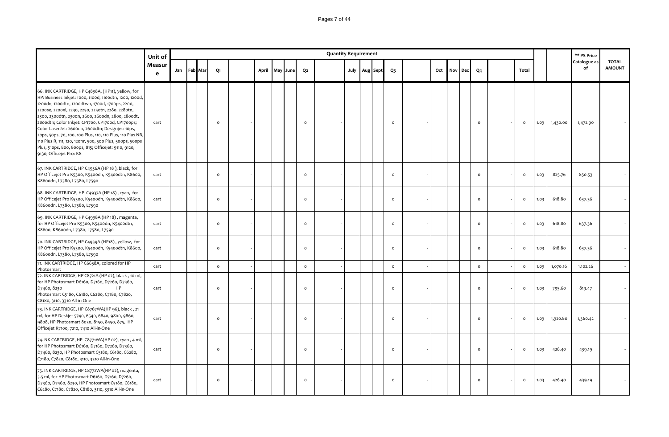|                                                                                                                                                                                                                                                                                                                                                                                                                                                                                                                                                                                                  | Unit of                |             |                |       |          |                | <b>Quantity Requirement</b> |  |               |              |     |     |     |                |                |      |          | ** PS Price        |                               |
|--------------------------------------------------------------------------------------------------------------------------------------------------------------------------------------------------------------------------------------------------------------------------------------------------------------------------------------------------------------------------------------------------------------------------------------------------------------------------------------------------------------------------------------------------------------------------------------------------|------------------------|-------------|----------------|-------|----------|----------------|-----------------------------|--|---------------|--------------|-----|-----|-----|----------------|----------------|------|----------|--------------------|-------------------------------|
|                                                                                                                                                                                                                                                                                                                                                                                                                                                                                                                                                                                                  | Measur<br>$\mathbf{e}$ | Jan Feb Mar | Q1             | April | May June | Q <sub>2</sub> |                             |  | July Aug Sept | $Q_3$        | Oct | Nov | Dec | Q <sub>4</sub> | Total          |      |          | Catalogue as<br>of | <b>TOTAL</b><br><b>AMOUNT</b> |
| 66. INK CARTRIDGE, HP C4838A, (HP11), yellow, for<br>HP: Business Inkjet: 1000, 1100d, 1100dtn, 1200, 1200d,<br>1200dn, 1200dtn, 1200dtwn, 1700d, 1700ps, 2200,<br>2200se, 2200xi, 2230, 2250, 2250tn, 2280, 2280tn,<br>2300, 2300dtn, 2300n, 2600, 2600dn, 2800, 2800dt,<br>2800dtn; Color Inkjet: CP1700, CP1700d, CP1700ps;<br>Color LaserJet: 2600dn, 2600dtn; Designjet: 10ps,<br>20ps, 50ps, 70, 100, 100 Plus, 110, 110 Plus, 110 Plus NR,<br>110 Plus R, 111, 120, 120nr, 500, 500 Plus, 500ps, 500ps<br>Plus, 510ps, 800, 800ps, 815; Officejet: 9110, 9120,<br>9130; Officejet Pro: K8 | cart                   |             | $\Omega$       |       |          | $\circ$        |                             |  |               | $\circ$      |     |     |     | $\circ$        | $\circ$        | 1.03 | 1,430.00 | 1,472.90           |                               |
| 67. INK CARTRIDGE, HP C4936A (HP 18), black, for<br>HP Officejet Pro K5300, K5400dn, K5400dtn, K8600,<br>K8600dn, L7380, L7580, L7590                                                                                                                                                                                                                                                                                                                                                                                                                                                            | cart                   |             | $\Omega$       |       |          | $\mathsf{o}$   |                             |  |               | $\mathsf{o}$ |     |     |     | $\circ$        | $\circ$        | 1.03 | 825.76   | 850.53             |                               |
| 68. INK CARTRIDGE, HP C4937A (HP 18), cyan, for<br>HP Officejet Pro K5300, K5400dn, K5400dtn, K8600,<br>K86oodn, L738o, L758o, L759o                                                                                                                                                                                                                                                                                                                                                                                                                                                             | cart                   |             | $\circ$        |       |          | $\circ$        |                             |  |               | $\circ$      |     |     |     | $\circ$        | $\mathsf{o}\,$ | 1.03 | 618.80   | 637.36             |                               |
| 69. INK CARTRIDGE, HP C4938A (HP 18), magenta,<br>for HP Officejet Pro K5300, K5400dn, K5400dtn,<br>K8600, K8600dn, L7380, L7580, L7590                                                                                                                                                                                                                                                                                                                                                                                                                                                          | cart                   |             | $\circ$        |       |          | $\circ$        |                             |  |               | $\circ$      |     |     |     | $\mathsf{o}$   | $\circ$        | 1.03 | 618.80   | 637.36             |                               |
| 70. INK CARTRIDGE, HP C4939A (HP18), yellow, for<br>HP Officejet Pro K5300, K5400dn, K5400dtn, K8600,<br>K86oodn, L738o, L758o, L759o                                                                                                                                                                                                                                                                                                                                                                                                                                                            | cart                   |             | $\mathsf{o}\,$ |       |          | $\circ$        |                             |  |               | $\circ$      |     |     |     | $\circ$        | $\mathsf{o}\,$ | 1.03 | 618.80   | 637.36             |                               |
| 71. INK CARTRIDGE, HP C6658A, colored for HP<br>Photosmart                                                                                                                                                                                                                                                                                                                                                                                                                                                                                                                                       | cart                   |             | $\circ$        |       |          | $\circ$        |                             |  |               | $\circ$      |     |     |     | $\circ$        | $\circ$        | 1.03 | 1,070.16 | 1,102.26           |                               |
| 72. INK CARTRIDGE, HP C8721A (HP 02), black, 10 ml,<br>for HP Photosmart D6160, D7160, D7260, D7360,<br>D7460, 8230<br><b>HP</b><br>Photosmart C5180, C6180, C6280, C7180, C7820,<br>C8180, 3110, 3310 All-in-One                                                                                                                                                                                                                                                                                                                                                                                | cart                   |             | $\Omega$       |       |          | $\circ$        |                             |  |               | $\circ$      |     |     |     | $\mathsf{o}$   | $\Omega$       | 1.03 | 795.60   | 819.47             |                               |
| 73. INK CARTRIDGE, HP C8767WA(HP 96), black, 21<br>ml, for HP Deskjet 5740, 6540, 6840, 9800, 9860,<br>9808, HP Photosmart 8030, 8150, 8450, 875, HP<br>Officejet K7100, 7210, 7410 All-in-One                                                                                                                                                                                                                                                                                                                                                                                                   | cart                   |             | $\Omega$       |       |          | $\circ$        |                             |  |               | $\circ$      |     |     |     | $\circ$        | $\circ$        | 1.03 | 1,320.80 | 1,360.42           |                               |
| 74. NK CARTRIDGE, HP C8771WA(HP 02), cyan, 4 ml,<br>for HP Photosmart D6160, D7160, D7260, D7360,<br>D7460, 8230, HP Photosmart C5180, C6180, C6280,<br>C7180, C7820, C8180, 3110, 3310 All-in-One                                                                                                                                                                                                                                                                                                                                                                                               | cart                   |             | $\circ$        |       |          | $\circ$        |                             |  |               | $\circ$      |     |     |     | $\circ$        | $\circ$        | 1.03 | 426.40   | 439.19             |                               |
| 75. INK CARTRIDGE, HP C8772WA(HP 02), magenta,<br>3.5 ml, for HP Photosmart D6160, D7160, D7260,<br>D7360, D7460, 8230, HP Photosmart C5180, C6180,<br>C6280, C7180, C7820, C8180, 3110, 3310 All-in-One                                                                                                                                                                                                                                                                                                                                                                                         | cart                   |             | $\Omega$       |       |          | $\circ$        |                             |  |               | $\circ$      |     |     |     | $\mathsf{o}$   | $\circ$        | 1.03 | 426.40   | 439.19             |                               |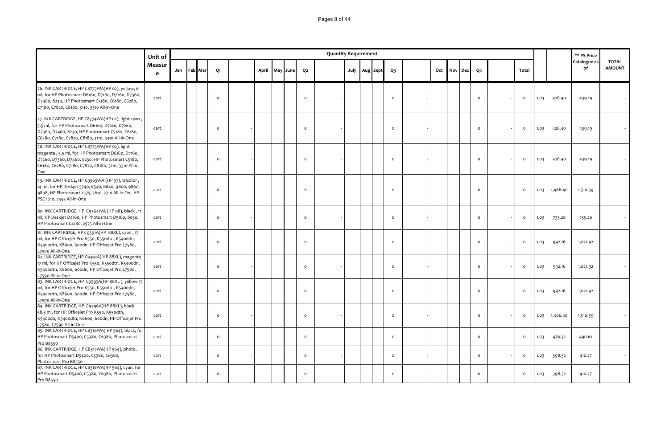|                                                                                                                                                                                                                    | Unit of     |             |                |       |          |          | <b>Quantity Requirement</b> |      |          |                |     |     |     |                |                |      |          | ** PS Price        |                               |
|--------------------------------------------------------------------------------------------------------------------------------------------------------------------------------------------------------------------|-------------|-------------|----------------|-------|----------|----------|-----------------------------|------|----------|----------------|-----|-----|-----|----------------|----------------|------|----------|--------------------|-------------------------------|
|                                                                                                                                                                                                                    | Measur<br>e | Jan Feb Mar | Q1             | April | May June | Q2       |                             | July | Aug Sept | $Q_3$          | Oct | Nov | Dec | Q <sub>4</sub> | Total          |      |          | Catalogue as<br>of | <b>TOTAL</b><br><b>AMOUNT</b> |
| 76. INK CARTRIDGE, HP C8773WA(HP 02), yellow, 6<br>ml, for HP Photosmart D6160, D7160, D7260, D7360,<br>D7460, 8230, HP Photosmart C5180, C6180, C6280,<br>C7180, C7820, C8180, 3110, 3310 All-in-One              | cart        |             | $\Omega$       |       |          | $\circ$  |                             |      |          | $\circ$        |     |     |     | $\circ$        | $\circ$        | 1.03 | 426.40   | 439.19             |                               |
| 77. INK CARTRIDGE, HP C8774WA(HP 02), light cyan,<br>5.5 ml, for HP Photosmart D6160, D7160, D7260,<br>D7360, D7460, 8230, HP Photosmart C5180, C6180,<br>C6280, C7180, C7820, C8180, 3110, 3310 All-in-One        | cart        |             | $\circ$        |       |          | $\circ$  |                             |      |          | $\Omega$       |     |     |     | $\circ$        | $\circ$        | 1.03 | 426.40   | 439.19             |                               |
| 78. INK CARTRIDGE, HP C8775WA(HP 02), light<br>magenta, 5.5 ml, for HP Photosmart D6160, D7160,<br>D7260, D7360, D7460, 8230, HP Photosmart C5180,<br>C6180, C6280, C7180, C7820, C8180, 3110, 3310 All-in-<br>One | cart        |             | $\circ$        |       |          | $\circ$  |                             |      |          | $\circ$        |     |     |     | $\circ$        | $\circ$        | 1.03 | 426.40   | 439.19             |                               |
| 79. INK CARTRIDGE, HP C9363WA (HP 97), tricolor,<br>14 ml, for HP Deskjet 5740, 6540, 6840, 9800, 9860,<br>9808, HP Photosmart 2575, 2610, 2710 All-in-On, HP<br>PSC 1610, 2355 All-in-One                         | cart        |             | $\Omega$       |       |          | $\Omega$ |                             |      |          | $\Omega$       |     |     |     | $\Omega$       | $\Omega$       | 1.03 | 1,466.40 | 1,510.39           |                               |
| 80. INK CARTRIDGE, HP C9364WA (HP 98), black, 11<br>ml, HP Deskjet D4160, HP Photosmart D5160, 8030,<br>HP Photosmart C4180, 2575 All-in-One                                                                       | cart        |             | $\Omega$       |       |          | $\circ$  |                             |      |          | $\Omega$       |     |     |     | $\circ$        | $\circ$        | 1.03 | 733.20   | 755.20             |                               |
| 81. INK CARTRIDGE, HP C9391A(HP 88XL), cyan, 17<br>ml, for HP Officejet Pro K550, K550dtn, K5400dn,<br>K5400dtn, K8600, 600dn, HP Officejet Pro L7580,<br>L7590 All-in-One                                         | cart        |             | $\mathsf{o}$   |       |          | $\circ$  |                             |      |          | $\circ$        |     |     |     | $\circ$        | $\mathsf{o}\,$ | 1.03 | 992.16   | 1,021.92           |                               |
| 82. INK CARTRIDGE, HP C9392A(HP 88XL), magenta<br>17 ml, for HP Officejet Pro K550, K550dtn, K5400dn,<br>K5400dtn, K8600, 600dn, HP Officejet Pro L7580,<br>L7590 All-in-One                                       | cart        |             | $\circ$        |       |          | $\Omega$ |                             |      |          | $\circ$        |     |     |     | $\Omega$       | $\circ$        | 1.03 | 992.16   | 1,021.92           |                               |
| 83. INK CARTRIDGE, HP C9393A(HP 88XL), yellow 17<br>ml, for HP Officejet Pro K550, K550dtn, K5400dn,<br>K5400dtn, K8600, 600dn, HP Officejet Pro L7580,<br>L7590 All-in-One                                        | cart        |             | $\circ$        |       |          | $\circ$  |                             |      |          | $\Omega$       |     |     |     | $\circ$        | $\circ$        | 1.03 | 992.16   | 1,021.92           |                               |
| 84. INK CARTRIDGE, HP C9396A(HP 88XL), black<br>58.5 ml, for HP Officejet Pro K550, K550dtn,<br>K5400dn, K5400dtn, K8600, 600dn, HP Officejet Pro<br>L7580, L7590 All-in-One                                       | cart        |             | $\Omega$       |       |          | $\circ$  |                             |      |          | $\circ$        |     |     |     | $\circ$        | $\circ$        | 1.03 | 1,466.40 | 1,510.39           |                               |
| 85. INK CARTRIDGE, HP CB316WA(HP 564), black, for<br>HP Photosmart D5400, C5380, C6380, Photosmart<br>Pro B8550                                                                                                    | cart        |             | $\circ$        |       |          | $\circ$  |                             |      |          | $\circ$        |     |     |     | $\circ$        | $\circ$        | 1.03 | 476.32   | 490.61             |                               |
| 86. INK CARTRIDGE, HP CB317WA(HP 564), photo,<br>for HP Photosmart D5400, C5380, C6380,<br>Photosmart Pro B8550                                                                                                    | cart        |             | $\mathsf{o}\,$ |       |          | $\circ$  |                             |      |          | $\mathsf{o}\,$ |     |     |     | $\circ$        | $\circ$        | 1.03 | 398.32   | 410.27             |                               |
| 87. INK CARTRIDGE, HP CB318WA(HP 564), cyan, for<br>HP Photosmart D5400, C5380, C6380, Photosmart<br>Pro B8550                                                                                                     | cart        |             | $\circ$        |       |          | $\circ$  |                             |      |          | $\Omega$       |     |     |     | $\circ$        | $\circ$        | 1.03 | 398.32   | 410.27             |                               |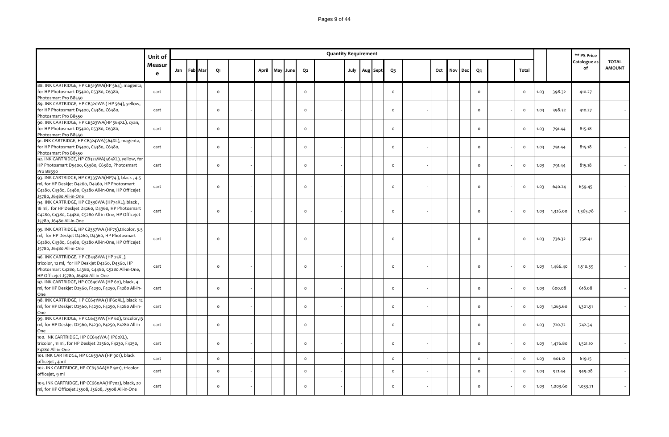### Pages 9 of 44

|                                                                                                                                                                                           | Unit of     |             |                |       |          |                | <b>Quantity Requirement</b> |      |          |                |     |     |     |                |                |      |          | ** PS Price        |                               |
|-------------------------------------------------------------------------------------------------------------------------------------------------------------------------------------------|-------------|-------------|----------------|-------|----------|----------------|-----------------------------|------|----------|----------------|-----|-----|-----|----------------|----------------|------|----------|--------------------|-------------------------------|
|                                                                                                                                                                                           | Measur<br>e | Jan Feb Mar | Q1             | April | May June | Q <sub>2</sub> |                             | July | Aug Sept | Q <sub>3</sub> | Oct | Nov | Dec | Q <sub>4</sub> | Total          |      |          | Catalogue as<br>of | <b>TOTAL</b><br><b>AMOUNT</b> |
| 88. INK CARTRIDGE, HP CB319WA(HP 564), magenta,<br>for HP Photosmart D5400, C5380, C6380,<br>Photosmart Pro B8550                                                                         | cart        |             | $\circ$        |       |          | $\circ$        |                             |      |          | $\circ$        |     |     |     | $\circ$        | $\mathsf{o}\,$ | 1.03 | 398.32   | 410.27             |                               |
| 89. INK CARTRIDGE, HP CB320WA (HP 564), yellow,<br>for HP Photosmart D5400, C5380, C6380,<br>Photosmart Pro B8550                                                                         | cart        |             | $\circ$        |       |          | $\circ$        |                             |      |          | $\circ$        |     |     |     | $\circ$        | $\circ$        | 1.03 | 398.32   | 410.27             |                               |
| 90. INK CARTRIDGE, HP CB323WA(HP 564XL), cyan,<br>for HP Photosmart D5400, C5380, C6380,<br>Photosmart Pro B8550                                                                          | cart        |             | $\circ$        |       |          | $\circ$        |                             |      |          | $\circ$        |     |     |     | $\circ$        | $\circ$        | 1.03 | 791.44   | 815.18             |                               |
| 91. INK CARTRIDGE, HP CB324WA(564XL), magenta,<br>for HP Photosmart D5400, C5380, C6380,<br>Photosmart Pro B8550                                                                          | cart        |             | $\circ$        |       |          | $\circ$        |                             |      |          | $\circ$        |     |     |     | $\circ$        | $\circ$        | 1.03 | 791.44   | 815.18             |                               |
| 92. INK CARTRIDGE, HP CB325WA(564XL), yellow, for<br>HP Photosmart D5400, C5380, C6380, Photosmart<br>Pro B8550                                                                           | cart        |             | $\circ$        |       |          | $\circ$        |                             |      |          | $\circ$        |     |     |     | $\circ$        | $\mathsf{o}\,$ | 1.03 | 791.44   | 815.18             |                               |
| 93. INK CARTRIDGE, HP CB335WA(HP74), black, 4.5<br>ml, for HP Deskjet D4260, D4360, HP Photosmart<br>C4280, C4380, C4480, C5280 All-in-One, HP Officejet<br>J5780, J6480 All-in-One       | cart        |             | $\Omega$       |       |          | $\mathsf{o}$   |                             |      |          | $\mathsf{o}$   |     |     |     | $\circ$        | $\mathsf{o}\,$ | 1.03 | 640.24   | 659.45             |                               |
| 94. INK CARTRIDGE, HP CB336WA (HP74XL), black,<br>18 ml, for HP Deskjet D4260, D4360, HP Photosmart<br>C4280, C4380, C4480, C5280 All-in-One, HP Officejet<br>J5780, J6480 All-in-One     | cart        |             | $\circ$        |       |          | $\mathsf{o}$   |                             |      |          | $\mathsf{o}$   |     |     |     | $\circ$        | $\circ$        | 1.03 | 1,326.00 | 1,365.78           |                               |
| 95. INK CARTRIDGE, HP CB337WA (HP75), tricolor, 3.5<br>ml, for HP Deskjet D4260, D4360, HP Photosmart<br>C4280, C4380, C4480, C5280 All-in-One, HP Officejet<br>J5780, J6480 All-in-One   | cart        |             | $\circ$        |       |          | $\mathsf{o}$   |                             |      |          | $\circ$        |     |     |     | $\circ$        | $\circ$        | 1.03 | 736.32   | 758.41             |                               |
| 96. INK CARTRIDGE, HP CB338WA (HP 75XL),<br>tricolor, 12 ml, for HP Deskjet D4260, D4360, HP<br>Photosmart C4280, C4380, C4480, C5280 All-in-One,<br>HP Officejet J5780, J6480 All-in-One | cart        |             | $\Omega$       |       |          | $\circ$        |                             |      |          | $\circ$        |     |     |     | $\circ$        | $\circ$        | 1.03 | 1,466.40 | 1,510.39           |                               |
| 97. INK CARTRIDGE, HP CC640WA (HP 60), black, 4<br>ml, for HP Deskjet D2560, F4230, F4250, F4280 All-in-<br>One                                                                           | cart        |             | $\circ$        |       |          | $\circ$        |                             |      |          | $\circ$        |     |     |     | $\circ$        | $\circ$        | 1.03 | 600.08   | 618.08             |                               |
| 98. INK CARTRIDGE, HP CC641WA (HP60XL), black 12<br>ml, for HP Deskjet D2560, F4230, F4250, F4280 All-in-<br>One                                                                          | cart        |             | $\circ$        |       |          | $\circ$        |                             |      |          | $\circ$        |     |     |     | $\circ$        | $\circ$        | 1.03 | 1,263.60 | 1,301.51           |                               |
| 99. INK CARTRIDGE, HP CC643WA (HP 60), tricolor,13<br>ml, for HP Deskjet D2560, F4230, F4250, F4280 All-in-<br>One                                                                        | cart        |             | $\circ$        |       |          | $\circ$        |                             |      |          | $\circ$        |     |     |     | $\circ$        | $\circ$        | 1.03 | 720.72   | 742.34             |                               |
| 100. INK CARTRIDGE, HP CC644WA (HP60XL),<br>tricolor, 11 ml, for HP Deskjet D2560, F4230, F4250,<br>F4280 All-in-One                                                                      | cart        |             | $\circ$        |       |          | $\circ$        |                             |      |          | $\mathsf{o}$   |     |     |     | $\circ$        | $\circ$        | 1.03 | 1,476.80 | 1,521.10           |                               |
| 101. INK CARTRIDGE, HP CC653AA (HP 901), black<br>officejet, 4 ml<br>102. INK CARTRIDGE, HP CC656AA(HP 901), tricolor                                                                     | cart        |             | $\mathsf{o}\,$ |       |          | $\mathsf{o}$   |                             |      |          | $\mathsf{o}$   |     |     |     | $\circ$        | $\circ$        | 1.03 | 601.12   | 619.15             |                               |
| officejet, 9 ml<br>103. INK CARTRIDGE, HP CC660AA(HP702), black, 20                                                                                                                       | cart        |             | $\circ$        |       |          | $\circ$        |                             |      |          | $\circ$        |     |     |     | $\circ$        | $\mathsf{o}\,$ | 1.03 | 921.44   | 949.08             |                               |
| ml, for HP Officejet J3508, J3608, J5508 All-in-One                                                                                                                                       | cart        |             | $\Omega$       |       |          | $\Omega$       |                             |      |          | $\Omega$       |     |     |     | $\Omega$       | $\circ$        | 1.03 | 1,003.60 | 1,033.71           |                               |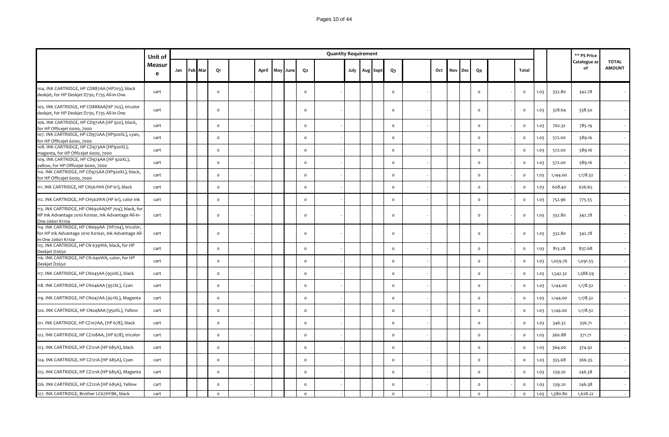### Pages 10 of 44

|                                                                                                                                       | Unit of     |     |                |                     |       |          |                | <b>Quantity Requirement</b> |  |                   |              |     |     |     |                |              |      |          | ** PS Price        |                               |
|---------------------------------------------------------------------------------------------------------------------------------------|-------------|-----|----------------|---------------------|-------|----------|----------------|-----------------------------|--|-------------------|--------------|-----|-----|-----|----------------|--------------|------|----------|--------------------|-------------------------------|
|                                                                                                                                       | Measur<br>e | Jan | <b>Feb</b> Mar | Q1                  | April | May June | Q <sub>2</sub> |                             |  | July   Aug   Sept | Q3           | Oct | Nov | Dec | Q <sub>4</sub> | Total        |      |          | Catalogue as<br>of | <b>TOTAL</b><br><b>AMOUNT</b> |
| 104. INK CARTRIDGE, HP CD887AA (HP703), black<br>deskjet, for HP Deskjet D730, F735 All-in-One                                        | cart        |     |                | $\circ$             |       |          | $\circ$        |                             |  |                   | $\circ$      |     |     |     | $\circ$        | $\circ$      | 1.03 | 332.80   | 342.78             |                               |
| 105. INK CARTRIDGE, HP CD888AA(HP 703), tricolor<br>deskjet, for HP Deskjet D730, F735 All-in-One                                     | cart        |     |                | $\circ$             |       |          | $\circ$        |                             |  |                   | $\mathsf{o}$ |     |     |     | $\circ$        | $\circ$      | 1.03 | 328.64   | 338.50             |                               |
| 106. INK CARTRIDGE, HP CD971AA (HP 920), black,<br>for HP Officejet 6000, 7000                                                        | cart        |     |                | $\circ$             |       |          | $\circ$        |                             |  |                   | $\circ$      |     |     |     | $\circ$        | $\circ$      | 1.03 | 762.32   | 785.19             |                               |
| 107. INK CARTRIDGE, HP CD972AA (HP920XL), cyan,<br>for HP Officejet 6000, 7000                                                        | cart        |     |                | $\mathsf{o}\,$      |       |          | $\circ$        |                             |  |                   | $\circ$      |     |     |     | $\circ$        | $\circ$      | 1.03 | 572.00   | 589.16             |                               |
| 108. INK CARTRIDGE, HP CD973AA (HP920XL),<br>magenta, for HP Officejet 6000, 7000                                                     | cart        |     |                | $\circ$             |       |          | $\circ$        |                             |  |                   | $\mathsf{o}$ |     |     |     | $\circ$        | $\circ$      | 1.03 | 572.00   | 589.16             |                               |
| 109. INK CARTRIDGE, HP CD974AA (HP 920XL),<br>yellow, for HP Officejet 6000, 7000<br>110. INK CARTRIDGE, HP CD975AA (HP920XL), black, | cart        |     |                | $\circ$             |       |          | $\mathsf{o}$   |                             |  |                   | $\circ$      |     |     |     | $\circ$        | $\circ$      | 1.03 | 572.00   | 589.16             |                               |
| for HP Officejet 6000, 7000                                                                                                           | cart        |     |                | $\circ$             |       |          | $\circ$        |                             |  |                   | $\circ$      |     |     |     | $\mathsf{o}\,$ | $\circ$      | 1.03 | 1,144.00 | 1,178.32           |                               |
| 111. INK CARTRIDGE, HP CH561WA (HP 61), black                                                                                         | cart        |     |                | $\circ$             |       |          | $\mathsf{o}$   |                             |  |                   | $\mathsf{o}$ |     |     |     | $\Omega$       | $\circ$      | 1.03 | 608.40   | 626.65             |                               |
| 112. INK CARTRIDGE, HP CH562WA (HP 61), color ink                                                                                     | cart        |     |                | $\mathsf{o}\xspace$ |       |          | $\circ$        |                             |  |                   | $\circ$      |     |     |     | $\Omega$       | $\mathsf{o}$ | 1.03 | 752.96   | 775-55             |                               |
| 113. INK CARTRIDGE, HP CN692AA(HP 704), black, for<br>HP Ink Advantage 2010 K010a1, Ink Advantage All-in-<br>One 20601 K110a          | cart        |     |                | $\circ$             |       |          | $\circ$        |                             |  |                   | $\circ$      |     |     |     | $\circ$        | $\circ$      | 1.03 | 332.80   | 342.78             |                               |
| 114. INK CARTRIDGE, HP CN693AA (HP704), tricolor,<br>for HP Ink Advantage 2010 K010a1, Ink Advantage All-<br>in-One 20601 K110a       | cart        |     |                | $\circ$             |       |          | $\circ$        |                             |  |                   | $\circ$      |     |     |     | $\circ$        | $\circ$      | 1.03 | 332.80   | 342.78             |                               |
| 115. INK CARTRIDGE, HP CN 639WA, black, for HP<br>Deskjet D2650                                                                       | cart        |     |                | $\circ$             |       |          | $\circ$        |                             |  |                   | $\circ$      |     |     |     | $\circ$        | $\circ$      | 1.03 | 813.28   | 837.68             |                               |
| 116. INK CARTRIDGE, HP CN 640WA, color, for HP<br>Deskjet D2650                                                                       | cart        |     |                | $\circ$             |       |          | $\circ$        |                             |  |                   | $\circ$      |     |     |     | $\Omega$       | $\mathsf{o}$ | 1.03 | 1,059.76 | 1,091.55           |                               |
| 117. INK CARTRIDGE, HP CN045AA (950XL), black                                                                                         | cart        |     |                | $\circ$             |       |          | $\circ$        |                             |  |                   | $\circ$      |     |     |     | $\circ$        | $\circ$      | 1.03 | 1,542.32 | 1,588.59           |                               |
| 118. INK CARTRIDGE, HP CN046AA (951XL), Cyan                                                                                          | cart        |     |                | $\circ$             |       |          | $\circ$        |                             |  |                   | $\circ$      |     |     |     | $\circ$        | $\circ$      | 1.03 | 1,144.00 | 1,178.32           |                               |
| 119. INK CARTRIDGE, HP CN047AA (951XL), Magenta                                                                                       | cart        |     |                | $\circ$             |       |          | $\mathsf{o}$   |                             |  |                   | $\circ$      |     |     |     | $\circ$        | $\mathsf{o}$ | 1.03 | 1,144.00 | 1,178.32           |                               |
| 120. INK CARTRIDGE, HP CN048AA (950XL), Yellow                                                                                        | cart        |     |                | $\mathsf{o}$        |       |          | $\mathsf{o}$   |                             |  |                   | $\mathbf 0$  |     |     |     | $\Omega$       | $\mathsf{o}$ | 1.03 | 1,144.00 | 1,178.32           |                               |
| 121. INK CARTRIDGE, HP CZ107AA, (HP 678), black                                                                                       | cart        |     |                | $\circ$             |       |          | $\mathsf{o}$   |                             |  |                   | $\circ$      |     |     |     | $\circ$        | $\circ$      | 1.03 | 346.32   | 356.71             |                               |
| 122. INK CARTRIDGE, HP CZ108AA, (HP 678), tricolor                                                                                    | cart        |     |                | $\circ$             |       |          | $\circ$        |                             |  |                   | $\circ$      |     |     |     | $\circ$        | $\circ$      | 1.03 | 360.88   | 371.71             |                               |
| 123. INK CARTRIDGE, HP CZ121A (HP 685A), black                                                                                        | cart        |     |                | $\circ$             |       |          | $\circ$        |                             |  |                   | $\circ$      |     |     |     | $\Omega$       | $\circ$      | 1.03 | 364.00   | 374.92             |                               |
| 124. INK CARTRIDGE, HP CZ121A (HP 685A), Cyan                                                                                         | cart        |     |                | $\circ$             |       |          | $\circ$        |                             |  |                   | $\circ$      |     |     |     | $\Omega$       | $\mathsf{o}$ | 1.03 | 355.68   | 366.35             |                               |
| 125. INK CARTRIDGE, HP CZ121A (HP 685A), Magenta                                                                                      | cart        |     |                | $\circ$             |       |          | $\circ$        |                             |  |                   | $\circ$      |     |     |     | $\circ$        | $\circ$      | 1.03 | 239.20   | 246.38             |                               |
| 126. INK CARTRIDGE, HP CZ121A (HP 685A), Yellow                                                                                       | cart        |     |                | $\Omega$            |       |          | $\mathsf{o}$   |                             |  |                   | $\circ$      |     |     |     | $\circ$        | $\circ$      | 1.03 | 239.20   | 246.38             |                               |
| 127. INK CARTRIDGE, Brother LC67HYBK, black                                                                                           | cart        |     |                | $\circ$             |       |          | $\circ$        |                             |  |                   | $\circ$      |     |     |     | $\circ$        | $\circ$      | 1.03 | 1,580.80 | 1,628.22           |                               |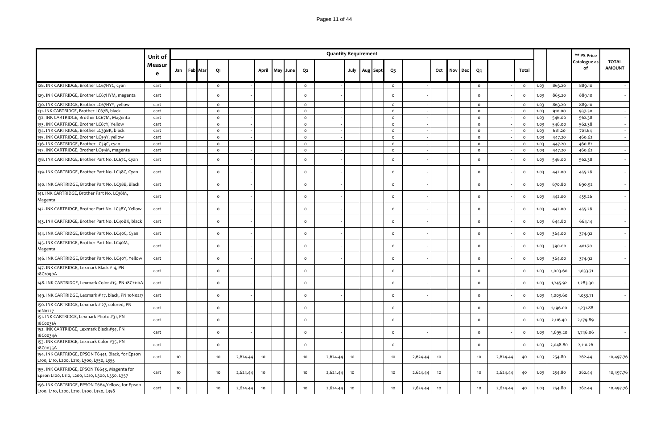|                                                                                                | Unit of     |    |             |          |          |       |          |              | <b>Quantity Requirement</b> |      |          |                |          |     |     |     |              |          |              |      |          | ** PS Price        |                               |
|------------------------------------------------------------------------------------------------|-------------|----|-------------|----------|----------|-------|----------|--------------|-----------------------------|------|----------|----------------|----------|-----|-----|-----|--------------|----------|--------------|------|----------|--------------------|-------------------------------|
|                                                                                                | Measur<br>e |    | Jan Feb Mar | Q1       |          | April | May June | Q2           |                             | July | Aug Sept | $Q_3$          |          | Oct | Nov | Dec | Q4           |          | Total        |      |          | Catalogue as<br>of | <b>TOTAL</b><br><b>AMOUNT</b> |
| 128. INK CARTRIDGE, Brother LC67HYC, cyan                                                      | cart        |    |             | $\circ$  |          |       |          | $\circ$      |                             |      |          | $\circ$        |          |     |     |     | $\circ$      |          | $\circ$      | 1.03 | 863.20   | 889.10             |                               |
| 129. INK CARTRIDGE, Brother LC67HYM, magenta                                                   | cart        |    |             | $\circ$  |          |       |          | $\Omega$     |                             |      |          | $\circ$        |          |     |     |     | $\circ$      |          | $\circ$      | 1.03 | 863.20   | 889.10             |                               |
| 130. INK CARTRIDGE, Brother LC67HYY, yellow                                                    | cart        |    |             | $\circ$  |          |       |          | $\circ$      |                             |      |          | $\circ$        |          |     |     |     | $\circ$      |          | $\circ$      | 1.03 | 863.20   | 889.10             |                               |
| 131. INK CARTRIDGE, Brother LC67B, black                                                       | cart        |    |             | $\circ$  |          |       |          | $\circ$      |                             |      |          | $\mathsf{o}\,$ |          |     |     |     | $\circ$      |          | $\circ$      | 1.03 | 910.00   | 937.30             |                               |
| 132. INK CARTRIDGE, Brother LC67M, Magenta                                                     | cart        |    |             | $\circ$  |          |       |          | $\mathsf{o}$ |                             |      |          | $\circ$        |          |     |     |     | $\mathsf{o}$ |          | $\circ$      | 1.03 | 546.00   | 562.38             |                               |
| 133. INK CARTRIDGE, Brother LC67Y, Yellow                                                      | cart        |    |             | $\circ$  |          |       |          | $\circ$      |                             |      |          | $\circ$        |          |     |     |     | $\circ$      |          | $\circ$      | 1.03 | 546.00   | 562.38             |                               |
| 134. INK CARTRIDGE, Brother LC39BK, black                                                      | cart        |    |             | $\circ$  |          |       |          | $\circ$      |                             |      |          | $\mathsf{o}\,$ |          |     |     |     | $\circ$      |          | $\circ$      | 1.03 | 681.20   | 701.64             |                               |
| 135. INK CARTRIDGE, Brother LC39Y, yellow                                                      | cart        |    |             | $\circ$  |          |       |          | $\circ$      |                             |      |          | $\circ$        |          |     |     |     | $\circ$      |          | $\circ$      | 1.03 | 447.20   | 460.62             |                               |
| 136. INK CARTRIDGE, Brother LC39C, cyan                                                        | cart        |    |             | $\circ$  |          |       |          | $\circ$      |                             |      |          | $\mathsf{o}\,$ |          |     |     |     | $\circ$      |          | $\circ$      | 1.03 | 447.20   | 460.62             |                               |
| 137. INK CARTRIDGE, Brother LC39M, magenta                                                     | cart        |    |             | $\circ$  |          |       |          | $\circ$      |                             |      |          | $\circ$        |          |     |     |     | $\circ$      |          | $\circ$      | 1.03 | 447.20   | 460.62             |                               |
| 138. INK CARTRIDGE, Brother Part No. LC67C, Cyan                                               | cart        |    |             | $\Omega$ |          |       |          | $\circ$      |                             |      |          | $\circ$        |          |     |     |     | $\Omega$     |          | $\circ$      | 1.03 | 546.00   | 562.38             |                               |
| 139. INK CARTRIDGE, Brother Part No. LC38C, Cyan                                               | cart        |    |             | $\circ$  |          |       |          | $\Omega$     |                             |      |          | $\circ$        |          |     |     |     | $\circ$      |          | $\circ$      | 1.03 | 442.00   | 455.26             |                               |
| 140. INK CARTRIDGE, Brother Part No. LC38B, Black                                              | cart        |    |             | $\circ$  |          |       |          | $\circ$      |                             |      |          | $\circ$        |          |     |     |     | $\circ$      |          | $\circ$      | 1.03 | 670.80   | 690.92             |                               |
| 141. INK CARTRIDGE, Brother Part No. LC38M,<br>Magenta                                         | cart        |    |             | $\circ$  |          |       |          | $\circ$      |                             |      |          | $\circ$        |          |     |     |     | $\circ$      |          | $\mathsf{o}$ | 1.03 | 442.00   | 455.26             |                               |
| 142. INK CARTRIDGE, Brother Part No. LC38Y, Yellow                                             | cart        |    |             | $\circ$  |          |       |          | $\circ$      |                             |      |          | $\circ$        |          |     |     |     | $\circ$      |          | $\circ$      | 1.03 | 442.00   | 455.26             |                               |
| 143. INK CARTRIDGE, Brother Part No. LC40BK, black                                             | cart        |    |             | $\circ$  |          |       |          | $\circ$      |                             |      |          | $\circ$        |          |     |     |     | $\circ$      |          | $\circ$      | 1.03 | 644.80   | 664.14             |                               |
| 144. INK CARTRIDGE, Brother Part No. LC40C, Cyan                                               | cart        |    |             | $\circ$  |          |       |          | $\circ$      |                             |      |          | $\circ$        |          |     |     |     | $\circ$      |          | $\mathsf{o}$ | 1.03 | 364.00   | 374.92             |                               |
| 145. INK CARTRIDGE, Brother Part No. LC40M,<br>Magenta                                         | cart        |    |             | $\circ$  |          |       |          | $\circ$      |                             |      |          | $\circ$        |          |     |     |     | $\circ$      |          | $\circ$      | 1.03 | 390.00   | 401.70             |                               |
| 146. INK CARTRIDGE, Brother Part No. LC40Y, Yellow                                             | cart        |    |             | $\circ$  |          |       |          | $\circ$      |                             |      |          | $\circ$        |          |     |     |     | $\circ$      |          | $\circ$      | 1.03 | 364.00   | 374.92             |                               |
| 147. INK CARTRIDGE, Lexmark Black #14, PN<br>18C2090A                                          | cart        |    |             | $\circ$  |          |       |          | $\circ$      |                             |      |          | $\circ$        |          |     |     |     | $\circ$      |          | $\circ$      | 1.03 | 1,003.60 | 1,033.71           |                               |
| 148. INK CARTRIDGE, Lexmark Color #15, PN 18C2110A                                             | cart        |    |             | $\circ$  |          |       |          | $\circ$      |                             |      |          | $\circ$        |          |     |     |     | $\circ$      |          | $\circ$      | 1.03 | 1,245.92 | 1,283.30           |                               |
| 149. INK CARTRIDGE, Lexmark # 17, black, PN 10N0217                                            | cart        |    |             | $\circ$  |          |       |          | $\circ$      |                             |      |          | $\circ$        |          |     |     |     | $\circ$      |          | $\circ$      | 1.03 | 1,003.60 | 1,033.71           |                               |
| 150. INK CARTRIDGE, Lexmark # 27, colored, PN<br>10N0227                                       | cart        |    |             | $\circ$  |          |       |          | $\circ$      |                             |      |          | $\circ$        |          |     |     |     | $\circ$      |          | $\circ$      | 1.03 | 1,196.00 | 1,231.88           |                               |
| 151. INK CARTRIDGE, Lexmark Photo #31, PN<br>18C0031A                                          | cart        |    |             | $\circ$  |          |       |          | $\circ$      |                             |      |          | $\circ$        |          |     |     |     | $\circ$      |          | $\circ$      | 1.03 | 2,116.40 | 2,179.89           |                               |
| 152. INK CARTRIDGE, Lexmark Black #34, PN<br>18C0034A                                          | cart        |    |             | $\circ$  |          |       |          | $\circ$      |                             |      |          | $\circ$        |          |     |     |     | $\circ$      |          | $\circ$      | 1.03 | 1,695.20 | 1,746.06           |                               |
| 153. INK CARTRIDGE, Lexmark Color #35, PN<br>18C0035A                                          | cart        |    |             | $\circ$  |          |       |          | $\circ$      |                             |      |          | $\circ$        |          |     |     |     | $\circ$      |          | $\circ$      | 1.03 | 2,048.80 | 2,110.26           |                               |
| 154. INK CARTRIDGE, EPSON T6441, Black, for Epson<br>L100, L110, L200, L210, L300, L350, L355  | cart        | 10 |             | 10       | 2,624.44 | 10    |          | 10           | 2,624.44                    | 10   |          | 10             | 2,624.44 | 10  |     |     | 10           | 2,624.44 | 40           | 1.03 | 254.80   | 262.44             | 10,497.76                     |
| 155. INK CARTRIDGE, EPSON T6643, Magenta for<br>Epson L100, L110, L200, L210, L300, L350, L357 | cart        | 10 |             | 10       | 2,624.44 | 10    |          | 10           | 2,624.44                    | 10   |          | 10             | 2,624.44 | 10  |     |     | 10           | 2,624.44 | 40           | 1.03 | 254.80   | 262.44             | 10,497.76                     |
| 156. INK CARTRIDGE, EPSON T664, Yellow, for Epson<br>L100, L110, L200, L210, L300, L350, L358  | cart        | 10 |             | 10       | 2,624.44 | 10    |          | 10           | 2,624.44                    | 10   |          | 10             | 2,624.44 | 10  |     |     | 10           | 2,624.44 | 40           | 1.03 | 254.80   | 262.44             | 10,497.76                     |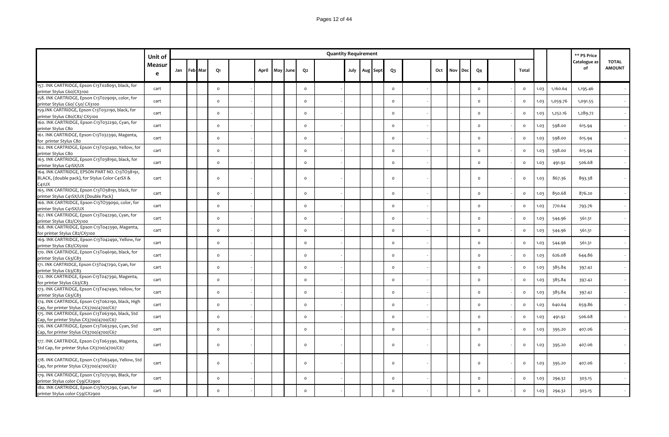|                                                                                                           | Unit of     |     |         |                     |       |          |                | <b>Quantity Requirement</b> |  |                   |                |     |     |            |                |              |      |          | ** PS Price        |                               |
|-----------------------------------------------------------------------------------------------------------|-------------|-----|---------|---------------------|-------|----------|----------------|-----------------------------|--|-------------------|----------------|-----|-----|------------|----------------|--------------|------|----------|--------------------|-------------------------------|
|                                                                                                           | Measur<br>e | Jan | Feb Mar | Q <sub>1</sub>      | April | May June | Q2             |                             |  | July   Aug   Sept | $Q_3$          | Oct | Nov | <b>Dec</b> | Q <sub>4</sub> | <b>Total</b> |      |          | Catalogue as<br>of | <b>TOTAL</b><br><b>AMOUNT</b> |
| 157. INK CARTRIDGE, Epson C13T028091, black, for<br>printer Stylus C6o/CX3100                             | cart        |     |         | $\circ$             |       |          | $\mathsf{o}\,$ |                             |  |                   | $\circ$        |     |     |            | $\circ$        | $\circ$      | 1.03 | 1,160.64 | 1,195.46           |                               |
| 158. INK CARTRIDGE, Epson C13T029091, color, for<br>printer Stylus C60/ C50/ CX3100                       | cart        |     |         | $\mathsf{o}\xspace$ |       |          | $\mathsf{o}\,$ |                             |  |                   | $\circ$        |     |     |            | $\circ$        | $\mathbf 0$  | 1.03 | 1,059.76 | 1,091.55           |                               |
| 159.INK CARTRIDGE, Epson C13T032190, black, for<br>printer Stylus C8o/C82/ CX5100                         | cart        |     |         | $\mathsf{o}$        |       |          | $\mathsf{o}\,$ |                             |  |                   | $\mathsf{o}$   |     |     |            | $\circ$        | $\circ$      | 1.03 | 1,252.16 | 1,289.72           |                               |
| 160. INK CARTRIDGE, Epson C13T032290, Cyan, for<br>printer Stylus C80                                     | cart        |     |         | $\mathsf{o}$        |       |          | $\mathsf{o}\,$ |                             |  |                   | $\circ$        |     |     |            | $\circ$        | $\circ$      | 1.03 | 598.00   | 615.94             |                               |
| 161. INK CARTRIDGE, Epson C13T032390, Magenta,<br>for printer Stylus C80                                  | cart        |     |         | $\mathsf{o}$        |       |          | $\mathsf{o}\,$ |                             |  |                   | $\circ$        |     |     |            | $\circ$        | $\circ$      | 1.03 | 598.00   | 615.94             |                               |
| 162. INK CARTRIDGE, Epson C13T032490, Yellow, for<br>printer Stylus C80                                   | cart        |     |         | $\mathsf{o}$        |       |          | $\circ$        |                             |  |                   | $\circ$        |     |     |            | $\circ$        | $\circ$      | 1.03 | 598.00   | 615.94             |                               |
| 163. INK CARTRIDGE, Epson C13T038190, black, for<br>printer Stylus C41SX/UX                               | cart        |     |         | $\mathsf{o}$        |       |          | $\mathsf{o}\,$ |                             |  |                   | $\circ$        |     |     |            | $\circ$        | $\circ$      | 1.03 | 491.92   | 506.68             |                               |
| 164. INK CARTRIDGE, EPSON PART NO. C13TO38191,<br>BLACK, (double pack), for Stylus Color C41SX &<br>C41UX | cart        |     |         | $\mathsf{o}\xspace$ |       |          | $\mathsf{o}\,$ |                             |  |                   | $\circ$        |     |     |            | $\circ$        | $\mathbf 0$  | 1.03 | 867.36   | 893.38             |                               |
| 165. INK CARTRIDGE, Epson C13TO38191, black, for<br>printer Stylus C41SX/UX (Double Pack)                 | cart        |     |         | $\circ$             |       |          | $\mathsf{o}\,$ |                             |  |                   | $\circ$        |     |     |            | $\circ$        | $\circ$      | 1.03 | 850.68   | 876.20             |                               |
| 166. INK CARTRIDGE, Epson C13TO39090, color, for<br>printer Stylus C41SX/UX                               | cart        |     |         | $\circ$             |       |          | $\circ$        |                             |  |                   | $\circ$        |     |     |            | $\circ$        | $\circ$      | 1.03 | 770.64   | 793.76             |                               |
| 167. INK CARTRIDGE, Epson C13T042290, Cyan, for<br>printer Stylus C82/CX5100                              | cart        |     |         | $\mathsf{o}\xspace$ |       |          | $\mathsf{o}\,$ |                             |  |                   | $\circ$        |     |     |            | $\circ$        | $\circ$      | 1.03 | 544.96   | 561.31             |                               |
| 168. INK CARTRIDGE, Epson C13T042390, Magenta,<br>for printer Stylus C82/CX5100                           | cart        |     |         | $\circ$             |       |          | $\mathsf{o}\,$ |                             |  |                   | $\circ$        |     |     |            | $\circ$        | $\circ$      | 1.03 | 544.96   | 561.31             |                               |
| 169. INK CARTRIDGE, Epson C13T042490, Yellow, for<br>printer Stylus C82/CX5100                            | cart        |     |         | $\mathsf{o}$        |       |          | $\mathsf{o}\,$ |                             |  |                   | $\circ$        |     |     |            | $\circ$        | $\circ$      | 1.03 | 544.96   | 561.31             |                               |
| 170. INK CARTRIDGE, Epson C13T046190, black, for<br>printer Stylus C63/C83                                | cart        |     |         | $\mathsf{o}\xspace$ |       |          | $\mathsf{o}\,$ |                             |  |                   | $\circ$        |     |     |            | $\circ$        | $\circ$      | 1.03 | 626.08   | 644.86             |                               |
| 171. INK CARTRIDGE, Epson C13T047290, Cyan, for<br>printer Stylus C63/C83                                 | cart        |     |         | $\mathsf{o}$        |       |          | $\circ$        |                             |  |                   | $\circ$        |     |     |            | $\circ$        | $\circ$      | 1.03 | 385.84   | 397.42             |                               |
| 172. INK CARTRIDGE, Epson C13T047390, Magenta,<br>for printer Stylus C63/C83                              | cart        |     |         | $\mathsf{o}$        |       |          | $\mathsf{o}\,$ |                             |  |                   | $\circ$        |     |     |            | $\mathsf{o}\,$ | $\circ$      | 1.03 | 385.84   | 397.42             |                               |
| 173. INK CARTRIDGE, Epson C13T047490, Yellow, for<br>printer Stylus C63/C83                               | cart        |     |         | $\mathsf{o}$        |       |          | $\circ$        |                             |  |                   | $\circ$        |     |     |            | $\circ$        | $\circ$      | 1.03 | 385.84   | 397.42             |                               |
| 174. INK CARTRIDGE, Epson C13T062190, black, High<br>Cap, for printer Stylus CX3700/4700/C67              | cart        |     |         | $\mathsf{o}\xspace$ |       |          | $\mathsf{o}\,$ |                             |  |                   | $\circ$        |     |     |            | $\circ$        | $\mathsf{o}$ | 1.03 | 640.64   | 659.86             |                               |
| 175. INK CARTRIDGE, Epson C13T063190, black, Std<br>Cap, for printer Stylus CX3700/4700/C67               | cart        |     |         | $\circ$             |       |          | $\mathsf{o}\,$ |                             |  |                   | $\mathsf{o}$   |     |     |            | $\mathsf{o}\,$ | $\circ$      | 1.03 | 491.92   | 506.68             |                               |
| 176. INK CARTRIDGE, Epson C13T063290, Cyan, Std<br>Cap, for printer Stylus CX3700/4700/C67                | cart        |     |         | $\mathsf{o}\xspace$ |       |          | $\mathsf{o}\,$ |                             |  |                   | $\circ$        |     |     |            | $\circ$        | $\mathbf 0$  | 1.03 | 395.20   | 407.06             |                               |
| 177. INK CARTRIDGE, Epson C13T063390, Magenta,<br>Std Cap, for printer Stylus CX3700/4700/C67             | cart        |     |         | $\mathsf{o}$        |       |          | $\circ$        |                             |  |                   | $\circ$        |     |     |            | $\circ$        | $\circ$      | 1.03 | 395.20   | 407.06             |                               |
| 178. INK CARTRIDGE, Epson C13T063490, Yellow, Std<br>Cap, for printer Stylus CX3700/4700/C67              | cart        |     |         | $\mathsf{o}\xspace$ |       |          | $\mathsf{o}\,$ |                             |  |                   | $\circ$        |     |     |            | $\circ$        | $\circ$      | 1.03 | 395.20   | 407.06             |                               |
| 179. INK CARTRIDGE, Epson C13T075190, Black, for<br>printer Stylus color C59/CX2900                       | cart        |     |         | $\mathsf{o}$        |       |          | $\mathsf{o}\,$ |                             |  |                   | $\circ$        |     |     |            | $\circ$        | $\circ$      | 1.03 | 294.32   | 303.15             |                               |
| 180. INK CARTRIDGE, Epson C13T075290, Cyan, for<br>printer Stylus color C59/CX2900                        | cart        |     |         | $\mathsf{o}$        |       |          | $\mathsf{o}\,$ |                             |  |                   | $\mathsf{o}\,$ |     |     |            | $\circ$        | $\circ$      | 1.03 | 294.32   | 303.15             |                               |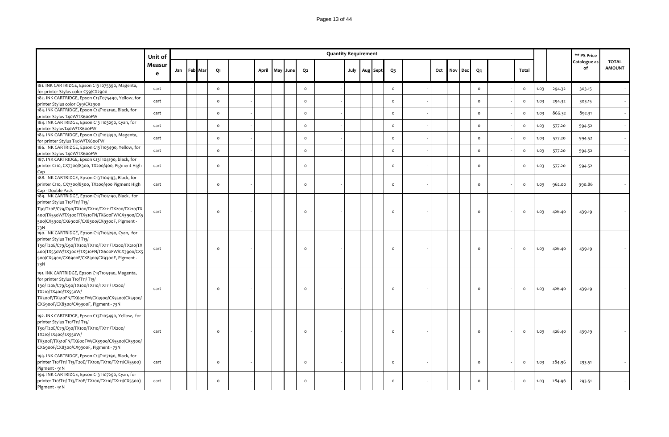### Pages 13 of 44

|                                                                                                                                                                                                                                                 | Unit of     |             |  |                |       |          |                | <b>Quantity Requirement</b> |  |               |         |     |     |            |                |                |      |        | ** PS Price        |                               |
|-------------------------------------------------------------------------------------------------------------------------------------------------------------------------------------------------------------------------------------------------|-------------|-------------|--|----------------|-------|----------|----------------|-----------------------------|--|---------------|---------|-----|-----|------------|----------------|----------------|------|--------|--------------------|-------------------------------|
|                                                                                                                                                                                                                                                 | Measur<br>e | Jan Feb Mar |  | Q1             | April | May June | Q <sub>2</sub> |                             |  | July Aug Sept | $Q_3$   | Oct | Nov | <b>Dec</b> | Q <sub>4</sub> | Total          |      |        | Catalogue as<br>of | <b>TOTAL</b><br><b>AMOUNT</b> |
| 181. INK CARTRIDGE, Epson C13T075390, Magenta,<br>for printer Stylus color C59/CX2900                                                                                                                                                           | cart        |             |  | $\circ$        |       |          | $\circ$        |                             |  |               | $\circ$ |     |     |            | $\circ$        | $\circ$        | 1.03 | 294.32 | 303.15             |                               |
| 182. INK CARTRIDGE, Epson C13T075490, Yellow, for<br>printer Stylus color C59/CX2900                                                                                                                                                            | cart        |             |  | $\circ$        |       |          | $\circ$        |                             |  |               | $\circ$ |     |     |            | $\circ$        | $\mathsf{o}\,$ | 1.03 | 294.32 | 303.15             |                               |
| 183. INK CARTRIDGE, Epson C13T103190, Black, for<br>printer Stylus T40W/TX600FW                                                                                                                                                                 | cart        |             |  | $\circ$        |       |          | $\circ$        |                             |  |               | $\circ$ |     |     |            | $\circ$        | $\circ$        | 1.03 | 866.32 | 892.31             |                               |
| 184. INK CARTRIDGE, Epson C13T103290, Cyan, for<br>printer StylusT40W/TX600FW                                                                                                                                                                   | cart        |             |  | $\circ$        |       |          | $\circ$        |                             |  |               | $\circ$ |     |     |            | $\circ$        | $\circ$        | 1.03 | 577.20 | 594.52             |                               |
| 185. INK CARTRIDGE, Epson C13T103390, Magenta,<br>for printer Stylus T40W/TX600FW                                                                                                                                                               | cart        |             |  | $\circ$        |       |          | $\circ$        |                             |  |               | $\circ$ |     |     |            | $\circ$        | $\circ$        | 1.03 | 577.20 | 594.52             |                               |
| 186. INK CARTRIDGE, Epson C13T103490, Yellow, for<br>printer Stylus T40W/TX600FW                                                                                                                                                                | cart        |             |  | $\mathsf{o}\,$ |       |          | $\circ$        |                             |  |               | $\circ$ |     |     |            | $\circ$        | $\circ$        | 1.03 | 577.20 | 594.52             |                               |
| 187. INK CARTRIDGE, Epson C13T104190, black, for<br>printer C110, CX7300/8300, TX200/400, Pigment High<br>Cap                                                                                                                                   | cart        |             |  | $\circ$        |       |          | $\circ$        |                             |  |               | $\circ$ |     |     |            | $\circ$        | $\circ$        | 1.03 | 577.20 | 594.52             |                               |
| 188. INK CARTRIDGE, Epson C13T104193, Black, for<br>printer C110, CX7300/8300, TX200/400 Pigment High<br>Cap - Double Pack                                                                                                                      | cart        |             |  | $\circ$        |       |          | $\circ$        |                             |  |               | $\circ$ |     |     |            | $\circ$        | $\circ$        | 1.03 | 962.00 | 990.86             |                               |
| 189. INK CARTRIDGE, Epson C13T105190, Black, for<br>printer Stylus T10/T11/ T13/<br>T30/T20E/C79/C90/TX100/TX110/TX111/TX200/TX210/TX<br>400/TX550W/TX300F/TX510FN/TX600FW/CX3900/CX5<br>500/CX5900/CX6900F/CX8300/CX9300F, Pigment -<br>73N    | cart        |             |  | $\circ$        |       |          | $\circ$        |                             |  |               | $\circ$ |     |     |            | $\circ$        | $\circ$        | 1.03 | 426.40 | 439.19             |                               |
| 190. INK CARTRIDGE, Epson C13T105290, Cyan, for<br>printer Stylus T10/T11/ T13/<br>T30/T20E/C79/C90/TX100/TX110/TX111/TX200/TX210/TX<br>400/TX550W/TX300F/TX510FN/TX600FW/CX3900/CX5<br>500/CX5900/CX6900F/CX8300/CX9300F, Pigment -<br>73N     | cart        |             |  | $\circ$        |       |          | $\circ$        |                             |  |               | $\circ$ |     |     |            | $\circ$        | $\circ$        | 1.03 | 426.40 | 439.19             |                               |
| 191. INK CARTRIDGE, Epson C13T105390, Magenta,<br>for printer Stylus T10/T11/ T13/<br>T30/T20E/C79/C90/TX100/TX110/TX111/TX200/<br>TX210/TX400/TX550W/<br>TX300F/TX510FN/TX600FW/CX3900/CX5500/CX5900/<br>CX6900F/CX8300/CX9300F, Pigment - 73N | cart        |             |  | $\Omega$       |       |          | $\Omega$       |                             |  |               | $\circ$ |     |     |            | $\circ$        | $\circ$        | 1.03 | 426.40 | 439.19             |                               |
| 192. INK CARTRIDGE, Epson C13T105490, Yellow, for<br>printer Stylus T10/T11/ T13/<br>T30/T20E/C79/C90/TX100/TX110/TX111/TX200/<br>TX210/TX400/TX550W/<br>TX300F/TX510FN/TX600FW/CX3900/CX5500/CX5900/<br>CX6900F/CX8300/CX9300F, Pigment - 73N  | cart        |             |  | $\circ$        |       |          | $\circ$        |                             |  |               | $\circ$ |     |     |            | $\circ$        | $\circ$        | 1.03 | 426.40 | 439.19             |                               |
| 193. INK CARTRIDGE, Epson C13T107190, Black, for<br>printer T10/T11/ T13/T20E/ TX100/TX110/TX111/CX5500)<br>Pigment - 91N                                                                                                                       | cart        |             |  | $\circ$        |       |          | $\circ$        |                             |  |               | $\circ$ |     |     |            | $\circ$        | $\circ$        | 1.03 | 284.96 | 293.51             |                               |
| 194. INK CARTRIDGE, Epson C13T107290, Cyan, for<br>printer T10/T11/ T13/T20E/ TX100/TX110/TX111/CX5500)<br>Pigment - 91N                                                                                                                        | cart        |             |  | $\circ$        |       |          | $\circ$        |                             |  |               | $\circ$ |     |     |            | $\circ$        | $\circ$        | 1.03 | 284.96 | 293.51             |                               |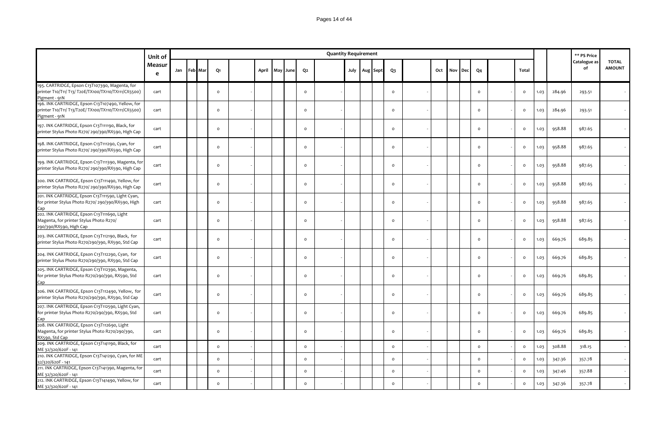|                                                                                                                            | Unit of     |             |         |       |          |                | <b>Quantity Requirement</b> |  |                   |          |     |     |     |                |              |      |        | ** PS Price        |                               |
|----------------------------------------------------------------------------------------------------------------------------|-------------|-------------|---------|-------|----------|----------------|-----------------------------|--|-------------------|----------|-----|-----|-----|----------------|--------------|------|--------|--------------------|-------------------------------|
|                                                                                                                            | Measur<br>e | Jan Feb Mar | Q1      | April | May June | Q <sub>2</sub> |                             |  | July   Aug   Sept | $Q_3$    | Oct | Nov | Dec | Q <sub>4</sub> | Total        |      |        | Catalogue as<br>of | <b>TOTAL</b><br><b>AMOUNT</b> |
| 195. CARTRIDGE, Epson C13T107390, Magenta, for<br>printer T10/T11/ T13/ T20E/TX100/TX110/TX111/CX5500)<br>Pigment - 91N    | cart        |             | $\circ$ |       |          | $\Omega$       |                             |  |                   | $\circ$  |     |     |     | $\circ$        | $\circ$      | 1.03 | 284.96 | 293.51             |                               |
| 196. INK CARTRIDGE, Epson C13T107490, Yellow, for<br>printer T10/T11/ T13/T20E/ TX100/TX110/TX111/CX5500)<br>Pigment - 91N | cart        |             | $\circ$ |       |          | $\circ$        |                             |  |                   | $\circ$  |     |     |     | $\mathsf{o}$   | $\circ$      | 1.03 | 284.96 | 293.51             |                               |
| 197. INK CARTRIDGE, Epson C13T111190, Black, for<br>printer Stylus Photo R270/ 290/390/RX590, High Cap                     | cart        |             | $\circ$ |       |          | $\Omega$       |                             |  |                   | $\circ$  |     |     |     | $\mathsf{o}$   | $\circ$      | 1.03 | 958.88 | 987.65             |                               |
| 198. INK CARTRIDGE, Epson C13T111290, Cyan, for<br>printer Stylus Photo R270/290/390/RX590, High Cap                       | cart        |             | $\circ$ |       |          | $\Omega$       |                             |  |                   | $\circ$  |     |     |     | $\circ$        | $\mathsf{o}$ | 1.03 | 958.88 | 987.65             |                               |
| 199. INK CARTRIDGE, Epson C13T111390, Magenta, for<br>printer Stylus Photo R270/ 290/390/RX590, High Cap                   | cart        |             | $\circ$ |       |          | $\circ$        |                             |  |                   | $\circ$  |     |     |     | $\mathsf{o}$   | $\circ$      | 1.03 | 958.88 | 987.65             |                               |
| 200. INK CARTRIDGE, Epson C13T111490, Yellow, for<br>printer Stylus Photo R270/ 290/390/RX590, High Cap                    | cart        |             | $\circ$ |       |          | $\circ$        |                             |  |                   | $\circ$  |     |     |     | $\circ$        | $\circ$      | 1.03 | 958.88 | 987.65             |                               |
| 201. INK CARTRIDGE, Epson C13T111590, Light Cyan,<br>for printer Stylus Photo R270/290/390/RX590, High                     | cart        |             | $\circ$ |       |          | $\circ$        |                             |  |                   | $\circ$  |     |     |     | $\mathsf{o}$   | $\mathsf{o}$ | 1.03 | 958.88 | 987.65             |                               |
| Cap<br>202. INK CARTRIDGE, Epson C13T111690, Light<br>Magenta, for printer Stylus Photo R270/<br>290/390/RX590, High Cap   | cart        |             | $\circ$ |       |          | $\mathsf{o}$   |                             |  |                   | $\circ$  |     |     |     | $\mathsf{o}$   | $\circ$      | 1.03 | 958.88 | 987.65             |                               |
| 203. INK CARTRIDGE, Epson C13T112190, Black, for<br>printer Stylus Photo R270/290/390, RX590, Std Cap                      | cart        |             | $\circ$ |       |          | $\circ$        |                             |  |                   | $\circ$  |     |     |     | $\circ$        | $\circ$      | 1.03 | 669.76 | 689.85             |                               |
| 204. INK CARTRIDGE, Epson C13T112290, Cyan, for<br>printer Stylus Photo R270/290/390, RX590, Std Cap                       | cart        |             | $\circ$ |       |          | $\circ$        |                             |  |                   | $\circ$  |     |     |     | $\circ$        | $\circ$      | 1.03 | 669.76 | 689.85             |                               |
| 205. INK CARTRIDGE, Epson C13T112390, Magenta,<br>for printer Stylus Photo R270/290/390, RX590, Std<br>Cap                 | cart        |             | $\circ$ |       |          | $\circ$        |                             |  |                   | $\circ$  |     |     |     | $\circ$        | $\circ$      | 1.03 | 669.76 | 689.85             |                               |
| 206. INK CARTRIDGE, Epson C13T112490, Yellow, for<br>printer Stylus Photo R270/290/390, RX590, Std Cap                     | cart        |             | $\circ$ |       |          | $\circ$        |                             |  |                   | $\circ$  |     |     |     | $\mathsf{o}$   | $\circ$      | 1.03 | 669.76 | 689.85             |                               |
| 207. INK CARTRIDGE, Epson C13T112590, Light Cyan,<br>for printer Stylus Photo R270/290/390, RX590, Std<br>Cap              | cart        |             | $\circ$ |       |          | $\circ$        |                             |  |                   | $\circ$  |     |     |     | $\circ$        | $\circ$      | 1.03 | 669.76 | 689.85             |                               |
| 208. INK CARTRIDGE, Epson C13T112690, Light<br>Magenta, for printer Stylus Photo R270/290/390,<br>RX590, Std Cap           | cart        |             | $\circ$ |       |          | $\circ$        |                             |  |                   | $\circ$  |     |     |     | $\mathsf{o}$   | $\circ$      | 1.03 | 669.76 | 689.85             |                               |
| 209. INK CARTRIDGE, Epson C13T141190, Black, for<br>ME 32/320/620F - 141                                                   | cart        |             | $\circ$ |       |          | $\circ$        |                             |  |                   | $\circ$  |     |     |     | $\mathsf{o}$   | $\circ$      | 1.03 | 308.88 | 318.15             |                               |
| 210. INK CARTRIDGE, Epson C13T141290, Cyan, for ME<br>32/320/620F-141                                                      | cart        |             | $\circ$ |       |          | $\mathsf{o}\,$ |                             |  |                   | $\circ$  |     |     |     | $\mathsf{o}$   | $\circ$      | 1.03 | 347.36 | 357.78             |                               |
| 211. INK CARTRIDGE, Epson C13T141390, Magenta, for<br>ME 32/320/620F - 141                                                 | cart        |             | $\circ$ |       |          | $\circ$        |                             |  |                   | $\circ$  |     |     |     | $\circ$        | $\circ$      | 1.03 | 347.46 | 357.88             |                               |
| 212. INK CARTRIDGE, Epson C13T141490, Yellow, for<br>ME 32/320/620F - 141                                                  | cart        |             | $\circ$ |       |          | $\circ$        |                             |  |                   | $\Omega$ |     |     |     | $\circ$        | $\circ$      | 1.03 | 347.36 | 357.78             |                               |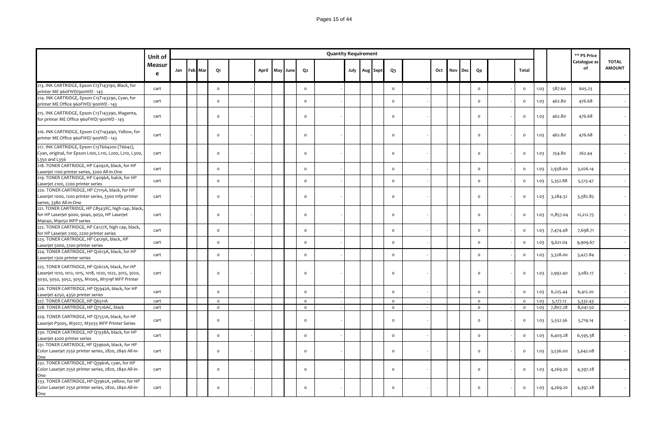|                                                                                                                                                                 | Unit of     |             |              |       |          |              | <b>Quantity Requirement</b> |  |                   |              |     |     |            |                |              |      |           | ** PS Price        |                               |
|-----------------------------------------------------------------------------------------------------------------------------------------------------------------|-------------|-------------|--------------|-------|----------|--------------|-----------------------------|--|-------------------|--------------|-----|-----|------------|----------------|--------------|------|-----------|--------------------|-------------------------------|
|                                                                                                                                                                 | Measur<br>e | Jan Feb Mar | Q1           | April | May June | Q2           |                             |  | July   Aug   Sept | $Q_3$        | Oct | Nov | <b>Dec</b> | Q <sub>4</sub> | Total        |      |           | Catalogue as<br>of | <b>TOTAL</b><br><b>AMOUNT</b> |
| 213. INK CARTRIDGE, Epson C13T143190, Black, for<br>printer ME 960FWD/900WD - 143                                                                               | cart        |             | $\mathsf{o}$ |       |          | $\mathsf{o}$ |                             |  |                   | $\circ$      |     |     |            | $\mathsf{o}$   | $\mathsf{o}$ | 1.03 | 587.60    | 605.23             |                               |
| 214. INK CARTRIDGE, Epson C13T143290, Cyan, for<br>printer ME Office 960FWD/ 900WD - 143                                                                        | cart        |             | $\circ$      |       |          | $\circ$      |                             |  |                   | $\circ$      |     |     |            | $\circ$        | $\circ$      | 1.03 | 462.80    | 476.68             |                               |
| 215. INK CARTRIDGE, Epson C13T143390, Magenta,<br>for printer ME Office 960FWD/ 900WD - 143                                                                     | cart        |             | $\circ$      |       |          | $\circ$      |                             |  |                   | $\circ$      |     |     |            | $\circ$        | $\circ$      | 1.03 | 462.80    | 476.68             |                               |
| 216. INK CARTRIDGE, Epson C13T143490, Yellow, for<br>printer ME Office 960FWD/ 900WD - 143                                                                      | cart        |             | $\mathsf{o}$ |       |          | $\circ$      |                             |  |                   | $\mathsf{o}$ |     |     |            | $\circ$        | $\mathsf{o}$ | 1.03 | 462.80    | 476.68             |                               |
| 217. INK CARTRIDGE, Epson C13T664200 (T6642),<br>Cyan, original, for Epson L100, L110, L200, L210, L300,<br>L350 and L356                                       | cart        |             | $\circ$      |       |          | $\circ$      |                             |  |                   | $\circ$      |     |     |            | $\circ$        | $\mathsf{o}$ | 1.03 | 254.80    | 262.44             |                               |
| 218. TONER CARTRIDGE, HP C4092A, black, for HP<br>Laserjet 1100 printer series, 3200 All-in-One                                                                 | cart        |             | $\mathsf{o}$ |       |          | $\circ$      |                             |  |                   | $\mathsf{o}$ |     |     |            | $\circ$        | $\mathsf{o}$ | 1.03 | 2,938.00  | 3,026.14           |                               |
| 219. TONER CARTRIDGE, HP C4096A, balck, for HP<br>Laserjet 2100, 2200 printer series                                                                            | cart        |             | $\circ$      |       |          | $\circ$      |                             |  |                   | $\mathsf{o}$ |     |     |            | $\circ$        | $\circ$      | 1.03 | 5,352.88  | 5,513.47           |                               |
| 220. TONER CARTRIDGE, HP C7115A, black, for HP<br>Laserjet 1000, 1200 printer series, 3300 mfp printer<br>series, 3380 All-in-One                               | cart        |             | $\circ$      |       |          | $\circ$      |                             |  |                   | $\circ$      |     |     |            | $\circ$        | $\mathsf{o}$ | 1.03 | 3,284.32  | 3,382.85           |                               |
| 221. TONER CARTRIDGE, HP C8543XC, high cap, black,<br>for HP Laserjet 9000, 9040, 9050, HP Laserjet<br>M9040, M9050 MFP series                                  | cart        |             | $\circ$      |       |          | $\circ$      |                             |  |                   | $\circ$      |     |     |            | $\circ$        | $\circ$      | 1.03 | 11,857.04 | 12,212.75          |                               |
| 222. TONER CARTRIDGE, HP C4127X, high cap, black,<br>for HP Laserjet 2100, 2200 printer series                                                                  | cart        |             | $\mathsf{o}$ |       |          | $\circ$      |                             |  |                   | $\circ$      |     |     |            | $\circ$        | $\circ$      | 1.03 | 7,474.48  | 7,698.71           |                               |
| 223. TONER CARTRIDGE, HP C4129X, black, HP<br>Laserjet 5000, 5100 printer series                                                                                | cart        |             | $\mathsf{o}$ |       |          | $\mathsf{o}$ |                             |  |                   | $\circ$      |     |     |            | $\circ$        | $\mathsf{o}$ | 1.03 | 9,621.04  | 9,909.67           |                               |
| 224. TONER CARTRIDGE, HP Q2613A, black, for HP<br>Laserjet 1300 printer series                                                                                  | cart        |             | $\mathsf{o}$ |       |          | $\mathsf{o}$ |                             |  |                   | $\circ$      |     |     |            | $\circ$        | $\mathsf{o}$ | 1.03 | 3,328.00  | 3,427.84           |                               |
| 225. TONER CARTRIDGE, HP Q2612A, black, for HP<br>Laserjet 1010, 1012, 1015, 1018, 1020, 1022, 3015, 3020,<br>3030, 3050, 3052, 3055, M1005, M1319f MFP Printer | cart        |             | $\circ$      |       |          | $\Omega$     |                             |  |                   | $\circ$      |     |     |            | $\Omega$       | $\mathsf{o}$ | 1.03 | 2,992.40  | 3,082.17           |                               |
| 226. TONER CARTRIDGE, HP Q5942A, black, for HP<br>Laserjet 4250, 4350 printer series                                                                            | cart        |             | $\mathsf{o}$ |       |          | $\circ$      |                             |  |                   | $\circ$      |     |     |            | $\circ$        | $\mathsf{o}$ | 1.03 | 6,225.44  | 6,412.20           |                               |
| 227. TONER CARTRIDGE, HP Q6511A                                                                                                                                 | cart        |             | $\circ$      |       |          | $\circ$      |                             |  |                   | $\circ$      |     |     |            | $\circ$        | $\mathsf{o}$ | 1.03 | 5,177.12  | 5,332.43           |                               |
| 228. TONER CARTRIDGE, HP Q7516AC, black                                                                                                                         | cart        |             | $\circ$      |       |          | $\circ$      |                             |  |                   | $\circ$      |     |     |            | $\circ$        | $\mathsf{o}$ | 1.03 | 7,807.28  | 8,041.50           | $\sim$ $\sim$                 |
| 229. TONER CARTRIDGE, HP Q7551A, black, for HP<br>Laserjet P3005, M3027, M3035 MFP Printer Series                                                               | cart        |             | $\circ$      |       |          | $\circ$      |                             |  |                   | $\circ$      |     |     |            | $\circ$        | $\mathsf{o}$ | 1.03 | 5,552.56  | 5,719.14           |                               |
| 230. TONER CARTRIDGE, HP Q1338A, black, for HP<br>Laserjet 4200 printer series                                                                                  | cart        |             | $\circ$      |       |          | $\circ$      |                             |  |                   | $\circ$      |     |     |            | $\mathsf{o}\,$ | $\mathsf{o}$ | 1.03 | 6,403.28  | 6,595.38           |                               |
| 231. TONER CARTRIDGE, HP Q3960A, black, for HP<br>Color Laserjet 2550 printer series, 2820, 2840 All-in-<br>One                                                 | cart        |             | $\circ$      |       |          | $\circ$      |                             |  |                   | $\circ$      |     |     |            | $\Omega$       | $\mathsf{o}$ | 1.03 | 3,536.00  | 3,642.08           |                               |
| 232. TONER CARTRIDGE, HP Q3961A, cyan, for HP<br>Color Laserjet 2550 printer series, 2820, 2840 All-in-<br>One                                                  | cart        |             | $\circ$      |       |          | $\circ$      |                             |  |                   | $\circ$      |     |     |            | $\Omega$       | $\circ$      | 1.03 | 4,269.20  | 4,397.28           |                               |
| 233. TONER CARTRIDGE, HP Q3962A, yellow, for HP<br>Color Laserjet 2550 printer series, 2820, 2840 All-in-<br>One                                                | cart        |             | $\circ$      |       |          | $\circ$      |                             |  |                   | $\circ$      |     |     |            | $\Omega$       | $\circ$      | 1.03 | 4,269.20  | 4,397.28           |                               |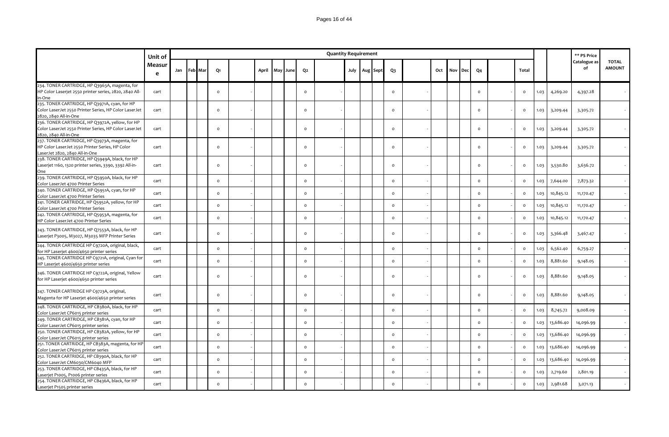|                                                                                                                                    | Unit of     |             |          |       |     |      |                | <b>Quantity Requirement</b> |      |          |          |     |     |            |                |              |      |           | ** PS Price        |                               |
|------------------------------------------------------------------------------------------------------------------------------------|-------------|-------------|----------|-------|-----|------|----------------|-----------------------------|------|----------|----------|-----|-----|------------|----------------|--------------|------|-----------|--------------------|-------------------------------|
|                                                                                                                                    | Measur<br>e | Jan Feb Mar | Q1       | April | May | June | Q <sub>2</sub> |                             | July | Aug Sept | $Q_3$    | Oct | Nov | <b>Dec</b> | Q <sub>4</sub> | Total        |      |           | Catalogue as<br>of | <b>TOTAL</b><br><b>AMOUNT</b> |
| 234. TONER CARTRIDGE, HP Q3963A, magenta, for<br>HP Color Laserjet 2550 printer series, 2820, 2840 All-<br>in-One                  | cart        |             | $\circ$  |       |     |      | $\circ$        |                             |      |          | $\circ$  |     |     |            | $\circ$        | $\circ$      | 1.03 | 4,269.20  | 4,397.28           |                               |
| 235. TONER CARTRIDGE, HP Q3971A, cyan, for HP<br>Color LaserJet 2550 Printer Series, HP Color LaserJet<br>2820, 2840 All-in-One    | cart        |             | $\circ$  |       |     |      | $\circ$        |                             |      |          | $\circ$  |     |     |            | $\circ$        | $\circ$      | 1.03 | 3,209.44  | 3,305.72           |                               |
| 236. TONER CARTRIDGE, HP Q3972A, yellow, for HP<br>Color LaserJet 2550 Printer Series, HP Color LaserJet<br>2820, 2840 All-in-One  | cart        |             | $\circ$  |       |     |      | $\circ$        |                             |      |          | $\circ$  |     |     |            | $\circ$        | $\circ$      | 1.03 | 3,209.44  | 3,305.72           |                               |
| 237. TONER CARTRIDGE, HP Q3973A, magenta, for<br>HP Color LaserJet 2550 Printer Series, HP Color<br>LaserJet 2820, 2840 All-in-One | cart        |             | $\circ$  |       |     |      | $\Omega$       |                             |      |          | $\circ$  |     |     |            | $\circ$        | $\circ$      | 1.03 | 3,209.44  | 3,305.72           |                               |
| 238. TONER CARTRIDGE, HP Q5949A, black, for HP<br>Laserjet 1160, 1320 printer series, 3390, 3392 All-in-<br>One                    | cart        |             | $\circ$  |       |     |      | $\circ$        |                             |      |          | $\circ$  |     |     |            | $\circ$        | $\circ$      | 1.03 | 3,530.80  | 3,636.72           |                               |
| 239. TONER CARTRIDGE, HP Q5950A, black, for HP<br>Color LaserJet 4700 Printer Series                                               | cart        |             | $\circ$  |       |     |      | $\circ$        |                             |      |          | $\circ$  |     |     |            | $\circ$        | $\mathsf{o}$ | 1.03 | 7,644.00  | 7,873.32           |                               |
| 240. TONER CARTRIDGE, HP Q5951A, cyan, for HP<br>Color LaserJet 4700 Printer Series                                                | cart        |             | $\circ$  |       |     |      | $\circ$        |                             |      |          | $\circ$  |     |     |            | $\mathsf{o}$   | $\circ$      | 1.03 | 10,845.12 | 11,170.47          |                               |
| 241. TONER CARTRIDGE, HP Q5952A, yellow, for HP<br>Color LaserJet 4700 Printer Series                                              | cart        |             | $\circ$  |       |     |      | $\circ$        |                             |      |          | $\circ$  |     |     |            | $\circ$        | $\mathsf{o}$ | 1.03 | 10,845.12 | 11,170.47          |                               |
| 242. TONER CARTRIDGE, HP Q5953A, magenta, for<br>HP Color LaserJet 4700 Printer Series                                             | cart        |             | $\circ$  |       |     |      | $\mathsf{o}\,$ |                             |      |          | $\circ$  |     |     |            | $\circ$        | $\mathsf{o}$ | 1.03 | 10,845.12 | 11,170.47          |                               |
| 243. TONER CARTRIDGE, HP Q7553A, black, for HP<br>Laserjet P3005, M3027, M3035 MFP Printer Series                                  | cart        |             | $\circ$  |       |     |      | $\Omega$       |                             |      |          | $\circ$  |     |     |            | $\circ$        | $\circ$      | 1.03 | 3,366.48  | 3,467.47           |                               |
| 244. TONER CARTRIDGE HP C9720A, original, black,<br>for HP Laserjet 4600/4650 printer series                                       | cart        |             | $\circ$  |       |     |      | $\circ$        |                             |      |          | $\circ$  |     |     |            | $\circ$        | $\mathsf{o}$ | 1.03 | 6,562.40  | 6,759.27           |                               |
| 245. TONER CARTRIDGE HP C9721A, original, Cyan for<br>HP Laserjet 4600/4650 printer series                                         | cart        |             | $\circ$  |       |     |      | $\mathsf{o}\,$ |                             |      |          | $\circ$  |     |     |            | $\circ$        | $\circ$      | 1.03 | 8,881.60  | 9,148.05           |                               |
| 246. TONER CARTRIDGE HP C9722A, original, Yellow<br>for HP Laserjet 4600/4650 printer series                                       | cart        |             | $\Omega$ |       |     |      | $\circ$        |                             |      |          | $\Omega$ |     |     |            | $\Omega$       | $\circ$      | 1.03 | 8,881.60  | 9,148.05           |                               |
| 247. TONER CARTRIDGE HP C9723A, original,<br>Magenta for HP Laserjet 4600/4650 printer series                                      | cart        |             | $\circ$  |       |     |      | $\circ$        |                             |      |          | $\circ$  |     |     |            | $\circ$        | $\circ$      | 1.03 | 8,881.60  | 9,148.05           |                               |
| 248. TONER CARTRIDGE, HP CB380A, black, for HP<br>Color LaserJet CP6015 printer series                                             | cart        |             | $\circ$  |       |     |      | $\circ$        |                             |      |          | $\circ$  |     |     |            | $\circ$        | $\circ$      | 1.03 | 8,745.72  | 9,008.09           |                               |
| 249. TONER CARTRIDGE, HP CB381A, cyan, for HP<br>Color LaserJet CP6015 printer series                                              | cart        |             | $\circ$  |       |     |      | $\circ$        |                             |      |          | $\circ$  |     |     |            | $\mathsf{o}$   | $\circ$      | 1.03 | 13,686.40 | 14,096.99          |                               |
| 250. TONER CARTRIDGE, HP CB382A, yellow, for HP<br>Color LaserJet CP6015 printer series                                            | cart        |             | $\circ$  |       |     |      | $\mathsf{o}$   |                             |      |          | $\circ$  |     |     |            | $\circ$        | $\mathsf{o}$ | 1.03 | 13,686.40 | 14,096.99          |                               |
| 251. TONER CARTRIDGE, HP CB383A, magenta, for HP<br>Color LaserJet CP6015 printer series                                           | cart        |             | $\circ$  |       |     |      | $\mathsf{o}\,$ |                             |      |          | $\circ$  |     |     |            | $\mathsf{o}$   | $\circ$      | 1.03 | 13,686.40 | 14,096.99          |                               |
| 252. TONER CARTRIDGE, HP CB390A, black, for HP<br>Color LaserJet CM6030/CM6040 MFP                                                 | cart        |             | $\circ$  |       |     |      | $\circ$        |                             |      |          | $\circ$  |     |     |            | $\circ$        | $\circ$      | 1.03 | 13,686.40 | 14,096.99          |                               |
| 253. TONER CARTRIDGE, HP CB435A, black, for HP<br>Laserjet P1005, P1006 printer series                                             | cart        |             | $\circ$  |       |     |      | $\circ$        |                             |      |          | $\circ$  |     |     |            | $\circ$        | $\mathsf{o}$ | 1.03 | 2,719.60  | 2,801.19           |                               |
| 254. TONER CARTRIDGE, HP CB436A, black, for HP<br>Laserjet P1505 printer series                                                    | cart        |             | $\Omega$ |       |     |      | $\circ$        |                             |      |          | $\Omega$ |     |     |            | $\Omega$       | $\circ$      | 1.03 | 2,981.68  | 3,071.13           |                               |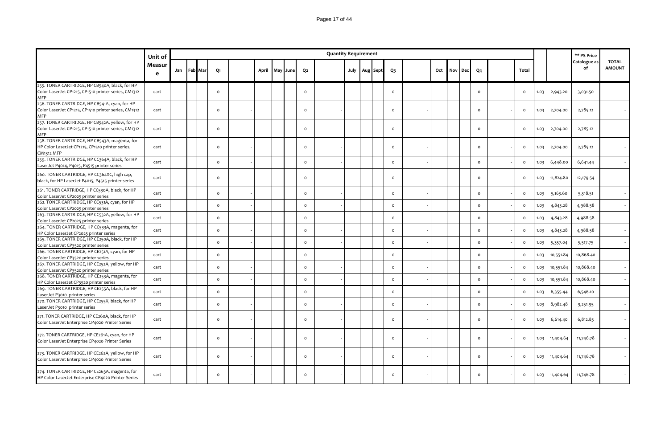|                                                                                                                        | Unit of     |             |          |       |     |      |          | <b>Quantity Requirement</b> |  |                   |                |     |     |     |                |              |      |           | ** PS Price        |                               |
|------------------------------------------------------------------------------------------------------------------------|-------------|-------------|----------|-------|-----|------|----------|-----------------------------|--|-------------------|----------------|-----|-----|-----|----------------|--------------|------|-----------|--------------------|-------------------------------|
|                                                                                                                        | Measur<br>e | Jan Feb Mar | Q1       | April | May | June | Q2       |                             |  | July   Aug   Sept | $Q_3$          | Oct | Nov | Dec | Q <sub>4</sub> | Total        |      |           | Catalogue as<br>of | <b>TOTAL</b><br><b>AMOUNT</b> |
| 255. TONER CARTRIDGE, HP CB540A, black, for HP<br>Color LaserJet CP1215, CP1510 printer series, CM1312<br><b>MFP</b>   | cart        |             | $\circ$  |       |     |      | $\circ$  |                             |  |                   | $\circ$        |     |     |     | $\circ$        | $\circ$      | 1.03 | 2,943.20  | 3,031.50           |                               |
| 256. TONER CARTRIDGE, HP CB541A, cyan, for HP<br>Color LaserJet CP1215, CP1510 printer series, CM1312<br><b>MFP</b>    | cart        |             | $\circ$  |       |     |      | $\circ$  |                             |  |                   | $\circ$        |     |     |     | $\Omega$       | $\circ$      | 1.03 | 2,704.00  | 2,785.12           |                               |
| 257. TONER CARTRIDGE, HP CB542A, yellow, for HP<br>Color LaserJet CP1215, CP1510 printer series, CM1312<br>MFP         | cart        |             | $\circ$  |       |     |      | $\circ$  |                             |  |                   | $\circ$        |     |     |     | $\circ$        | $\circ$      | 1.03 | 2,704.00  | 2,785.12           |                               |
| 258. TONER CARTRIDGE, HP CB543A, magenta, for<br>HP Color LaserJet CP1215, CP1510 printer series,<br><b>CM1312 MFP</b> | cart        |             | $\circ$  |       |     |      | $\circ$  |                             |  |                   | $\circ$        |     |     |     | $\circ$        | $\circ$      | 1.03 | 2,704.00  | 2,785.12           |                               |
| 259. TONER CARTRIDGE, HP CC364A, black, for HP<br>LaserJet P4014, P4015, P4515 printer series                          | cart        |             | $\circ$  |       |     |      | $\circ$  |                             |  |                   | $\mathsf{o}\,$ |     |     |     | $\circ$        | $\circ$      | 1.03 | 6,448.00  | 6,641.44           |                               |
| 260. TONER CARTRIDGE, HP CC364XC, high cap,<br>black, for HP LaserJet P4015, P4515 printer series                      | cart        |             | $\circ$  |       |     |      | $\circ$  |                             |  |                   | $\circ$        |     |     |     | $\circ$        | $\circ$      | 1.03 | 11,824.80 | 12,179.54          |                               |
| 261. TONER CARTRIDGE, HP CC530A, black, for HP<br>Color LaserJet CP2025 printer series                                 | cart        |             | $\circ$  |       |     |      | $\circ$  |                             |  |                   | $\Omega$       |     |     |     | $\circ$        | $\circ$      | 1.03 | 5,163.60  | 5,318.51           |                               |
| 262. TONER CARTRIDGE, HP CC531A, cyan, for HP<br>Color LaserJet CP2025 printer series                                  | cart        |             | $\circ$  |       |     |      | $\circ$  |                             |  |                   | $\Omega$       |     |     |     | $\circ$        | $\circ$      | 1.03 | 4,843.28  | 4,988.58           |                               |
| 263. TONER CARTRIDGE, HP CC532A, yellow, for HP<br>Color LaserJet CP2025 printer series                                | cart        |             | $\circ$  |       |     |      | $\circ$  |                             |  |                   | $\circ$        |     |     |     | $\circ$        | $\circ$      | 1.03 | 4,843.28  | 4,988.58           |                               |
| 264. TONER CARTRIDGE, HP CC533A, magenta, for<br>HP Color LaserJet CP2025 printer series                               | cart        |             | $\circ$  |       |     |      | $\circ$  |                             |  |                   | $\circ$        |     |     |     | $\circ$        | $\circ$      | 1.03 | 4,843.28  | 4,988.58           |                               |
| 265. TONER CARTRIDGE, HP CE250A, black, for HP<br>Color LaserJet CP3520 printer series                                 | cart        |             | $\circ$  |       |     |      | $\circ$  |                             |  |                   | $\circ$        |     |     |     | $\circ$        | $\circ$      | 1.03 | 5,357.04  | 5,517.75           |                               |
| 266. TONER CARTRIDGE, HP CE251A, cyan, for HP<br>Color LaserJet CP3520 printer series                                  | cart        |             | $\circ$  |       |     |      | $\circ$  |                             |  |                   | $\circ$        |     |     |     | $\circ$        | $\circ$      | 1.03 | 10,551.84 | 10,868.40          |                               |
| 267. TONER CARTRIDGE, HP CE252A, yellow, for HP<br>Color LaserJet CP3520 printer series                                | cart        |             | $\circ$  |       |     |      | $\Omega$ |                             |  |                   | $\Omega$       |     |     |     | $\circ$        | $\circ$      | 1.03 | 10,551.84 | 10,868.40          |                               |
| 268. TONER CARTRIDGE, HP CE253A, magenta, for<br>HP Color LaserJet CP3520 printer series                               | cart        |             | $\circ$  |       |     |      | $\circ$  |                             |  |                   | $\circ$        |     |     |     | $\circ$        | $\circ$      | 1.03 | 10,551.84 | 10,868.40          |                               |
| 269. TONER CARTRIDGE, HP CE255A, black, for HP<br>LaserJet P3010 printer series                                        | cart        |             | $\circ$  |       |     |      | $\circ$  |                             |  |                   | $\mathsf{o}\,$ |     |     |     | $\circ$        | $\circ$      | 1.03 | 6,355.44  | 6,546.10           |                               |
| 270. TONER CARTRIDGE, HP CE255X, black, for HP<br>LaserJet P3010 printer series                                        | cart        |             | $\circ$  |       |     |      | $\circ$  |                             |  |                   | $\circ$        |     |     |     | $\circ$        | $\circ$      | 1.03 | 8,982.48  | 9,251.95           |                               |
| 271. TONER CARTRIDGE, HP CE260A, black, for HP<br>Color LaserJet Enterprise CP4020 Printer Series                      | cart        |             | $\circ$  |       |     |      | $\circ$  |                             |  |                   | $\circ$        |     |     |     | $\circ$        | $\circ$      | 1.03 | 6,614.40  | 6,812.83           |                               |
| 272. TONER CARTRIDGE, HP CE261A, cyan, for HP<br>Color LaserJet Enterprise CP4020 Printer Series                       | cart        |             | $\circ$  |       |     |      | $\circ$  |                             |  |                   | $\circ$        |     |     |     | $\circ$        | $\mathsf{o}$ | 1.03 | 11,404.64 | 11,746.78          |                               |
| 273. TONER CARTRIDGE, HP CE262A, yellow, for HP<br>Color LaserJet Enterprise CP4020 Printer Series                     | cart        |             | $\circ$  |       |     |      | $\Omega$ |                             |  |                   | $\Omega$       |     |     |     | $\circ$        | $\circ$      | 1.03 | 11,404.64 | 11,746.78          |                               |
| 274. TONER CARTRIDGE, HP CE263A, magenta, for<br>HP Color LaserJet Enterprise CP4020 Printer Series                    | cart        |             | $\Omega$ |       |     |      | $\circ$  |                             |  |                   | $\Omega$       |     |     |     | $\circ$        | $\circ$      | 1.03 | 11,404.64 | 11,746.78          |                               |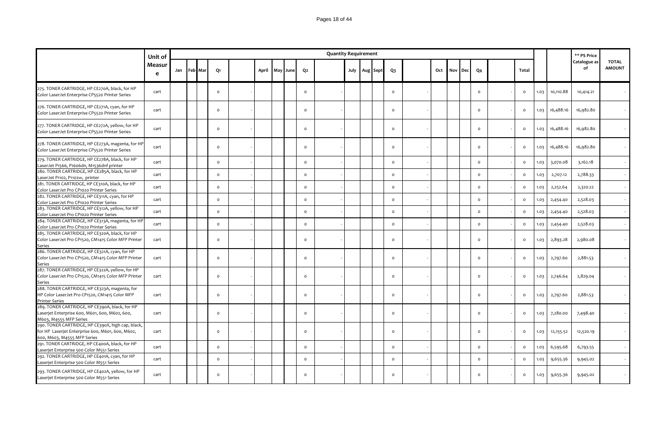|                                                                                                                                         | Unit of      |     |         |                      |       |          |                    | <b>Quantity Requirement</b> |  |               |                      |     |     |     |                    |                              |              |                      | ** PS Price          |                               |
|-----------------------------------------------------------------------------------------------------------------------------------------|--------------|-----|---------|----------------------|-------|----------|--------------------|-----------------------------|--|---------------|----------------------|-----|-----|-----|--------------------|------------------------------|--------------|----------------------|----------------------|-------------------------------|
|                                                                                                                                         | Measur<br>e  | Jan | Feb Mar | Q1                   | April | May June | Q2                 |                             |  | July Aug Sept | $Q_3$                | Oct | Nov | Dec | Q <sub>4</sub>     | Total                        |              |                      | Catalogue as<br>of   | <b>TOTAL</b><br><b>AMOUNT</b> |
| 275. TONER CARTRIDGE, HP CE270A, black, for HP<br>Color LaserJet Enterprise CP5520 Printer Series                                       | cart         |     |         | $\circ$              |       |          | $\circ$            |                             |  |               | $\circ$              |     |     |     | $\circ$            | $\mathsf{o}$                 | 1.03         | 10,110.88            | 10,414.21            |                               |
| 276. TONER CARTRIDGE, HP CE271A, cyan, for HP<br>Color LaserJet Enterprise CP5520 Printer Series                                        | cart         |     |         | $\Omega$             |       |          | $\Omega$           |                             |  |               | $\Omega$             |     |     |     | $\circ$            | $\circ$                      | 1.03         | 16,488.16            | 16,982.80            |                               |
| 277. TONER CARTRIDGE, HP CE272A, yellow, for HP<br>Color LaserJet Enterprise CP5520 Printer Series                                      | cart         |     |         | $\Omega$             |       |          | $\mathsf{o}$       |                             |  |               | $\circ$              |     |     |     | $\circ$            | $\mathsf{o}$                 | 1.03         | 16,488.16            | 16,982.80            |                               |
| 278. TONER CARTRIDGE, HP CE273A, magenta, for HP<br>Color LaserJet Enterprise CP5520 Printer Series                                     | cart         |     |         | $\circ$              |       |          | $\Omega$           |                             |  |               | $\circ$              |     |     |     | $\circ$            | $\mathsf{o}$                 | 1.03         | 16,488.16            | 16,982.80            |                               |
| 279. TONER CARTRIDGE, HP CE278A, black, for HP<br>LaserJet P1566, P1606dn, M1536dnf printer                                             | cart         |     |         | $\mathsf{o}\,$       |       |          | $\mathsf{o}$       |                             |  |               | $\circ$              |     |     |     | $\mathsf{o}$       | $\mathsf{o}$                 | 1.03         | 3,070.08             | 3,162.18             |                               |
| 280. TONER CARTRIDGE, HP CE285A, black, for HP<br>LaserJet P1102, P1102w, printer<br>281. TONER CARTRIDGE, HP CE310A, black, for HP     | cart         |     |         | $\circ$              |       |          | $\mathsf{o}$       |                             |  |               | $\Omega$             |     |     |     | $\circ$            | $\mathsf{o}$                 | 1.03         | 2,707.12             | 2,788.33             |                               |
| Color LaserJet Pro CP1020 Printer Series<br>282. TONER CARTRIDGE, HP CE311A, cyan, for HP                                               | cart<br>cart |     |         | $\Omega$<br>$\Omega$ |       |          | $\circ$<br>$\circ$ |                             |  |               | $\Omega$<br>$\Omega$ |     |     |     | $\circ$<br>$\circ$ | $\mathsf{o}$<br>$\mathsf{o}$ | 1.03         | 2,252.64             | 2,320.22<br>2,528.03 |                               |
| Color LaserJet Pro CP1020 Printer Series<br>283. TONER CARTRIDGE, HP CE312A, yellow, for HP<br>Color LaserJet Pro CP1020 Printer Series | cart         |     |         | $\circ$              |       |          | $\mathsf{o}$       |                             |  |               | $\circ$              |     |     |     | $\circ$            | $\mathsf{o}$                 | 1.03<br>1.03 | 2,454.40<br>2,454.40 | 2,528.03             |                               |
| 284. TONER CARTRIDGE, HP CE313A, magenta, for HP<br>Color LaserJet Pro CP1020 Printer Series                                            | cart         |     |         | $\circ$              |       |          | $\circ$            |                             |  |               | $\circ$              |     |     |     | $\circ$            | $\mathsf{o}$                 | 1.03         | 2,454.40             | 2,528.03             |                               |
| 285. TONER CARTRIDGE, HP CE320A, black, for HP<br>Color LaserJet Pro CP1520, CM1415 Color MFP Printer<br>Series                         | cart         |     |         | $\circ$              |       |          | $\circ$            |                             |  |               | $\circ$              |     |     |     | $\circ$            | $\circ$                      | 1.03         | 2,893.28             | 2,980.08             |                               |
| 286. TONER CARTRIDGE, HP CE321A, cyan, for HP<br>Color LaserJet Pro CP1520, CM1415 Color MFP Printer<br>Series                          | cart         |     |         | $\Omega$             |       |          | $\circ$            |                             |  |               | $\Omega$             |     |     |     | $\circ$            | $\mathsf{o}$                 | 1.03         | 2,797.60             | 2,881.53             |                               |
| 287. TONER CARTRIDGE, HP CE322A, yellow, for HP<br>Color LaserJet Pro CP1520, CM1415 Color MFP Printer<br>Series                        | cart         |     |         | $\Omega$             |       |          | $\circ$            |                             |  |               | $\Omega$             |     |     |     | $\Omega$           | $\circ$                      | 1.03         | 2,746.64             | 2,829.04             |                               |
| 288. TONER CARTRIDGE, HP CE323A, magenta, for<br>HP Color LaserJet Pro CP1520, CM1415 Color MFP<br><b>Printer Series</b>                | cart         |     |         | $\circ$              |       |          | $\circ$            |                             |  |               | $\circ$              |     |     |     | $\circ$            | $\mathsf{o}$                 | 1.03         | 2,797.60             | 2,881.53             |                               |
| 289. TONER CARTRIDGE, HP CE390A, black, for HP<br>Laserjet Enterprise 600, M601, 600, M602, 600,<br>M603, M4555 MFP Series              | cart         |     |         | $\Omega$             |       |          | $\circ$            |                             |  |               | $\Omega$             |     |     |     | $\circ$            | $\mathsf{o}$                 | 1.03         | 7,280.00             | 7,498.40             |                               |
| 290. TONER CARTRIDGE, HP CE390X, high cap, black,<br>for HP Laserjet Enterprise 600, M601, 600, M602,<br>600, M603, M4555 MFP Series    | cart         |     |         | $\circ$              |       |          | $\circ$            |                             |  |               | $\Omega$             |     |     |     | $\circ$            | $\mathsf{o}$                 | 1.03         | 12,155.52            | 12,520.19            |                               |
| 291. TONER CARTRIDGE, HP CE400A, black, for HP<br>Laserjet Enterprise 500 Color M551 Series                                             | cart         |     |         | $\circ$              |       |          | $\circ$            |                             |  |               | $\circ$              |     |     |     | $\circ$            | $\mathsf{o}$                 | 1.03         | 6,595.68             | 6,793.55             |                               |
| 292. TONER CARTRIDGE, HP CE401A, cyan, for HP<br>Laserjet Enterprise 500 Color M551 Series                                              | cart         |     |         | $\circ$              |       |          | $\mathsf{o}$       |                             |  |               | $\Omega$             |     |     |     | $\circ$            | $\mathsf{o}$                 | 1.03         | 9,655.36             | 9,945.02             |                               |
| 293. TONER CARTRIDGE, HP CE402A, yellow, for HP<br>Laserjet Enterprise 500 Color M551 Series                                            | cart         |     |         | $\Omega$             |       |          | $\Omega$           |                             |  |               | $\Omega$             |     |     |     | $\circ$            | $\Omega$                     | 1.03         | 9,655.36             | 9,945.02             |                               |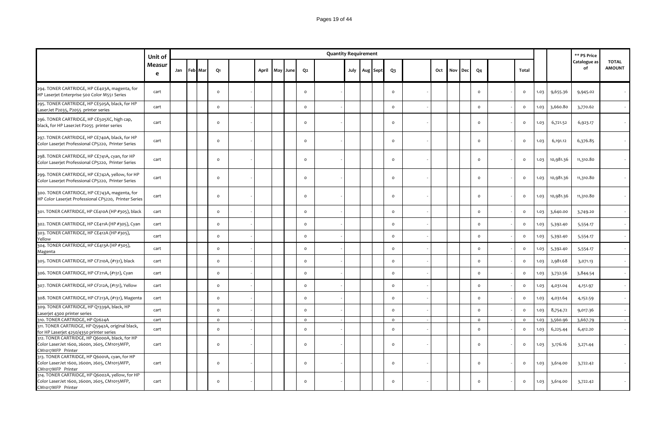|                                                                                                                      | Unit of     |             |          |       |          |                | <b>Quantity Requirement</b> |  |                   |          |     |     |     |                |              |      |           | ** PS Price        |                               |
|----------------------------------------------------------------------------------------------------------------------|-------------|-------------|----------|-------|----------|----------------|-----------------------------|--|-------------------|----------|-----|-----|-----|----------------|--------------|------|-----------|--------------------|-------------------------------|
|                                                                                                                      | Measur<br>e | Jan Feb Mar | Q1       | April | May June | Q <sub>2</sub> |                             |  | July   Aug   Sept | $Q_3$    | Oct | Nov | Dec | Q <sub>4</sub> | Total        |      |           | Catalogue as<br>of | <b>TOTAL</b><br><b>AMOUNT</b> |
| 294. TONER CARTRIDGE, HP CE403A, magenta, for<br>HP Laserjet Enterprise 500 Color M551 Series                        | cart        |             | $\circ$  |       |          | $\circ$        |                             |  |                   | $\circ$  |     |     |     | $\mathsf{o}$   | $\circ$      | 1.03 | 9,655.36  | 9,945.02           |                               |
| 295. TONER CARTRIDGE, HP CE505A, black, for HP<br>LaserJet P2035, P2055 printer series                               | cart        |             | $\circ$  |       |          | $\circ$        |                             |  |                   | $\circ$  |     |     |     | $\mathsf{o}$   | $\mathsf{o}$ | 1.03 | 3,660.80  | 3,770.62           |                               |
| 296. TONER CARTRIDGE, HP CE505XC, high cap,<br>black, for HP LaserJet P2055 printer series                           | cart        |             | $\circ$  |       |          | $\circ$        |                             |  |                   | $\circ$  |     |     |     | $\mathsf{o}$   | $\circ$      | 1.03 | 6,721.52  | 6,923.17           |                               |
| 297. TONER CARTRIDGE, HP CE740A, black, for HP<br>Color Laserjet Professional CP5220, Printer Series                 | cart        |             | $\circ$  |       |          | $\circ$        |                             |  |                   | $\Omega$ |     |     |     | $\circ$        | $\circ$      | 1.03 | 6,191.12  | 6,376.85           |                               |
| 298. TONER CARTRIDGE, HP CE741A, cyan, for HP<br>Color Laserjet Professional CP5220, Printer Series                  | cart        |             | $\circ$  |       |          | $\circ$        |                             |  |                   | $\circ$  |     |     |     | $\circ$        | $\circ$      | 1.03 | 10,981.36 | 11,310.80          |                               |
| 299. TONER CARTRIDGE, HP CE742A, yellow, for HP<br>Color Laserjet Professional CP5220, Printer Series                | cart        |             | $\circ$  |       |          | $\circ$        |                             |  |                   | $\circ$  |     |     |     | $\mathsf{o}$   | $\circ$      | 1.03 | 10,981.36 | 11,310.80          |                               |
| 300. TONER CARTRIDGE, HP CE743A, magenta, for<br>HP Color Laserjet Professional CP5220, Printer Series               | cart        |             | $\circ$  |       |          | $\circ$        |                             |  |                   | $\circ$  |     |     |     | $\circ$        | $\circ$      | 1.03 | 10,981.36 | 11,310.80          |                               |
| 301. TONER CARTRIDGE, HP CE410A (HP #305), black                                                                     | cart        |             | $\circ$  |       |          | $\circ$        |                             |  |                   | $\circ$  |     |     |     | $\mathsf{o}$   | $\circ$      | 1.03 | 3,640.00  | 3,749.20           |                               |
| 302. TONER CARTRIDGE, HP CE411A (HP #305), Cyan                                                                      | cart        |             | $\circ$  |       |          | $\circ$        |                             |  |                   | $\circ$  |     |     |     | $\mathsf{o}$   | $\circ$      | 1.03 | 5,392.40  | 5,554.17           |                               |
| 303. TONER CARTRIDGE, HP CE412A (HP #305),<br>Yellow                                                                 | cart        |             | $\circ$  |       |          | $\circ$        |                             |  |                   | $\circ$  |     |     |     | $\mathsf{o}$   | $\mathsf{o}$ | 1.03 | 5,392.40  | 5,554.17           |                               |
| 304. TONER CARTRIDGE, HP CE413A (HP #305),<br>Magenta                                                                | cart        |             | $\circ$  |       |          | $\circ$        |                             |  |                   | $\circ$  |     |     |     | $\circ$        | $\circ$      | 1.03 | 5,392.40  | 5,554.17           |                               |
| 305. TONER CARTRIDGE, HP CF210A, (#131), black                                                                       | cart        |             | $\circ$  |       |          | $\circ$        |                             |  |                   | $\circ$  |     |     |     | $\circ$        | $\circ$      | 1.03 | 2,981.68  | 3,071.13           |                               |
| 306. TONER CARTRIDGE, HP CF211A, (#131), Cyan                                                                        | cart        |             | $\circ$  |       |          | $\circ$        |                             |  |                   | $\circ$  |     |     |     | $\circ$        | $\circ$      | 1.03 | 3,732.56  | 3,844.54           |                               |
| 307. TONER CARTRIDGE, HP CF212A, (#131), Yellow                                                                      | cart        |             | $\circ$  |       |          | $\circ$        |                             |  |                   | $\circ$  |     |     |     | $\circ$        | $\circ$      | 1.03 | 4,031.04  | 4,151.97           |                               |
| 308. TONER CARTRIDGE, HP CF213A, (#131), Magenta                                                                     | cart        |             | $\circ$  |       |          | $\mathsf{o}$   |                             |  |                   | $\circ$  |     |     |     | $\mathsf{o}$   | $\mathsf{o}$ | 1.03 | 4,031.64  | 4,152.59           |                               |
| 309. TONER CARTRIDGE, HP Q1339A, black, HP<br>Laserjet 4300 printer series                                           | cart        |             | $\circ$  |       |          | $\circ$        |                             |  |                   | $\circ$  |     |     |     | $\circ$        | $\mathsf{o}$ | 1.03 | 8,754.72  | 9,017.36           |                               |
| 310. TONER CARTRIDGE, HP Q2624A                                                                                      | cart        |             | $\circ$  |       |          | $\circ$        |                             |  |                   | $\circ$  |     |     |     | $\circ$        | $\circ$      | 1.03 | 3,560.96  | 3,667.79           |                               |
| 311. TONER CARTRIDGE, HP Q5942A, original black,<br>for HP Laserjet 4250/4350 printer series                         | cart        |             | $\circ$  |       |          | $\circ$        |                             |  |                   | $\circ$  |     |     |     | $\circ$        | $\circ$      | 1.03 | 6,225.44  | 6,412.20           |                               |
| 312. TONER CARTRIDGE, HP Q6000A, black, for HP<br>Color LaserJet 1600, 2600n, 2605, CM1015MFP,<br>CM1017MFP Printer  | cart        |             | $\circ$  |       |          | $\circ$        |                             |  |                   | $\circ$  |     |     |     | $\circ$        | $\circ$      | 1.03 | 3,176.16  | 3,271.44           |                               |
| 313. TONER CARTRIDGE, HP Q6001A, cyan, for HP<br>Color LaserJet 1600, 2600n, 2605, CM1015MFP,<br>CM1017MFP Printer   | cart        |             | $\circ$  |       |          | $\circ$        |                             |  |                   | $\circ$  |     |     |     | $\circ$        | $\circ$      | 1.03 | 3,614.00  | 3,722.42           |                               |
| 314. TONER CARTRIDGE, HP Q6002A, yellow, for HP<br>Color LaserJet 1600, 2600n, 2605, CM1015MFP,<br>CM1017MFP Printer | cart        |             | $\Omega$ |       |          | $\Omega$       |                             |  |                   | $\circ$  |     |     |     | $\Omega$       | $\circ$      | 1.03 | 3,614.00  | 3,722.42           |                               |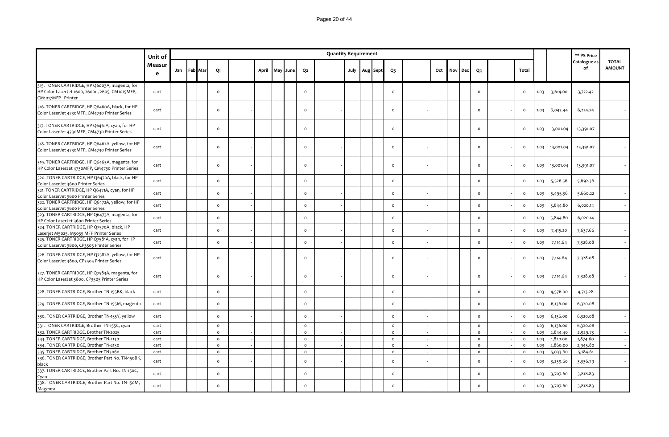|                                                                                                                       | Unit of     |     |         |                |                |  |                     | <b>Quantity Requirement</b> |  |                   |          |     |     |     |              |              |      |           | ** PS Price        |                               |
|-----------------------------------------------------------------------------------------------------------------------|-------------|-----|---------|----------------|----------------|--|---------------------|-----------------------------|--|-------------------|----------|-----|-----|-----|--------------|--------------|------|-----------|--------------------|-------------------------------|
|                                                                                                                       | Measur<br>e | Jan | Feb Mar | Q1             | April May June |  | Q2                  |                             |  | July   Aug   Sept | Q3       | Oct | Nov | Dec | Q4           | Total        |      |           | Catalogue as<br>of | <b>TOTAL</b><br><b>AMOUNT</b> |
| 315. TONER CARTRIDGE, HP Q6003A, magenta, for<br>HP Color LaserJet 1600, 2600n, 2605, CM1015MFP,<br>CM1017MFP Printer | cart        |     |         | $\circ$        |                |  | $\circ$             |                             |  |                   | $\circ$  |     |     |     | $\circ$      | $\circ$      | 1.03 | 3,614.00  | 3,722.42           |                               |
| 316. TONER CARTRIDGE, HP Q6460A, black, for HP<br>Color LaserJet 4730MFP, CM4730 Printer Series                       | cart        |     |         | $\Omega$       |                |  | $\circ$             |                             |  |                   | $\circ$  |     |     |     | $\circ$      | $\circ$      | 1.03 | 6,043.44  | 6,224.74           |                               |
| 317. TONER CARTRIDGE, HP Q6461A, cyan, for HP<br>Color LaserJet 4730MFP, CM4730 Printer Series                        | cart        |     |         | $\Omega$       |                |  | $\circ$             |                             |  |                   | $\circ$  |     |     |     | $\circ$      | $\circ$      | 1.03 | 13,001.04 | 13,391.07          |                               |
| 318. TONER CARTRIDGE, HP Q6462A, yellow, for HP<br>Color LaserJet 4730MFP, CM4730 Printer Series                      | cart        |     |         | $\circ$        |                |  | $\circ$             |                             |  |                   | $\circ$  |     |     |     | $\circ$      | $\circ$      | 1.03 | 13,001.04 | 13,391.07          |                               |
| 319. TONER CARTRIDGE, HP Q6463A, magenta, for<br>HP Color LaserJet 4730MFP, CM4730 Printer Series                     | cart        |     |         | $\circ$        |                |  | $\circ$             |                             |  |                   | $\circ$  |     |     |     | $\circ$      | $\mathsf{o}$ | 1.03 | 13,001.04 | 13,391.07          |                               |
| 320. TONER CARTRIDGE, HP Q6470A, black, for HP<br>Color LaserJet 3600 Printer Series                                  | cart        |     |         | $\circ$        |                |  | $\circ$             |                             |  |                   | $\circ$  |     |     |     | $\circ$      | $\circ$      | 1.03 | 5,526.56  | 5,692.36           |                               |
| 321. TONER CARTRIDGE, HP Q6471A, cyan, for HP<br>Color LaserJet 3600 Printer Series                                   | cart        |     |         | $\Omega$       |                |  | $\mathsf{o}\,$      |                             |  |                   | $\circ$  |     |     |     | $\circ$      | $\mathsf{o}$ | 1.03 | 5,495.36  | 5,660.22           |                               |
| 322. TONER CARTRIDGE, HP Q6472A, yellow, for HP<br>Color LaserJet 3600 Printer Series                                 | cart        |     |         | $\circ$        |                |  | $\circ$             |                             |  |                   | $\circ$  |     |     |     | $\circ$      | $\circ$      | 1.03 | 5,844.80  | 6,020.14           |                               |
| 323. TONER CARTRIDGE, HP Q6473A, magenta, for<br>HP Color LaserJet 3600 Printer Series                                | cart        |     |         | $\circ$        |                |  | $\circ$             |                             |  |                   | $\circ$  |     |     |     | $\circ$      | $\circ$      | 1.03 | 5,844.80  | 6,020.14           |                               |
| 324. TONER CARTRIDGE, HP Q7570A, black, HP<br>Laserjet M5025, M5035 MFP Printer Series                                | cart        |     |         | $\Omega$       |                |  | $\circ$             |                             |  |                   | $\circ$  |     |     |     | $\circ$      | $\mathsf{o}$ | 1.03 | 7,415.20  | 7,637.66           |                               |
| 325. TONER CARTRIDGE, HP Q7581A, cyan, for HP<br>Color LaserJet 3800, CP3505 Printer Series                           | cart        |     |         | $\circ$        |                |  | $\circ$             |                             |  |                   | $\circ$  |     |     |     | $\circ$      | $\mathsf{o}$ | 1.03 | 7,114.64  | 7,328.08           |                               |
| 326. TONER CARTRIDGE, HP Q7582A, yellow, for HP<br>Color LaserJet 3800, CP3505 Printer Series                         | cart        |     |         | $\Omega$       |                |  | $\mathsf{o}$        |                             |  |                   | $\circ$  |     |     |     | $\circ$      | $\mathsf{o}$ | 1.03 | 7,114.64  | 7,328.08           |                               |
| 327. TONER CARTRIDGE, HP Q7583A, magenta, for<br>HP Color LaserJet 3800, CP3505 Printer Series                        | cart        |     |         | $\Omega$       |                |  | $\circ$             |                             |  |                   | $\circ$  |     |     |     | $\circ$      | $\mathsf{o}$ | 1.03 | 7,114.64  | 7,328.08           |                               |
| 328. TONER CARTRIDGE, Brother TN-155BK, black                                                                         | cart        |     |         | $\Omega$       |                |  | $\circ$             |                             |  |                   | $\circ$  |     |     |     | $\circ$      | $\circ$      | 1.03 | 4,576.00  | 4,713.28           |                               |
| 329. TONER CARTRIDGE, Brother TN-155M, magenta                                                                        | cart        |     |         | $\circ$        |                |  | $\circ$             |                             |  |                   | $\circ$  |     |     |     | $\circ$      | $\circ$      | 1.03 | 6,136.00  | 6,320.08           |                               |
| 330. TONER CARTRIDGE, Brother TN-155Y, yellow                                                                         | cart        |     |         | $\circ$        |                |  | $\circ$             |                             |  |                   | $\circ$  |     |     |     | $\circ$      | $\circ$      | 1.03 | 6,136.00  | 6,320.08           |                               |
| 331. TONER CARTRIDGE, Brother TN-155C, cyan                                                                           | cart        |     |         | $\circ$        |                |  | $\mathsf{o}$        |                             |  |                   | $\circ$  |     |     |     | $\circ$      | $\circ$      | 1.03 | 6,136.00  | 6,320.08           |                               |
| 332. TONER CARTRIDGE, Brother TN-2025                                                                                 | cart        |     |         | $\mathsf{o}\,$ |                |  | $\mathsf{o}\xspace$ |                             |  |                   | $\circ$  |     |     |     | $\mathsf{o}$ | $\mathsf{o}$ | 1.03 | 2,844.40  | 2,929.73           |                               |
| 333. TONER CARTRIDGE, Brother TN-2130                                                                                 | cart        |     |         | $\circ$        |                |  | $\circ$             |                             |  |                   | $\circ$  |     |     |     | $\circ$      | $\circ$      | 1.03 | 1,820.00  | 1,874.60           |                               |
| 334. TONER CARTRIDGE, Brother TN-2150                                                                                 | cart        |     |         | $\mathsf{o}\,$ |                |  | $\mathsf{o}$        |                             |  |                   | $\circ$  |     |     |     | $\mathsf{o}$ | $\mathsf{o}$ | 1.03 | 2,860.00  | 2,945.80           |                               |
| 335. TONER CARTRIDGE, Brother TN3060                                                                                  | cart        |     |         | $\mathsf{o}\,$ |                |  | $\mathsf{o}$        |                             |  |                   | $\circ$  |     |     |     | $\circ$      | $\circ$      | 1.03 | 5,033.60  | 5,184.61           |                               |
| 336. TONER CARTRIDGE, Brother Part No. TN-150BK,<br>black                                                             | cart        |     |         | $\circ$        |                |  | $\circ$             |                             |  |                   | $\circ$  |     |     |     | $\circ$      | $\circ$      | 1.03 | 3,239.60  | 3,336.79           |                               |
| 337. TONER CARTRIDGE, Brother Part No. TN-150C,<br>Cyan                                                               | cart        |     |         | $\circ$        |                |  | $\circ$             |                             |  |                   | $\circ$  |     |     |     | $\circ$      | $\circ$      | 1.03 | 3,707.60  | 3,818.83           |                               |
| 338. TONER CARTRIDGE, Brother Part No. TN-150M,<br>Magenta                                                            | cart        |     |         | $\Omega$       |                |  | $\circ$             |                             |  |                   | $\Omega$ |     |     |     | $\circ$      | $\mathsf{o}$ | 1.03 | 3,707.60  | 3,818.83           |                               |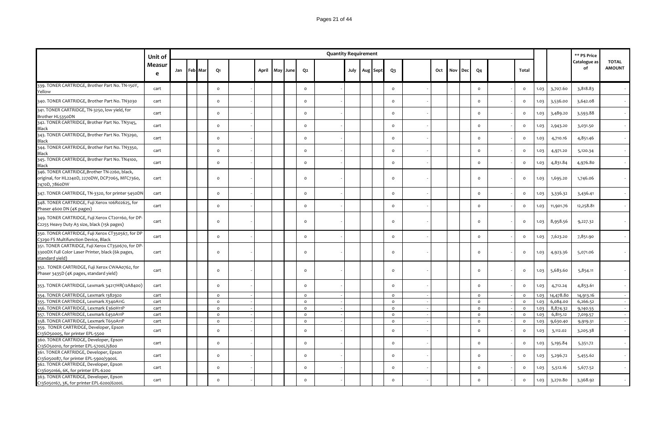### Pages 21 of 44

|                                                                                                                            | Unit of     |     |                |                |       |     |      |                | <b>Quantity Requirement</b> |      |          |              |     |     |            |              |                |      |           | ** PS Price        |                               |
|----------------------------------------------------------------------------------------------------------------------------|-------------|-----|----------------|----------------|-------|-----|------|----------------|-----------------------------|------|----------|--------------|-----|-----|------------|--------------|----------------|------|-----------|--------------------|-------------------------------|
|                                                                                                                            | Measur<br>e | Jan | <b>Feb</b> Mar | Q1             | April | May | June | Q <sub>2</sub> |                             | July | Aug Sept | $Q_3$        | Oct | Nov | <b>Dec</b> | Q4           | Total          |      |           | Catalogue as<br>of | <b>TOTAL</b><br><b>AMOUNT</b> |
| 339. TONER CARTRIDGE, Brother Part No. TN-150Y,<br>Yellow                                                                  | cart        |     |                | $\circ$        |       |     |      | $\circ$        |                             |      |          | $\circ$      |     |     |            | $\circ$      | $\circ$        | 1.03 | 3,707.60  | 3,818.83           |                               |
| 340. TONER CARTRIDGE, Brother Part No. TN3030                                                                              | cart        |     |                | $\circ$        |       |     |      | $\mathsf{o}$   |                             |      |          | $\mathsf{o}$ |     |     |            | $\circ$      | $\circ$        | 1.03 | 3,536.00  | 3,642.08           |                               |
| 341. TONER CARTRIDGE, TN-3250, low yield, for<br>Brother HL5350DN                                                          | cart        |     |                | $\circ$        |       |     |      | $\circ$        |                             |      |          | $\mathsf{o}$ |     |     |            | $\circ$      | $\mathsf{o}\,$ | 1.03 | 3,489.20  | 3,593.88           |                               |
| 342. TONER CARTRIDGE, Brother Part No. TN3145,<br>Black                                                                    | cart        |     |                | $\mathsf{o}\,$ |       |     |      | $\circ$        |                             |      |          | $\circ$      |     |     |            | $\circ$      | $\mathsf{o}\,$ | 1.03 | 2,943.20  | 3,031.50           |                               |
| 343. TONER CARTRIDGE, Brother Part No. TN3290,<br>Black                                                                    | cart        |     |                | $\circ$        |       |     |      | $\circ$        |                             |      |          | $\circ$      |     |     |            | $\circ$      | $\circ$        | 1.03 | 4,710.16  | 4,851.46           |                               |
| 344. TONER CARTRIDGE, Brother Part No. TN3350,<br>Black                                                                    | cart        |     |                | $\circ$        |       |     |      | $\circ$        |                             |      |          | $\circ$      |     |     |            | $\circ$      | $\circ$        | 1.03 | 4,971.20  | 5,120.34           |                               |
| 345. TONER CARTRIDGE, Brother Part No. TN4100,<br>Black                                                                    | cart        |     |                | $\circ$        |       |     |      | $\mathsf{o}$   |                             |      |          | $\circ$      |     |     |            | $\circ$      | $\circ$        | 1.03 | 4,831.84  | 4,976.80           |                               |
| 346. TONER CARTRIDGE, Brother TN-2260, black,<br>original, for HL2240D, 2270DW, DCP7065, MFC7360,<br>7470D, 7860DW         | cart        |     |                | $\circ$        |       |     |      | $\circ$        |                             |      |          | $\circ$      |     |     |            | $\circ$      | $\circ$        | 1.03 | 1,695.20  | 1,746.06           |                               |
| 347. TONER CARTRIDGE, TN-3320, for printer 5450DN                                                                          | cart        |     |                | $\circ$        |       |     |      | $\circ$        |                             |      |          | $\circ$      |     |     |            | $\circ$      | $\mathsf{o}\,$ | 1.03 | 3,336.32  | 3,436.41           |                               |
| 348. TONER CARTRIDGE, Fuji Xerox 106R02625, for<br>Phaser 4600 DN (4K pages)                                               | cart        |     |                | $\circ$        |       |     |      | $\circ$        |                             |      |          | $\circ$      |     |     |            | $\mathsf{o}$ | $\circ$        | 1.03 | 11,901.76 | 12,258.81          |                               |
| 349. TONER CARTRIDGE, Fuji Xerox CT201160, for DP-<br>C2255 Heavy Duty A3 size, black (15k pages)                          | cart        |     |                | $\circ$        |       |     |      | $\circ$        |                             |      |          | $\circ$      |     |     |            | $\circ$      | $\circ$        | 1.03 | 8,958.56  | 9,227.32           |                               |
| 350. TONER CARTRIDGE, Fuji Xerox CT350567, for DP<br>C3290 FS Multifunction Device, Black                                  | cart        |     |                | $\circ$        |       |     |      | $\circ$        |                             |      |          | $\circ$      |     |     |            | $\circ$      | $\mathsf{o}\,$ | 1.03 | 7,623.20  | 7,851.90           |                               |
| 351. TONER CARTRIDGE, Fuji Xerox CT350670, for DP-<br>3300DX Full Color Laser Printer, black (6k pages,<br>standard yield) | cart        |     |                | $\circ$        |       |     |      | $\circ$        |                             |      |          | $\circ$      |     |     |            | $\circ$      | $\circ$        | 1.03 | 4,923.36  | 5,071.06           |                               |
| 352. TONER CARTRIDGE, Fuji Xerox CWAA0762, for<br>Phaser 3435D (4K pages, standard yield)                                  | cart        |     |                | $\circ$        |       |     |      | $\circ$        |                             |      |          | $\circ$      |     |     |            | $\circ$      | $\circ$        | 1.03 | 5,683.60  | 5,854.11           |                               |
| 353. TONER CARTRIDGE, Lexmark 34217HR(12A8400)                                                                             | cart        |     |                | $\circ$        |       |     |      | $\circ$        |                             |      |          | $\circ$      |     |     |            | $\circ$      | $\mathsf{o}\,$ | 1.03 | 4,712.24  | 4,853.61           |                               |
| 354. TONER CARTRIDGE, Lexmark 1382920                                                                                      | cart        |     |                | $\circ$        |       |     |      | $\circ$        |                             |      |          | $\circ$      |     |     |            | $\circ$      | $\circ$        | 1.03 | 14,478.80 | 14,913.16          |                               |
| 355. TONER CARTRIDGE, Lexmark X340A11G                                                                                     | cart        |     |                | $\circ$        |       |     |      | $\circ$        |                             |      |          | $\circ$      |     |     |            | $\circ$      | $\circ$        | 1.03 | 6,084.00  | 6,266.52           |                               |
| 356. TONER CARTRIDGE, Lexmark E360H11P                                                                                     | cart        |     |                | $\circ$        |       |     |      | $\circ$        |                             |      |          | $\circ$      |     |     |            | $\circ$      | $\circ$        | 1.03 | 8,874.32  | 9,140.55           |                               |
| 357. TONER CARTRIDGE, Lexmark E450A11P                                                                                     | cart        |     |                | $\circ$        |       |     |      | $\circ$        |                             |      |          | $\circ$      |     |     |            | $\circ$      | $\circ$        | 1.03 | 6,815.12  | 7,019.57           |                               |
| 358. TONER CARTRIDGE, Lexmark T650A11P                                                                                     | cart        |     |                | $\circ$        |       |     |      | $\circ$        |                             |      |          | $\circ$      |     |     |            | $\circ$      | $\circ$        | 1.03 | 9,630.40  | 9,919.31           |                               |
| 359. TONER CARTRIDGE, Developer, Epson                                                                                     | cart        |     |                | $\mathsf{o}\,$ |       |     |      | $\circ$        |                             |      |          | $\circ$      |     |     |            | $\circ$      | $\mathsf{o}\,$ | 1.03 | 3,112.02  | 3,205.38           |                               |
| C13SO50005, for printer EPL-5500<br>360. TONER CARTRIDGE, Developer, Epson<br>C13SO50010, for printer EPL-5700L/5800       | cart        |     |                | $\circ$        |       |     |      | $\circ$        |                             |      |          | $\circ$      |     |     |            | $\circ$      | $\circ$        | 1.03 | 5,195.84  | 5,351.72           |                               |
| 361. TONER CARTRIDGE, Developer, Epson<br>C13S050087, for printer EPL-5900/5900L                                           | cart        |     |                | $\mathsf{o}$   |       |     |      | $\circ$        |                             |      |          | $\mathsf{o}$ |     |     |            | $\circ$      | $\circ$        | 1.03 | 5,296.72  | 5,455.62           |                               |
| 362. TONER CARTRIDGE, Developer, Epson<br>C13S050166, 6K, for printer EPL-6200                                             | cart        |     |                | $\Omega$       |       |     |      | $\circ$        |                             |      |          | $\circ$      |     |     |            | $\circ$      | $\circ$        | 1.03 | 5,512.16  | 5,677.52           |                               |
| 363. TONER CARTRIDGE, Developer, Epson<br>C13S050167, 3K, for printer EPL-6200/6200L                                       | cart        |     |                | $\Omega$       |       |     |      | $\circ$        |                             |      |          | $\circ$      |     |     |            | $\Omega$     | $\Omega$       | 1.03 | 3,270.80  | 3,368.92           |                               |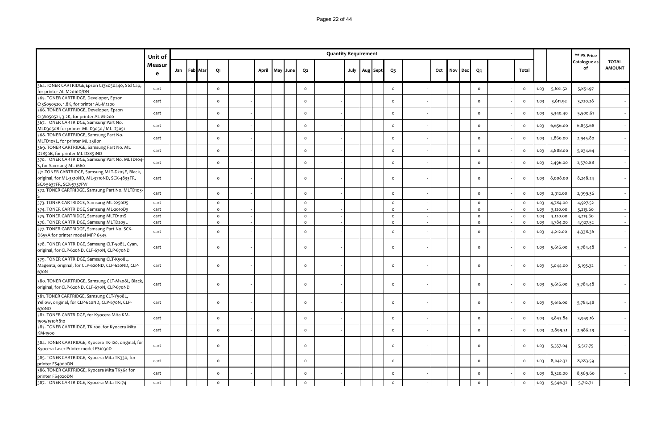|                                                                                                                             | Unit of     |             |  |                |       |          |                     | <b>Quantity Requirement</b> |  |                   |                     |     |     |            |                     |                |      |          | ** PS Price        |                               |
|-----------------------------------------------------------------------------------------------------------------------------|-------------|-------------|--|----------------|-------|----------|---------------------|-----------------------------|--|-------------------|---------------------|-----|-----|------------|---------------------|----------------|------|----------|--------------------|-------------------------------|
|                                                                                                                             | Measur<br>e | Jan Feb Mar |  | Q1             | April | May June | Q <sub>2</sub>      |                             |  | July   Aug   Sept | $Q_3$               | Oct | Nov | <b>Dec</b> | Q <sub>4</sub>      | Total          |      |          | Catalogue as<br>of | <b>TOTAL</b><br><b>AMOUNT</b> |
| 364.TONER CARTRIDGE, Epson C13S050440, Std Cap,<br>for printer AL-M2010D/DN                                                 | cart        |             |  | $\mathsf{o}\,$ |       |          | $\mathsf{o}\xspace$ |                             |  |                   | $\mathsf{o}\xspace$ |     |     |            | $\mathsf{o}\xspace$ | $\circ$        | 1.03 | 5,681.52 | 5,851.97           |                               |
| 365. TONER CARTRIDGE, Developer, Epson<br>C13S050520, 1.8K, for printer AL-M1200                                            | cart        |             |  | $\circ$        |       |          | $\mathsf{o}\,$      |                             |  |                   | $\mathsf{o}$        |     |     |            | $\circ$             | $\circ$        | 1.03 | 3,611.92 | 3,720.28           |                               |
| 366. TONER CARTRIDGE, Developer, Epson<br>C13S050521, 3.2K, for printer AL-M1200                                            | cart        |             |  | $\circ$        |       |          | $\circ$             |                             |  |                   | $\circ$             |     |     |            | $\circ$             | $\circ$        | 1.03 | 5,340.40 | 5,500.61           |                               |
| 367. TONER CARTRIDGE, Samsung Part No.<br>MLD3050B for printer ML-D3050 / ML-D3051                                          | cart        |             |  | $\circ$        |       |          | $\mathsf{o}\,$      |                             |  |                   | $\mathsf{o}$        |     |     |            | $\circ$             | $\mathsf{o}\,$ | 1.03 | 6,656.00 | 6,855.68           |                               |
| 368. TONER CARTRIDGE, Samsung Part No.<br>MLTD105L, for printer ML 2580n                                                    | cart        |             |  | $\circ$        |       |          | $\circ$             |                             |  |                   | $\circ$             |     |     |            | $\circ$             | $\circ$        | 1.03 | 2,860.00 | 2,945.80           |                               |
| 369. TONER CARTRIDGE, Samsung Part No. ML<br>D2850B, for printer ML D2851ND                                                 | cart        |             |  | $\circ$        |       |          | $\circ$             |                             |  |                   | $\circ$             |     |     |            | $\circ$             | $\circ$        | 1.03 | 4,888.00 | 5,034.64           |                               |
| 370. TONER CARTRIDGE, Samsung Part No. MLTD104<br>S, for Samsung ML 1660                                                    | cart        |             |  | $\circ$        |       |          | $\mathsf{o}$        |                             |  |                   | $\mathsf{o}$        |     |     |            | $\mathsf{o}$        | $\circ$        | 1.03 | 2,496.00 | 2,570.88           |                               |
| 371.TONER CARTRIDGE, Samsung MLT-D205E, Black,<br>original, for ML-3310ND, ML-3710ND, SCX-4833FR,<br>SCX-5637FR, SCX-5737FW | cart        |             |  | $\circ$        |       |          | $\circ$             |                             |  |                   | $\circ$             |     |     |            | $\circ$             | $\circ$        | 1.03 | 8,008.00 | 8,248.24           |                               |
| 372. TONER CARTRIDGE, Samsung Part No. MLTD103-                                                                             | cart        |             |  | $\circ$        |       |          | $\circ$             |                             |  |                   | $\circ$             |     |     |            | $\circ$             | $\circ$        | 1.03 | 2,912.00 | 2,999.36           |                               |
| 373. TONER CARTRIDGE, Samsung ML-2250D5                                                                                     | cart        |             |  | $\circ$        |       |          | $\circ$             |                             |  |                   | $\circ$             |     |     |            | $\circ$             | $\circ$        | 1.03 | 4,784.00 | 4,927.52           |                               |
| 374. TONER CARTRIDGE, Samsung ML-2010D3                                                                                     | cart        |             |  | $\circ$        |       |          | $\circ$             |                             |  |                   | $\circ$             |     |     |            | $\circ$             | $\circ$        | 1.03 | 3,120.00 | 3,213.60           |                               |
| 375. TONER CARTRIDGE, Samsung MLTD101S                                                                                      | cart        |             |  | $\circ$        |       |          | $\circ$             |                             |  |                   | $\mathsf{o}$        |     |     |            | $\circ$             | $\circ$        | 1.03 | 3,120.00 | 3,213.60           |                               |
| 376. TONER CARTRIDGE, Samsung MLTD205L                                                                                      | cart        |             |  | $\circ$        |       |          | $\mathsf{o}\xspace$ |                             |  |                   | $\mathsf{o}\xspace$ |     |     |            | $\circ$             | $\circ$        | 1.03 | 4,784.00 | 4,927.52           |                               |
| 377. TONER CARTRIDGE, Samsung Part No. SCX-<br>D655A for printer model MFP 6545                                             | cart        |             |  | $\circ$        |       |          | $\circ$             |                             |  |                   | $\mathsf{o}$        |     |     |            | $\circ$             | $\circ$        | 1.03 | 4,212.00 | 4,338.36           |                               |
| 378. TONER CARTRIDGE, Samsung CLT-508L, Cyan,<br>original, for CLP-620ND, CLP-670N, CLP-670ND                               | cart        |             |  | $\circ$        |       |          | $\Omega$            |                             |  |                   | $\circ$             |     |     |            | $\circ$             | $\circ$        | 1.03 | 5,616.00 | 5,784.48           |                               |
| 379. TONER CARTRIDGE, Samsung CLT-K508L,<br>Magenta, original, for CLP-620ND, CLP-620ND, CLP-<br>670N                       | cart        |             |  | $\circ$        |       |          | $\Omega$            |                             |  |                   | $\circ$             |     |     |            | $\circ$             | $\circ$        | 1.03 | 5,044.00 | 5,195.32           |                               |
| 380. TONER CARTRIDGE, Samsung CLT-M508L, Black,<br>original, for CLP-620ND, CLP-670N, CLP-670ND                             | cart        |             |  | $\circ$        |       |          | $\circ$             |                             |  |                   | $\circ$             |     |     |            | $\circ$             | $\circ$        | 1.03 | 5,616.00 | 5,784.48           |                               |
| 381. TONER CARTRIDGE, Samsung CLT-Y508L,<br>Yellow, original, for CLP-620ND, CLP-670N, CLP-<br>670ND                        | cart        |             |  | $\circ$        |       |          | $\circ$             |                             |  |                   | $\circ$             |     |     |            | $\circ$             | $\circ$        | 1.03 | 5,616.00 | 5,784.48           |                               |
| 382. TONER CARTRIDGE, for Kyocera Mita KM-<br>1505/1510/1810                                                                | cart        |             |  | $\circ$        |       |          | $\circ$             |                             |  |                   | $\circ$             |     |     |            | $\circ$             | $\circ$        | 1.03 | 3,843.84 | 3,959.16           |                               |
| 383. TONER CARTRIDGE, TK 100, for Kyocera Mita<br>KM-1500                                                                   | cart        |             |  | $\circ$        |       |          | $\mathsf{o}$        |                             |  |                   | $\mathsf{o}$        |     |     |            | $\circ$             | $\mathsf{o}\,$ | 1.03 | 2,899.31 | 2,986.29           |                               |
| 384. TONER CARTRIDGE, Kyocera TK-120, original, for<br>Kyocera Laser Printer model FS1030D                                  | cart        |             |  | $\circ$        |       |          | $\circ$             |                             |  |                   | $\mathsf{o}$        |     |     |            | $\circ$             | $\circ$        | 1.03 | 5,357.04 | 5,517.75           |                               |
| 385. TONER CARTRIDGE, Kyocera Mita TK330, for<br>printer FS4000DN                                                           | cart        |             |  | $\circ$        |       |          | $\Omega$            |                             |  |                   | $\circ$             |     |     |            | $\circ$             | $\Omega$       | 1.03 | 8,042.32 | 8,283.59           |                               |
| 386. TONER CARTRIDGE, Kyocera Mita TK364 for<br>printer FS4020DN                                                            | cart        |             |  | $\circ$        |       |          | $\mathsf{o}$        |                             |  |                   | $\mathsf{o}$        |     |     |            | $\circ$             | $\circ$        | 1.03 | 8,320.00 | 8,569.60           |                               |
| 387. TONER CARTRIDGE, Kyocera Mita TK174                                                                                    | cart        |             |  | $\circ$        |       |          | $\circ$             |                             |  |                   | $\circ$             |     |     |            | $\circ$             | $\circ$        | 1.03 | 5,546.32 | 5,712.71           |                               |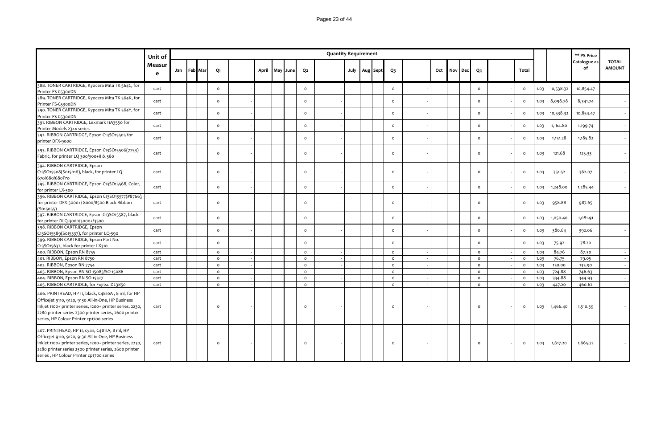|                                                                                                                                                                                                                                                                          | Unit of     |     |         |          |  |                |                | <b>Quantity Requirement</b> |  |               |                |     |            |     |                |              |      |           | ** PS Price        |                               |
|--------------------------------------------------------------------------------------------------------------------------------------------------------------------------------------------------------------------------------------------------------------------------|-------------|-----|---------|----------|--|----------------|----------------|-----------------------------|--|---------------|----------------|-----|------------|-----|----------------|--------------|------|-----------|--------------------|-------------------------------|
|                                                                                                                                                                                                                                                                          | Measur<br>e | Jan | Feb Mar | Q1       |  | April May June | Q <sub>2</sub> |                             |  | July Aug Sept | Q <sub>3</sub> | Oct | <b>Nov</b> | Dec | Q <sub>4</sub> | Total        |      |           | Catalogue as<br>of | <b>TOTAL</b><br><b>AMOUNT</b> |
| 388. TONER CARTRIDGE, Kyocera Mita TK 564C, for<br>Printer FS-C5300DN                                                                                                                                                                                                    | cart        |     |         | $\circ$  |  |                | $\circ$        |                             |  |               | $\circ$        |     |            |     | $\circ$        | $\circ$      | 1.03 | 10,538.32 | 10,854.47          |                               |
| 389. TONER CARTRIDGE, Kyocera Mita TK 564K, for<br>Printer FS-C5300DN                                                                                                                                                                                                    | cart        |     |         | $\circ$  |  |                | $\circ$        |                             |  |               | $\circ$        |     |            |     | $\circ$        | $\mathsf{o}$ | 1.03 | 8,098.78  | 8,341.74           |                               |
| 390. TONER CARTRIDGE, Kypcera Mita TK 564Y, for<br>Printer FS-C5300DN                                                                                                                                                                                                    | cart        |     |         | $\circ$  |  |                | $\circ$        |                             |  |               | $\circ$        |     |            |     | $\circ$        | $\circ$      | 1.03 | 10,538.32 | 10,854.47          |                               |
| 391. RIBBON CARTRIDGE, Lexmark 11A3550 for<br>Printer Models 23xx series                                                                                                                                                                                                 | cart        |     |         | $\circ$  |  |                | $\Omega$       |                             |  |               | $\Omega$       |     |            |     | $\Omega$       | $\mathsf{o}$ | 1.03 | 1,164.80  | 1,199.74           |                               |
| 392. RIBBON CARTRIDGE, Epson C13SO15505 for<br>printer DFX-9000                                                                                                                                                                                                          | cart        |     |         | $\circ$  |  |                | $\circ$        |                             |  |               | $\circ$        |     |            |     | $\Omega$       | $\circ$      | 1.03 | 1,151.28  | 1,185.82           |                               |
| 393. RIBBON CARTRIDGE, Epson C13SO15506(7753)<br>Fabric, for printer LQ 300/300+II & 580                                                                                                                                                                                 | cart        |     |         | $\circ$  |  |                | $\circ$        |                             |  |               | $\circ$        |     |            |     | $\Omega$       | $\circ$      | 1.03 | 121.68    | 125.33             |                               |
| 394. RIBBON CARTRIDGE, Epson<br>C13SO15508(S015016), black, for printer LQ<br>670/680/680Pro                                                                                                                                                                             | cart        |     |         | $\circ$  |  |                | $\circ$        |                             |  |               | $\circ$        |     |            |     | $\circ$        | $\mathsf{o}$ | 1.03 | 351.52    | 362.07             |                               |
| 395. RIBBON CARTRIDGE, Epson C13SO15568, Color,<br>for printer LX-300                                                                                                                                                                                                    | cart        |     |         | $\circ$  |  |                | $\circ$        |                             |  |               | $\circ$        |     |            |     | $\circ$        | $\mathsf{o}$ | 1.03 | 1,248.00  | 1,285.44           |                               |
| 396. RIBBON CARTRIDGE, Epson C13SO15577(#8766),<br>for printer DFX-5000+/8000/8500 Black Ribbon<br>(S015055)                                                                                                                                                             | cart        |     |         | $\circ$  |  |                | $\Omega$       |                             |  |               | $\Omega$       |     |            |     | $\Omega$       | $\circ$      | 1.03 | 958.88    | 987.65             |                               |
| 397. RIBBON CARTRIDGE, Epson C13SO15587, black<br>for printer DLQ-3000/3000+/3500                                                                                                                                                                                        | cart        |     |         | $\circ$  |  |                | $\circ$        |                             |  |               | $\circ$        |     |            |     | $\Omega$       | $\mathsf{o}$ | 1.03 | 1,050.40  | 1,081.91           |                               |
| 398. RIBBON CARTRIDGE, Epson<br>C13SO15589(S015337), for printer LQ-590                                                                                                                                                                                                  | cart        |     |         | $\circ$  |  |                | $\circ$        |                             |  |               | $\circ$        |     |            |     | $\circ$        | $\mathsf{o}$ | 1.03 | 380.64    | 392.06             |                               |
| 399. RIBBON CARTRIDGE, Epson Part No.<br>C13SO15632, black for printer LX310                                                                                                                                                                                             | cart        |     |         | $\circ$  |  |                | $\Omega$       |                             |  |               | $\circ$        |     |            |     | $\Omega$       | $\circ$      | 1.03 | 75.92     | 78.20              |                               |
| 400. RIBBON, Epson RN 8755                                                                                                                                                                                                                                               | cart        |     |         | $\circ$  |  |                | $\circ$        |                             |  |               | $\circ$        |     |            |     | $\circ$        | $\circ$      | 1.03 | 84.76     | 87.30              |                               |
| 401. RIBBON, Epson RN 8750                                                                                                                                                                                                                                               | cart        |     |         | $\circ$  |  |                | $\circ$        |                             |  |               | $\circ$        |     |            |     | $\circ$        | $\circ$      | 1.03 | 76.75     | 79.05              |                               |
| 402. RIBBON, Epson RN 7754                                                                                                                                                                                                                                               | cart        |     |         | $\circ$  |  |                | $\circ$        |                             |  |               | $\circ$        |     |            |     | $\circ$        | $\circ$      | 1.03 | 130.00    | 133.90             |                               |
| 403. RIBBON, Epson RN SO 15083/SO 15086                                                                                                                                                                                                                                  | cart        |     |         | $\circ$  |  |                | $\circ$        |                             |  |               | $\circ$        |     |            |     | $\circ$        | $\circ$      | 1.03 | 724.88    | 746.63             |                               |
| 404. RIBBON, Epson RN SO 15327                                                                                                                                                                                                                                           | cart        |     |         | $\circ$  |  |                | $\circ$        |                             |  |               | $\circ$        |     |            |     | $\circ$        | $\circ$      | 1.03 | 334.88    | 344.93             |                               |
| 405. RIBBON CARTRIDGE, for Fujitsu DL3850                                                                                                                                                                                                                                | cart        |     |         | $\circ$  |  |                | $\circ$        |                             |  |               | $\circ$        |     |            |     | $\circ$        | $\circ$      | 1.03 | 447.20    | 460.62             |                               |
| 406. PRINTHEAD, HP 11, black, C4810A, 8 ml, for HP<br>Officejet 9110, 9120, 9130 All-in-One, HP Business<br>Inkjet 1100+ printer series, 1200+ printer series, 2230,<br>2280 printer series 2300 printer series, 2600 printer<br>series, HP Colour Printer cp1700 series | cart        |     |         | $\circ$  |  |                | $\Omega$       |                             |  |               | $\Omega$       |     |            |     | $\circ$        | $\circ$      | 1.03 | 1,466.40  | 1,510.39           |                               |
| 407. PRINTHEAD, HP 11, cyan, C4811A, 8 ml, HP<br>Officejet 9110, 9120, 9130 All-in-One, HP Business<br>Inkjet 1100+ printer series, 1200+ printer series, 2230,<br>2280 printer series 2300 printer series, 2600 printer<br>series, HP Colour Printer cp1700 series      | cart        |     |         | $\Omega$ |  |                |                |                             |  |               |                |     |            |     | $\Omega$       | $\circ$      | 1.03 | 1,617.20  | 1,665.72           |                               |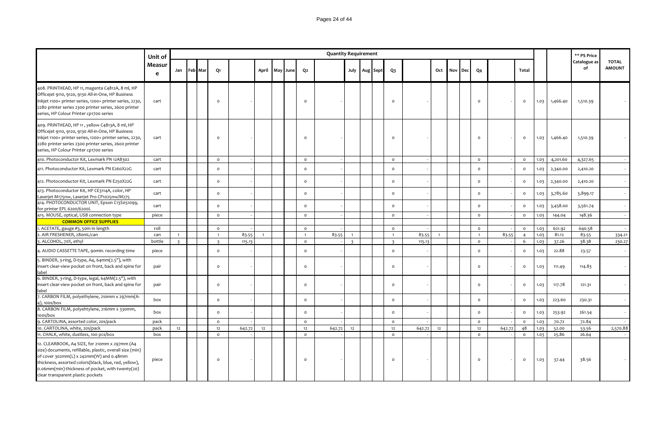|                                                                                                                                                                                                                                                                                                        | Unit of     |                |         |                |        |                |          |                | <b>Quantity Requirement</b> |                |          |                |        |                |     |     |                |        |                |      |          | ** PS Price        |                               |
|--------------------------------------------------------------------------------------------------------------------------------------------------------------------------------------------------------------------------------------------------------------------------------------------------------|-------------|----------------|---------|----------------|--------|----------------|----------|----------------|-----------------------------|----------------|----------|----------------|--------|----------------|-----|-----|----------------|--------|----------------|------|----------|--------------------|-------------------------------|
|                                                                                                                                                                                                                                                                                                        | Measur<br>e | Jan            | Feb Mar | Q1             |        | April          | May June | Q <sub>2</sub> |                             | July           | Aug Sept | $Q_3$          |        | Oct            | Nov | Dec | Q <sub>4</sub> |        | Total          |      |          | Catalogue as<br>of | <b>TOTAL</b><br><b>AMOUNT</b> |
| 408. PRINTHEAD, HP 11, magenta C4812A, 8 ml, HP<br>Officejet 9110, 9120, 9130 All-in-One, HP Business<br>Inkjet 1100+ printer series, 1200+ printer series, 2230,<br>2280 printer series 2300 printer series, 2600 printer<br>series, HP Colour Printer cp1700 series                                  | cart        |                |         | $\circ$        |        |                |          | $\Omega$       |                             |                |          | $\Omega$       |        |                |     |     | $\circ$        |        | $\circ$        | 1.03 | 1,466.40 | 1,510.39           |                               |
| 409. PRINTHEAD, HP 11, yellow C4813A, 8 ml, HP<br>Officejet 9110, 9120, 9130 All-in-One, HP Business<br>Inkjet 1100+ printer series, 1200+ printer series, 2230,<br>2280 printer series 2300 printer series, 2600 printer<br>series, HP Colour Printer cp1700 series                                   | cart        |                |         | $\circ$        |        |                |          | $\mathsf{o}$   |                             |                |          | $\Omega$       |        |                |     |     | $\circ$        |        | $\circ$        | 1.03 | 1,466.40 | 1,510.39           |                               |
| 410. Photoconductor Kit, Lexmark PN 12A8302                                                                                                                                                                                                                                                            | cart        |                |         | $\circ$        |        |                |          | $\circ$        |                             |                |          | $\circ$        |        |                |     |     | $\circ$        |        | $\circ$        | 1.03 | 4,201.60 | 4,327.65           |                               |
| 411. Photoconductor Kit, Lexmark PN E260X22G                                                                                                                                                                                                                                                           | cart        |                |         | $\circ$        |        |                |          | $\mathsf{o}$   |                             |                |          | $\mathsf{o}\,$ |        |                |     |     | $\Omega$       |        | $\mathsf{o}\,$ | 1.03 | 2,340.00 | 2,410.20           |                               |
| 412. Photoconductor Kit, Lexmark PN E250X22G                                                                                                                                                                                                                                                           | cart        |                |         | $\circ$        |        |                |          | $\circ$        |                             |                |          | $\circ$        |        |                |     |     | $\circ$        |        | $\circ$        | 1.03 | 2,340.00 | 2,410.20           |                               |
| 413. Photoconductor Kit, HP CE3114A, color, HP<br>Laserjet M175nw, Laserjet Pro CP1025nw/M275                                                                                                                                                                                                          | cart        |                |         | $\circ$        |        |                |          | $\circ$        |                             |                |          | $\circ$        |        |                |     |     | $\circ$        |        | $\circ$        | 1.03 | 3,785.60 | 3,899.17           |                               |
| 414. PHOTOCONDUCTOR UNIT, Epson C13S051099,<br>for printer EPL 6200/6200L                                                                                                                                                                                                                              | cart        |                |         | $\circ$        |        |                |          | $\circ$        |                             |                |          | $\circ$        |        |                |     |     | $\circ$        |        | $\circ$        | 1.03 | 3,458.00 | 3,561.74           |                               |
| 415. MOUSE, optical, USB connection type                                                                                                                                                                                                                                                               | piece       |                |         | $\circ$        |        |                |          | $\circ$        |                             |                |          | $\circ$        |        |                |     |     | $\circ$        |        | $\circ$        | 1.03 | 144.04   | 148.36             |                               |
| <b>COMMON OFFICE SUPPLIES</b>                                                                                                                                                                                                                                                                          |             |                |         |                |        |                |          |                |                             |                |          |                |        |                |     |     |                |        |                |      |          |                    |                               |
| 1. ACETATE, gauge #3, 50m in length                                                                                                                                                                                                                                                                    | roll        |                |         | $\circ$        |        |                |          | $\circ$        |                             |                |          | $\mathsf{o}$   |        |                |     |     | $\mathsf{o}$   |        | $\circ$        | 1.03 | 621.92   | 640.58             |                               |
| 2. AIR FRESHENER, 28 om L/can                                                                                                                                                                                                                                                                          | can         | $\overline{1}$ |         | $\overline{1}$ | 83.55  | $\overline{1}$ |          | $\overline{1}$ | 83.55                       | $\overline{1}$ |          | $\overline{1}$ | 83.55  | $\overline{1}$ |     |     | $\overline{1}$ | 83.55  | $\overline{4}$ | 1.03 | 81.12    | 83.55              | 334.21                        |
| 3. ALCOHOL, 70%, ethyl                                                                                                                                                                                                                                                                                 | bottle      | $\overline{3}$ |         | $\overline{3}$ | 115.13 |                |          | $\circ$        |                             | $\overline{3}$ |          | $\overline{3}$ | 115.13 |                |     |     | $\circ$        |        | 6              | 1.03 | 37.26    | 38.38              | 230.27                        |
| 4. AUDIO CASSETTE TAPE, 90min. recording time                                                                                                                                                                                                                                                          | piece       |                |         | $\circ$        |        |                |          | $\circ$        |                             |                |          | $\circ$        |        |                |     |     | $\circ$        |        | $\circ$        | 1.03 | 22.88    | 23.57              |                               |
| 5. BINDER, 3-ring, D-type, A4, 64mm(2.5"), with<br>insert clear-view pocket on front, back and spine for<br>label                                                                                                                                                                                      | pair        |                |         | $\circ$        |        |                |          | $\circ$        |                             |                |          | $\Omega$       |        |                |     |     | $\circ$        |        | $\circ$        | 1.03 | 111.49   | 114.83             |                               |
| 6. BINDER, 3-ring, D-type, legal, 64MM(2.5"), with<br>insert clear-view pocket on front, back and spine for<br>label                                                                                                                                                                                   | pair        |                |         | $\circ$        |        |                |          | $\circ$        |                             |                |          | $\Omega$       |        |                |     |     | $\circ$        |        | $\circ$        | 1.03 | 117.78   | 121.31             |                               |
| 7. CARBON FILM, polyethylene, 210mm x 297mm(A-<br>4), 100s/box                                                                                                                                                                                                                                         | box         |                |         | $\circ$        |        |                |          | $\circ$        |                             |                |          | $\circ$        |        |                |     |     | $\circ$        |        | $\circ$        | 1.03 | 223.60   | 230.31             |                               |
| 8. CARBON FILM, polyehtylene, 216mm x 330mm,<br>100s/box                                                                                                                                                                                                                                               | box         |                |         | $\circ$        |        |                |          | $\circ$        |                             |                |          | $\circ$        |        |                |     |     | $\circ$        |        | $\circ$        | 1.03 | 253.92   | 261.54             |                               |
| 9. CARTOLINA, assorted color, 20s/pack                                                                                                                                                                                                                                                                 | pack        |                |         | $\circ$        |        |                |          | $\circ$        |                             |                |          | $\circ$        |        |                |     |     | $\circ$        |        | $\circ$        | 1.03 | 70.72    | 72.84              |                               |
| 10. CARTOLINA, white, 20s/pack                                                                                                                                                                                                                                                                         | pack        | 12             |         | 12             | 642.72 | 12             |          | 12             | 642.72                      | 12             |          | 12             | 642.72 | 12             |     |     | 12             | 642.72 | 48             | 1.03 | 52.00    | 53.56              | 2,570.88                      |
| 11. CHALK, white, dustless, 100 pcs/box                                                                                                                                                                                                                                                                | box         |                |         | $\circ$        |        |                |          | $\circ$        |                             |                |          | $\circ$        |        |                |     |     | $\circ$        |        | $\circ$        | 1.03 | 25.86    | 26.64              |                               |
| 12. CLEARBOOK, A4 SIZE, for 210mm x 297mm (A4<br>size) documents, refillable, plastic, overall size (min)<br>of cover 302mm(L) x 242mm(W) and 0.48mm<br>thickness, assorted colors(black, blue, red, yellow),<br>0.06mm(min) thickness of pocket, with twenty(20)<br>clear transparent plastic pockets | piece       |                |         | $\circ$        |        |                |          | $\circ$        |                             |                |          | $\Omega$       |        |                |     |     | $\circ$        |        | $\circ$        | 1.03 | 37.44    | 38.56              |                               |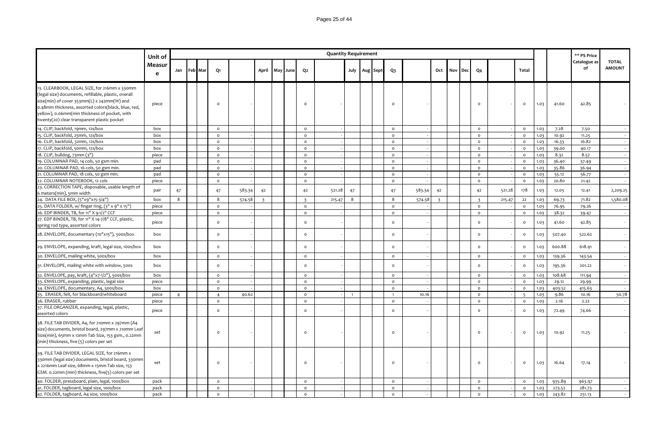|                                                                                                                                                                                                                                                                                                           | Unit of     |    |             |                |        |                |          |                | <b>Quantity Requirement</b> |                |                   |              |        |                |         |     |                         |        |                |      |        | ** PS Price        |                               |
|-----------------------------------------------------------------------------------------------------------------------------------------------------------------------------------------------------------------------------------------------------------------------------------------------------------|-------------|----|-------------|----------------|--------|----------------|----------|----------------|-----------------------------|----------------|-------------------|--------------|--------|----------------|---------|-----|-------------------------|--------|----------------|------|--------|--------------------|-------------------------------|
|                                                                                                                                                                                                                                                                                                           | Measur<br>e |    | Jan Feb Mar | Q1             |        | April          | May June | Q <sub>2</sub> |                             |                | July   Aug   Sept | $Q_3$        |        |                | Oct Nov | Dec | Q <sub>4</sub>          |        | Total          |      |        | Catalogue as<br>of | <b>TOTAL</b><br><b>AMOUNT</b> |
| 13. CLEARBOOK, LEGAL SIZE, for 216mm x 330mm<br>(legal size) documents, refillable, plastic, overall<br>size(min) of cover 353mm(L) x 242mm(W) and<br>0.48mm thickness, assorted colors(black, blue, red,<br>yellow), 0.06mm(min thickness of pocket, with<br>twenty(20) clear transparent plastic pocket | piece       |    |             | $\circ$        |        |                |          | $\circ$        |                             |                |                   | $\circ$      |        |                |         |     | $\circ$                 |        | $\circ$        | 1.03 | 41.60  | 42.85              |                               |
| 14. CLIP, backfold, 19mm, 12s/box                                                                                                                                                                                                                                                                         | box         |    |             | $\circ$        |        |                |          | $\circ$        |                             |                |                   | $\circ$      |        |                |         |     | $\circ$                 |        | $\circ$        | 1.03 | 7.28   | 7.50               |                               |
| 15. CLIP, backfold, 25mm, 12s/box                                                                                                                                                                                                                                                                         | box         |    |             | $\circ$        |        |                |          | $\mathsf{o}$   |                             |                |                   | $\circ$      |        |                |         |     | $\circ$                 |        | $\circ$        | 1.03 | 10.92  | 11.25              | $\sim$                        |
| 16. CLIP, backfold, 32mm, 12s/box                                                                                                                                                                                                                                                                         | box         |    |             | $\circ$        |        |                |          | $\circ$        |                             |                |                   | $\circ$      |        |                |         |     | $\circ$                 |        | $\circ$        | 1.03 | 16.33  | 16.82              | $\sim$                        |
| 17. CLIP, backfold, 50mm, 12s/box                                                                                                                                                                                                                                                                         | box         |    |             | $\mathsf{o}$   |        |                |          | $\circ$        |                             |                |                   | $\circ$      |        |                |         |     | $\circ$                 |        | $\circ$        | 1.03 | 39.00  | 40.17              | $\sim$                        |
| 18. CLIP, bulldog, 73mm (3")                                                                                                                                                                                                                                                                              | piece       |    |             | $\circ$        |        |                |          | $\Omega$       |                             |                |                   | $\circ$      |        |                |         |     | $\circ$                 |        | $\circ$        | 1.03 | 8.32   | 8.57               | $\sim$                        |
| 19. COLUMNAR PAD, 14 cols, 50 gsm min.                                                                                                                                                                                                                                                                    | pad         |    |             | $\mathsf{o}\,$ |        |                |          | $\circ$        |                             |                |                   | $\circ$      |        |                |         |     | $\mathsf{o}\xspace$     |        | $\mathsf{o}\,$ | 1.03 | 36.40  | 37.49              |                               |
| 20. COLUMNAR PAD, 16 cols, 50 gsm min.                                                                                                                                                                                                                                                                    | pad         |    |             | $\circ$        |        |                |          | $\circ$        |                             |                |                   | $\circ$      |        |                |         |     | $\circ$                 |        | $\circ$        | 1.03 | 35.86  | 36.94              | $\sim$                        |
| 21. COLUMNAR PAD, 18 cols, 50 gsm min.                                                                                                                                                                                                                                                                    | pad         |    |             | $\circ$        |        |                |          | $\circ$        |                             |                |                   | $\circ$      |        |                |         |     | $\circ$                 |        | $\circ$        | 1.03 | 55.12  | 56.77              | $\sim$                        |
| 22. COLUMNAR NOTEBOOK, 12 cols                                                                                                                                                                                                                                                                            | piece       |    |             | $\circ$        |        |                |          | $\circ$        |                             |                |                   | $\circ$      |        |                |         |     | $\circ$                 |        | $\circ$        | 1.03 | 20.80  | 21.42              | $\sim$                        |
| 23. CORRECTION TAPE, disposable, usable length of<br>6 meters(min), 5mm width                                                                                                                                                                                                                             | pair        | 47 |             | 47             | 583.34 | 42             |          | 42             | 521.28                      | 47             |                   | 47           | 583.34 | 42             |         |     | 42                      | 521.28 | 178            | 1.03 | 12.05  | 12.41              | 2,209.25                      |
| 24. DATA FILE BOX, (5"x9"x15-3/4")                                                                                                                                                                                                                                                                        | box         | 8  |             | 8              | 574.58 | $\overline{3}$ |          | $\overline{3}$ | 215.47                      | 8              |                   | 8            | 574.58 | $\overline{3}$ |         |     | $\overline{\mathbf{3}}$ | 215.47 | 22             | 1.03 | 69.73  | 71.82              | 1,580.08                      |
| 25. DATA FOLDER, w/ finger ring, (3" x 9" x 15")                                                                                                                                                                                                                                                          | piece       |    |             | $\circ$        |        |                |          | $\circ$        |                             |                |                   | $\circ$      |        |                |         |     | $\circ$                 |        | $\circ$        | 1.03 | 76.95  | 79.26              |                               |
| 26. EDP BINDER, TB, for 11" X 9-1/2" CCF                                                                                                                                                                                                                                                                  | piece       |    |             | $\circ$        |        |                |          | $\mathsf{o}$   |                             |                |                   | $\circ$      |        |                |         |     | $\circ$                 |        | $\mathsf{o}\,$ | 1.03 | 38.32  | 39.47              | $\sim$                        |
| 27. EDP BINDER, TB, for 11" X 14-7/8" CCF, plastic,<br>spring rod type, assorted colors                                                                                                                                                                                                                   | piece       |    |             | $\mathsf{o}\,$ |        |                |          | $\circ$        |                             |                |                   | $\circ$      |        |                |         |     | $\mathsf{o}\,$          |        | $\mathsf{o}\,$ | 1.03 | 41.60  | 42.85              |                               |
| 28. ENVELOPE, documentary (10"x15"), 500s/box                                                                                                                                                                                                                                                             | box         |    |             | $\circ$        |        |                |          | $\circ$        |                             |                |                   | $\circ$      |        |                |         |     | $\mathsf{o}\,$          |        | $\circ$        | 1.03 | 507.40 | 522.62             |                               |
| 29. ENVELOPE, expanding, kraft, legal size, 100s/box                                                                                                                                                                                                                                                      | box         |    |             | $\circ$        |        |                |          | $\circ$        |                             |                |                   | $\circ$      |        |                |         |     | $\circ$                 |        | $\mathsf{o}\,$ | 1.03 | 600.88 | 618.91             |                               |
| 30. ENVELOPE, mailing white, 500s/box                                                                                                                                                                                                                                                                     | box         |    |             | $\circ$        |        |                |          | $\circ$        |                             |                |                   | $\circ$      |        |                |         |     | $\circ$                 |        | $\circ$        | 1.03 | 139.36 | 143.54             | $\sim$                        |
| 31. ENVELOPE, mailing white with window, 500s                                                                                                                                                                                                                                                             | box         |    |             | $\circ$        |        |                |          | $\circ$        |                             |                |                   | $\circ$      |        |                |         |     | $\circ$                 |        | $\mathsf{o}\,$ | 1.03 | 195.36 | 201.22             |                               |
| 32. ENVELOPE, pay, kraft, (4"x7-1/2"), 500s/box                                                                                                                                                                                                                                                           | box         |    |             | $\circ$        |        |                |          | $\circ$        |                             |                |                   | $\circ$      |        |                |         |     | $\circ$                 |        | $\circ$        | 1.03 | 108.68 | 111.94             | $\sim$                        |
| 33. ENVELOPE, expanding, plastic, legal size                                                                                                                                                                                                                                                              | piece       |    |             | $\circ$        |        |                |          | $\circ$        |                             |                |                   | $\circ$      |        |                |         |     | $\circ$                 |        | $\circ$        | 1.03 | 29.12  | 29.99              |                               |
| 34. ENVELOPE, documentary, A4, 500s/box                                                                                                                                                                                                                                                                   | box         |    |             | $\circ$        |        |                |          | $\circ$        |                             |                |                   | $\circ$      |        |                |         |     | $\circ$                 |        | $\circ$        | 1.03 | 403.52 | 415.63             |                               |
| 35. ERASER, felt, for blackboard/whiteboard                                                                                                                                                                                                                                                               | piece       | 4  |             | $\overline{4}$ | 40.62  |                |          | $\circ$        |                             | $\overline{1}$ |                   | $\mathbf{1}$ | 10.16  |                |         |     | $\mathsf{o}\,$          |        | $\overline{5}$ | 1.03 | 9.86   | 10.16              | 50.78                         |
| 36. ERASER, rubber                                                                                                                                                                                                                                                                                        | piece       |    |             | $\circ$        |        |                |          | $\circ$        |                             |                |                   | $\circ$      |        |                |         |     | $\circ$                 |        | $\circ$        | 1.03 | 2.16   | 2.22               |                               |
| 37. FILE ORGANIZER, expanding, legal, plastic,<br>assorted colors                                                                                                                                                                                                                                         | piece       |    |             | $\circ$        |        |                |          | $\circ$        |                             |                |                   | $\circ$      |        |                |         |     | $\mathsf{o}\,$          |        | $\circ$        | 1.03 | 72.49  | 74.66              |                               |
| 38. FILE TAB DIVIDER, A4, for 210mm x 297mm (A4<br>size) documents, bristol board, 297mm x 210mm Leaf<br>Size(min), 65mm x 12mm Tab Size, 153 gsm., 0.22mm<br>(min) thickness, five (5) colors per set                                                                                                    | set         |    |             | $\circ$        |        |                |          | $\circ$        |                             |                |                   | $\circ$      |        |                |         |     | $\circ$                 |        | $\circ$        | 1.03 | 10.92  | 11.25              |                               |
| 39. FILE TAB DIVIDER, LEGAL SIZE, for 216mm x<br>330mm (legal size) documents, bristol board, 330mm<br>x 2216mm Leaf size, 68mm x 15mm Tab size, 153<br>GSM. 0.22mm (min) thickness, five(5) colors per set                                                                                               | set         |    |             | $\Omega$       |        |                |          | $\Omega$       |                             |                |                   | $\circ$      |        |                |         |     | $\Omega$                |        | $\circ$        | 1.03 | 16.64  | 17.14              |                               |
| 40. FOLDER, pressboard, plain, legal, 100s/box                                                                                                                                                                                                                                                            | pack        |    |             | $\circ$        |        |                |          | $\circ$        |                             |                |                   | $\circ$      |        |                |         |     | $\circ$                 |        | $\circ$        | 1.03 | 935.89 | 963.97             |                               |
| 41. FOLDER, tagboard, legal size, 100s/box                                                                                                                                                                                                                                                                | pack        |    |             | $\circ$        |        |                |          | $\circ$        |                             |                |                   | $\circ$      |        |                |         |     | $\circ$                 |        | $\Omega$       | 1.03 | 273.52 | 281.73             |                               |
| 42. FOLDER, tagboard, A4 size, 100s/box                                                                                                                                                                                                                                                                   | pack        |    |             | $\Omega$       |        |                |          | $\circ$        |                             |                |                   | $\Omega$     |        |                |         |     | $\circ$                 |        | $\circ$        | 1.03 | 243.82 | 251.13             | $\sim$                        |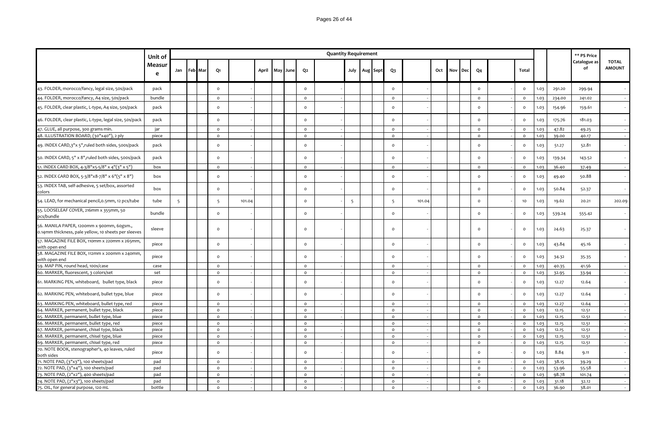|                                                             | Unit of     |             |          |        |                |  |          | <b>Quantity Requirement</b> |    |                   |         |        |             |         |          |      |        | ** PS Price        |                               |
|-------------------------------------------------------------|-------------|-------------|----------|--------|----------------|--|----------|-----------------------------|----|-------------------|---------|--------|-------------|---------|----------|------|--------|--------------------|-------------------------------|
|                                                             | Measur<br>e | Jan Feb Mar | Q1       |        | April May June |  | Q2       |                             |    | July   Aug   Sept | $Q_3$   |        | Oct Nov Dec | Q4      | Total    |      |        | Catalogue as<br>οf | <b>TOTAL</b><br><b>AMOUNT</b> |
| 43. FOLDER, morocco/fancy, legal size, 50s/pack             | pack        |             | $\Omega$ |        |                |  | $\Omega$ |                             |    |                   | $\circ$ |        |             | $\circ$ | $\Omega$ | 1.03 | 291.20 | 299.94             | $\sim$ $-$                    |
| 44. FOLDER, morocco/fancy, A4 size, 50s/pack                | bundle      |             | $\circ$  |        |                |  | $\circ$  |                             |    |                   | $\circ$ |        |             | $\circ$ | $\Omega$ | 1.03 | 234.00 | 241.02             | $\sim$                        |
| 45. FOLDER, clear plastic, L-type, A4 size, 50s/pack        | pack        |             | $\circ$  |        |                |  | $\circ$  |                             |    |                   | $\circ$ |        |             | $\circ$ | $\Omega$ | 1.03 | 154.96 | 159.61             | $\sim$ $-$                    |
| 46. FOLDER, clear plastic, L-type, legal size, 50s/pack     | pack        |             | $\circ$  |        |                |  | $\circ$  |                             |    |                   | $\circ$ |        |             | $\circ$ | $\Omega$ | 1.03 | 175.76 | 181.03             | $\sim$                        |
| 47. GLUE, all purpose, 300 grams min.                       | jar         |             | $\circ$  |        |                |  | $\circ$  |                             |    |                   | $\circ$ |        |             | $\circ$ | $\Omega$ | 1.03 | 47.82  | 49.25              | $\sim$                        |
| 48. ILLUSTRATION BOARD, (30"x40"), 2 ply                    | piece       |             | $\circ$  |        |                |  | $\circ$  |                             |    |                   | $\circ$ |        |             | $\circ$ | $\Omega$ | 1.03 | 39.00  | 40.17              |                               |
| 49. INDEX CARD,3"x 5", ruled both sides, 500s/pack          | pack        |             | $\circ$  |        |                |  | $\circ$  |                             |    |                   | $\circ$ |        |             | $\circ$ | $\Omega$ | 1.03 | 51.27  | 52.81              | $\sim$                        |
| 50. INDEX CARD, 5" x 8", ruled both sides, 500s/pack        | pack        |             | $\circ$  |        |                |  | $\circ$  |                             |    |                   | $\circ$ |        |             | $\circ$ | $\Omega$ | 1.03 | 139.34 | 143.52             | $\sim$                        |
| 51. INDEX CARD BOX, 4-3/8"x5-5/8" x 4"(3" x 5")             | box         |             | $\circ$  |        |                |  | $\circ$  |                             |    |                   | $\circ$ |        |             | $\circ$ | $\Omega$ | 1.03 | 36.40  | 37.49              | $\sim$                        |
| 52. INDEX CARD BOX, 5-3/8"x8-7/8" x 6"(5" x 8")             | box         |             | $\circ$  |        |                |  | $\circ$  |                             |    |                   | $\circ$ |        |             | $\circ$ | $\Omega$ | 1.03 | 49.40  | 50.88              | $\sim$ $-$                    |
| 53. INDEX TAB, self-adhesive, 5 set/box, assorted<br>colors | box         |             | $\circ$  |        |                |  | $\circ$  |                             |    |                   | $\circ$ |        |             | $\circ$ | $\Omega$ | 1.03 | 50.84  | 52.37              | $\sim$                        |
| 54. LEAD, for mechanical pencil, 0.5mm, 12 pcs/tube         | tube        |             | 5        | 101.04 |                |  | $\circ$  |                             | -5 |                   | 5       | 101.04 |             | $\circ$ | 10       | 1.03 | 19.62  | 20.21              | 202.09                        |
| 55. LOOSELEAF COVER, 216mm x 355mm, 50<br>pcs/bundle        | bundle      |             | $\circ$  |        |                |  | $\circ$  |                             |    |                   | $\circ$ |        |             | $\circ$ | $\circ$  | 1.03 | 539.24 | 555.42             |                               |
| 56. MANILA PAPER, 1200mm x 900mm, 60gsm.,                   | cloove      |             |          |        |                |  |          |                             |    |                   | $\sim$  |        |             | $\sim$  | $\sim$   | 1021 | 24.62  | 25.27              |                               |

| 55. LOOSELEAF COVER, 216mm x 355mm, 50<br>pcs/bundle                                              | bundle |  | $\Omega$ |  | $\Omega$ |  | $\Omega$ |  | $\Omega$ | $\Omega$ | 1.03 | 539.24 | 555.42 |  |
|---------------------------------------------------------------------------------------------------|--------|--|----------|--|----------|--|----------|--|----------|----------|------|--------|--------|--|
| 56. MANILA PAPER, 1200mm x 900mm, 60gsm.,<br>0.14mm thickness, pale yellow, 10 sheets per sleeves | sleeve |  | $\Omega$ |  | $\Omega$ |  | $\Omega$ |  | $\Omega$ | $\circ$  | 1.03 | 24.63  | 25.37  |  |
| 57. MAGAZINE FILE BOX, 110mm x 220mm x 265mm,<br>with open end                                    | piece  |  | $\Omega$ |  | $\Omega$ |  | $\Omega$ |  | $\Omega$ | $\circ$  | 1.03 | 43.84  | 45.16  |  |
| 58. MAGAZINE FILE BOX, 112mm x 200mm x 240mm,<br>with open end                                    | piece  |  | $\Omega$ |  | $\Omega$ |  | $\Omega$ |  | $\Omega$ | $\circ$  | 1.03 | 34.32  | 35.35  |  |
| 59. MAP PIN, round head, 100s/case                                                                | case   |  | $\circ$  |  | $\circ$  |  | $\Omega$ |  | $\circ$  | $\Omega$ | 1.03 | 40.35  | 41.56  |  |
| 60. MARKER, fluorescent, 3 colors/set                                                             | set    |  | $\Omega$ |  | $\Omega$ |  | $\Omega$ |  | $\circ$  | $\Omega$ | 1.03 | 32.95  | 33.94  |  |
| 61. MARKING PEN, whiteboard, bullet type, black                                                   | piece  |  | $\Omega$ |  | $\Omega$ |  | $\Omega$ |  | $\Omega$ | $\circ$  | 1.03 | 12.27  | 12.64  |  |
| 62. MARKING PEN, whiteboard, bullet type, blue                                                    | piece  |  | $\Omega$ |  | $\Omega$ |  | $\Omega$ |  | $\Omega$ | $\Omega$ | 1.03 | 12.27  | 12.64  |  |
| 63. MARKING PEN, whiteboard, bullet type, red                                                     | piece  |  | $\circ$  |  | $\circ$  |  | $\Omega$ |  | $\circ$  | $\Omega$ | 1.03 | 12.27  | 12.64  |  |
| 64. MARKER, permanent, bullet type, black                                                         | piece  |  | $\Omega$ |  | $\circ$  |  | $\Omega$ |  | $\circ$  | $\Omega$ | 1.03 | 12.15  | 12.51  |  |
| 65. MARKER, permanent, bullet type, blue                                                          | piece  |  | $\Omega$ |  | $\Omega$ |  | $\Omega$ |  | $\Omega$ | $\Omega$ | 1.03 | 12.15  | 12.51  |  |
| 66. MARKER, permanent, bullet type, red                                                           | piece  |  | $\Omega$ |  | $\circ$  |  | $\Omega$ |  | $\circ$  | $\Omega$ | 1.03 | 12.15  | 12.51  |  |
| 67. MARKER, permanent, chisel type, black                                                         | piece  |  | $\Omega$ |  | $\circ$  |  | $\Omega$ |  | $\circ$  | $\Omega$ | 1.03 | 12.15  | 12.51  |  |
| 68. MARKER, permanent, chisel type, blue                                                          | piece  |  | $\Omega$ |  | $\circ$  |  | $\Omega$ |  | $\circ$  | $\Omega$ | 1.03 | 12.15  | 12.51  |  |
| 69. MARKER, permanent, chisel type, red                                                           | piece  |  | $\Omega$ |  | $\circ$  |  | $\Omega$ |  | $\circ$  | $\Omega$ | 1.03 | 12.15  | 12.51  |  |
| 70. NOTE BOOK, stenographer's, 40 leaves, ruled<br>both sides                                     | piece  |  | $\Omega$ |  | $\Omega$ |  | $\Omega$ |  | $\Omega$ | $\circ$  | 1.03 | 8.84   | 9.11   |  |
| 71. NOTE PAD, (3"x3"), 100 sheets/pad                                                             | pad    |  | $\Omega$ |  | $\circ$  |  | $\Omega$ |  | $\circ$  | $\Omega$ | 1.03 | 38.15  | 39.29  |  |
| 72. NOTE PAD, (3"x4"), 100 sheets/pad                                                             | pad    |  | $\Omega$ |  | $\circ$  |  | $\Omega$ |  | $\circ$  | $\circ$  | 1.03 | 53.96  | 55.58  |  |
| 73. NOTE PAD, (2"x2"), 400 sheets/pad                                                             | pad    |  | $\circ$  |  | $\circ$  |  | $\Omega$ |  | $\circ$  | $\Omega$ | 1.03 | 98.78  | 101.74 |  |
| 74. NOTE PAD, (2"x3"), 100 sheets/pad                                                             | pad    |  | $\Omega$ |  | $\circ$  |  | $\Omega$ |  | $\circ$  | $\Omega$ | 1.03 | 31.18  | 32.12  |  |
| 75. OIL, for general purpose, 120 mL                                                              | bottle |  | $\Omega$ |  | $\Omega$ |  | $\Omega$ |  | $\Omega$ | $\Omega$ | 1.03 | 36.90  | 38.01  |  |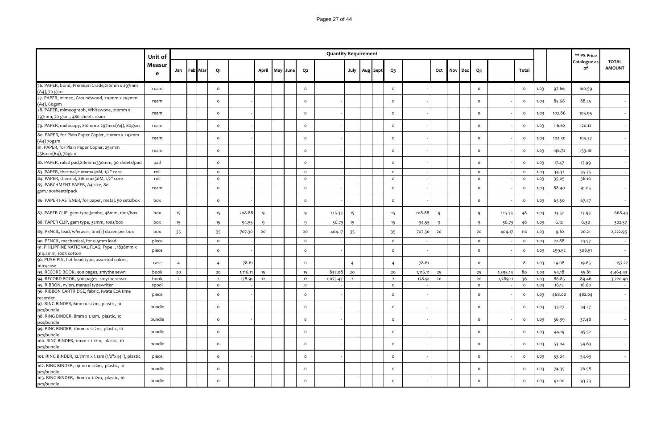|                                                                              | Unit of     |                |             |                 |          |       |          |                | <b>Quantity Requirement</b> |                |                   |                |          |          |     |     |              |          |              |      |        | ** PS Price        |                               |
|------------------------------------------------------------------------------|-------------|----------------|-------------|-----------------|----------|-------|----------|----------------|-----------------------------|----------------|-------------------|----------------|----------|----------|-----|-----|--------------|----------|--------------|------|--------|--------------------|-------------------------------|
|                                                                              | Measur<br>e |                | Jan Feb Mar | Q1              |          | April | May June | Q2             |                             |                | July   Aug   Sept | $Q_3$          |          | Oct      | Nov | Dec | Q4           |          | Total        |      |        | Catalogue as<br>of | <b>TOTAL</b><br><b>AMOUNT</b> |
| 76. PAPER, bond, Premium Grade, 210mm x 297mm<br>(A4), 70 gsm                | ream        |                |             | $\circ$         |          |       |          | $\mathsf{o}\,$ |                             |                |                   | $\mathsf{o}\,$ |          |          |     |     | $\circ$      |          | $\circ$      | 1.03 | 97.66  | 100.59             |                               |
| 77. PAPER, mimeo, Groundwood, 210mm x 297mm<br>(A4), 60gsm                   | ream        |                |             | $\circ$         |          |       |          | $\Omega$       |                             |                |                   | $\Omega$       |          |          |     |     | $\circ$      |          | $\circ$      | 1.03 | 85.68  | 88.25              |                               |
| 78. PAPER, mimeograph, Whitewove, 210mm x<br>297mm, 70 gsm., 480 sheets ream | ream        |                |             | $\circ$         |          |       |          | $\circ$        |                             |                |                   | $\circ$        |          |          |     |     | $\circ$      |          | $\circ$      | 1.03 | 102.86 | 105.95             |                               |
| 79. PAPER, multicopy, 210mm x 297mm(A4), 80gsm                               | ream        |                |             | $\circ$         |          |       |          | $\circ$        |                             |                |                   | $\mathsf{o}\,$ |          |          |     |     | $\circ$      |          | $\circ$      | 1.03 | 116.62 | 120.12             |                               |
| 80. PAPER, for Plain Paper Copier, 210mm x 297mm<br>(A4) 70gsm               | ream        |                |             | $\circ$         |          |       |          | $\circ$        |                             |                |                   | $\Omega$       |          |          |     |     | $\circ$      |          | $\circ$      | 1.03 | 102.30 | 105.37             |                               |
| 81. PAPER, for Plain Paper Copier, 254mm<br>356mm(B4), 70gsm                 | ream        |                |             | $\circ$         |          |       |          | $\mathsf{o}$   |                             |                |                   | $\circ$        |          |          |     |     | $\circ$      |          | $\circ$      | 1.03 | 148.72 | 153.18             |                               |
| 82. PAPER, ruled pad, 216mmx330mm, 90 sheets/pad                             | pad         |                |             | $\circ$         |          |       |          | $\circ$        |                             |                |                   | $\circ$        |          |          |     |     | $\circ$      |          | $\circ$      | 1.03 | 17.47  | 17.99              |                               |
| 83. PAPER, thermal, 210mmx30M, 1/2" core                                     | roll        |                |             | $\circ$         |          |       |          | $\circ$        |                             |                |                   | $\circ$        |          |          |     |     | $\mathsf{o}$ |          | $\circ$      | 1.03 | 34.32  | 35.35              |                               |
| 84. PAPER, thermal, 216mmx30M, 1/2" core                                     | roll        |                |             | $\circ$         |          |       |          | $\circ$        |                             |                |                   | $\circ$        |          |          |     |     | $\circ$      |          | $\circ$      | 1.03 | 35.05  | 36.10              |                               |
| 85. PARCHMENT PAPER, A4 size, 80<br>gsm,100sheets/pack                       | ream        |                |             | $\circ$         |          |       |          | $\circ$        |                             |                |                   | $\circ$        |          |          |     |     | $\circ$      |          | $\circ$      | 1.03 | 88.40  | 91.05              |                               |
| 86. PAPER FASTENER, for paper, metal, 50 sets/box                            | box         |                |             | $\circ$         |          |       |          | $\circ$        |                             |                |                   | $\circ$        |          |          |     |     | $\circ$      |          | $\circ$      | 1.03 | 65.50  | 67.47              |                               |
| 87. PAPER CLIP, gem type,jumbo, 48mm, 100s/box                               | box         | 15             |             | 15 <sub>1</sub> | 208.88   | 9     |          | 9              | 125.33                      | 15             |                   | 15             | 208.88   | 9        |     |     | -9           | 125.33   | 48           | 1.03 | 13.52  | 13.93              | 668.43                        |
| 88. PAPER CLIP, gem type, 32mm, 100s/box                                     | box         | 15             |             | 15              | 94.55    | 9     |          | 9              | 56.73                       | 15             |                   | 15             | 94.55    | $\Omega$ |     |     | 9            | 56.73    | 48           | 1.03 | 6.12   | 6.30               | 302.57                        |
| 89. PENCIL, lead, w/eraser, one(1) dozen per box                             | box         | 35             |             | 35              | 707.30   | 20    |          | 20             | 404.17                      | 35             |                   | 35             | 707.30   | 20       |     |     | 20           | 404.17   | 110          | 1.03 | 19.62  | 20.21              | 2,222.95                      |
| 90. PENCIL, mechanical, for 0.5mm lead                                       | piece       |                |             | $\circ$         |          |       |          | $\circ$        |                             |                |                   | $\circ$        |          |          |     |     | $\circ$      |          | $\circ$      | 1.03 | 22.88  | 23.57              |                               |
| 91. PHILIPPINE NATIONAL FLAG, Type I, 1828mm x<br>914.4mm, 100% cotton       | piece       |                |             | $\mathsf{o}\,$  |          |       |          | $\mathsf{o}\,$ |                             |                |                   | $\mathsf{o}\,$ |          |          |     |     | $\circ$      |          | $\circ$      | 1.03 | 299.52 | 308.51             |                               |
| 92. PUSH PIN, flat head type, assorted colors,<br>100s/case                  | case        | $\overline{4}$ |             | $\overline{4}$  | 78.61    |       |          | $\mathsf{o}\,$ |                             | $\overline{4}$ |                   | $\overline{4}$ | 78.61    |          |     |     | $\circ$      |          | 8            | 1.03 | 19.08  | 19.65              | 157.22                        |
| 93. RECORD BOOK, 300 pages, smythe sewn                                      | book        | 20             |             | 20              | 1,116.11 | 15    |          | 15             | 837.08                      | 20             |                   | 20             | 1,116.11 | 25       |     |     | 25           | 1,395.14 | 80           | 1.03 | 54.18  | 55.81              | 4,464.43                      |
| 94. RECORD BOOK, 500 pages, smythe sewn                                      | book        | $\overline{2}$ |             | $\overline{2}$  | 178.91   | 12    |          | 12             | 1,073.47                    | $\overline{2}$ |                   | $\overline{2}$ | 178.91   | 20       |     |     | 20           | 1,789.11 | 36           | 1.03 | 86.85  | 89.46              | 3,220.40                      |
| 95. RIBBON, nylon, manual typewriter                                         | spool       |                |             | $\circ$         |          |       |          | $\circ$        |                             |                |                   | $\circ$        |          |          |     |     | $\circ$      |          | $\circ$      | 1.03 | 16.12  | 16.60              |                               |
| 96. RIBBON CARTRIDGE, fabric, Iwata E2A time<br>recorder                     | piece       |                |             | $\Omega$        |          |       |          | $\circ$        |                             |                |                   | $\mathsf{o}\,$ |          |          |     |     | $\circ$      |          | $\circ$      | 1.03 | 468.00 | 482.04             |                               |
| 97. RING BINDER, 6mm x 1.12m, plastic, 10<br>pcs/bundle                      | bundle      |                |             | $\Omega$        |          |       |          | $\circ$        |                             |                |                   | $\circ$        |          |          |     |     | $\circ$      |          | $\circ$      | 1.03 | 33.27  | 34.27              |                               |
| 98. RING BINDER, 8mm x 1.12m, plastic, 10<br>pcs/bundle                      | bundle      |                |             | $\circ$         |          |       |          | $\circ$        |                             |                |                   | $\circ$        |          |          |     |     | $\circ$      |          | $\mathsf{o}$ | 1.03 | 36.39  | 37.48              |                               |
| 99. RING BINDER, 10mm x 1.12m, plastic, 10<br>pcs/bundle                     | bundle      |                |             | $\circ$         |          |       |          | $\circ$        |                             |                |                   | $\mathsf{o}\,$ |          |          |     |     | $\circ$      |          | $\mathsf{o}$ | 1.03 | 44.19  | 45.52              |                               |
| 100. RING BINDER, 11mm x 1.12m, plastic, 10<br>pcs/bundle                    | bundle      |                |             | $\circ$         |          |       |          | $\circ$        |                             |                |                   | $\circ$        |          |          |     |     | $\circ$      |          | $\circ$      | 1.03 | 53.04  | 54.63              |                               |
| 101. RING BINDER, 12.7mm x 1.12m (1/2"x44"), plastic                         | piece       |                |             | $\circ$         |          |       |          | $\Omega$       |                             |                |                   | $\circ$        |          |          |     |     | $\circ$      |          | $\circ$      | 1.03 | 53.04  | 54.63              |                               |
| 102. RING BINDER, 14mm x 1.12m, plastic, 10<br>pcs/bundle                    | bundle      |                |             | $\circ$         |          |       |          | $\circ$        |                             |                |                   | $\circ$        |          |          |     |     | $\circ$      |          | $\circ$      | 1.03 | 74.35  | 76.58              |                               |
| 103. RING BINDER, 16mm x 1.12m, plastic, 10<br>pcs/bundle                    | bundle      |                |             | $\Omega$        |          |       |          | $\Omega$       |                             |                |                   | $\Omega$       |          |          |     |     | $\circ$      |          | $\circ$      | 1.03 | 91.00  | 93.73              |                               |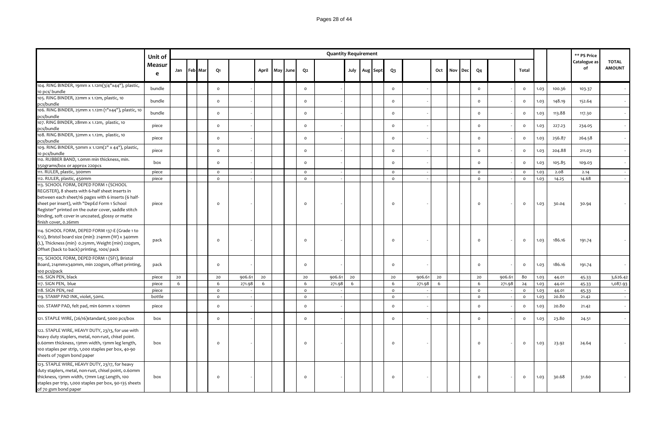|                                                                                                                                                                                                                                                                                                                                      | Unit of     |     |                |                |        |       |     |      |          | <b>Quantity Requirement</b> |    |                   |                |        |    |         |     |                |        |                |      |        | ** PS Price        |                               |
|--------------------------------------------------------------------------------------------------------------------------------------------------------------------------------------------------------------------------------------------------------------------------------------------------------------------------------------|-------------|-----|----------------|----------------|--------|-------|-----|------|----------|-----------------------------|----|-------------------|----------------|--------|----|---------|-----|----------------|--------|----------------|------|--------|--------------------|-------------------------------|
|                                                                                                                                                                                                                                                                                                                                      | Measur<br>e | Jan | <b>Feb</b> Mar | Q <sub>1</sub> |        | April | May | June | Q2       |                             |    | July   Aug   Sept | Q <sub>3</sub> |        |    | Oct Nov | Dec | Q <sub>4</sub> |        | Total          |      |        | Catalogue as<br>of | <b>TOTAL</b><br><b>AMOUNT</b> |
| 104. RING BINDER, 19mm x 1.12m(3/4"x44"), plastic,<br>10 pcs/ bundle                                                                                                                                                                                                                                                                 | bundle      |     |                | $\circ$        |        |       |     |      | $\circ$  |                             |    |                   | $\circ$        |        |    |         |     | $\circ$        |        | $\mathsf{o}\,$ | 1.03 | 100.36 | 103.37             |                               |
| 105. RING BINDER, 22mm x 1.12m, plastic, 10<br>pcs/bundle                                                                                                                                                                                                                                                                            | bundle      |     |                | $\circ$        |        |       |     |      | $\circ$  |                             |    |                   | $\circ$        |        |    |         |     | $\circ$        |        | $\mathsf{o}\,$ | 1.03 | 148.19 | 152.64             |                               |
| 106. RING BINDER, 25mm x 1.12m (1"x44"), plastic, 10<br>pcs/bundle                                                                                                                                                                                                                                                                   | bundle      |     |                | $\circ$        |        |       |     |      | $\circ$  |                             |    |                   | $\circ$        |        |    |         |     | $\circ$        |        | $\mathsf{o}\,$ | 1.03 | 113.88 | 117.30             |                               |
| 107. RING BINDER, 28mm x 1.12m, plastic, 10<br>pcs/bundle                                                                                                                                                                                                                                                                            | piece       |     |                | $\circ$        |        |       |     |      | $\circ$  |                             |    |                   | $\circ$        |        |    |         |     | $\circ$        |        | $\mathsf{o}\,$ | 1.03 | 227.23 | 234.05             |                               |
| 108. RING BINDER, 32mm x 1.12m, plastic, 10<br>pcs/bundle                                                                                                                                                                                                                                                                            | piece       |     |                | $\circ$        |        |       |     |      | $\circ$  |                             |    |                   | $\mathsf{o}\,$ |        |    |         |     | $\circ$        |        | $\mathsf{o}\,$ | 1.03 | 256.87 | 264.58             |                               |
| 109. RING BINDER, 50mm x 1.12m(2" x 44"), plastic,<br>10 pcs/bundle                                                                                                                                                                                                                                                                  | piece       |     |                | $\circ$        |        |       |     |      | $\circ$  |                             |    |                   | $\circ$        |        |    |         |     | $\circ$        |        | $\mathsf{o}\,$ | 1.03 | 204.88 | 211.03             |                               |
| 110. RUBBER BAND, 1.0mm min thickness, min.<br>350grams/box or approx 220pcs                                                                                                                                                                                                                                                         | box         |     |                | $\circ$        |        |       |     |      | $\circ$  |                             |    |                   | $\circ$        |        |    |         |     | $\circ$        |        | $\mathsf{o}\,$ | 1.03 | 105.85 | 109.03             |                               |
| 111. RULER, plastic, 300mm                                                                                                                                                                                                                                                                                                           | piece       |     |                | $\circ$        |        |       |     |      | $\circ$  |                             |    |                   | $\circ$        |        |    |         |     | $\circ$        |        | $\mathsf{o}\,$ | 1.03 | 2.08   | 2.14               |                               |
| 112. RULER, plastic, 450mm                                                                                                                                                                                                                                                                                                           | piece       |     |                | $\circ$        |        |       |     |      | $\circ$  |                             |    |                   | $\circ$        |        |    |         |     | $\circ$        |        | $\circ$        | 1.03 | 14.25  | 14.68              |                               |
| 113. SCHOOL FORM, DEPED FORM 1 (SCHOOL<br>REGISTER), 8 sheets with 6-half sheet inserts in<br>between each sheet/16 pages with 6 inserts (6 half-<br>sheet per insert), with "DepEd Form 1 School<br>Register" printed on the outer cover, saddle stitch<br>binding, soft cover in uncoated, glossy or matte<br>finish cover, 0.26mm | piece       |     |                | $\circ$        |        |       |     |      | $\circ$  |                             |    |                   | $\circ$        |        |    |         |     | $\circ$        |        | $\circ$        | 1.03 | 30.04  | 30.94              |                               |
| 114. SCHOOL FORM, DEPED FORM 137-E (Grade 1 to<br>K12), Bristol board size (min): 214mm (W) x 340mm<br>(L), Thickness (min) 0.25mm, Weight (min) 220gsm,<br>Offset (back to back) printing, 100s/ pack                                                                                                                               | pack        |     |                | $\circ$        |        |       |     |      | $\Omega$ |                             |    |                   | $\circ$        |        |    |         |     | $\circ$        |        | $\mathsf{o}\,$ | 1.03 | 186.16 | 191.74             |                               |
| 115. SCHOOL FORM, DEPED FORM 1 (SF1), Bristol<br>Board, 214mmx340mm, min 220gsm, offset printing,<br>100 pcs/pack                                                                                                                                                                                                                    | pack        |     |                | $\circ$        |        |       |     |      | $\circ$  |                             |    |                   | $\circ$        |        |    |         |     | $\circ$        |        | $\mathsf{o}\,$ | 1.03 | 186.16 | 191.74             |                               |
| 116. SIGN PEN, black                                                                                                                                                                                                                                                                                                                 | piece       | 20  |                | 20             | 906.61 | 20    |     |      | 20       | 906.61                      | 20 |                   | 20             | 906.61 | 20 |         |     | 20             | 906.61 | 80             | 1.03 | 44.01  | 45.33              | 3,626.42                      |
| 117. SIGN PEN, blue                                                                                                                                                                                                                                                                                                                  | piece       | 6   |                | 6              | 271.98 | 6     |     |      | 6        | 271.98                      | 6  |                   | 6              | 271.98 | 6  |         |     | 6              | 271.98 | 24             | 1.03 | 44.01  | 45.33              | 1,087.93                      |
| 118. SIGN PEN, red                                                                                                                                                                                                                                                                                                                   | piece       |     |                | $\circ$        |        |       |     |      | $\circ$  |                             |    |                   | $\circ$        |        |    |         |     | $\circ$        |        | $\circ$        | 1.03 | 44.01  | 45.33              |                               |
| 119. STAMP PAD INK, violet, 50mL                                                                                                                                                                                                                                                                                                     | bottle      |     |                | $\circ$        |        |       |     |      | $\circ$  |                             |    |                   | $\circ$        |        |    |         |     | $\circ$        |        | $\mathsf{o}\,$ | 1.03 | 20.80  | 21.42              |                               |
| 120. STAMP PAD, felt pad, min 60mm x 100mm                                                                                                                                                                                                                                                                                           | piece       |     |                | $\circ$        |        |       |     |      | $\Omega$ |                             |    |                   | $\mathsf{o}\,$ |        |    |         |     | $\circ$        |        | $\mathsf{o}\,$ | 1.03 | 20.80  | 21.42              |                               |
| 121. STAPLE WIRE, (26/16)standard, 5000 pcs/box                                                                                                                                                                                                                                                                                      | box         |     |                | $\circ$        |        |       |     |      | $\circ$  |                             |    |                   | $\mathsf{o}\,$ |        |    |         |     | $\circ$        |        | $\mathsf{o}\,$ | 1.03 | 23.80  | 24.51              |                               |
| 122. STAPLE WIRE, HEAVY DUTY, 23/13, for use with<br>heavy duty staplers, metal, non-rust, chisel point.<br>0.60mm thickness, 13mm width, 13mm leg length,<br>100 staples per strip, 1,000 staples per box, 40-90<br>sheets of 70gsm bond paper                                                                                      | box         |     |                | $\circ$        |        |       |     |      | $\circ$  |                             |    |                   | $\circ$        |        |    |         |     | $\circ$        |        | $\circ$        | 1.03 | 23.92  | 24.64              |                               |
| 123. STAPLE WIRE, HEAVY DUTY, 23/17, for heavy<br>duty staplers, metal, non-rust, chisel point, o.6omm<br>thickness, 13mm width, 17mm Leg Length, 100<br>staples per trip, 1,000 staples per box, 90-135 sheets<br>of 70 gsm bond paper                                                                                              | box         |     |                | $\circ$        |        |       |     |      | $\circ$  |                             |    |                   | $\circ$        |        |    |         |     | $\circ$        |        | $\circ$        | 1.03 | 30.68  | 31.60              |                               |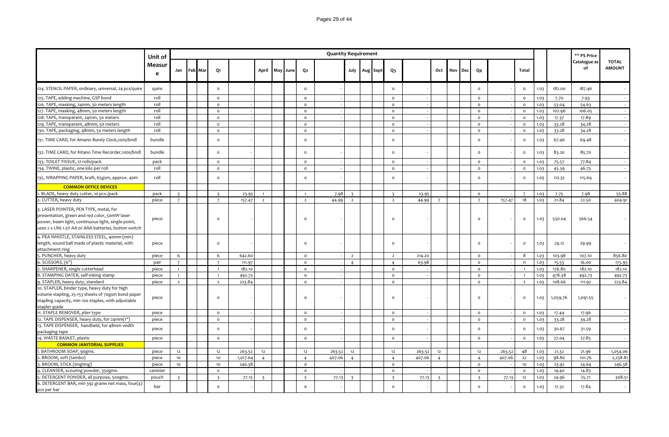|                                                                                                                                                                                                       | Unit of     |                |             |                         |          |                |     |      |                         | <b>Quantity Requirement</b> |                         |          |                     |        |                         |     |     |                |        |                |      |          | ** PS Price        |                               |
|-------------------------------------------------------------------------------------------------------------------------------------------------------------------------------------------------------|-------------|----------------|-------------|-------------------------|----------|----------------|-----|------|-------------------------|-----------------------------|-------------------------|----------|---------------------|--------|-------------------------|-----|-----|----------------|--------|----------------|------|----------|--------------------|-------------------------------|
|                                                                                                                                                                                                       | Measur<br>e |                | Jan Feb Mar | Q1                      |          | April          | May | June | Q2                      |                             | July                    | Aug Sept | Q <sub>3</sub>      |        | Oct                     | Nov | Dec | Q4             |        | Total          |      |          | Catalogue as<br>of | <b>TOTAL</b><br><b>AMOUNT</b> |
| 124. STENCIL PAPER, ordinary, universal, 24 pcs/quire                                                                                                                                                 | quire       |                |             | $\circ$                 |          |                |     |      | $\circ$                 |                             |                         |          | $\mathsf{o}\,$      |        |                         |     |     | $\circ$        |        | $\circ$        | 1.03 | 182.00   | 187.46             |                               |
| 125. TAPE, adding machine, GSP bond                                                                                                                                                                   | roll        |                |             | $\circ$                 |          |                |     |      | $\circ$                 |                             |                         |          | $\mathsf{o}\,$      |        |                         |     |     | $\circ$        |        | $\circ$        | 1.03 | 7.70     | 7.93               |                               |
| 126. TAPE, masking, 24mm, 50 meters length                                                                                                                                                            | roll        |                |             | $\circ$                 |          |                |     |      | $\circ$                 |                             |                         |          | $\circ$             |        |                         |     |     | $\circ$        |        | $\circ$        | 1.03 | 53.04    | 54.63              |                               |
| 127. TAPE, masking, 48mm, 50 meters length                                                                                                                                                            | roll        |                |             | $\circ$                 |          |                |     |      | $\circ$                 |                             |                         |          | $\circ$             |        |                         |     |     | $\circ$        |        | $\circ$        | 1.03 | 102.96   | 106.05             |                               |
| 128. TAPE, transparent, 24mm, 50 meters                                                                                                                                                               | roll        |                |             | $\circ$                 |          |                |     |      | $\circ$                 |                             |                         |          | $\mathsf{o}\xspace$ |        |                         |     |     | $\mathsf{o}$   |        | $\circ$        | 1.03 | 17.37    | 17.89              |                               |
| 129. TAPE, transparent, 48mm, 50 meters                                                                                                                                                               | roll        |                |             | $\circ$                 |          |                |     |      | $\circ$                 |                             |                         |          | $\circ$             |        |                         |     |     | $\circ$        |        | $\circ$        | 1.03 | 33.28    | 34.28              |                               |
| 130. TAPE, packaging, 48mm, 50 meters length                                                                                                                                                          | roll        |                |             | $\circ$                 |          |                |     |      | $\circ$                 |                             |                         |          | $\circ$             |        |                         |     |     | $\circ$        |        | $\circ$        | 1.03 | 33.28    | 34.28              |                               |
| 131. TIME CARD, for Amano Bundy Clock, 100s/bndl                                                                                                                                                      | bundle      |                |             | $\circ$                 |          |                |     |      | $\Omega$                |                             |                         |          | $\circ$             |        |                         |     |     | $\circ$        |        | $\circ$        | 1.03 | 67.46    | 69.48              |                               |
| 132. TIME CARD, for Kitano Time Recorder, 100s/bndl                                                                                                                                                   | bundle      |                |             | $\circ$                 |          |                |     |      | $\mathsf{o}\,$          |                             |                         |          | $\mathsf{o}\,$      |        |                         |     |     | $\circ$        |        | $\circ$        | 1.03 | 83.20    | 85.70              |                               |
| 133. TOILET TISSUE, 12 rolls/pack                                                                                                                                                                     | pack        |                |             | $\circ$                 |          |                |     |      | $\mathsf{o}$            |                             |                         |          | $\circ$             |        |                         |     |     | $\mathsf{o}$   |        | $\circ$        | 1.03 | 75.57    | 77.84              |                               |
| 134. TWINE, plastic, one kilo per roll                                                                                                                                                                | roll        |                |             | $\circ$                 |          |                |     |      | $\circ$                 |                             |                         |          | $\circ$             |        |                         |     |     | $\circ$        |        | $\circ$        | 1.03 | 45.39    | 46.75              |                               |
| 135. WRAPPING PAPER, kraft, 65gsm, approx. 40m                                                                                                                                                        | roll        |                |             | $\Omega$                |          |                |     |      | $\circ$                 |                             |                         |          | $\mathsf{o}\,$      |        |                         |     |     | $\circ$        |        | $\circ$        | 1.03 | 112.32   | 115.69             |                               |
| <b>COMMON OFFICE DEVICES</b>                                                                                                                                                                          |             |                |             |                         |          |                |     |      |                         |                             |                         |          |                     |        |                         |     |     |                |        |                |      |          |                    |                               |
| BLADE, heavy duty cutter, 10 pcs./pack                                                                                                                                                                | pack        | $\overline{3}$ |             | $\overline{3}$          | 23.95    | $\overline{1}$ |     |      | $\overline{1}$          | 7.98                        | $\overline{\mathbf{z}}$ |          | $\overline{z}$      | 23.95  |                         |     |     | $\circ$        |        | $\overline{7}$ | 1.03 | 7.75     | 7.98               | 55.88                         |
| 2. CUTTER, heavy duty                                                                                                                                                                                 | piece       | $\overline{7}$ |             | $\overline{7}$          | 157.47   | $\overline{2}$ |     |      | $\overline{2}$          | 44.99                       | $\overline{2}$          |          | $\overline{2}$      | 44.99  | $\overline{7}$          |     |     | $\overline{7}$ | 157.47 | 18             | 1.03 | 21.84    | 22.50              | 404.91                        |
| 3. LASER POINTER, PEN TYPE, metal, for<br>presentation, green and red color, 50mW laser<br>power, beam light, continuous light, single-point,<br>uses 2 x LR6 1.5V AA or AAA batteries, button switch | piece       |                |             | $\circ$                 |          |                |     |      | $\circ$                 |                             |                         |          | $\circ$             |        |                         |     |     | $\circ$        |        | $\circ$        | 1.03 | 550.04   | 566.54             |                               |
| 4. PEA WHISTLE, STAINLESS STEEL, 40mm (min)<br>length, sound ball made of plastic material, with<br>attachment ring                                                                                   | piece       |                |             | $\circ$                 |          |                |     |      | $\circ$                 |                             |                         |          | $\circ$             |        |                         |     |     | $\circ$        |        | $\circ$        | 1.03 | 29.12    | 29.99              |                               |
| 5. PUNCHER, heavy duty                                                                                                                                                                                | piece       | 6              |             | 6                       | 642.60   |                |     |      | $\mathsf{o}$            |                             | $\overline{2}$          |          | $\overline{2}$      | 214.20 |                         |     |     | $\circ$        |        | 8              | 1.03 | 103.98   | 107.10             | 856.80                        |
| 6. SCISSORS, (6")                                                                                                                                                                                     | pair        | $\overline{7}$ |             | $\overline{7}$          | 111.97   |                |     |      | $\circ$                 |                             | $\overline{4}$          |          | $\overline{4}$      | 63.98  |                         |     |     | $\circ$        |        | 11             | 1.03 | 15.53    | 16.00              | 175.95                        |
| SHARPENER, single cutterhead                                                                                                                                                                          | piece       | $\mathbf{1}$   |             | $\overline{1}$          | 182.10   |                |     |      | $\circ$                 |                             |                         |          | $\circ$             |        |                         |     |     | $\circ$        |        | $\overline{1}$ | 1.03 | 176.80   | 182.10             | 182.10                        |
| 8. STAMPING DATER, self-inking stamp                                                                                                                                                                  | piece       | $\mathbf{1}$   |             | $\overline{1}$          | 492.73   |                |     |      | $\mathsf{o}\,$          |                             |                         |          | $\mathsf{o}\,$      |        |                         |     |     | $\circ$        |        | $\overline{1}$ | 1.03 | 478.38   | 492.73             | 492.73                        |
| 9. STAPLER, heavy duty, standard                                                                                                                                                                      | piece       | $\overline{2}$ |             | $\overline{2}$          | 223.84   |                |     |      | $\mathsf{o}$            |                             |                         |          | $\circ$             |        |                         |     |     | $\mathsf{o}$   |        | $\overline{2}$ | 1.03 | 108.66   | 111.92             | 223.84                        |
| 10. STAPLER, binder type, heavy duty for high<br>volume stapling, 25-153 sheets of 70gsm bond paper<br>stapling capacity, min 100 staples, with adjustable<br>stapler guide                           | piece       |                |             | $\circ$                 |          |                |     |      | $\circ$                 |                             |                         |          | $\circ$             |        |                         |     |     | $\circ$        |        | $\circ$        | 1.03 | 1,059.76 | 1,091.55           |                               |
| 11. STAPLE REMOVER, plier type                                                                                                                                                                        | piece       |                |             | $\circ$                 |          |                |     |      | $\circ$                 |                             |                         |          | $\circ$             |        |                         |     |     | $\circ$        |        | $\circ$        | 1.03 | 17.44    | 17.96              |                               |
| 12. TAPE DISPENSER, heavy duty, for 24mm(1")                                                                                                                                                          | piece       |                |             | $\circ$                 |          |                |     |      | $\circ$                 |                             |                         |          | $\mathsf{o}\,$      |        |                         |     |     | $\mathsf{o}$   |        | $\circ$        | 1.03 | 33.28    | 34.28              |                               |
| 13. TAPE DISPENSER, handheld, for 48mm width<br>packaging tape                                                                                                                                        | piece       |                |             | $\circ$                 |          |                |     |      | $\circ$                 |                             |                         |          | $\mathsf{o}\,$      |        |                         |     |     | $\circ$        |        | $\circ$        | 1.03 | 30.67    | 31.59              |                               |
| 4. WASTE BASKET, plastic                                                                                                                                                                              | piece       |                |             | $\circ$                 |          |                |     |      | $\circ$                 |                             |                         |          | $\circ$             |        |                         |     |     | $\circ$        |        | $\circ$        | 1.03 | 27.04    | 27.85              |                               |
| <b>COMMON JANITORIAL SUPPLIES</b>                                                                                                                                                                     |             |                |             |                         |          |                |     |      |                         |                             |                         |          |                     |        |                         |     |     |                |        |                |      |          |                    |                               |
| BATHROOM SOAP, 90gms.                                                                                                                                                                                 | piece       | 12             |             | 12                      | 263.52   | 12             |     |      | 12                      | 263.5                       | 12                      |          | 12                  | 263.52 | 12                      |     |     | 12             | 263.52 | 48             | 1.03 | 21.32    | 21.96              | 1,054.06                      |
| . BROOM, soft (tambo)                                                                                                                                                                                 | piece       | 10             |             | 10                      | 1,017.64 | $\overline{4}$ |     |      | $\overline{4}$          | 407.06                      | $\overline{4}$          |          | $\overline{4}$      | 407.06 | $\overline{4}$          |     |     | $\overline{4}$ | 407.06 | 22             | 1.03 | 98.80    | 101.76             | 2,238.81                      |
| . BROOM, STICK (tingting)                                                                                                                                                                             | piece       | 10             |             | 10                      | 246.38   |                |     |      | $\circ$                 |                             |                         |          | $\circ$             |        |                         |     |     | $\circ$        |        | 10             | 1.03 | 23.92    | 24.64              | 246.38                        |
| . CLEANSER, scouring powder, 350gms.                                                                                                                                                                  | canister    |                |             | $\circ$                 |          |                |     |      | $\circ$                 |                             |                         |          | $\circ$             |        |                         |     |     | $\circ$        |        | $\circ$        | 1.03 | 14.40    | 14.83              |                               |
| . DETERGENT POWDER, all purpose, 500gms.                                                                                                                                                              | pouch       | $\overline{3}$ |             | $\overline{\mathbf{3}}$ | 77.13    | $\overline{3}$ |     |      | $\overline{\mathbf{3}}$ | 77.13                       | $\overline{3}$          |          | $\overline{3}$      | 77.13  | $\overline{\mathbf{z}}$ |     |     | $\overline{3}$ | 77.13  | 12             | 1.03 | 24.96    | 25.71              | 308.51                        |
| 6. DETERGENT BAR, min 392 grams net mass, four(4)<br>pcs per bar                                                                                                                                      | bar         |                |             | $\circ$                 |          |                |     |      | $\circ$                 |                             |                         |          | $\circ$             |        |                         |     |     | $\circ$        |        | $\circ$        | 1.03 | 17.32    | 17.84              |                               |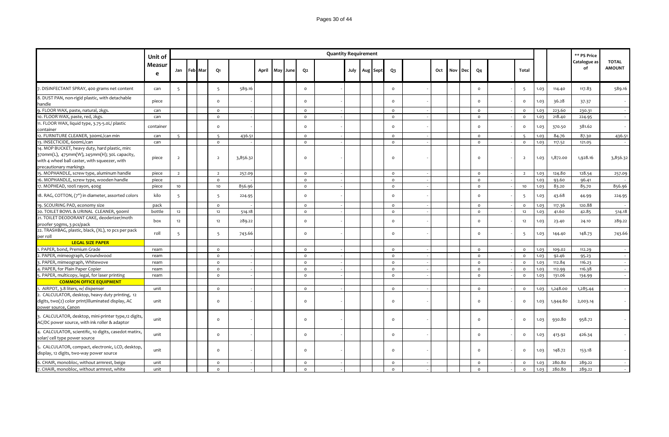|                                                                                                                                                                          | Unit of     |                |                |                |          |  |                |                | <b>Quantity Requirement</b> |      |          |          |     |     |            |                     |                |      |          | ** PS Price        |                               |
|--------------------------------------------------------------------------------------------------------------------------------------------------------------------------|-------------|----------------|----------------|----------------|----------|--|----------------|----------------|-----------------------------|------|----------|----------|-----|-----|------------|---------------------|----------------|------|----------|--------------------|-------------------------------|
|                                                                                                                                                                          | Measur<br>e | Jan            | <b>Feb</b> Mar | Q1             |          |  | April May June | Q <sub>2</sub> |                             | July | Aug Sept | $Q_3$    | Oct | Nov | <b>Dec</b> | Q <sub>4</sub>      | <b>Total</b>   |      |          | Catalogue as<br>of | <b>TOTAL</b><br><b>AMOUNT</b> |
| 7. DISINFECTANT SPRAY, 400 grams net content                                                                                                                             | can         | 5              |                | 5              | 589.16   |  |                | $\circ$        |                             |      |          | $\circ$  |     |     |            | $\mathsf{o}$        | 5              | 1.03 | 114.40   | 117.83             | 589.16                        |
| 8. DUST PAN, non-rigid plastic, with detachable<br>handle                                                                                                                | piece       |                |                | $\circ$        |          |  |                | $\mathsf{o}\,$ |                             |      |          | $\circ$  |     |     |            | $\circ$             | $\circ$        | 1.03 | 36.28    | 37.37              | $\sim$                        |
| 9. FLOOR WAX, paste, natural, 2kgs.                                                                                                                                      | can         |                |                | $\circ$        |          |  |                | $\circ$        |                             |      |          | $\circ$  |     |     |            | $\circ$             | $\circ$        | 1.03 | 223.60   | 230.31             | $\sim$                        |
| 10. FLOOR WAX, paste, red, 2kgs.                                                                                                                                         | can         |                |                | $\circ$        |          |  |                | $\mathsf{o}\,$ |                             |      |          | $\circ$  |     |     |            | $\mathsf{o}$        | $\circ$        | 1.03 | 218.40   | 224.95             |                               |
| 11. FLOOR WAX, liquid type, 3.75-5.0L/ plastic<br>container                                                                                                              | container   |                |                | $\circ$        |          |  |                | $\mathsf{o}\,$ |                             |      |          | $\circ$  |     |     |            | $\circ$             | $\circ$        | 1.03 | 370.50   | 381.62             |                               |
| 12. FURNITURE CLEANER, 300mL/can min                                                                                                                                     | can         | 5              |                | $5^{\circ}$    | 436.51   |  |                | $\circ$        |                             |      |          | $\circ$  |     |     |            | $\circ$             | $5^{\circ}$    | 1.03 | 84.76    | 87.30              | 436.51                        |
| 13. INSECTICIDE, 600mL/can                                                                                                                                               | can         |                |                | $\circ$        |          |  |                | $\circ$        |                             |      |          | $\circ$  |     |     |            | $\circ$             | $\circ$        | 1.03 | 117.52   | 121.05             | $\sim$                        |
| 14. MOP BUCKET, heavy duty, hard plastic, min:<br>370mm(L), 475mm(W), 245mm(H); 30L capacity,<br>with 4 wheel ball caster, with squeezer, with<br>precautionary markings | piece       | $\overline{2}$ |                | $\overline{2}$ | 3,856.32 |  |                | $\circ$        |                             |      |          | $\circ$  |     |     |            | $\circ$             | $\overline{2}$ | 1.03 | 1,872.00 | 1,928.16           | 3,856.32                      |
| 15. MOPHANDLE, screw type, aluminum handle                                                                                                                               | piece       | 2              |                | $\overline{2}$ | 257.09   |  |                | $\circ$        |                             |      |          | $\circ$  |     |     |            | $\circ$             | $\overline{2}$ | 1.03 | 124.80   | 128.54             | 257.09                        |
| 16. MOPHANDLE, screw type, wooden handle                                                                                                                                 | piece       |                |                | $\circ$        |          |  |                | $\circ$        |                             |      |          | $\circ$  |     |     |            | $\circ$             |                | 1.03 | 93.60    | 96.41              |                               |
| 17. MOPHEAD, 100% rayon, 400g                                                                                                                                            | piece       | 10             |                | 10             | 856.96   |  |                | $\circ$        |                             |      |          | $\circ$  |     |     |            | $\mathsf{o}$        | 10             | 1.03 | 83.20    | 85.70              | 856.96                        |
| 18. RAG, COTTON, (7") in diameter, assorted colors                                                                                                                       | kilo        | $\overline{5}$ |                | 5              | 224.95   |  |                | $\mathsf{o}\,$ |                             |      |          | $\circ$  |     |     |            | $\circ$             | 5              | 1.03 | 43.68    | 44.99              | 224.95                        |
| 19. SCOURING PAD, economy size                                                                                                                                           | pack        |                |                | $\circ$        |          |  |                | $\circ$        |                             |      |          | $\circ$  |     |     |            | $\circ$             | $\circ$        | 1.03 | 117.36   | 120.88             |                               |
| 20. TOILET BOWL & URINAL CLEANER, 900ml                                                                                                                                  | bottle      | 12             |                | 12             | 514.18   |  |                | $\circ$        |                             |      |          | $\circ$  |     |     |            | $\circ$             | 12             | 1.03 | 41.60    | 42.85              | 514.18                        |
| 21. TOILET DEODORANT CAKE, deoderizer/moth<br>proofer 50gms, 3 pcs/pack                                                                                                  | box         | 12             |                | 12             | 289.22   |  |                | $\circ$        |                             |      |          | $\circ$  |     |     |            | $\circ$             | 12             | 1.03 | 23.40    | 24.10              | 289.22                        |
| 22. TRASHBAG, plastic, black, (XL), 10 pcs per pack<br>per roll                                                                                                          | roll        | 5              |                | 5              | 743.66   |  |                | $\mathsf{o}\,$ |                             |      |          | $\Omega$ |     |     |            | $\mathsf{o}$        | 5              | 1.03 | 144.40   | 148.73             | 743.66                        |
| <b>LEGAL SIZE PAPER</b>                                                                                                                                                  |             |                |                |                |          |  |                |                |                             |      |          |          |     |     |            |                     |                |      |          |                    |                               |
| 1. PAPER, bond, Premium Grade                                                                                                                                            | ream        |                |                | $\circ$        |          |  |                | $\circ$        |                             |      |          | $\circ$  |     |     |            | $\circ$             | $\circ$        | 1.03 | 109.02   | 112.29             | $\sim$                        |
| 2. PAPER, mimeograph, Groundwood                                                                                                                                         | ream        |                |                | $\circ$        |          |  |                | $\circ$        |                             |      |          | $\circ$  |     |     |            | $\mathsf{o}\xspace$ | $\circ$        | 1.03 | 92.46    | 95.23              | $\sim$                        |
| 3. PAPER, mimeograph, Whitewove                                                                                                                                          | ream        |                |                | $\circ$        |          |  |                | $\circ$        |                             |      |          | $\circ$  |     |     |            | $\circ$             | $\circ$        | 1.03 | 112.84   | 116.23             | $\sim$                        |
| 4. PAPER, for Plain Paper Copier                                                                                                                                         | ream        |                |                | $\circ$        |          |  |                | $\circ$        |                             |      |          | $\circ$  |     |     |            | $\circ$             | $\mathsf{o}$   | 1.03 | 112.99   | 116.38             | $\sim$                        |
| 5. PAPER, multicopy, legal, for laser printing                                                                                                                           | ream        |                |                | $\circ$        |          |  |                | $\circ$        |                             |      |          | $\circ$  |     |     |            | $\circ$             | $\circ$        | 1.03 | 131.06   | 134.99             | $\sim$                        |
| <b>COMMON OFFICE EQUIPMENT</b>                                                                                                                                           |             |                |                |                |          |  |                |                |                             |      |          |          |     |     |            |                     |                |      |          |                    |                               |
| 1. AIRPOT, 3.8 liters, w/ dispenser                                                                                                                                      | unit        |                |                | $\circ$        |          |  |                | $\circ$        |                             |      |          | $\circ$  |     |     |            | $\circ$             | $\circ$        | 1.03 | 1,248.00 | 1,285.44           | $\sim$                        |
| 2. CALCULATOR, desktop, heavy duty printing, 12<br>digits, two(2) color print/illuminated display, AC<br>power source, Canon                                             | unit        |                |                | $\Omega$       |          |  |                | $\circ$        |                             |      |          | $\Omega$ |     |     |            | $\circ$             | $\circ$        | 1.03 | 1,944.80 | 2,003.14           |                               |
| 3. CALCULATOR, desktop, mini-printer type,12 digits,<br>AC/DC power source, with ink roller & adaptor                                                                    | unit        |                |                | $\circ$        |          |  |                | $\mathsf{o}\,$ |                             |      |          | $\circ$  |     |     |            | $\mathsf{o}\,$      | $\circ$        | 1.03 | 930.80   | 958.72             |                               |
| 4. CALCULATOR, scientific, 10 digits, casedot matirx,<br>solar/ cell type power source                                                                                   | unit        |                |                | $\circ$        |          |  |                | $\mathsf{o}\,$ |                             |      |          | $\circ$  |     |     |            | $\circ$             | $\circ$        | 1.03 | 413.92   | 426.34             |                               |
| 5. CALCULATOR, compact, electronic, LCD, desktop,<br>display, 12 digits, two-way power source                                                                            | unit        |                |                | $\circ$        |          |  |                | $\circ$        |                             |      |          | $\circ$  |     |     |            | $\circ$             | $\circ$        | 1.03 | 148.72   | 153.18             |                               |
| 6. CHAIR, monobloc, without armrest, beige                                                                                                                               | unit        |                |                | $\circ$        |          |  |                | $\circ$        |                             |      |          | $\circ$  |     |     |            | $\circ$             | $\circ$        | 1.03 | 280.80   | 289.22             |                               |
| 7. CHAIR, monobloc, without armrest, white                                                                                                                               | unit        |                |                | $\Omega$       |          |  |                | $\Omega$       |                             |      |          | $\circ$  |     |     |            | $\Omega$            | $\circ$        | 1.03 | 280.80   | 289.22             |                               |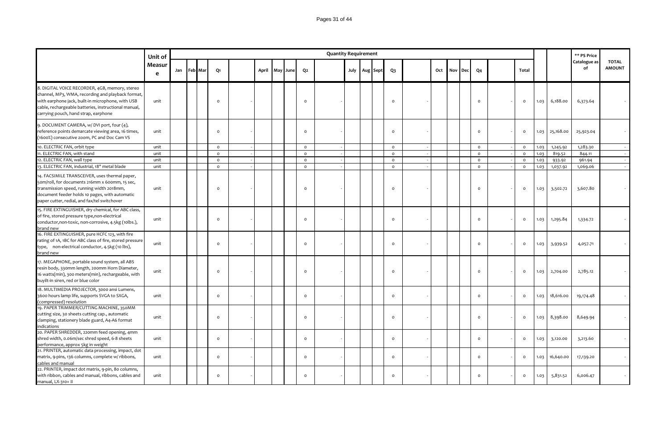|                                                                                                                                                                                                                                                          | Unit of                |             |          |       |     |      |                | <b>Quantity Requirement</b> |  |               |                     |     |     |            |              |          |      |           | ** PS Price        |                               |
|----------------------------------------------------------------------------------------------------------------------------------------------------------------------------------------------------------------------------------------------------------|------------------------|-------------|----------|-------|-----|------|----------------|-----------------------------|--|---------------|---------------------|-----|-----|------------|--------------|----------|------|-----------|--------------------|-------------------------------|
|                                                                                                                                                                                                                                                          | Measur<br>$\mathbf{e}$ | Jan Feb Mar | Q1       | April | May | June | Q <sub>2</sub> |                             |  | July Aug Sept | Q <sub>3</sub>      | Oct | Nov | <b>Dec</b> | Q4           | Total    |      |           | Catalogue as<br>of | <b>TOTAL</b><br><b>AMOUNT</b> |
| 8. DIGITAL VOICE RECORDER, 4GB, memory, stereo<br>channel, MP3, WMA, recording and playback format,<br>with earphone jack, built-in microphone, with USB<br>cable, rechargeable batteries, instructional manual,<br>carrying pouch, hand strap, earphone | unit                   |             | $\Omega$ |       |     |      | $\Omega$       |                             |  |               | $\circ$             |     |     |            | $\circ$      | $\circ$  | 1.03 | 6,188.00  | 6,373.64           |                               |
| 9. DOCUMENT CAMERA, w/ DVI port, four (4),<br>reference points demarcate viewing area, 16 times,<br>(1600%) consecutive zoom, PC and Doc Cam VS                                                                                                          | unit                   |             | $\circ$  |       |     |      | $\Omega$       |                             |  |               | $\circ$             |     |     |            | $\circ$      | $\circ$  | 1.03 | 25,168.00 | 25,923.04          |                               |
| 10. ELECTRIC FAN, orbit type                                                                                                                                                                                                                             | unit                   |             | $\circ$  |       |     |      | $\circ$        |                             |  |               | $\circ$             |     |     |            | $\circ$      | $\circ$  | 1.03 | 1,245.92  | 1,283.30           |                               |
| 11. ELECTRIC FAN, with stand                                                                                                                                                                                                                             | unit                   |             | $\circ$  |       |     |      | $\circ$        |                             |  |               | $\circ$             |     |     |            | $\circ$      | $\circ$  | 1.03 | 819.52    | 844.11             |                               |
| 12. ELECTRIC FAN, wall type                                                                                                                                                                                                                              | unit                   |             | $\circ$  |       |     |      | $\circ$        |                             |  |               | $\mathsf{o}\xspace$ |     |     |            | $\circ$      | $\circ$  | 1.03 | 933.92    | 961.94             |                               |
| 13. ELECTRIC FAN, industrial, 18" metal blade                                                                                                                                                                                                            | unit                   |             | $\circ$  |       |     |      | $\circ$        |                             |  |               | $\circ$             |     |     |            | $\circ$      | $\circ$  | 1.03 | 1,037.92  | 1,069.06           |                               |
| 14. FACSIMILE TRANSCEIVER, uses thermal paper,<br>50m/roll, for documents 216mm x 600mm, 15 sec,<br>transmission speed, running width 2018mm,<br>document feeder holds 10 pages, with automatic<br>paper cutter, redial, and fax/tel switchover          | unit                   |             | $\circ$  |       |     |      | $\circ$        |                             |  |               | $\circ$             |     |     |            | $\circ$      | $\circ$  | 1.03 | 3,502.72  | 3,607.80           |                               |
| 15. FIRE EXTINGUISHER, dry chemical, for ABC class,<br>of fire, stored pressure type, non-electrical<br>conductor, non-toxic, non-corrosive, 4.5kg (10lbs.),<br>brand new                                                                                | unit                   |             | $\Omega$ |       |     |      | $\Omega$       |                             |  |               | $\circ$             |     |     |            | $\circ$      | $\circ$  | 1.03 | 1,295.84  | 1,334.72           |                               |
| 16. FIRE EXTINGUISHER, pure HCFC 123, with fire<br>rating of 1A, 1BC for ABC class of fire, stored pressure<br>type, non-electrical conductor, 4.5kg (10 lbs),<br>brand new                                                                              | unit                   |             | $\circ$  |       |     |      | $\Omega$       |                             |  |               | $\circ$             |     |     |            | $\circ$      | $\circ$  | 1.03 | 3,939.52  | 4,057.71           |                               |
| 17. MEGAPHONE, portable sound system, all ABS<br>resin body, 330mm length, 200mm Horn Diameter,<br>16 watts(min), 300 meters(min), rechargeable, with<br>buyilt-in siren, red or blue color                                                              | unit                   |             | $\circ$  |       |     |      | $\circ$        |                             |  |               | $\circ$             |     |     |            | $\circ$      | $\circ$  | 1.03 | 2,704.00  | 2,785.12           |                               |
| 18. MULTIMEDIA PROJECTOR, 3000 ansi Lumens,<br>3600 hours lamp life, supports SVGA to SXGA,<br>(compressed) resolution                                                                                                                                   | unit                   |             | $\circ$  |       |     |      | $\Omega$       |                             |  |               | $\mathsf{o}$        |     |     |            | $\circ$      | $\circ$  | 1.03 | 18,616.00 | 19,174.48          |                               |
| 19. PAPER TRIMMER/CUTTING MACHINE, 350MM<br>cutting size, 30 sheets cutting cap., automatic<br>clamping, stationery blade guard, A4-A6 format<br>indications                                                                                             | unit                   |             | $\circ$  |       |     |      | $\Omega$       |                             |  |               | $\circ$             |     |     |            | $\mathsf{o}$ | $\circ$  | 1.03 | 8,398.00  | 8,649.94           |                               |
| 20. PAPER SHREDDER, 220mm feed opening, 4mm<br>shred width, 0.06m/sec shred speed, 6-8 sheets<br>performance, approx 5kg in weight                                                                                                                       | unit                   |             | $\circ$  |       |     |      | $\Omega$       |                             |  |               | $\circ$             |     |     |            | $\circ$      | $\circ$  | 1.03 | 3,120.00  | 3,213.60           |                               |
| 21. PRINTER, automatic data processing, impact, dot<br>matrix, 9-pins, 136 columns, complete w/ ribbons,<br>cables and manual                                                                                                                            | unit                   |             | $\circ$  |       |     |      | $\Omega$       |                             |  |               | $\circ$             |     |     |            | $\circ$      | $\circ$  | 1.03 | 16,640.00 | 17,139.20          |                               |
| 22. PRINTER, impact dot matrix, 9-pin, 80 columns,<br>with ribbon, cables and manual, ribbons, cables and<br>manual, LX-310+ II                                                                                                                          | unit                   |             | $\circ$  |       |     |      | $\Omega$       |                             |  |               | $\circ$             |     |     |            | $\Omega$     | $\Omega$ | 1.03 | 5,831.52  | 6,006.47           |                               |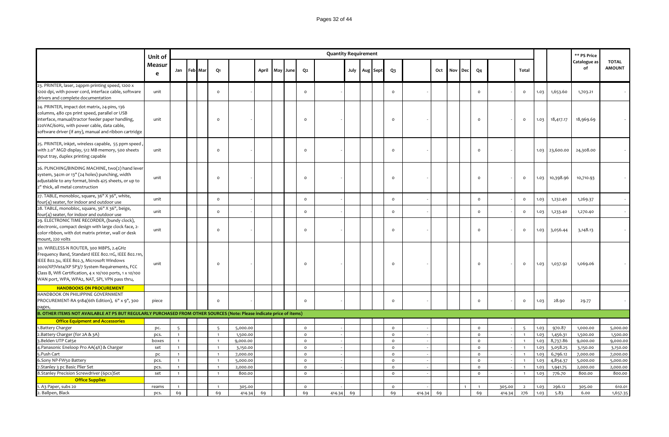|                                                                                                                                                                                                                                                                                                                | Unit of     |                                  |         |                                  |                      |       |     |      |                         | <b>Quantity Requirement</b> |      |          |                                            |        |     |     |            |                         |        |                                  |              |                      | ** PS Price          |                               |
|----------------------------------------------------------------------------------------------------------------------------------------------------------------------------------------------------------------------------------------------------------------------------------------------------------------|-------------|----------------------------------|---------|----------------------------------|----------------------|-------|-----|------|-------------------------|-----------------------------|------|----------|--------------------------------------------|--------|-----|-----|------------|-------------------------|--------|----------------------------------|--------------|----------------------|----------------------|-------------------------------|
|                                                                                                                                                                                                                                                                                                                | Measur<br>e | Jan                              | Feb Mar | Q1                               |                      | April | May | June | Q <sub>2</sub>          |                             | July | Aug Sept | Q3                                         |        | Oct | Nov | <b>Dec</b> | Q4                      |        | Total                            |              |                      | Catalogue as<br>of   | <b>TOTAL</b><br><b>AMOUNT</b> |
| 23. PRINTER, laser, 24ppm printing speed, 1200 x<br>1200 dpi, with power cord, interface cable, software<br>drivers and complete documentation                                                                                                                                                                 | unit        |                                  |         | $\circ$                          |                      |       |     |      | $\Omega$                |                             |      |          | $\circ$                                    |        |     |     |            | $\circ$                 |        | $\circ$                          | 1.03         | 1,653.60             | 1,703.21             |                               |
| 24. PRINTER, impact dot matrix, 24-pins, 136<br>columns, 480 cps print speed, parallel or USB<br>interface, manual/tractor feeder paper handling,<br>220VAC/60Hz, with power cable, data cable,<br>software driver (if any), manual and ribbon cartridge                                                       | unit        |                                  |         | $\Omega$                         |                      |       |     |      | $\Omega$                |                             |      |          | $\Omega$                                   |        |     |     |            | $\circ$                 |        | $\circ$                          | 1.03         | 18,417.17            | 18,969.69            |                               |
| 25. PRINTER, inkjet, wireless capable, 55 ppm speed<br>with 2.0" MGD display, 512 MB memory, 500 sheets<br>input tray, duplex printing capable                                                                                                                                                                 | unit        |                                  |         | $\circ$                          |                      |       |     |      | $\Omega$                |                             |      |          | $\circ$                                    |        |     |     |            | $\circ$                 |        |                                  | 1.03         | 23,600.00            | 24,308.00            |                               |
| 26. PUNCHING/BINDING MACHINE, two(2) hand lever<br>system, 34cm or 13" (24 holes) punching, width<br>adjustable to any format, binds 425 sheets, or up to<br>2" thick, all metal construction                                                                                                                  | unit        |                                  |         | $\circ$                          |                      |       |     |      | $\circ$                 |                             |      |          | $\circ$                                    |        |     |     |            | $\circ$                 |        | $\circ$                          | 1.03         | 10,398.96            | 10,710.93            |                               |
| 27. TABLE, monobloc, square, 36" X 36", white,<br>four(4) seater, for indoor and outdoor use                                                                                                                                                                                                                   | unit        |                                  |         | $\circ$                          |                      |       |     |      | $\circ$                 |                             |      |          | $\mathsf{o}$                               |        |     |     |            | $\circ$                 |        | $\circ$                          | 1.03         | 1,232.40             | 1,269.37             |                               |
| 28. TABLE, monobloc, square, 36" X 36", beige,<br>four(4) seater, for indoor and outdoor use                                                                                                                                                                                                                   | unit        |                                  |         | $\circ$                          |                      |       |     |      | $\Omega$                |                             |      |          | $\mathsf{o}\xspace$                        |        |     |     |            | $\circ$                 |        | $\circ$                          | 1.03         | 1,233.40             | 1,270.40             |                               |
| 29. ELECTRONIC TIME RECORDER, (bundy clock),<br>electronic, compact design with large clock face, 2-<br>color ribbon, with dot matrix printer, wall or desk<br>mount, 220 volts                                                                                                                                | unit        |                                  |         | $\circ$                          |                      |       |     |      | $\Omega$                |                             |      |          | $\circ$                                    |        |     |     |            | $\circ$                 |        | $\circ$                          | 1.03         | 3,056.44             | 3,148.13             |                               |
| 30. WIRELESS-N ROUTER, 300 MBPS, 2.4GHz<br>Frequency Band, Standard IEEE 802.11G, IEEE 802.11n,<br>IEEE 802.3u, IEEE 802.3, Microsoft Windows<br>2000/XP/Vista/XP SP3/7 System Requirements, FCC<br>Class B, Wifi Certification, 4 x 10/100 ports, 1 x 10/100<br>WAN port, WPA, WPA2, NAT, SPI, VPN pass thru, | unit        |                                  |         | $\circ$                          |                      |       |     |      | $\circ$                 |                             |      |          | $\circ$                                    |        |     |     |            | $\circ$                 |        | $\mathbf 0$                      | 1.03         | 1,037.92             | 1,069.06             |                               |
| <b>HANDBOOKS ON PROCUREMENT</b>                                                                                                                                                                                                                                                                                |             |                                  |         |                                  |                      |       |     |      |                         |                             |      |          |                                            |        |     |     |            |                         |        |                                  |              |                      |                      |                               |
| HANDBOOK ON PHILIPPINE GOVERNMENT<br>PROCUREMENT-RA 9184(6th Edition), 6" x 9", 300                                                                                                                                                                                                                            | piece       |                                  |         | $\circ$                          |                      |       |     |      | $\Omega$                |                             |      |          | $\mathsf{o}$                               |        |     |     |            | $\mathsf{o}$            |        | $\circ$                          | 1.03         | 28.90                | 29.77                |                               |
|                                                                                                                                                                                                                                                                                                                |             |                                  |         |                                  |                      |       |     |      |                         |                             |      |          |                                            |        |     |     |            |                         |        |                                  |              |                      |                      |                               |
| <b>Office Equipment and Accessories</b>                                                                                                                                                                                                                                                                        |             |                                  |         |                                  |                      |       |     |      |                         |                             |      |          |                                            |        |     |     |            |                         |        |                                  |              |                      |                      |                               |
| 1. Battery Charger                                                                                                                                                                                                                                                                                             | pc.         | 5                                |         | 5                                | 5,000.00             |       |     |      | $\circ$                 |                             |      |          | $\mathsf{o}\xspace$                        |        |     |     |            | $\circ$                 |        | $\overline{5}$                   | 1.03         | 970.87               | 1,000.00             | 5,000.00                      |
| 2. Battery Charger (for 2A & 3A)                                                                                                                                                                                                                                                                               | pcs.        | $\overline{1}$                   |         | $\mathbf{1}$                     | 1,500.00             |       |     |      | $\circ$                 |                             |      |          | $\circ$                                    |        |     |     |            | $\circ$                 |        | $\overline{1}$                   | 1.03         | 1,456.31             | 1,500.00             | 1,500.00                      |
| 3. Belden UTP Cat5e                                                                                                                                                                                                                                                                                            | boxes       | $\overline{1}$                   |         | $\overline{1}$                   | 9,000.00             |       |     |      | $\circ$                 |                             |      |          | $\circ$                                    |        |     |     |            | $\circ$                 |        | $\mathbf{1}$                     | 1.03         | 8,737.86             | 9,000.00             | 9,000.00                      |
| 4. Panasonic Eneloop Pro AA(4X) & Charger                                                                                                                                                                                                                                                                      | set         | $\overline{1}$                   |         | $\overline{1}$                   | 3,150.00             |       |     |      | $\circ$                 |                             |      |          | $\circ$                                    |        |     |     |            | $\circ$                 |        | $\overline{1}$                   | 1.03         | 3,058.25             | 3,150.00             | 3,150.00                      |
| 5.Push Cart<br>6.Sony NP-FW50 Battery                                                                                                                                                                                                                                                                          | pc<br>pcs.  | $\overline{1}$<br>$\overline{1}$ |         | $\overline{1}$<br>$\overline{1}$ | 7,000.00<br>5,000.00 |       |     |      | $\mathsf{o}$<br>$\circ$ |                             |      |          | $\mathsf{o}\xspace$<br>$\mathsf{o}\xspace$ |        |     |     |            | $\circ$<br>$\mathsf{o}$ |        | $\overline{1}$<br>$\overline{1}$ | 1.03<br>1.03 | 6,796.12<br>4,854.37 | 7,000.00<br>5,000.00 | 7,000.00<br>5,000.00          |
| 7. Stanley 3 pc Basic Plier Set                                                                                                                                                                                                                                                                                | pcs.        | $\overline{1}$                   |         | $\overline{1}$                   | 2,000.00             |       |     |      | $\circ$                 |                             |      |          | $\circ$                                    |        |     |     |            | $\circ$                 |        | $\overline{1}$                   | 1.03         | 1,941.75             | 2,000.00             | 2,000.00                      |
| 8. Stanley Precision Screwdriver (6pcs) Set                                                                                                                                                                                                                                                                    | set         | $\overline{1}$                   |         | $\overline{1}$                   | 800.00               |       |     |      | $\circ$                 |                             |      |          | $\circ$                                    |        |     |     |            | $\circ$                 |        | $\overline{1}$                   | 1.03         | 776.70               | 800.00               | 800.00                        |
| <b>Office Supplies</b>                                                                                                                                                                                                                                                                                         |             |                                  |         |                                  |                      |       |     |      |                         |                             |      |          |                                            |        |     |     |            |                         |        |                                  |              |                      |                      |                               |
| 1. A3 Paper, subs 20                                                                                                                                                                                                                                                                                           | reams       | $\overline{1}$                   |         | $\overline{1}$                   | 305.00               |       |     |      | $\circ$                 |                             |      |          | $\mathsf{o}$                               |        |     |     |            | $\overline{1}$          | 305.00 | $\overline{2}$                   | 1.03         | 296.12               | 305.00               | 610.01                        |
| 2. Ballpen, Black                                                                                                                                                                                                                                                                                              | pcs.        | 69                               |         | 69                               | 414.34               | 69    |     |      | 69                      | 414.34                      | 69   |          | 69                                         | 414.34 | 69  |     |            | 69                      | 414.34 | 276                              | 1.03         | 5.83                 | 6.00                 | 1,657.35                      |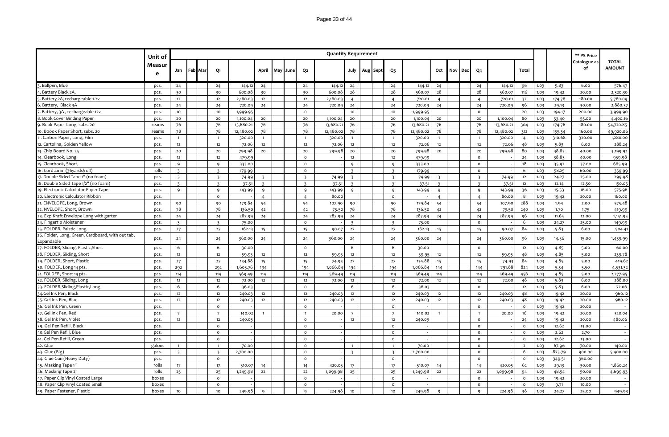### Pages 33 of 44

| Catalogue as<br><b>TOTAL</b><br>Measur<br><b>AMOUNT</b><br>of<br>April<br>Oct<br>Feb Mar<br>Q1<br>Q <sub>2</sub><br>July<br>Q3<br>Dec<br>Q <sub>4</sub><br>Total<br>Jan<br>May<br>June<br>Aug Sept<br>Nov<br>e<br>3. Ballpen, Blue<br>576.47<br>24<br>144.12<br>24<br>24<br>144.12<br>24<br>24<br>144.12<br>24<br>24<br>144.12<br>96<br>1.03<br>5.83<br>6.00<br>pcs.<br>24<br>28<br>28<br>28<br>28<br>1. Battery Black 2A,<br>30<br>30<br>600.08<br>30<br>30<br>600.08<br>560.07<br>560.07<br>116<br>1.03<br>19.42<br>20.00<br>2,320.30<br>pcs.<br>5. Battery 2A, rechargeable 1.2v<br>12<br>2,160.03<br>$12$<br>12<br>2,160.03<br>720.01<br>174.76<br>180.00<br>5,760.09<br>pcs.<br>12<br>$\overline{4}$<br>$\overline{4}$<br>$\overline{4}$<br>$\overline{4}$<br>720.01<br>32<br>1.03<br>2,880.3<br>Battery, Black 3A<br>24<br>24<br>24<br>24<br>24<br>24<br>96<br>24<br>720.09<br>720.09<br>24<br>720.09<br>720.09<br>1.03<br>29.13<br>30.00<br>pcs.<br>7. Battery, 3A, rechargeable 12v<br>10<br>10<br>$\circ$<br>10<br>pcs.<br>1,999.95<br>10<br>1,999.95<br>$\circ$<br>20<br>1.03<br>194.17<br>200.00<br>3,999.90<br>8. Book Cover Binding Paper<br>20<br>20<br>20<br>20<br>20<br>80<br>pcs.<br>1,100.04<br>20<br>1,100.04<br>20<br>1,100.04<br>20<br>1,100.04<br>1.03<br>53.40<br>55.00<br>4,400.16<br>76<br>76<br>13,680.2<br>76<br>76<br>13,680.21<br>76<br>13,680.2<br>76<br>13,680.2<br>9. Book Paper Long, subs. 20<br>76<br>76<br>1.03<br>174.76<br>180.00<br>54,720.85<br>reams<br>304<br>78<br>78<br>78<br>78<br>78<br>78<br>10. Boook Paper Short, subs. 20<br>78<br>12,480.02<br>12,480.02<br>78<br>12,480.02<br>12,480.02<br>reams<br>312<br>1.03<br>155-34<br>160.00<br>49,920.06<br>310.68<br>1,280.00<br>11. Carbon Paper, Long, Film<br>320.00<br>1.03<br>320.00<br>320.00<br>320.00<br>320.00<br>pcs.<br>$\mathbf{1}$<br>$\mathbf{1}$<br>$\overline{1}$<br>$\overline{1}$<br>$\mathbf{1}$<br>$\overline{1}$<br>$\overline{1}$<br>$\overline{4}$<br>$\overline{1}$<br>288.24<br>12<br>5.83<br>12. Cartolina, Golden Yellow<br>12<br>12<br>72.06<br>12<br>72.06<br>12<br>72.06<br>12<br>12<br>72.06<br>48<br>1.03<br>6.00<br>pcs.<br>12<br>38.83<br>13. Chip Board No. 25<br>20<br>20<br>799.98<br>20<br>20<br>20<br>20<br>20<br>80<br>pcs.<br>799.98<br>20<br>799.98<br>799.98<br>1.03<br>40.00<br>3,199.92<br>12<br>$\circ$<br>38.83<br>14. Clearbook, Long<br>12<br>479.99<br>12<br>12<br>479.99<br>$\mathsf{o}$<br>24<br>1.03<br>40.00<br>959.98<br>pcs.<br>15. Clearbook, Short,<br>18<br>665.99<br>333.00<br>$\circ$<br>$\mathbf{q}$<br>333.00<br>$\circ$<br>1.03<br>35.92<br>37.00<br>pcs.<br>Q<br>q<br>$\mathbf{q}$<br>16. Cord 4mm (36yards/roll)<br>rolls<br>$\overline{3}$<br>$\mathsf{o}$<br>$\overline{\mathbf{3}}$<br>$\mathsf{o}$<br>6<br>1.03<br>58.25<br>60.00<br>$\overline{\mathbf{3}}$<br>179.99<br>$\overline{3}$<br>179.99<br>359.99<br>17. Double Sided Tape 1" (no foam)<br>$\overline{\mathbf{z}}$<br>$\overline{\mathbf{3}}$<br>74.99<br>$\overline{\mathbf{3}}$<br>74.99<br>74.99<br>1.03<br>24.27<br>25.00<br>299.98<br>pcs.<br>$\overline{\mathbf{z}}$<br>74.99<br>$\overline{\mathbf{3}}$<br>$\overline{\mathbf{z}}$<br>12<br>18. Double Sided Tape 1/2" (no foam)<br>$\overline{3}$<br>$\overline{\mathbf{3}}$<br>37.51<br>$\overline{3}$<br>$\overline{\mathbf{3}}$<br>37.51<br>$\overline{\mathbf{3}}$<br>$\overline{\mathbf{3}}$<br>37.51<br>12.14<br>150.05<br>pcs.<br>$\overline{\mathbf{z}}$<br>37.51<br>$\overline{3}$<br>12<br>1.03<br>12.50<br>19. Electronic Calculator Paper Tape<br>$\mathsf{q}$<br>36<br>1.03<br>16.00<br>575.96<br>pcs.<br>9<br>Q<br>143.99<br>$\mathbf{q}$<br>143.99<br>Q<br>$\mathbf{q}$<br>143.99<br>$\mathbf{q}$<br>$\mathbf{q}$<br>143.99<br>15.53<br>8<br>20. Electronic Calculator Ribbon<br>80.00<br>$\circ$<br>160.00<br>pcs.<br>$\circ$<br>$\overline{4}$<br>$\overline{4}$<br>$\overline{4}$<br>$\overline{4}$<br>80.00<br>1.03<br>19.42<br>20.00<br>21. ENVELOPE, Long, Brown<br>288<br>90<br>179.84<br>54<br>54<br>90<br>179.84<br>54<br>54<br>575.48<br>pcs.<br>90<br>107.90<br>90<br>107.90<br>1.03<br>1.94<br>2.00<br>78<br>78<br>78<br>22. NVELOPE, Short, Brown<br>136.50<br>42<br>78<br>42<br>73.50<br>136.50<br>42<br>42<br>73.50<br>240<br>1.03<br>1.70<br>419.99<br>pcs.<br>1.75<br>287.99<br>23. Exp Kraft Envelope Long with garter<br>287.99<br>24<br>24<br>287.99<br>24<br>24<br>24<br>287.99<br>11.65<br>24<br>24<br>24<br>96<br>1.03<br>12.00<br>1,151.95<br>pcs.<br>$\circ$<br>24. Fingertip Moistener<br>$\overline{\mathbf{z}}$<br>$\overline{3}$<br>$\overline{3}$<br>$\mathsf{o}$<br>6<br>1.03<br>24.27<br>pcs.<br>75.00<br>$\overline{\mathbf{z}}$<br>75.00<br>25.00<br>149.99<br>84<br>25. FOLDER, Palstic Long<br>27<br>27<br>162.13<br>15<br>27<br>27<br>162.13<br>15<br>1.03<br>5.83<br>6.00<br>504.41<br>pcs.<br>15<br>90.07<br>15<br>90.07<br>26. Folder, Long, Green, Cardboard, with out tab,<br>360.00<br>24<br>360.00<br>24<br>360.00<br>360.00<br>96<br>1.03<br>14.56<br>pcs.<br>24<br>24<br>24<br>24<br>24<br>24<br>15.00<br>1,439.99<br>Expandable<br>27. FOLDER, Sliding, Plastic, Short<br>6<br>6<br>4.85<br>6<br>30.00<br>$\mathsf{o}$<br>6<br>30.00<br>$\circ$<br>1.03<br>5.00<br>60.00<br>pcs.<br>12<br>28. FOLDER, Sliding, Short<br>12<br>12<br>12<br>12<br>4.85<br>239.78<br>12<br>12<br>59.95<br>12<br>12<br>59.95<br>48<br>1.03<br>5.00<br>pcs.<br>59.95<br>59.95<br>29. FOLDER, Short, Plastic<br>27<br>27<br>134.88<br>27<br>134.88<br>4.85<br>15<br>15<br>15<br>15<br>84<br>1.03<br>419.62<br>pcs.<br>74.93<br>27<br>74.93<br>5.00<br>30. FOLDER, Long 14 pts.<br>1,066.84<br>791.88<br>292<br>292<br>1,605.76<br>1,066.84<br>144<br>824<br>5.34<br>5.50<br>4,531.32<br>194<br>194<br>194<br>194<br>144<br>1.03<br>pcs.<br>31. FOLDER, Short 14 pts.<br>569.49<br>569.49<br>1.03<br>4.85<br>2,277.95<br>pcs.<br>114<br>114<br>569.49<br>114<br>114<br>569.49<br>114<br>114<br>114<br>114<br>456<br>5.00<br>288.00<br>32. FOLDER, Sliding, Long<br>48<br>5.83<br>12<br>72.00<br>12<br>12<br>12<br>12<br>12<br>1.03<br>6.00<br>pcs.<br>12<br>72.00<br>12<br>72.00<br>72.00<br>6<br>6<br>6<br>33. FOLDER, Sliding, Plastic, Long<br>36.03<br>$\mathsf{o}$<br>36.03<br>$\mathsf{o}$<br>5.83<br>6.00<br>72.06<br>pcs.<br>6<br>12<br>1.03<br>34.Gel Ink Pen, Black<br>12<br>12<br>240.03<br>12<br>12<br>240.03<br>12<br>12<br>240.03<br>48<br>1.03<br>19.42<br>960.12<br>pcs.<br>12<br>240.03<br>12<br>20.00<br>35. Gel Ink Pen, Blue<br>48<br>960.12<br>12<br>12<br>240.03<br>12<br>12<br>12<br>240.03<br>12<br>12<br>1.03<br>19.42<br>20.00<br>pcs.<br>240.03<br>12<br>240.03<br>36. Gel Ink Pen, Green<br>pcs.<br>$\circ$<br>$\circ$<br>$\circ$<br>$\circ$<br>1.03<br>19.42<br>20.00<br>$\circ$<br>37. Gel Ink Pen, Red<br>16<br>$\overline{7}$<br>$\overline{7}$<br>1.03<br>19.42<br>pcs.<br>$\overline{7}$<br>140.02<br>$\overline{1}$<br>20.00<br>$\overline{7}$<br>140.02<br>$\overline{1}$<br>20.00<br>20.00<br>320.04<br>38. Gel Ink Pen, Violet<br>12<br>$\circ$<br>12<br>480.06<br>pcs.<br>12<br>240.03<br>12<br>240.03<br>$\circ$<br>24<br>1.03<br>19.42<br>20.00<br>39. Gel Pen Refill, Black<br>$\circ$<br>$\circ$<br>$\circ$<br>$\circ$<br>1.03<br>12.62<br>pcs.<br>$\circ$<br>13.00<br>40.Gel Pen Refill, Blue<br>$\circ$<br>$\circ$<br>$\circ$<br>2.62<br>pcs.<br>$\circ$<br>1.03<br>2.70<br>$\circ$<br>41. Gel Pen Refill, Green<br>$\mathsf{o}\,$<br>$\circ$<br>$\circ$<br>$\mathsf{o}$<br>1.03<br>12.62<br>pcs.<br>$\circ$<br>13.00<br>$\mathsf{o}$<br>42. Glue<br>$\circ$<br>1.03<br>67.96<br>galons<br>70.00<br>70.00<br>140.00<br>$\overline{1}$<br>$\overline{2}$<br>70.00<br>$\mathbf{1}$<br>$\mathbf{1}$<br>$\overline{1}$<br>43. Glue (Big)<br>$\circ$<br>2,700.00<br>pcs.<br>$\overline{3}$<br>2,700.00<br>$\overline{3}$<br>$\overline{3}$<br>$\circ$<br>-6<br>1.03<br>873.79<br>900.00<br>5,400.00<br>$\overline{3}$<br>44. Glue Gun (Heavy Duty)<br>$\mathsf{o}\,$<br>$\mathsf{o}$<br>$\circ$<br>$\mathsf{o}$<br>1.03<br>360.00<br>pcs.<br>$\Omega$<br>349.51<br>45. Masking Tape 1"<br>rolls<br>17<br>14<br>17<br>14<br>1,860.24<br>510.07<br>14<br>420.05<br>17<br>510.07<br>420.05<br>62<br>1.03<br>29.13<br>17<br>14<br>30.00<br>46. Masking Tape 2"<br>rolls<br>25<br>25<br>1,249.98<br>22<br>22<br>1,099.98<br>25<br>25<br>1,249.98<br>22<br>22<br>1.03<br>48.54<br>4,699.93<br>1,099.98<br>94<br>50.00<br>47. Paper Clip Vinyl Coated Large<br>$\mathsf{o}\,$<br>$\Omega$<br>$\circ$<br>$\circ$<br>1.03<br>boxes<br>$\Omega$<br>19.42<br>20.00<br>48. Paper Clip Vinyl Coated Small<br>boxes<br>$\circ$<br>$\circ$<br>$\circ$<br>$\circ$<br>1.03<br>9.71<br>10.00<br>$\Omega$<br>38<br>49. Paper Fastener, Plastic<br>249.98<br>$\mathbf{q}$<br>224.98<br>224.98<br>10<br>10<br>$\alpha$<br>10<br>10 <sub>10</sub><br>249.98<br>$\mathbf{q}$<br>$\mathbf{q}$<br>1.03<br>24.27<br>949.93<br>boxes<br>25.00 | Unit of |  |  |  |  | <b>Quantity Requirement</b> |  |  |  |  |  |  | ** PS Price |  |
|-----------------------------------------------------------------------------------------------------------------------------------------------------------------------------------------------------------------------------------------------------------------------------------------------------------------------------------------------------------------------------------------------------------------------------------------------------------------------------------------------------------------------------------------------------------------------------------------------------------------------------------------------------------------------------------------------------------------------------------------------------------------------------------------------------------------------------------------------------------------------------------------------------------------------------------------------------------------------------------------------------------------------------------------------------------------------------------------------------------------------------------------------------------------------------------------------------------------------------------------------------------------------------------------------------------------------------------------------------------------------------------------------------------------------------------------------------------------------------------------------------------------------------------------------------------------------------------------------------------------------------------------------------------------------------------------------------------------------------------------------------------------------------------------------------------------------------------------------------------------------------------------------------------------------------------------------------------------------------------------------------------------------------------------------------------------------------------------------------------------------------------------------------------------------------------------------------------------------------------------------------------------------------------------------------------------------------------------------------------------------------------------------------------------------------------------------------------------------------------------------------------------------------------------------------------------------------------------------------------------------------------------------------------------------------------------------------------------------------------------------------------------------------------------------------------------------------------------------------------------------------------------------------------------------------------------------------------------------------------------------------------------------------------------------------------------------------------------------------------------------------------------------------------------------------------------------------------------------------------------------------------------------------------------------------------------------------------------------------------------------------------------------------------------------------------------------------------------------------------------------------------------------------------------------------------------------------------------------------------------------------------------------------------------------------------------------------------------------------------------------------------------------------------------------------------------------------------------------------------------------------------------------------------------------------------------------------------------------------------------------------------------------------------------------------------------------------------------------------------------------------------------------------------------------------------------------------------------------------------------------------------------------------------------------------------------------------------------------------------------------------------------------------------------------------------------------------------------------------------------------------------------------------------------------------------------------------------------------------------------------------------------------------------------------------------------------------------------------------------------------------------------------------------------------------------------------------------------------------------------------------------------------------------------------------------------------------------------------------------------------------------------------------------------------------------------------------------------------------------------------------------------------------------------------------------------------------------------------------------------------------------------------------------------------------------------------------------------------------------------------------------------------------------------------------------------------------------------------------------------------------------------------------------------------------------------------------------------------------------------------------------------------------------------------------------------------------------------------------------------------------------------------------------------------------------------------------------------------------------------------------------------------------------------------------------------------------------------------------------------------------------------------------------------------------------------------------------------------------------------------------------------------------------------------------------------------------------------------------------------------------------------------------------------------------------------------------------------------------------------------------------------------------------------------------------------------------------------------------------------------------------------------------------------------------------------------------------------------------------------------------------------------------------------------------------------------------------------------------------------------------------------------------------------------------------------------------------------------------------------------------------------------------------------------------------------------------------------------------------------------------------------------------------------------------------------------------------------------------------------------------------------------------------------------------------------------------------------------------------------------------------------------------------------------------------------------------------------------------------------------------------------------------------------------------------------------------------------------------------------------------------------------------------------------------------------------------------------------------------------------------------------------------------------------------------------------------------------------------------------------------------------------------------------------------------------------------------------------------------------------------------------------------------------------------------------------------------------------------------------------------------------------------------------------------------------------------------------------------------------------------------------------------------------------------------------------------------------------------------------------------------------------------------------------------------------------------------------------------------------------------------------------------------------------------------------------------------------------------------------------------------------------------------------------------------------------------------------------------------------------------------------------------------------------------------------------------------------------------------------------------------------------------------------------------------------------------------------------------------------------------------------|---------|--|--|--|--|-----------------------------|--|--|--|--|--|--|-------------|--|
|                                                                                                                                                                                                                                                                                                                                                                                                                                                                                                                                                                                                                                                                                                                                                                                                                                                                                                                                                                                                                                                                                                                                                                                                                                                                                                                                                                                                                                                                                                                                                                                                                                                                                                                                                                                                                                                                                                                                                                                                                                                                                                                                                                                                                                                                                                                                                                                                                                                                                                                                                                                                                                                                                                                                                                                                                                                                                                                                                                                                                                                                                                                                                                                                                                                                                                                                                                                                                                                                                                                                                                                                                                                                                                                                                                                                                                                                                                                                                                                                                                                                                                                                                                                                                                                                                                                                                                                                                                                                                                                                                                                                                                                                                                                                                                                                                                                                                                                                                                                                                                                                                                                                                                                                                                                                                                                                                                                                                                                                                                                                                                                                                                                                                                                                                                                                                                                                                                                                                                                                                                                                                                                                                                                                                                                                                                                                                                                                                                                                                                                                                                                                                                                                                                                                                                                                                                                                                                                                                                                                                                                                                                                                                                                                                                                                                                                                                                                                                                                                                                                                                                                                                                                                                                                                                                                                                                                                                                                                                                                                                                                                                                                                                                                                                                                                                                                                                                                                                                                                                                                                                                                                                                                                                                                                                                                                                                                                                         |         |  |  |  |  |                             |  |  |  |  |  |  |             |  |
|                                                                                                                                                                                                                                                                                                                                                                                                                                                                                                                                                                                                                                                                                                                                                                                                                                                                                                                                                                                                                                                                                                                                                                                                                                                                                                                                                                                                                                                                                                                                                                                                                                                                                                                                                                                                                                                                                                                                                                                                                                                                                                                                                                                                                                                                                                                                                                                                                                                                                                                                                                                                                                                                                                                                                                                                                                                                                                                                                                                                                                                                                                                                                                                                                                                                                                                                                                                                                                                                                                                                                                                                                                                                                                                                                                                                                                                                                                                                                                                                                                                                                                                                                                                                                                                                                                                                                                                                                                                                                                                                                                                                                                                                                                                                                                                                                                                                                                                                                                                                                                                                                                                                                                                                                                                                                                                                                                                                                                                                                                                                                                                                                                                                                                                                                                                                                                                                                                                                                                                                                                                                                                                                                                                                                                                                                                                                                                                                                                                                                                                                                                                                                                                                                                                                                                                                                                                                                                                                                                                                                                                                                                                                                                                                                                                                                                                                                                                                                                                                                                                                                                                                                                                                                                                                                                                                                                                                                                                                                                                                                                                                                                                                                                                                                                                                                                                                                                                                                                                                                                                                                                                                                                                                                                                                                                                                                                                                                         |         |  |  |  |  |                             |  |  |  |  |  |  |             |  |
|                                                                                                                                                                                                                                                                                                                                                                                                                                                                                                                                                                                                                                                                                                                                                                                                                                                                                                                                                                                                                                                                                                                                                                                                                                                                                                                                                                                                                                                                                                                                                                                                                                                                                                                                                                                                                                                                                                                                                                                                                                                                                                                                                                                                                                                                                                                                                                                                                                                                                                                                                                                                                                                                                                                                                                                                                                                                                                                                                                                                                                                                                                                                                                                                                                                                                                                                                                                                                                                                                                                                                                                                                                                                                                                                                                                                                                                                                                                                                                                                                                                                                                                                                                                                                                                                                                                                                                                                                                                                                                                                                                                                                                                                                                                                                                                                                                                                                                                                                                                                                                                                                                                                                                                                                                                                                                                                                                                                                                                                                                                                                                                                                                                                                                                                                                                                                                                                                                                                                                                                                                                                                                                                                                                                                                                                                                                                                                                                                                                                                                                                                                                                                                                                                                                                                                                                                                                                                                                                                                                                                                                                                                                                                                                                                                                                                                                                                                                                                                                                                                                                                                                                                                                                                                                                                                                                                                                                                                                                                                                                                                                                                                                                                                                                                                                                                                                                                                                                                                                                                                                                                                                                                                                                                                                                                                                                                                                                                         |         |  |  |  |  |                             |  |  |  |  |  |  |             |  |
|                                                                                                                                                                                                                                                                                                                                                                                                                                                                                                                                                                                                                                                                                                                                                                                                                                                                                                                                                                                                                                                                                                                                                                                                                                                                                                                                                                                                                                                                                                                                                                                                                                                                                                                                                                                                                                                                                                                                                                                                                                                                                                                                                                                                                                                                                                                                                                                                                                                                                                                                                                                                                                                                                                                                                                                                                                                                                                                                                                                                                                                                                                                                                                                                                                                                                                                                                                                                                                                                                                                                                                                                                                                                                                                                                                                                                                                                                                                                                                                                                                                                                                                                                                                                                                                                                                                                                                                                                                                                                                                                                                                                                                                                                                                                                                                                                                                                                                                                                                                                                                                                                                                                                                                                                                                                                                                                                                                                                                                                                                                                                                                                                                                                                                                                                                                                                                                                                                                                                                                                                                                                                                                                                                                                                                                                                                                                                                                                                                                                                                                                                                                                                                                                                                                                                                                                                                                                                                                                                                                                                                                                                                                                                                                                                                                                                                                                                                                                                                                                                                                                                                                                                                                                                                                                                                                                                                                                                                                                                                                                                                                                                                                                                                                                                                                                                                                                                                                                                                                                                                                                                                                                                                                                                                                                                                                                                                                                                         |         |  |  |  |  |                             |  |  |  |  |  |  |             |  |
|                                                                                                                                                                                                                                                                                                                                                                                                                                                                                                                                                                                                                                                                                                                                                                                                                                                                                                                                                                                                                                                                                                                                                                                                                                                                                                                                                                                                                                                                                                                                                                                                                                                                                                                                                                                                                                                                                                                                                                                                                                                                                                                                                                                                                                                                                                                                                                                                                                                                                                                                                                                                                                                                                                                                                                                                                                                                                                                                                                                                                                                                                                                                                                                                                                                                                                                                                                                                                                                                                                                                                                                                                                                                                                                                                                                                                                                                                                                                                                                                                                                                                                                                                                                                                                                                                                                                                                                                                                                                                                                                                                                                                                                                                                                                                                                                                                                                                                                                                                                                                                                                                                                                                                                                                                                                                                                                                                                                                                                                                                                                                                                                                                                                                                                                                                                                                                                                                                                                                                                                                                                                                                                                                                                                                                                                                                                                                                                                                                                                                                                                                                                                                                                                                                                                                                                                                                                                                                                                                                                                                                                                                                                                                                                                                                                                                                                                                                                                                                                                                                                                                                                                                                                                                                                                                                                                                                                                                                                                                                                                                                                                                                                                                                                                                                                                                                                                                                                                                                                                                                                                                                                                                                                                                                                                                                                                                                                                                         |         |  |  |  |  |                             |  |  |  |  |  |  |             |  |
|                                                                                                                                                                                                                                                                                                                                                                                                                                                                                                                                                                                                                                                                                                                                                                                                                                                                                                                                                                                                                                                                                                                                                                                                                                                                                                                                                                                                                                                                                                                                                                                                                                                                                                                                                                                                                                                                                                                                                                                                                                                                                                                                                                                                                                                                                                                                                                                                                                                                                                                                                                                                                                                                                                                                                                                                                                                                                                                                                                                                                                                                                                                                                                                                                                                                                                                                                                                                                                                                                                                                                                                                                                                                                                                                                                                                                                                                                                                                                                                                                                                                                                                                                                                                                                                                                                                                                                                                                                                                                                                                                                                                                                                                                                                                                                                                                                                                                                                                                                                                                                                                                                                                                                                                                                                                                                                                                                                                                                                                                                                                                                                                                                                                                                                                                                                                                                                                                                                                                                                                                                                                                                                                                                                                                                                                                                                                                                                                                                                                                                                                                                                                                                                                                                                                                                                                                                                                                                                                                                                                                                                                                                                                                                                                                                                                                                                                                                                                                                                                                                                                                                                                                                                                                                                                                                                                                                                                                                                                                                                                                                                                                                                                                                                                                                                                                                                                                                                                                                                                                                                                                                                                                                                                                                                                                                                                                                                                                         |         |  |  |  |  |                             |  |  |  |  |  |  |             |  |
|                                                                                                                                                                                                                                                                                                                                                                                                                                                                                                                                                                                                                                                                                                                                                                                                                                                                                                                                                                                                                                                                                                                                                                                                                                                                                                                                                                                                                                                                                                                                                                                                                                                                                                                                                                                                                                                                                                                                                                                                                                                                                                                                                                                                                                                                                                                                                                                                                                                                                                                                                                                                                                                                                                                                                                                                                                                                                                                                                                                                                                                                                                                                                                                                                                                                                                                                                                                                                                                                                                                                                                                                                                                                                                                                                                                                                                                                                                                                                                                                                                                                                                                                                                                                                                                                                                                                                                                                                                                                                                                                                                                                                                                                                                                                                                                                                                                                                                                                                                                                                                                                                                                                                                                                                                                                                                                                                                                                                                                                                                                                                                                                                                                                                                                                                                                                                                                                                                                                                                                                                                                                                                                                                                                                                                                                                                                                                                                                                                                                                                                                                                                                                                                                                                                                                                                                                                                                                                                                                                                                                                                                                                                                                                                                                                                                                                                                                                                                                                                                                                                                                                                                                                                                                                                                                                                                                                                                                                                                                                                                                                                                                                                                                                                                                                                                                                                                                                                                                                                                                                                                                                                                                                                                                                                                                                                                                                                                                         |         |  |  |  |  |                             |  |  |  |  |  |  |             |  |
|                                                                                                                                                                                                                                                                                                                                                                                                                                                                                                                                                                                                                                                                                                                                                                                                                                                                                                                                                                                                                                                                                                                                                                                                                                                                                                                                                                                                                                                                                                                                                                                                                                                                                                                                                                                                                                                                                                                                                                                                                                                                                                                                                                                                                                                                                                                                                                                                                                                                                                                                                                                                                                                                                                                                                                                                                                                                                                                                                                                                                                                                                                                                                                                                                                                                                                                                                                                                                                                                                                                                                                                                                                                                                                                                                                                                                                                                                                                                                                                                                                                                                                                                                                                                                                                                                                                                                                                                                                                                                                                                                                                                                                                                                                                                                                                                                                                                                                                                                                                                                                                                                                                                                                                                                                                                                                                                                                                                                                                                                                                                                                                                                                                                                                                                                                                                                                                                                                                                                                                                                                                                                                                                                                                                                                                                                                                                                                                                                                                                                                                                                                                                                                                                                                                                                                                                                                                                                                                                                                                                                                                                                                                                                                                                                                                                                                                                                                                                                                                                                                                                                                                                                                                                                                                                                                                                                                                                                                                                                                                                                                                                                                                                                                                                                                                                                                                                                                                                                                                                                                                                                                                                                                                                                                                                                                                                                                                                                         |         |  |  |  |  |                             |  |  |  |  |  |  |             |  |
|                                                                                                                                                                                                                                                                                                                                                                                                                                                                                                                                                                                                                                                                                                                                                                                                                                                                                                                                                                                                                                                                                                                                                                                                                                                                                                                                                                                                                                                                                                                                                                                                                                                                                                                                                                                                                                                                                                                                                                                                                                                                                                                                                                                                                                                                                                                                                                                                                                                                                                                                                                                                                                                                                                                                                                                                                                                                                                                                                                                                                                                                                                                                                                                                                                                                                                                                                                                                                                                                                                                                                                                                                                                                                                                                                                                                                                                                                                                                                                                                                                                                                                                                                                                                                                                                                                                                                                                                                                                                                                                                                                                                                                                                                                                                                                                                                                                                                                                                                                                                                                                                                                                                                                                                                                                                                                                                                                                                                                                                                                                                                                                                                                                                                                                                                                                                                                                                                                                                                                                                                                                                                                                                                                                                                                                                                                                                                                                                                                                                                                                                                                                                                                                                                                                                                                                                                                                                                                                                                                                                                                                                                                                                                                                                                                                                                                                                                                                                                                                                                                                                                                                                                                                                                                                                                                                                                                                                                                                                                                                                                                                                                                                                                                                                                                                                                                                                                                                                                                                                                                                                                                                                                                                                                                                                                                                                                                                                                         |         |  |  |  |  |                             |  |  |  |  |  |  |             |  |
|                                                                                                                                                                                                                                                                                                                                                                                                                                                                                                                                                                                                                                                                                                                                                                                                                                                                                                                                                                                                                                                                                                                                                                                                                                                                                                                                                                                                                                                                                                                                                                                                                                                                                                                                                                                                                                                                                                                                                                                                                                                                                                                                                                                                                                                                                                                                                                                                                                                                                                                                                                                                                                                                                                                                                                                                                                                                                                                                                                                                                                                                                                                                                                                                                                                                                                                                                                                                                                                                                                                                                                                                                                                                                                                                                                                                                                                                                                                                                                                                                                                                                                                                                                                                                                                                                                                                                                                                                                                                                                                                                                                                                                                                                                                                                                                                                                                                                                                                                                                                                                                                                                                                                                                                                                                                                                                                                                                                                                                                                                                                                                                                                                                                                                                                                                                                                                                                                                                                                                                                                                                                                                                                                                                                                                                                                                                                                                                                                                                                                                                                                                                                                                                                                                                                                                                                                                                                                                                                                                                                                                                                                                                                                                                                                                                                                                                                                                                                                                                                                                                                                                                                                                                                                                                                                                                                                                                                                                                                                                                                                                                                                                                                                                                                                                                                                                                                                                                                                                                                                                                                                                                                                                                                                                                                                                                                                                                                                         |         |  |  |  |  |                             |  |  |  |  |  |  |             |  |
|                                                                                                                                                                                                                                                                                                                                                                                                                                                                                                                                                                                                                                                                                                                                                                                                                                                                                                                                                                                                                                                                                                                                                                                                                                                                                                                                                                                                                                                                                                                                                                                                                                                                                                                                                                                                                                                                                                                                                                                                                                                                                                                                                                                                                                                                                                                                                                                                                                                                                                                                                                                                                                                                                                                                                                                                                                                                                                                                                                                                                                                                                                                                                                                                                                                                                                                                                                                                                                                                                                                                                                                                                                                                                                                                                                                                                                                                                                                                                                                                                                                                                                                                                                                                                                                                                                                                                                                                                                                                                                                                                                                                                                                                                                                                                                                                                                                                                                                                                                                                                                                                                                                                                                                                                                                                                                                                                                                                                                                                                                                                                                                                                                                                                                                                                                                                                                                                                                                                                                                                                                                                                                                                                                                                                                                                                                                                                                                                                                                                                                                                                                                                                                                                                                                                                                                                                                                                                                                                                                                                                                                                                                                                                                                                                                                                                                                                                                                                                                                                                                                                                                                                                                                                                                                                                                                                                                                                                                                                                                                                                                                                                                                                                                                                                                                                                                                                                                                                                                                                                                                                                                                                                                                                                                                                                                                                                                                                                         |         |  |  |  |  |                             |  |  |  |  |  |  |             |  |
|                                                                                                                                                                                                                                                                                                                                                                                                                                                                                                                                                                                                                                                                                                                                                                                                                                                                                                                                                                                                                                                                                                                                                                                                                                                                                                                                                                                                                                                                                                                                                                                                                                                                                                                                                                                                                                                                                                                                                                                                                                                                                                                                                                                                                                                                                                                                                                                                                                                                                                                                                                                                                                                                                                                                                                                                                                                                                                                                                                                                                                                                                                                                                                                                                                                                                                                                                                                                                                                                                                                                                                                                                                                                                                                                                                                                                                                                                                                                                                                                                                                                                                                                                                                                                                                                                                                                                                                                                                                                                                                                                                                                                                                                                                                                                                                                                                                                                                                                                                                                                                                                                                                                                                                                                                                                                                                                                                                                                                                                                                                                                                                                                                                                                                                                                                                                                                                                                                                                                                                                                                                                                                                                                                                                                                                                                                                                                                                                                                                                                                                                                                                                                                                                                                                                                                                                                                                                                                                                                                                                                                                                                                                                                                                                                                                                                                                                                                                                                                                                                                                                                                                                                                                                                                                                                                                                                                                                                                                                                                                                                                                                                                                                                                                                                                                                                                                                                                                                                                                                                                                                                                                                                                                                                                                                                                                                                                                                                         |         |  |  |  |  |                             |  |  |  |  |  |  |             |  |
|                                                                                                                                                                                                                                                                                                                                                                                                                                                                                                                                                                                                                                                                                                                                                                                                                                                                                                                                                                                                                                                                                                                                                                                                                                                                                                                                                                                                                                                                                                                                                                                                                                                                                                                                                                                                                                                                                                                                                                                                                                                                                                                                                                                                                                                                                                                                                                                                                                                                                                                                                                                                                                                                                                                                                                                                                                                                                                                                                                                                                                                                                                                                                                                                                                                                                                                                                                                                                                                                                                                                                                                                                                                                                                                                                                                                                                                                                                                                                                                                                                                                                                                                                                                                                                                                                                                                                                                                                                                                                                                                                                                                                                                                                                                                                                                                                                                                                                                                                                                                                                                                                                                                                                                                                                                                                                                                                                                                                                                                                                                                                                                                                                                                                                                                                                                                                                                                                                                                                                                                                                                                                                                                                                                                                                                                                                                                                                                                                                                                                                                                                                                                                                                                                                                                                                                                                                                                                                                                                                                                                                                                                                                                                                                                                                                                                                                                                                                                                                                                                                                                                                                                                                                                                                                                                                                                                                                                                                                                                                                                                                                                                                                                                                                                                                                                                                                                                                                                                                                                                                                                                                                                                                                                                                                                                                                                                                                                                         |         |  |  |  |  |                             |  |  |  |  |  |  |             |  |
|                                                                                                                                                                                                                                                                                                                                                                                                                                                                                                                                                                                                                                                                                                                                                                                                                                                                                                                                                                                                                                                                                                                                                                                                                                                                                                                                                                                                                                                                                                                                                                                                                                                                                                                                                                                                                                                                                                                                                                                                                                                                                                                                                                                                                                                                                                                                                                                                                                                                                                                                                                                                                                                                                                                                                                                                                                                                                                                                                                                                                                                                                                                                                                                                                                                                                                                                                                                                                                                                                                                                                                                                                                                                                                                                                                                                                                                                                                                                                                                                                                                                                                                                                                                                                                                                                                                                                                                                                                                                                                                                                                                                                                                                                                                                                                                                                                                                                                                                                                                                                                                                                                                                                                                                                                                                                                                                                                                                                                                                                                                                                                                                                                                                                                                                                                                                                                                                                                                                                                                                                                                                                                                                                                                                                                                                                                                                                                                                                                                                                                                                                                                                                                                                                                                                                                                                                                                                                                                                                                                                                                                                                                                                                                                                                                                                                                                                                                                                                                                                                                                                                                                                                                                                                                                                                                                                                                                                                                                                                                                                                                                                                                                                                                                                                                                                                                                                                                                                                                                                                                                                                                                                                                                                                                                                                                                                                                                                                         |         |  |  |  |  |                             |  |  |  |  |  |  |             |  |
|                                                                                                                                                                                                                                                                                                                                                                                                                                                                                                                                                                                                                                                                                                                                                                                                                                                                                                                                                                                                                                                                                                                                                                                                                                                                                                                                                                                                                                                                                                                                                                                                                                                                                                                                                                                                                                                                                                                                                                                                                                                                                                                                                                                                                                                                                                                                                                                                                                                                                                                                                                                                                                                                                                                                                                                                                                                                                                                                                                                                                                                                                                                                                                                                                                                                                                                                                                                                                                                                                                                                                                                                                                                                                                                                                                                                                                                                                                                                                                                                                                                                                                                                                                                                                                                                                                                                                                                                                                                                                                                                                                                                                                                                                                                                                                                                                                                                                                                                                                                                                                                                                                                                                                                                                                                                                                                                                                                                                                                                                                                                                                                                                                                                                                                                                                                                                                                                                                                                                                                                                                                                                                                                                                                                                                                                                                                                                                                                                                                                                                                                                                                                                                                                                                                                                                                                                                                                                                                                                                                                                                                                                                                                                                                                                                                                                                                                                                                                                                                                                                                                                                                                                                                                                                                                                                                                                                                                                                                                                                                                                                                                                                                                                                                                                                                                                                                                                                                                                                                                                                                                                                                                                                                                                                                                                                                                                                                                                         |         |  |  |  |  |                             |  |  |  |  |  |  |             |  |
|                                                                                                                                                                                                                                                                                                                                                                                                                                                                                                                                                                                                                                                                                                                                                                                                                                                                                                                                                                                                                                                                                                                                                                                                                                                                                                                                                                                                                                                                                                                                                                                                                                                                                                                                                                                                                                                                                                                                                                                                                                                                                                                                                                                                                                                                                                                                                                                                                                                                                                                                                                                                                                                                                                                                                                                                                                                                                                                                                                                                                                                                                                                                                                                                                                                                                                                                                                                                                                                                                                                                                                                                                                                                                                                                                                                                                                                                                                                                                                                                                                                                                                                                                                                                                                                                                                                                                                                                                                                                                                                                                                                                                                                                                                                                                                                                                                                                                                                                                                                                                                                                                                                                                                                                                                                                                                                                                                                                                                                                                                                                                                                                                                                                                                                                                                                                                                                                                                                                                                                                                                                                                                                                                                                                                                                                                                                                                                                                                                                                                                                                                                                                                                                                                                                                                                                                                                                                                                                                                                                                                                                                                                                                                                                                                                                                                                                                                                                                                                                                                                                                                                                                                                                                                                                                                                                                                                                                                                                                                                                                                                                                                                                                                                                                                                                                                                                                                                                                                                                                                                                                                                                                                                                                                                                                                                                                                                                                                         |         |  |  |  |  |                             |  |  |  |  |  |  |             |  |
|                                                                                                                                                                                                                                                                                                                                                                                                                                                                                                                                                                                                                                                                                                                                                                                                                                                                                                                                                                                                                                                                                                                                                                                                                                                                                                                                                                                                                                                                                                                                                                                                                                                                                                                                                                                                                                                                                                                                                                                                                                                                                                                                                                                                                                                                                                                                                                                                                                                                                                                                                                                                                                                                                                                                                                                                                                                                                                                                                                                                                                                                                                                                                                                                                                                                                                                                                                                                                                                                                                                                                                                                                                                                                                                                                                                                                                                                                                                                                                                                                                                                                                                                                                                                                                                                                                                                                                                                                                                                                                                                                                                                                                                                                                                                                                                                                                                                                                                                                                                                                                                                                                                                                                                                                                                                                                                                                                                                                                                                                                                                                                                                                                                                                                                                                                                                                                                                                                                                                                                                                                                                                                                                                                                                                                                                                                                                                                                                                                                                                                                                                                                                                                                                                                                                                                                                                                                                                                                                                                                                                                                                                                                                                                                                                                                                                                                                                                                                                                                                                                                                                                                                                                                                                                                                                                                                                                                                                                                                                                                                                                                                                                                                                                                                                                                                                                                                                                                                                                                                                                                                                                                                                                                                                                                                                                                                                                                                                         |         |  |  |  |  |                             |  |  |  |  |  |  |             |  |
|                                                                                                                                                                                                                                                                                                                                                                                                                                                                                                                                                                                                                                                                                                                                                                                                                                                                                                                                                                                                                                                                                                                                                                                                                                                                                                                                                                                                                                                                                                                                                                                                                                                                                                                                                                                                                                                                                                                                                                                                                                                                                                                                                                                                                                                                                                                                                                                                                                                                                                                                                                                                                                                                                                                                                                                                                                                                                                                                                                                                                                                                                                                                                                                                                                                                                                                                                                                                                                                                                                                                                                                                                                                                                                                                                                                                                                                                                                                                                                                                                                                                                                                                                                                                                                                                                                                                                                                                                                                                                                                                                                                                                                                                                                                                                                                                                                                                                                                                                                                                                                                                                                                                                                                                                                                                                                                                                                                                                                                                                                                                                                                                                                                                                                                                                                                                                                                                                                                                                                                                                                                                                                                                                                                                                                                                                                                                                                                                                                                                                                                                                                                                                                                                                                                                                                                                                                                                                                                                                                                                                                                                                                                                                                                                                                                                                                                                                                                                                                                                                                                                                                                                                                                                                                                                                                                                                                                                                                                                                                                                                                                                                                                                                                                                                                                                                                                                                                                                                                                                                                                                                                                                                                                                                                                                                                                                                                                                                         |         |  |  |  |  |                             |  |  |  |  |  |  |             |  |
|                                                                                                                                                                                                                                                                                                                                                                                                                                                                                                                                                                                                                                                                                                                                                                                                                                                                                                                                                                                                                                                                                                                                                                                                                                                                                                                                                                                                                                                                                                                                                                                                                                                                                                                                                                                                                                                                                                                                                                                                                                                                                                                                                                                                                                                                                                                                                                                                                                                                                                                                                                                                                                                                                                                                                                                                                                                                                                                                                                                                                                                                                                                                                                                                                                                                                                                                                                                                                                                                                                                                                                                                                                                                                                                                                                                                                                                                                                                                                                                                                                                                                                                                                                                                                                                                                                                                                                                                                                                                                                                                                                                                                                                                                                                                                                                                                                                                                                                                                                                                                                                                                                                                                                                                                                                                                                                                                                                                                                                                                                                                                                                                                                                                                                                                                                                                                                                                                                                                                                                                                                                                                                                                                                                                                                                                                                                                                                                                                                                                                                                                                                                                                                                                                                                                                                                                                                                                                                                                                                                                                                                                                                                                                                                                                                                                                                                                                                                                                                                                                                                                                                                                                                                                                                                                                                                                                                                                                                                                                                                                                                                                                                                                                                                                                                                                                                                                                                                                                                                                                                                                                                                                                                                                                                                                                                                                                                                                                         |         |  |  |  |  |                             |  |  |  |  |  |  |             |  |
|                                                                                                                                                                                                                                                                                                                                                                                                                                                                                                                                                                                                                                                                                                                                                                                                                                                                                                                                                                                                                                                                                                                                                                                                                                                                                                                                                                                                                                                                                                                                                                                                                                                                                                                                                                                                                                                                                                                                                                                                                                                                                                                                                                                                                                                                                                                                                                                                                                                                                                                                                                                                                                                                                                                                                                                                                                                                                                                                                                                                                                                                                                                                                                                                                                                                                                                                                                                                                                                                                                                                                                                                                                                                                                                                                                                                                                                                                                                                                                                                                                                                                                                                                                                                                                                                                                                                                                                                                                                                                                                                                                                                                                                                                                                                                                                                                                                                                                                                                                                                                                                                                                                                                                                                                                                                                                                                                                                                                                                                                                                                                                                                                                                                                                                                                                                                                                                                                                                                                                                                                                                                                                                                                                                                                                                                                                                                                                                                                                                                                                                                                                                                                                                                                                                                                                                                                                                                                                                                                                                                                                                                                                                                                                                                                                                                                                                                                                                                                                                                                                                                                                                                                                                                                                                                                                                                                                                                                                                                                                                                                                                                                                                                                                                                                                                                                                                                                                                                                                                                                                                                                                                                                                                                                                                                                                                                                                                                                         |         |  |  |  |  |                             |  |  |  |  |  |  |             |  |
|                                                                                                                                                                                                                                                                                                                                                                                                                                                                                                                                                                                                                                                                                                                                                                                                                                                                                                                                                                                                                                                                                                                                                                                                                                                                                                                                                                                                                                                                                                                                                                                                                                                                                                                                                                                                                                                                                                                                                                                                                                                                                                                                                                                                                                                                                                                                                                                                                                                                                                                                                                                                                                                                                                                                                                                                                                                                                                                                                                                                                                                                                                                                                                                                                                                                                                                                                                                                                                                                                                                                                                                                                                                                                                                                                                                                                                                                                                                                                                                                                                                                                                                                                                                                                                                                                                                                                                                                                                                                                                                                                                                                                                                                                                                                                                                                                                                                                                                                                                                                                                                                                                                                                                                                                                                                                                                                                                                                                                                                                                                                                                                                                                                                                                                                                                                                                                                                                                                                                                                                                                                                                                                                                                                                                                                                                                                                                                                                                                                                                                                                                                                                                                                                                                                                                                                                                                                                                                                                                                                                                                                                                                                                                                                                                                                                                                                                                                                                                                                                                                                                                                                                                                                                                                                                                                                                                                                                                                                                                                                                                                                                                                                                                                                                                                                                                                                                                                                                                                                                                                                                                                                                                                                                                                                                                                                                                                                                                         |         |  |  |  |  |                             |  |  |  |  |  |  |             |  |
|                                                                                                                                                                                                                                                                                                                                                                                                                                                                                                                                                                                                                                                                                                                                                                                                                                                                                                                                                                                                                                                                                                                                                                                                                                                                                                                                                                                                                                                                                                                                                                                                                                                                                                                                                                                                                                                                                                                                                                                                                                                                                                                                                                                                                                                                                                                                                                                                                                                                                                                                                                                                                                                                                                                                                                                                                                                                                                                                                                                                                                                                                                                                                                                                                                                                                                                                                                                                                                                                                                                                                                                                                                                                                                                                                                                                                                                                                                                                                                                                                                                                                                                                                                                                                                                                                                                                                                                                                                                                                                                                                                                                                                                                                                                                                                                                                                                                                                                                                                                                                                                                                                                                                                                                                                                                                                                                                                                                                                                                                                                                                                                                                                                                                                                                                                                                                                                                                                                                                                                                                                                                                                                                                                                                                                                                                                                                                                                                                                                                                                                                                                                                                                                                                                                                                                                                                                                                                                                                                                                                                                                                                                                                                                                                                                                                                                                                                                                                                                                                                                                                                                                                                                                                                                                                                                                                                                                                                                                                                                                                                                                                                                                                                                                                                                                                                                                                                                                                                                                                                                                                                                                                                                                                                                                                                                                                                                                                                         |         |  |  |  |  |                             |  |  |  |  |  |  |             |  |
|                                                                                                                                                                                                                                                                                                                                                                                                                                                                                                                                                                                                                                                                                                                                                                                                                                                                                                                                                                                                                                                                                                                                                                                                                                                                                                                                                                                                                                                                                                                                                                                                                                                                                                                                                                                                                                                                                                                                                                                                                                                                                                                                                                                                                                                                                                                                                                                                                                                                                                                                                                                                                                                                                                                                                                                                                                                                                                                                                                                                                                                                                                                                                                                                                                                                                                                                                                                                                                                                                                                                                                                                                                                                                                                                                                                                                                                                                                                                                                                                                                                                                                                                                                                                                                                                                                                                                                                                                                                                                                                                                                                                                                                                                                                                                                                                                                                                                                                                                                                                                                                                                                                                                                                                                                                                                                                                                                                                                                                                                                                                                                                                                                                                                                                                                                                                                                                                                                                                                                                                                                                                                                                                                                                                                                                                                                                                                                                                                                                                                                                                                                                                                                                                                                                                                                                                                                                                                                                                                                                                                                                                                                                                                                                                                                                                                                                                                                                                                                                                                                                                                                                                                                                                                                                                                                                                                                                                                                                                                                                                                                                                                                                                                                                                                                                                                                                                                                                                                                                                                                                                                                                                                                                                                                                                                                                                                                                                                         |         |  |  |  |  |                             |  |  |  |  |  |  |             |  |
|                                                                                                                                                                                                                                                                                                                                                                                                                                                                                                                                                                                                                                                                                                                                                                                                                                                                                                                                                                                                                                                                                                                                                                                                                                                                                                                                                                                                                                                                                                                                                                                                                                                                                                                                                                                                                                                                                                                                                                                                                                                                                                                                                                                                                                                                                                                                                                                                                                                                                                                                                                                                                                                                                                                                                                                                                                                                                                                                                                                                                                                                                                                                                                                                                                                                                                                                                                                                                                                                                                                                                                                                                                                                                                                                                                                                                                                                                                                                                                                                                                                                                                                                                                                                                                                                                                                                                                                                                                                                                                                                                                                                                                                                                                                                                                                                                                                                                                                                                                                                                                                                                                                                                                                                                                                                                                                                                                                                                                                                                                                                                                                                                                                                                                                                                                                                                                                                                                                                                                                                                                                                                                                                                                                                                                                                                                                                                                                                                                                                                                                                                                                                                                                                                                                                                                                                                                                                                                                                                                                                                                                                                                                                                                                                                                                                                                                                                                                                                                                                                                                                                                                                                                                                                                                                                                                                                                                                                                                                                                                                                                                                                                                                                                                                                                                                                                                                                                                                                                                                                                                                                                                                                                                                                                                                                                                                                                                                                         |         |  |  |  |  |                             |  |  |  |  |  |  |             |  |
|                                                                                                                                                                                                                                                                                                                                                                                                                                                                                                                                                                                                                                                                                                                                                                                                                                                                                                                                                                                                                                                                                                                                                                                                                                                                                                                                                                                                                                                                                                                                                                                                                                                                                                                                                                                                                                                                                                                                                                                                                                                                                                                                                                                                                                                                                                                                                                                                                                                                                                                                                                                                                                                                                                                                                                                                                                                                                                                                                                                                                                                                                                                                                                                                                                                                                                                                                                                                                                                                                                                                                                                                                                                                                                                                                                                                                                                                                                                                                                                                                                                                                                                                                                                                                                                                                                                                                                                                                                                                                                                                                                                                                                                                                                                                                                                                                                                                                                                                                                                                                                                                                                                                                                                                                                                                                                                                                                                                                                                                                                                                                                                                                                                                                                                                                                                                                                                                                                                                                                                                                                                                                                                                                                                                                                                                                                                                                                                                                                                                                                                                                                                                                                                                                                                                                                                                                                                                                                                                                                                                                                                                                                                                                                                                                                                                                                                                                                                                                                                                                                                                                                                                                                                                                                                                                                                                                                                                                                                                                                                                                                                                                                                                                                                                                                                                                                                                                                                                                                                                                                                                                                                                                                                                                                                                                                                                                                                                                         |         |  |  |  |  |                             |  |  |  |  |  |  |             |  |
|                                                                                                                                                                                                                                                                                                                                                                                                                                                                                                                                                                                                                                                                                                                                                                                                                                                                                                                                                                                                                                                                                                                                                                                                                                                                                                                                                                                                                                                                                                                                                                                                                                                                                                                                                                                                                                                                                                                                                                                                                                                                                                                                                                                                                                                                                                                                                                                                                                                                                                                                                                                                                                                                                                                                                                                                                                                                                                                                                                                                                                                                                                                                                                                                                                                                                                                                                                                                                                                                                                                                                                                                                                                                                                                                                                                                                                                                                                                                                                                                                                                                                                                                                                                                                                                                                                                                                                                                                                                                                                                                                                                                                                                                                                                                                                                                                                                                                                                                                                                                                                                                                                                                                                                                                                                                                                                                                                                                                                                                                                                                                                                                                                                                                                                                                                                                                                                                                                                                                                                                                                                                                                                                                                                                                                                                                                                                                                                                                                                                                                                                                                                                                                                                                                                                                                                                                                                                                                                                                                                                                                                                                                                                                                                                                                                                                                                                                                                                                                                                                                                                                                                                                                                                                                                                                                                                                                                                                                                                                                                                                                                                                                                                                                                                                                                                                                                                                                                                                                                                                                                                                                                                                                                                                                                                                                                                                                                                                         |         |  |  |  |  |                             |  |  |  |  |  |  |             |  |
|                                                                                                                                                                                                                                                                                                                                                                                                                                                                                                                                                                                                                                                                                                                                                                                                                                                                                                                                                                                                                                                                                                                                                                                                                                                                                                                                                                                                                                                                                                                                                                                                                                                                                                                                                                                                                                                                                                                                                                                                                                                                                                                                                                                                                                                                                                                                                                                                                                                                                                                                                                                                                                                                                                                                                                                                                                                                                                                                                                                                                                                                                                                                                                                                                                                                                                                                                                                                                                                                                                                                                                                                                                                                                                                                                                                                                                                                                                                                                                                                                                                                                                                                                                                                                                                                                                                                                                                                                                                                                                                                                                                                                                                                                                                                                                                                                                                                                                                                                                                                                                                                                                                                                                                                                                                                                                                                                                                                                                                                                                                                                                                                                                                                                                                                                                                                                                                                                                                                                                                                                                                                                                                                                                                                                                                                                                                                                                                                                                                                                                                                                                                                                                                                                                                                                                                                                                                                                                                                                                                                                                                                                                                                                                                                                                                                                                                                                                                                                                                                                                                                                                                                                                                                                                                                                                                                                                                                                                                                                                                                                                                                                                                                                                                                                                                                                                                                                                                                                                                                                                                                                                                                                                                                                                                                                                                                                                                                                         |         |  |  |  |  |                             |  |  |  |  |  |  |             |  |
|                                                                                                                                                                                                                                                                                                                                                                                                                                                                                                                                                                                                                                                                                                                                                                                                                                                                                                                                                                                                                                                                                                                                                                                                                                                                                                                                                                                                                                                                                                                                                                                                                                                                                                                                                                                                                                                                                                                                                                                                                                                                                                                                                                                                                                                                                                                                                                                                                                                                                                                                                                                                                                                                                                                                                                                                                                                                                                                                                                                                                                                                                                                                                                                                                                                                                                                                                                                                                                                                                                                                                                                                                                                                                                                                                                                                                                                                                                                                                                                                                                                                                                                                                                                                                                                                                                                                                                                                                                                                                                                                                                                                                                                                                                                                                                                                                                                                                                                                                                                                                                                                                                                                                                                                                                                                                                                                                                                                                                                                                                                                                                                                                                                                                                                                                                                                                                                                                                                                                                                                                                                                                                                                                                                                                                                                                                                                                                                                                                                                                                                                                                                                                                                                                                                                                                                                                                                                                                                                                                                                                                                                                                                                                                                                                                                                                                                                                                                                                                                                                                                                                                                                                                                                                                                                                                                                                                                                                                                                                                                                                                                                                                                                                                                                                                                                                                                                                                                                                                                                                                                                                                                                                                                                                                                                                                                                                                                                                         |         |  |  |  |  |                             |  |  |  |  |  |  |             |  |
|                                                                                                                                                                                                                                                                                                                                                                                                                                                                                                                                                                                                                                                                                                                                                                                                                                                                                                                                                                                                                                                                                                                                                                                                                                                                                                                                                                                                                                                                                                                                                                                                                                                                                                                                                                                                                                                                                                                                                                                                                                                                                                                                                                                                                                                                                                                                                                                                                                                                                                                                                                                                                                                                                                                                                                                                                                                                                                                                                                                                                                                                                                                                                                                                                                                                                                                                                                                                                                                                                                                                                                                                                                                                                                                                                                                                                                                                                                                                                                                                                                                                                                                                                                                                                                                                                                                                                                                                                                                                                                                                                                                                                                                                                                                                                                                                                                                                                                                                                                                                                                                                                                                                                                                                                                                                                                                                                                                                                                                                                                                                                                                                                                                                                                                                                                                                                                                                                                                                                                                                                                                                                                                                                                                                                                                                                                                                                                                                                                                                                                                                                                                                                                                                                                                                                                                                                                                                                                                                                                                                                                                                                                                                                                                                                                                                                                                                                                                                                                                                                                                                                                                                                                                                                                                                                                                                                                                                                                                                                                                                                                                                                                                                                                                                                                                                                                                                                                                                                                                                                                                                                                                                                                                                                                                                                                                                                                                                                         |         |  |  |  |  |                             |  |  |  |  |  |  |             |  |
|                                                                                                                                                                                                                                                                                                                                                                                                                                                                                                                                                                                                                                                                                                                                                                                                                                                                                                                                                                                                                                                                                                                                                                                                                                                                                                                                                                                                                                                                                                                                                                                                                                                                                                                                                                                                                                                                                                                                                                                                                                                                                                                                                                                                                                                                                                                                                                                                                                                                                                                                                                                                                                                                                                                                                                                                                                                                                                                                                                                                                                                                                                                                                                                                                                                                                                                                                                                                                                                                                                                                                                                                                                                                                                                                                                                                                                                                                                                                                                                                                                                                                                                                                                                                                                                                                                                                                                                                                                                                                                                                                                                                                                                                                                                                                                                                                                                                                                                                                                                                                                                                                                                                                                                                                                                                                                                                                                                                                                                                                                                                                                                                                                                                                                                                                                                                                                                                                                                                                                                                                                                                                                                                                                                                                                                                                                                                                                                                                                                                                                                                                                                                                                                                                                                                                                                                                                                                                                                                                                                                                                                                                                                                                                                                                                                                                                                                                                                                                                                                                                                                                                                                                                                                                                                                                                                                                                                                                                                                                                                                                                                                                                                                                                                                                                                                                                                                                                                                                                                                                                                                                                                                                                                                                                                                                                                                                                                                                         |         |  |  |  |  |                             |  |  |  |  |  |  |             |  |
|                                                                                                                                                                                                                                                                                                                                                                                                                                                                                                                                                                                                                                                                                                                                                                                                                                                                                                                                                                                                                                                                                                                                                                                                                                                                                                                                                                                                                                                                                                                                                                                                                                                                                                                                                                                                                                                                                                                                                                                                                                                                                                                                                                                                                                                                                                                                                                                                                                                                                                                                                                                                                                                                                                                                                                                                                                                                                                                                                                                                                                                                                                                                                                                                                                                                                                                                                                                                                                                                                                                                                                                                                                                                                                                                                                                                                                                                                                                                                                                                                                                                                                                                                                                                                                                                                                                                                                                                                                                                                                                                                                                                                                                                                                                                                                                                                                                                                                                                                                                                                                                                                                                                                                                                                                                                                                                                                                                                                                                                                                                                                                                                                                                                                                                                                                                                                                                                                                                                                                                                                                                                                                                                                                                                                                                                                                                                                                                                                                                                                                                                                                                                                                                                                                                                                                                                                                                                                                                                                                                                                                                                                                                                                                                                                                                                                                                                                                                                                                                                                                                                                                                                                                                                                                                                                                                                                                                                                                                                                                                                                                                                                                                                                                                                                                                                                                                                                                                                                                                                                                                                                                                                                                                                                                                                                                                                                                                                                         |         |  |  |  |  |                             |  |  |  |  |  |  |             |  |
|                                                                                                                                                                                                                                                                                                                                                                                                                                                                                                                                                                                                                                                                                                                                                                                                                                                                                                                                                                                                                                                                                                                                                                                                                                                                                                                                                                                                                                                                                                                                                                                                                                                                                                                                                                                                                                                                                                                                                                                                                                                                                                                                                                                                                                                                                                                                                                                                                                                                                                                                                                                                                                                                                                                                                                                                                                                                                                                                                                                                                                                                                                                                                                                                                                                                                                                                                                                                                                                                                                                                                                                                                                                                                                                                                                                                                                                                                                                                                                                                                                                                                                                                                                                                                                                                                                                                                                                                                                                                                                                                                                                                                                                                                                                                                                                                                                                                                                                                                                                                                                                                                                                                                                                                                                                                                                                                                                                                                                                                                                                                                                                                                                                                                                                                                                                                                                                                                                                                                                                                                                                                                                                                                                                                                                                                                                                                                                                                                                                                                                                                                                                                                                                                                                                                                                                                                                                                                                                                                                                                                                                                                                                                                                                                                                                                                                                                                                                                                                                                                                                                                                                                                                                                                                                                                                                                                                                                                                                                                                                                                                                                                                                                                                                                                                                                                                                                                                                                                                                                                                                                                                                                                                                                                                                                                                                                                                                                                         |         |  |  |  |  |                             |  |  |  |  |  |  |             |  |
|                                                                                                                                                                                                                                                                                                                                                                                                                                                                                                                                                                                                                                                                                                                                                                                                                                                                                                                                                                                                                                                                                                                                                                                                                                                                                                                                                                                                                                                                                                                                                                                                                                                                                                                                                                                                                                                                                                                                                                                                                                                                                                                                                                                                                                                                                                                                                                                                                                                                                                                                                                                                                                                                                                                                                                                                                                                                                                                                                                                                                                                                                                                                                                                                                                                                                                                                                                                                                                                                                                                                                                                                                                                                                                                                                                                                                                                                                                                                                                                                                                                                                                                                                                                                                                                                                                                                                                                                                                                                                                                                                                                                                                                                                                                                                                                                                                                                                                                                                                                                                                                                                                                                                                                                                                                                                                                                                                                                                                                                                                                                                                                                                                                                                                                                                                                                                                                                                                                                                                                                                                                                                                                                                                                                                                                                                                                                                                                                                                                                                                                                                                                                                                                                                                                                                                                                                                                                                                                                                                                                                                                                                                                                                                                                                                                                                                                                                                                                                                                                                                                                                                                                                                                                                                                                                                                                                                                                                                                                                                                                                                                                                                                                                                                                                                                                                                                                                                                                                                                                                                                                                                                                                                                                                                                                                                                                                                                                                         |         |  |  |  |  |                             |  |  |  |  |  |  |             |  |
|                                                                                                                                                                                                                                                                                                                                                                                                                                                                                                                                                                                                                                                                                                                                                                                                                                                                                                                                                                                                                                                                                                                                                                                                                                                                                                                                                                                                                                                                                                                                                                                                                                                                                                                                                                                                                                                                                                                                                                                                                                                                                                                                                                                                                                                                                                                                                                                                                                                                                                                                                                                                                                                                                                                                                                                                                                                                                                                                                                                                                                                                                                                                                                                                                                                                                                                                                                                                                                                                                                                                                                                                                                                                                                                                                                                                                                                                                                                                                                                                                                                                                                                                                                                                                                                                                                                                                                                                                                                                                                                                                                                                                                                                                                                                                                                                                                                                                                                                                                                                                                                                                                                                                                                                                                                                                                                                                                                                                                                                                                                                                                                                                                                                                                                                                                                                                                                                                                                                                                                                                                                                                                                                                                                                                                                                                                                                                                                                                                                                                                                                                                                                                                                                                                                                                                                                                                                                                                                                                                                                                                                                                                                                                                                                                                                                                                                                                                                                                                                                                                                                                                                                                                                                                                                                                                                                                                                                                                                                                                                                                                                                                                                                                                                                                                                                                                                                                                                                                                                                                                                                                                                                                                                                                                                                                                                                                                                                                         |         |  |  |  |  |                             |  |  |  |  |  |  |             |  |
|                                                                                                                                                                                                                                                                                                                                                                                                                                                                                                                                                                                                                                                                                                                                                                                                                                                                                                                                                                                                                                                                                                                                                                                                                                                                                                                                                                                                                                                                                                                                                                                                                                                                                                                                                                                                                                                                                                                                                                                                                                                                                                                                                                                                                                                                                                                                                                                                                                                                                                                                                                                                                                                                                                                                                                                                                                                                                                                                                                                                                                                                                                                                                                                                                                                                                                                                                                                                                                                                                                                                                                                                                                                                                                                                                                                                                                                                                                                                                                                                                                                                                                                                                                                                                                                                                                                                                                                                                                                                                                                                                                                                                                                                                                                                                                                                                                                                                                                                                                                                                                                                                                                                                                                                                                                                                                                                                                                                                                                                                                                                                                                                                                                                                                                                                                                                                                                                                                                                                                                                                                                                                                                                                                                                                                                                                                                                                                                                                                                                                                                                                                                                                                                                                                                                                                                                                                                                                                                                                                                                                                                                                                                                                                                                                                                                                                                                                                                                                                                                                                                                                                                                                                                                                                                                                                                                                                                                                                                                                                                                                                                                                                                                                                                                                                                                                                                                                                                                                                                                                                                                                                                                                                                                                                                                                                                                                                                                                         |         |  |  |  |  |                             |  |  |  |  |  |  |             |  |
|                                                                                                                                                                                                                                                                                                                                                                                                                                                                                                                                                                                                                                                                                                                                                                                                                                                                                                                                                                                                                                                                                                                                                                                                                                                                                                                                                                                                                                                                                                                                                                                                                                                                                                                                                                                                                                                                                                                                                                                                                                                                                                                                                                                                                                                                                                                                                                                                                                                                                                                                                                                                                                                                                                                                                                                                                                                                                                                                                                                                                                                                                                                                                                                                                                                                                                                                                                                                                                                                                                                                                                                                                                                                                                                                                                                                                                                                                                                                                                                                                                                                                                                                                                                                                                                                                                                                                                                                                                                                                                                                                                                                                                                                                                                                                                                                                                                                                                                                                                                                                                                                                                                                                                                                                                                                                                                                                                                                                                                                                                                                                                                                                                                                                                                                                                                                                                                                                                                                                                                                                                                                                                                                                                                                                                                                                                                                                                                                                                                                                                                                                                                                                                                                                                                                                                                                                                                                                                                                                                                                                                                                                                                                                                                                                                                                                                                                                                                                                                                                                                                                                                                                                                                                                                                                                                                                                                                                                                                                                                                                                                                                                                                                                                                                                                                                                                                                                                                                                                                                                                                                                                                                                                                                                                                                                                                                                                                                                         |         |  |  |  |  |                             |  |  |  |  |  |  |             |  |
|                                                                                                                                                                                                                                                                                                                                                                                                                                                                                                                                                                                                                                                                                                                                                                                                                                                                                                                                                                                                                                                                                                                                                                                                                                                                                                                                                                                                                                                                                                                                                                                                                                                                                                                                                                                                                                                                                                                                                                                                                                                                                                                                                                                                                                                                                                                                                                                                                                                                                                                                                                                                                                                                                                                                                                                                                                                                                                                                                                                                                                                                                                                                                                                                                                                                                                                                                                                                                                                                                                                                                                                                                                                                                                                                                                                                                                                                                                                                                                                                                                                                                                                                                                                                                                                                                                                                                                                                                                                                                                                                                                                                                                                                                                                                                                                                                                                                                                                                                                                                                                                                                                                                                                                                                                                                                                                                                                                                                                                                                                                                                                                                                                                                                                                                                                                                                                                                                                                                                                                                                                                                                                                                                                                                                                                                                                                                                                                                                                                                                                                                                                                                                                                                                                                                                                                                                                                                                                                                                                                                                                                                                                                                                                                                                                                                                                                                                                                                                                                                                                                                                                                                                                                                                                                                                                                                                                                                                                                                                                                                                                                                                                                                                                                                                                                                                                                                                                                                                                                                                                                                                                                                                                                                                                                                                                                                                                                                                         |         |  |  |  |  |                             |  |  |  |  |  |  |             |  |
|                                                                                                                                                                                                                                                                                                                                                                                                                                                                                                                                                                                                                                                                                                                                                                                                                                                                                                                                                                                                                                                                                                                                                                                                                                                                                                                                                                                                                                                                                                                                                                                                                                                                                                                                                                                                                                                                                                                                                                                                                                                                                                                                                                                                                                                                                                                                                                                                                                                                                                                                                                                                                                                                                                                                                                                                                                                                                                                                                                                                                                                                                                                                                                                                                                                                                                                                                                                                                                                                                                                                                                                                                                                                                                                                                                                                                                                                                                                                                                                                                                                                                                                                                                                                                                                                                                                                                                                                                                                                                                                                                                                                                                                                                                                                                                                                                                                                                                                                                                                                                                                                                                                                                                                                                                                                                                                                                                                                                                                                                                                                                                                                                                                                                                                                                                                                                                                                                                                                                                                                                                                                                                                                                                                                                                                                                                                                                                                                                                                                                                                                                                                                                                                                                                                                                                                                                                                                                                                                                                                                                                                                                                                                                                                                                                                                                                                                                                                                                                                                                                                                                                                                                                                                                                                                                                                                                                                                                                                                                                                                                                                                                                                                                                                                                                                                                                                                                                                                                                                                                                                                                                                                                                                                                                                                                                                                                                                                                         |         |  |  |  |  |                             |  |  |  |  |  |  |             |  |
|                                                                                                                                                                                                                                                                                                                                                                                                                                                                                                                                                                                                                                                                                                                                                                                                                                                                                                                                                                                                                                                                                                                                                                                                                                                                                                                                                                                                                                                                                                                                                                                                                                                                                                                                                                                                                                                                                                                                                                                                                                                                                                                                                                                                                                                                                                                                                                                                                                                                                                                                                                                                                                                                                                                                                                                                                                                                                                                                                                                                                                                                                                                                                                                                                                                                                                                                                                                                                                                                                                                                                                                                                                                                                                                                                                                                                                                                                                                                                                                                                                                                                                                                                                                                                                                                                                                                                                                                                                                                                                                                                                                                                                                                                                                                                                                                                                                                                                                                                                                                                                                                                                                                                                                                                                                                                                                                                                                                                                                                                                                                                                                                                                                                                                                                                                                                                                                                                                                                                                                                                                                                                                                                                                                                                                                                                                                                                                                                                                                                                                                                                                                                                                                                                                                                                                                                                                                                                                                                                                                                                                                                                                                                                                                                                                                                                                                                                                                                                                                                                                                                                                                                                                                                                                                                                                                                                                                                                                                                                                                                                                                                                                                                                                                                                                                                                                                                                                                                                                                                                                                                                                                                                                                                                                                                                                                                                                                                                         |         |  |  |  |  |                             |  |  |  |  |  |  |             |  |
|                                                                                                                                                                                                                                                                                                                                                                                                                                                                                                                                                                                                                                                                                                                                                                                                                                                                                                                                                                                                                                                                                                                                                                                                                                                                                                                                                                                                                                                                                                                                                                                                                                                                                                                                                                                                                                                                                                                                                                                                                                                                                                                                                                                                                                                                                                                                                                                                                                                                                                                                                                                                                                                                                                                                                                                                                                                                                                                                                                                                                                                                                                                                                                                                                                                                                                                                                                                                                                                                                                                                                                                                                                                                                                                                                                                                                                                                                                                                                                                                                                                                                                                                                                                                                                                                                                                                                                                                                                                                                                                                                                                                                                                                                                                                                                                                                                                                                                                                                                                                                                                                                                                                                                                                                                                                                                                                                                                                                                                                                                                                                                                                                                                                                                                                                                                                                                                                                                                                                                                                                                                                                                                                                                                                                                                                                                                                                                                                                                                                                                                                                                                                                                                                                                                                                                                                                                                                                                                                                                                                                                                                                                                                                                                                                                                                                                                                                                                                                                                                                                                                                                                                                                                                                                                                                                                                                                                                                                                                                                                                                                                                                                                                                                                                                                                                                                                                                                                                                                                                                                                                                                                                                                                                                                                                                                                                                                                                                         |         |  |  |  |  |                             |  |  |  |  |  |  |             |  |
|                                                                                                                                                                                                                                                                                                                                                                                                                                                                                                                                                                                                                                                                                                                                                                                                                                                                                                                                                                                                                                                                                                                                                                                                                                                                                                                                                                                                                                                                                                                                                                                                                                                                                                                                                                                                                                                                                                                                                                                                                                                                                                                                                                                                                                                                                                                                                                                                                                                                                                                                                                                                                                                                                                                                                                                                                                                                                                                                                                                                                                                                                                                                                                                                                                                                                                                                                                                                                                                                                                                                                                                                                                                                                                                                                                                                                                                                                                                                                                                                                                                                                                                                                                                                                                                                                                                                                                                                                                                                                                                                                                                                                                                                                                                                                                                                                                                                                                                                                                                                                                                                                                                                                                                                                                                                                                                                                                                                                                                                                                                                                                                                                                                                                                                                                                                                                                                                                                                                                                                                                                                                                                                                                                                                                                                                                                                                                                                                                                                                                                                                                                                                                                                                                                                                                                                                                                                                                                                                                                                                                                                                                                                                                                                                                                                                                                                                                                                                                                                                                                                                                                                                                                                                                                                                                                                                                                                                                                                                                                                                                                                                                                                                                                                                                                                                                                                                                                                                                                                                                                                                                                                                                                                                                                                                                                                                                                                                                         |         |  |  |  |  |                             |  |  |  |  |  |  |             |  |
|                                                                                                                                                                                                                                                                                                                                                                                                                                                                                                                                                                                                                                                                                                                                                                                                                                                                                                                                                                                                                                                                                                                                                                                                                                                                                                                                                                                                                                                                                                                                                                                                                                                                                                                                                                                                                                                                                                                                                                                                                                                                                                                                                                                                                                                                                                                                                                                                                                                                                                                                                                                                                                                                                                                                                                                                                                                                                                                                                                                                                                                                                                                                                                                                                                                                                                                                                                                                                                                                                                                                                                                                                                                                                                                                                                                                                                                                                                                                                                                                                                                                                                                                                                                                                                                                                                                                                                                                                                                                                                                                                                                                                                                                                                                                                                                                                                                                                                                                                                                                                                                                                                                                                                                                                                                                                                                                                                                                                                                                                                                                                                                                                                                                                                                                                                                                                                                                                                                                                                                                                                                                                                                                                                                                                                                                                                                                                                                                                                                                                                                                                                                                                                                                                                                                                                                                                                                                                                                                                                                                                                                                                                                                                                                                                                                                                                                                                                                                                                                                                                                                                                                                                                                                                                                                                                                                                                                                                                                                                                                                                                                                                                                                                                                                                                                                                                                                                                                                                                                                                                                                                                                                                                                                                                                                                                                                                                                                                         |         |  |  |  |  |                             |  |  |  |  |  |  |             |  |
|                                                                                                                                                                                                                                                                                                                                                                                                                                                                                                                                                                                                                                                                                                                                                                                                                                                                                                                                                                                                                                                                                                                                                                                                                                                                                                                                                                                                                                                                                                                                                                                                                                                                                                                                                                                                                                                                                                                                                                                                                                                                                                                                                                                                                                                                                                                                                                                                                                                                                                                                                                                                                                                                                                                                                                                                                                                                                                                                                                                                                                                                                                                                                                                                                                                                                                                                                                                                                                                                                                                                                                                                                                                                                                                                                                                                                                                                                                                                                                                                                                                                                                                                                                                                                                                                                                                                                                                                                                                                                                                                                                                                                                                                                                                                                                                                                                                                                                                                                                                                                                                                                                                                                                                                                                                                                                                                                                                                                                                                                                                                                                                                                                                                                                                                                                                                                                                                                                                                                                                                                                                                                                                                                                                                                                                                                                                                                                                                                                                                                                                                                                                                                                                                                                                                                                                                                                                                                                                                                                                                                                                                                                                                                                                                                                                                                                                                                                                                                                                                                                                                                                                                                                                                                                                                                                                                                                                                                                                                                                                                                                                                                                                                                                                                                                                                                                                                                                                                                                                                                                                                                                                                                                                                                                                                                                                                                                                                                         |         |  |  |  |  |                             |  |  |  |  |  |  |             |  |
|                                                                                                                                                                                                                                                                                                                                                                                                                                                                                                                                                                                                                                                                                                                                                                                                                                                                                                                                                                                                                                                                                                                                                                                                                                                                                                                                                                                                                                                                                                                                                                                                                                                                                                                                                                                                                                                                                                                                                                                                                                                                                                                                                                                                                                                                                                                                                                                                                                                                                                                                                                                                                                                                                                                                                                                                                                                                                                                                                                                                                                                                                                                                                                                                                                                                                                                                                                                                                                                                                                                                                                                                                                                                                                                                                                                                                                                                                                                                                                                                                                                                                                                                                                                                                                                                                                                                                                                                                                                                                                                                                                                                                                                                                                                                                                                                                                                                                                                                                                                                                                                                                                                                                                                                                                                                                                                                                                                                                                                                                                                                                                                                                                                                                                                                                                                                                                                                                                                                                                                                                                                                                                                                                                                                                                                                                                                                                                                                                                                                                                                                                                                                                                                                                                                                                                                                                                                                                                                                                                                                                                                                                                                                                                                                                                                                                                                                                                                                                                                                                                                                                                                                                                                                                                                                                                                                                                                                                                                                                                                                                                                                                                                                                                                                                                                                                                                                                                                                                                                                                                                                                                                                                                                                                                                                                                                                                                                                                         |         |  |  |  |  |                             |  |  |  |  |  |  |             |  |
|                                                                                                                                                                                                                                                                                                                                                                                                                                                                                                                                                                                                                                                                                                                                                                                                                                                                                                                                                                                                                                                                                                                                                                                                                                                                                                                                                                                                                                                                                                                                                                                                                                                                                                                                                                                                                                                                                                                                                                                                                                                                                                                                                                                                                                                                                                                                                                                                                                                                                                                                                                                                                                                                                                                                                                                                                                                                                                                                                                                                                                                                                                                                                                                                                                                                                                                                                                                                                                                                                                                                                                                                                                                                                                                                                                                                                                                                                                                                                                                                                                                                                                                                                                                                                                                                                                                                                                                                                                                                                                                                                                                                                                                                                                                                                                                                                                                                                                                                                                                                                                                                                                                                                                                                                                                                                                                                                                                                                                                                                                                                                                                                                                                                                                                                                                                                                                                                                                                                                                                                                                                                                                                                                                                                                                                                                                                                                                                                                                                                                                                                                                                                                                                                                                                                                                                                                                                                                                                                                                                                                                                                                                                                                                                                                                                                                                                                                                                                                                                                                                                                                                                                                                                                                                                                                                                                                                                                                                                                                                                                                                                                                                                                                                                                                                                                                                                                                                                                                                                                                                                                                                                                                                                                                                                                                                                                                                                                                         |         |  |  |  |  |                             |  |  |  |  |  |  |             |  |
|                                                                                                                                                                                                                                                                                                                                                                                                                                                                                                                                                                                                                                                                                                                                                                                                                                                                                                                                                                                                                                                                                                                                                                                                                                                                                                                                                                                                                                                                                                                                                                                                                                                                                                                                                                                                                                                                                                                                                                                                                                                                                                                                                                                                                                                                                                                                                                                                                                                                                                                                                                                                                                                                                                                                                                                                                                                                                                                                                                                                                                                                                                                                                                                                                                                                                                                                                                                                                                                                                                                                                                                                                                                                                                                                                                                                                                                                                                                                                                                                                                                                                                                                                                                                                                                                                                                                                                                                                                                                                                                                                                                                                                                                                                                                                                                                                                                                                                                                                                                                                                                                                                                                                                                                                                                                                                                                                                                                                                                                                                                                                                                                                                                                                                                                                                                                                                                                                                                                                                                                                                                                                                                                                                                                                                                                                                                                                                                                                                                                                                                                                                                                                                                                                                                                                                                                                                                                                                                                                                                                                                                                                                                                                                                                                                                                                                                                                                                                                                                                                                                                                                                                                                                                                                                                                                                                                                                                                                                                                                                                                                                                                                                                                                                                                                                                                                                                                                                                                                                                                                                                                                                                                                                                                                                                                                                                                                                                                         |         |  |  |  |  |                             |  |  |  |  |  |  |             |  |
|                                                                                                                                                                                                                                                                                                                                                                                                                                                                                                                                                                                                                                                                                                                                                                                                                                                                                                                                                                                                                                                                                                                                                                                                                                                                                                                                                                                                                                                                                                                                                                                                                                                                                                                                                                                                                                                                                                                                                                                                                                                                                                                                                                                                                                                                                                                                                                                                                                                                                                                                                                                                                                                                                                                                                                                                                                                                                                                                                                                                                                                                                                                                                                                                                                                                                                                                                                                                                                                                                                                                                                                                                                                                                                                                                                                                                                                                                                                                                                                                                                                                                                                                                                                                                                                                                                                                                                                                                                                                                                                                                                                                                                                                                                                                                                                                                                                                                                                                                                                                                                                                                                                                                                                                                                                                                                                                                                                                                                                                                                                                                                                                                                                                                                                                                                                                                                                                                                                                                                                                                                                                                                                                                                                                                                                                                                                                                                                                                                                                                                                                                                                                                                                                                                                                                                                                                                                                                                                                                                                                                                                                                                                                                                                                                                                                                                                                                                                                                                                                                                                                                                                                                                                                                                                                                                                                                                                                                                                                                                                                                                                                                                                                                                                                                                                                                                                                                                                                                                                                                                                                                                                                                                                                                                                                                                                                                                                                                         |         |  |  |  |  |                             |  |  |  |  |  |  |             |  |
|                                                                                                                                                                                                                                                                                                                                                                                                                                                                                                                                                                                                                                                                                                                                                                                                                                                                                                                                                                                                                                                                                                                                                                                                                                                                                                                                                                                                                                                                                                                                                                                                                                                                                                                                                                                                                                                                                                                                                                                                                                                                                                                                                                                                                                                                                                                                                                                                                                                                                                                                                                                                                                                                                                                                                                                                                                                                                                                                                                                                                                                                                                                                                                                                                                                                                                                                                                                                                                                                                                                                                                                                                                                                                                                                                                                                                                                                                                                                                                                                                                                                                                                                                                                                                                                                                                                                                                                                                                                                                                                                                                                                                                                                                                                                                                                                                                                                                                                                                                                                                                                                                                                                                                                                                                                                                                                                                                                                                                                                                                                                                                                                                                                                                                                                                                                                                                                                                                                                                                                                                                                                                                                                                                                                                                                                                                                                                                                                                                                                                                                                                                                                                                                                                                                                                                                                                                                                                                                                                                                                                                                                                                                                                                                                                                                                                                                                                                                                                                                                                                                                                                                                                                                                                                                                                                                                                                                                                                                                                                                                                                                                                                                                                                                                                                                                                                                                                                                                                                                                                                                                                                                                                                                                                                                                                                                                                                                                                         |         |  |  |  |  |                             |  |  |  |  |  |  |             |  |
|                                                                                                                                                                                                                                                                                                                                                                                                                                                                                                                                                                                                                                                                                                                                                                                                                                                                                                                                                                                                                                                                                                                                                                                                                                                                                                                                                                                                                                                                                                                                                                                                                                                                                                                                                                                                                                                                                                                                                                                                                                                                                                                                                                                                                                                                                                                                                                                                                                                                                                                                                                                                                                                                                                                                                                                                                                                                                                                                                                                                                                                                                                                                                                                                                                                                                                                                                                                                                                                                                                                                                                                                                                                                                                                                                                                                                                                                                                                                                                                                                                                                                                                                                                                                                                                                                                                                                                                                                                                                                                                                                                                                                                                                                                                                                                                                                                                                                                                                                                                                                                                                                                                                                                                                                                                                                                                                                                                                                                                                                                                                                                                                                                                                                                                                                                                                                                                                                                                                                                                                                                                                                                                                                                                                                                                                                                                                                                                                                                                                                                                                                                                                                                                                                                                                                                                                                                                                                                                                                                                                                                                                                                                                                                                                                                                                                                                                                                                                                                                                                                                                                                                                                                                                                                                                                                                                                                                                                                                                                                                                                                                                                                                                                                                                                                                                                                                                                                                                                                                                                                                                                                                                                                                                                                                                                                                                                                                                                         |         |  |  |  |  |                             |  |  |  |  |  |  |             |  |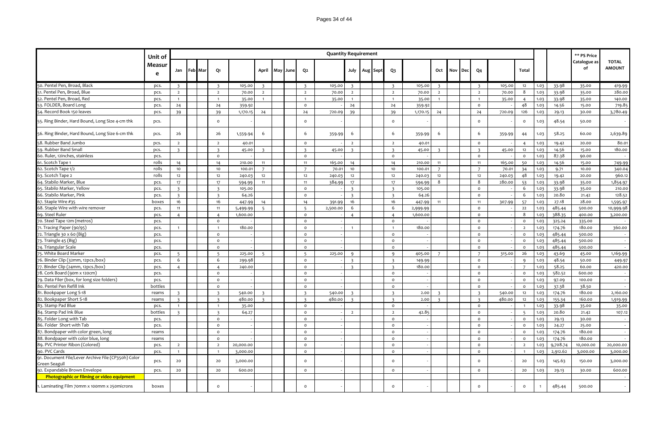|                                                     | Unit of     |                         |         |                         |           |                         |     |      |                         | <b>Quantity Requirement</b> |                         |          |                         |          |                         |     |     |                         |        |                |              |          | ** PS Price        |                               |
|-----------------------------------------------------|-------------|-------------------------|---------|-------------------------|-----------|-------------------------|-----|------|-------------------------|-----------------------------|-------------------------|----------|-------------------------|----------|-------------------------|-----|-----|-------------------------|--------|----------------|--------------|----------|--------------------|-------------------------------|
|                                                     | Measur<br>e | Jan                     | Feb Mar | Q1                      |           | April                   | May | June | Q <sub>2</sub>          |                             | July                    | Aug Sept | Q <sub>3</sub>          |          | Oct                     | Nov | Dec | Q <sub>4</sub>          |        | <b>Total</b>   |              |          | Catalogue as<br>of | <b>TOTAL</b><br><b>AMOUNT</b> |
| 50. Pentel Pen, Broad, Black                        | pcs.        | $\mathbf{R}$            |         |                         | 105.00    |                         |     |      | $\overline{\mathbf{z}}$ | 105.00                      | $\overline{\mathbf{z}}$ |          | $\overline{\mathbf{z}}$ | 105.00   | $\mathbf{R}$            |     |     |                         | 105.00 | 12             | 1.03         | 33.98    | 35.00              | 419.99                        |
| 51. Pentel Pen, Broad, Blue                         | pcs.        | $\overline{2}$          |         | $\overline{2}$          | 70.00     | $\overline{2}$          |     |      | $\overline{2}$          | 70.00                       | $\overline{2}$          |          | $\overline{2}$          | 70.00    | $\overline{2}$          |     |     | $\overline{2}$          | 70.00  | 8              | 1.03         | 33.98    | 35.00              | 280.00                        |
| 52. Pentel Pen, Broad, Red                          | pcs.        | $\mathbf{1}$            |         | $\overline{1}$          | 35.00     | $\overline{1}$          |     |      | $\overline{1}$          | 35.00                       |                         |          | $\mathbf{1}$            | 35.00    | $\mathbf{1}$            |     |     | $\overline{1}$          | 35.00  | $\overline{4}$ | 1.03         | 33.98    | 35.00              | 140.00                        |
| 53. FOLDER, Board Long                              | pcs.        | 24                      |         | 24                      | 359.92    |                         |     |      | $\circ$                 |                             | 24                      |          | 24                      | 359.92   |                         |     |     | $\circ$                 |        | 48             | 1.03         | 14.56    | 15.00              | 719.85                        |
| 54. Record Book 150 leaves                          | pcs.        | 39                      |         | 39                      | 1,170.15  | 24                      |     |      | 24                      | 720.09                      | 39                      |          | 39                      | 1,170.15 | 24                      |     |     | 24                      | 720.09 | 126            | 1.03         | 29.13    | 30.00              | 3,780.49                      |
| 55. Ring Binder, Hard Bound, Long Size 4-cm thk     | pcs.        |                         |         | $\circ$                 |           |                         |     |      | $\circ$                 |                             |                         |          | $\circ$                 |          |                         |     |     | $\Omega$                |        | $\circ$        | 1.03         | 48.54    | 50.00              |                               |
| 56. Ring Binder, Hard Bound, Long Size 6-cm thk     | pcs.        | 26                      |         | 26                      | 1,559.94  | 6                       |     |      | 6                       | 359.99                      | 6                       |          | 6                       | 359.99   | 6                       |     |     | 6                       | 359.99 | 44             | 1.03         | 58.25    | 60.00              | 2,639.89                      |
| 58. Rubber Band Jumbo                               | pcs.        | $\overline{2}$          |         | $\overline{2}$          | 40.01     |                         |     |      | $\circ$                 |                             | $\overline{2}$          |          | $\overline{2}$          | 40.01    |                         |     |     | $\mathsf{o}$            |        | $\overline{4}$ | 1.03         | 19.42    | 20.00              | 80.01                         |
| 59. Rubber Band Small                               | pcs.        | $\overline{3}$          |         | $\overline{3}$          | 45.00     | $\overline{\mathbf{3}}$ |     |      | $\overline{\mathbf{3}}$ | 45.00                       | $\overline{\mathbf{3}}$ |          | $\overline{3}$          | 45.00    | $\overline{\mathbf{3}}$ |     |     | $\overline{3}$          | 45.00  | 12             | 1.03         | 14.56    | 15.00              | 180.00                        |
| 60. Ruler, 12inches, stainless                      | pcs.        |                         |         | $\circ$                 |           |                         |     |      | $\mathsf{o}$            |                             |                         |          | $\circ$                 |          |                         |     |     | $\circ$                 |        | $\circ$        | 1.03         | 87.38    | 90.00              |                               |
| 61. Scotch Tape 1                                   | rolls       | 14                      |         | 14                      | 210.00    | 11                      |     |      | 11                      | 165.00                      | 14                      |          | 14                      | 210.00   | 11                      |     |     | 11                      | 165.00 | 50             | 1.03         | 14.56    | 15.00              | 749.99                        |
| 62. Scotch Tape 1/2                                 | rolls       | 10                      |         | 10                      | 100.01    | $\overline{7}$          |     |      | $\overline{7}$          | 70.01                       | 10                      |          | 10                      | 100.01   | $\overline{7}$          |     |     | $\overline{7}$          | 70.01  | 34             | 1.03         | 9.71     | 10.00              | 340.04                        |
| 63. Scotch Tape 2                                   | rolls       | 12                      |         | 12                      | 240.0     | 12                      |     |      | 12                      | 240.03                      | 12                      |          | 12                      | 240.03   | 12                      |     |     | 12                      | 240.03 | 48             | 1.03         | 19.42    | 20.00              | 960.12                        |
| 64. Stabilo Marker, Blue                            | pcs.        | 17 <sup>17</sup>        |         | 17                      | 594.99    | 11                      |     |      | 11                      | 384.99                      | 17                      |          | 17                      | 594.99   | 8                       |     |     | 8                       | 280.00 | 53             | 1.03         | 33.98    | 35.00              | 1,854.97                      |
| 65. Stabilo Marker, Yellow                          | pcs.        | $\overline{\mathbf{3}}$ |         | $\overline{\mathbf{3}}$ | 105.00    |                         |     |      | $\mathsf{o}$            |                             | $\overline{\mathbf{3}}$ |          | $\overline{3}$          | 105.00   |                         |     |     | $\mathsf{o}$            |        | 6              | 1.03         | 33.98    | 35.00              | 210.00                        |
| 66. Stabilo Marker, Pink                            | pcs.        | $\overline{3}$          |         | $\mathbf{R}$            | 64.26     |                         |     |      | $\mathsf{o}\,$          |                             | $\overline{\mathbf{z}}$ |          | $\overline{\mathbf{3}}$ | 64.26    |                         |     |     | $\circ$                 |        | 6              | 1.03         | 20.80    | 21.42              | 128.52                        |
| 67. Staple Wire #35                                 | boxes       | 16                      |         | 16                      | 447.99    | 14                      |     |      | 14                      | 391.99                      | 16                      |          | 16                      | 447.99   | 11                      |     |     | 11                      | 307.99 | 57             | 1.03         | 27.18    | 28.00              | 1,595.97                      |
| 68. Staple Wire with wire remover                   | pcs.        | 11                      |         | 11                      | 5,499.99  | 5                       |     |      | $5\overline{)}$         | 2,500.00                    | 6                       |          | 6                       | 2,999.99 |                         |     |     | $\circ$                 |        | 22             | 1.03         | 485.44   | 500.00             | 10,999.98                     |
| 69. Steel Ruler                                     | pcs.        | $\overline{4}$          |         | $\overline{4}$          | 1,600.00  |                         |     |      | $\circ$                 |                             | $\overline{4}$          |          | $\overline{4}$          | 1,600.00 |                         |     |     | $\circ$                 |        | 8              | 1.03         | 388.35   | 400.00             | 3,200.00                      |
| 70. Steel Tape 12m (metros)                         | pcs.        |                         |         | $\circ$                 |           |                         |     |      | $\circ$                 |                             |                         |          | $\circ$                 |          |                         |     |     | $\circ$                 |        | $\circ$        | 1.03         | 325.24   | 335.00             |                               |
| 71. Tracing Paper (90/95)                           | pcs.        | $\overline{1}$          |         | $\overline{1}$          | 180.00    |                         |     |      | $\mathsf{o}\xspace$     |                             |                         |          | $\mathbf{1}$            | 180.00   |                         |     |     | $\mathsf{o}$            |        | $\overline{2}$ | 1.03         | 174.76   | 180.00             | 360.00                        |
| 72. Triangle 30 x 60 (Big)                          | pcs.        |                         |         | $\circ$                 |           |                         |     |      | $\circ$                 |                             |                         |          | $\circ$                 |          |                         |     |     | $\mathsf{o}$            |        | $\circ$        | 1.03         | 485.44   | 500.00             |                               |
| 73. Traingle 45 (Big)                               | pcs.        |                         |         | $\mathsf{o}$            |           |                         |     |      | $\mathsf{o}\,$          |                             |                         |          | $\circ$                 |          |                         |     |     | $\circ$                 |        | $\circ$        | 1.03         | 485.44   | 500.00             |                               |
| 74. Triangular Scale                                | pcs.        |                         |         | $\mathsf{o}$            |           |                         |     |      | $\mathsf{o}\xspace$     |                             |                         |          | $\mathsf{o}$            |          |                         |     |     | $\mathsf{o}$            |        | $\circ$        | 1.03         | 485.44   | 500.00             |                               |
| 75. White Board Marker                              | pcs.        | 5                       |         | $\overline{5}$          | 225.00    | $5^{\circ}$             |     |      | $5\overline{)}$         | 225.00                      | $\mathbf{q}$            |          | 9                       | 405.00   | $\overline{7}$          |     |     | $\overline{7}$          | 315.00 | 26             | 1.03         | 43.69    | 45.00              | 1,169.99                      |
| 76. Binder Clip (32mm, 12pcs./box)                  | pcs.        | 6                       |         | 6                       | 299.98    |                         |     |      | $\mathsf{o}$            |                             | $\overline{\mathbf{3}}$ |          | $\overline{\mathbf{3}}$ | 149.99   |                         |     |     | $\circ$                 |        | $\mathsf{q}$   | 1.03         | 48.54    | 50.00              | 449.97                        |
| 77. Binder Clip (24mm, 12pcs./box)                  | pcs.        | $\overline{4}$          |         | $\overline{4}$          | 240.00    |                         |     |      | $\circ$                 |                             | $\overline{z}$          |          | $\overline{3}$          | 180.00   |                         |     |     | $\mathsf{o}$            |        | $\overline{7}$ | 1.03         | 58.25    | 60.00              | 420.00                        |
| 78. Cork Board (90m x 120cm)                        | pcs.        |                         |         | $\circ$                 |           |                         |     |      | $\circ$                 |                             |                         |          | $\circ$                 |          |                         |     |     | $\circ$                 |        | $\circ$        | 1.03         | 582.52   | 600.00             |                               |
| 79. Data Filer (box, for long size folders)         | pcs.        |                         |         | $\Omega$                |           |                         |     |      | $\mathsf{o}$            |                             |                         |          | $\Omega$                |          |                         |     |     | $\circ$                 |        | $\mathsf{o}\,$ | 1.03         | 97.09    | 100.00             |                               |
| 80. Pentel Pen Refill Ink                           | bottles     |                         |         | $\mathsf{o}$            |           |                         |     |      | $\mathsf{o}\xspace$     |                             |                         |          | $\circ$                 |          |                         |     |     | $\mathsf{o}$            |        | $\circ$        | 1.03         | 37.38    | 38.50              |                               |
| 81. Bookpaper Long S-18                             | reams       | $\overline{3}$          |         | $\overline{3}$          | 540.00    | $\overline{\mathbf{3}}$ |     |      | $\overline{\mathbf{3}}$ | 540.00                      | $\overline{\mathbf{3}}$ |          | $\overline{\mathbf{3}}$ | 2.00     | $\overline{\mathbf{3}}$ |     |     | $\overline{3}$          | 540.00 | 12             | 1.03         | 174.76   | 180.00             | 2,160.00                      |
| 82. Bookpaper Short S-18                            | reams       | $\overline{3}$          |         | $\overline{3}$          | 480.00    | $\overline{3}$          |     |      | $\overline{3}$          | 480.00                      | $\overline{\mathbf{z}}$ |          | $\overline{3}$          | 2.00     | $\overline{3}$          |     |     | $\overline{\mathbf{3}}$ | 480.00 | 12             | 1.03         | 155.34   | 160.00             | 1,919.99                      |
| 83. Stamp Pad Blue                                  | pcs.        | $\overline{1}$          |         | $\blacksquare$          | 35.00     |                         |     |      | $\circ$                 |                             |                         |          | $\circ$                 |          |                         |     |     | $\circ$                 |        | $\overline{1}$ | 1.03         | 33.98    | 35.00              | 35.00                         |
| 84. Stamp Pad Ink Blue                              | bottles     | $\overline{3}$          |         | $\overline{3}$          | 64.27     |                         |     |      | $\mathsf{o}$            |                             | $\overline{2}$          |          | $\overline{2}$          | 42.85    |                         |     |     | $\circ$                 |        | $\overline{5}$ | 1.03         | 20.80    | 21.42              | 107.12                        |
| 85. Folder Long with Tab                            | pcs.        |                         |         | $\mathsf{o}$            |           |                         |     |      | $\mathsf{o}\,$          |                             |                         |          | $\circ$                 |          |                         |     |     | $\circ$                 |        | $\mathsf{o}\,$ | 1.03         | 29.13    | 30.00              |                               |
| 86. Folder Short with Tab                           | pcs.        |                         |         | $\mathsf{o}$            |           |                         |     |      | $\mathsf{o}\xspace$     |                             |                         |          | $\Omega$                |          |                         |     |     | $\Omega$                |        | $\circ$        | 1.03         | 24.27    | 25.00              |                               |
| 87. Bondpaper with color green, long                | reams       |                         |         | $\circ$                 |           |                         |     |      | $\circ$                 |                             |                         |          | $\circ$                 |          |                         |     |     | $\circ$                 |        | $\circ$        | 1.03         | 174.76   | 180.00             |                               |
| 88. Bondpaper with color blue, long                 | reams       |                         |         | $\mathsf{o}$            |           |                         |     |      | $\mathsf{o}\,$          |                             |                         |          | $\circ$                 |          |                         |     |     | $\circ$                 |        | $\circ$        | 1.03         | 174.76   | 180.00             |                               |
| 89. PVC Printer Ribon (Colored)                     | pcs.        | $\overline{2}$          |         | $\overline{2}$          | 20,000.00 |                         |     |      | $\circ$                 |                             |                         |          | $\circ$                 |          |                         |     |     | $\circ$                 |        | $\overline{2}$ | 1.03         | 9,708.74 | 10,000.00          | 20,000.00                     |
| 90. PVC Cards                                       | pcs.        | $\overline{1}$          |         | $\overline{1}$          | 3,000.00  |                         |     |      | $\mathsf{o}\,$          |                             |                         |          | $\circ$                 |          |                         |     |     | $\circ$                 |        | $\overline{1}$ | 1.03         | 2,912.62 | 3,000.00           | 3,000.00                      |
| 91. Document File/Lever Archive File (CP350h) Color |             |                         |         |                         |           |                         |     |      |                         |                             |                         |          |                         |          |                         |     |     |                         |        |                |              |          |                    |                               |
| Green Seagull                                       | pcs.        | 20                      |         | 20                      | 3,000.00  |                         |     |      | $\circ$                 |                             |                         |          | $\Omega$                |          |                         |     |     | $\Omega$                |        | 20             | 1.03         | 145.63   | 150.00             | 3,000.00                      |
| 92. Expandable Brown Envelope                       | pcs.        | 20                      |         | 20                      | 600.00    |                         |     |      | $\circ$                 |                             |                         |          | $\circ$                 |          |                         |     |     | $\circ$                 |        | 20             | 1.03         | 29.13    | 30.00              | 600.00                        |
| Photographic or filming or video equipment          |             |                         |         |                         |           |                         |     |      |                         |                             |                         |          |                         |          |                         |     |     |                         |        |                |              |          |                    |                               |
| 1. Laminating Film 70mm x 100mm x 250microns        | boxes       |                         |         | $\Omega$                |           |                         |     |      | $\circ$                 |                             |                         |          | $\circ$                 |          |                         |     |     | $\Omega$                |        | $\circ$        | $\mathbf{1}$ | 485.44   | 500.00             |                               |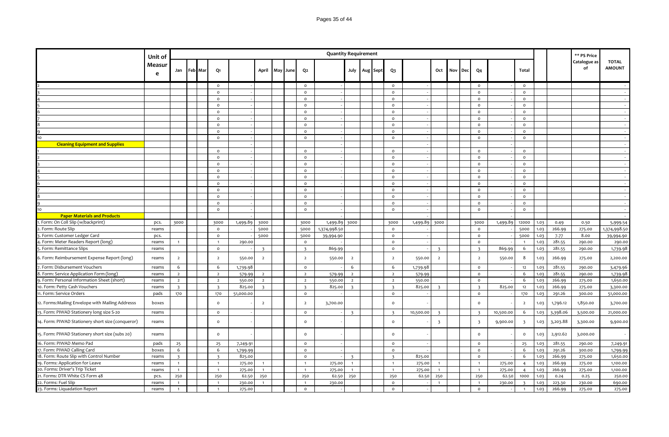|                                                   | Unit of     |                         |         |                         |           |                         |          |                     | <b>Quantity Requirement</b> |                         |  |                         |               |                         |     |            |                         |           |                         |      |          | ** PS Price        |                               |
|---------------------------------------------------|-------------|-------------------------|---------|-------------------------|-----------|-------------------------|----------|---------------------|-----------------------------|-------------------------|--|-------------------------|---------------|-------------------------|-----|------------|-------------------------|-----------|-------------------------|------|----------|--------------------|-------------------------------|
|                                                   | Measur<br>e | Jan                     | Feb Mar | Q1                      |           | April                   | May June | Q2                  |                             | July Aug Sept           |  | $Q_3$                   |               | Oct                     | Nov | <b>Dec</b> | Q <sub>4</sub>          |           | Total                   |      |          | Catalogue as<br>of | <b>TOTAL</b><br><b>AMOUNT</b> |
|                                                   |             |                         |         | $\circ$                 |           |                         |          | $\circ$             |                             |                         |  | $\circ$                 |               |                         |     |            | $\circ$                 |           | $\Omega$                |      |          |                    |                               |
|                                                   |             |                         |         | $\circ$                 |           |                         |          | $\mathsf{o}\,$      |                             |                         |  | $\mathsf{o}\xspace$     |               |                         |     |            | $\circ$                 |           | $\circ$                 |      |          |                    |                               |
|                                                   |             |                         |         | $\mathsf{o}\xspace$     |           |                         |          | $\mathsf{o}\xspace$ |                             |                         |  | $\mathsf{o}\xspace$     |               |                         |     |            | $\mathsf{o}$            |           | $\circ$                 |      |          |                    |                               |
|                                                   |             |                         |         | $\circ$                 |           |                         |          | $\mathsf{o}\xspace$ |                             |                         |  | $\circ$                 |               |                         |     |            | $\circ$                 |           | $\circ$                 |      |          |                    |                               |
|                                                   |             |                         |         | $\circ$                 |           |                         |          | $\mathsf{o}$        |                             |                         |  | $\mathsf{o}$            |               |                         |     |            | $\circ$                 |           | $\circ$                 |      |          |                    |                               |
|                                                   |             |                         |         | $\circ$                 |           |                         |          | $\circ$             |                             |                         |  | $\circ$                 |               |                         |     |            | $\circ$                 |           | $\circ$                 |      |          |                    |                               |
|                                                   |             |                         |         | $\circ$                 |           |                         |          | $\circ$             |                             |                         |  | $\circ$                 |               |                         |     |            | $\circ$                 |           | $\circ$                 |      |          |                    |                               |
|                                                   |             |                         |         | $\mathsf{o}\xspace$     |           |                         |          | $\mathsf{o}\xspace$ |                             |                         |  | $\mathsf{o}\xspace$     |               |                         |     |            | $\mathsf{o}$            |           | $\circ$                 |      |          |                    |                               |
| 10                                                |             |                         |         | $\circ$                 |           |                         |          | $\circ$             |                             |                         |  | $\circ$                 |               |                         |     |            | $\circ$                 |           | $\circ$                 |      |          |                    |                               |
| <b>Cleaning Equipment and Supplies</b>            |             |                         |         |                         |           |                         |          |                     |                             |                         |  |                         |               |                         |     |            |                         |           |                         |      |          |                    |                               |
|                                                   |             |                         |         | $\circ$                 |           |                         |          | $\circ$             |                             |                         |  | $\circ$                 |               |                         |     |            | $\circ$                 |           | $\circ$                 |      |          |                    |                               |
|                                                   |             |                         |         | $\circ$                 |           |                         |          | $\circ$             |                             |                         |  | $\circ$                 |               |                         |     |            | $\circ$                 |           | $\circ$                 |      |          |                    |                               |
|                                                   |             |                         |         | $\mathsf{o}\xspace$     |           |                         |          | $\mathsf{o}\xspace$ |                             |                         |  | $\mathsf{o}\xspace$     |               |                         |     |            | $\mathsf{o}$            |           | $\mathsf{o}\,$          |      |          |                    |                               |
|                                                   |             |                         |         | $\circ$                 |           |                         |          | $\circ$             |                             |                         |  | $\circ$                 |               |                         |     |            | $\circ$                 |           | $\Omega$                |      |          |                    |                               |
|                                                   |             |                         |         | $\circ$                 |           |                         |          | $\circ$             |                             |                         |  | $\circ$                 |               |                         |     |            | $\mathsf{o}$            |           | $\circ$                 |      |          |                    |                               |
|                                                   |             |                         |         | $\circ$                 |           |                         |          | $\circ$             |                             |                         |  | $\circ$                 |               |                         |     |            | $\circ$                 |           | $\circ$                 |      |          |                    |                               |
|                                                   |             |                         |         | $\circ$                 |           |                         |          | $\circ$             |                             |                         |  | $\circ$                 |               |                         |     |            | $\circ$                 |           | $\circ$                 |      |          |                    |                               |
|                                                   |             |                         |         | $\mathsf{o}\,$          |           |                         |          | $\mathsf{o}\xspace$ |                             |                         |  | $\mathsf{o}$            |               |                         |     |            | $\circ$                 |           | $\circ$                 |      |          |                    |                               |
|                                                   |             |                         |         | $\circ$                 |           |                         |          | $\circ$             |                             |                         |  | $\circ$                 |               |                         |     |            | $\circ$                 |           | $\circ$                 |      |          |                    |                               |
| 10                                                |             |                         |         | $\circ$                 |           |                         |          | $\circ$             |                             |                         |  | $\circ$                 |               |                         |     |            | $\circ$                 |           | $\circ$                 |      |          |                    |                               |
| <b>Paper Materials and Products</b>               |             |                         |         |                         |           |                         |          |                     |                             |                         |  |                         |               |                         |     |            |                         |           |                         |      |          |                    |                               |
| . Form: On Coll Slip (w/backprint)                | pcs.        | 3000                    |         | 3000                    | 1,499.89  | 3000                    |          | 3000                | 1,499.89 3000               |                         |  | 3000                    | 1,499.89 3000 |                         |     |            | 3000                    | 1,499.89  | 12000                   | 1.03 | 0.49     | 0.50               | 5,999.54                      |
| 2. Form: Route Slip                               | reams       |                         |         | $\circ$                 |           | 5000                    |          | 5000                | 1,374,998.50                |                         |  | $\mathsf{o}$            |               |                         |     |            | $\mathsf{o}$            |           | 5000                    | 1.03 | 266.99   | 275.00             | 1,374,998.50                  |
| . Form: Customer Ledger Card                      | pcs.        |                         |         | $\circ$                 |           | 5000                    |          | 5000                | 39,994.90                   |                         |  | $\mathsf{o}\xspace$     |               |                         |     |            | $\circ$                 |           | 5000                    | 1.03 | 7.77     | 8.00               | 39,994.90                     |
| 4. Form: Meter Readers Report (long)              | reams       | $\overline{1}$          |         | $\overline{1}$          | 290.00    |                         |          | $\mathsf{o}\,$      |                             |                         |  | $\mathsf{o}\xspace$     |               |                         |     |            | $\mathsf{o}$            |           | $\overline{1}$          | 1.03 | 281.55   | 290.00             | 290.00                        |
| 5. Form: Remittance Slips                         | reams       |                         |         | $\circ$                 |           | $\overline{\mathbf{3}}$ |          | $\overline{3}$      | 869.99                      |                         |  | $\circ$                 |               | $\overline{\mathbf{3}}$ |     |            | $\overline{3}$          | 869.99    | 6                       | 1.03 | 281.55   | 290.00             | 1,739.98                      |
| 6. Form: Reimbursement Expense Report (long)      | reams       | $\overline{2}$          |         | $\overline{2}$          | 550.00    | $\overline{2}$          |          | $\overline{2}$      | 550.00                      | $\overline{2}$          |  | $\overline{2}$          | 550.00        | $\overline{2}$          |     |            | $\overline{2}$          | 550.00    | 8                       | 1.03 | 266.99   | 275.00             | 2,200.00                      |
| 7. Form: Disbursement Vouchers                    | reams       | 6                       |         | 6                       | 1,739.98  |                         |          | $\circ$             |                             | 6                       |  | 6                       | 1,739.98      |                         |     |            | $\circ$                 |           | 12                      | 1.03 | 281.55   | 290.00             | 3,479.96                      |
| 8. Form: Service Application Form (long)          | reams       | $\overline{2}$          |         | $\overline{2}$          | 579.99    | $\overline{2}$          |          | $\overline{2}$      | 579.99                      | $\overline{2}$          |  | $\overline{2}$          | 579.99        |                         |     |            | $\circ$                 |           | 6                       | 1.03 | 281.55   | 290.00             | 1,739.98                      |
| 9. Form: Personal Information Sheet (short)       | reams       | $\overline{2}$          |         | $\overline{2}$          | 550.00    | $\overline{2}$          |          | $\overline{2}$      | 550.00                      | $\overline{2}$          |  | $\overline{2}$          | 550.00        |                         |     |            | $\circ$                 |           | 6                       | 1.03 | 266.99   | 275.00             | 1,650.00                      |
| 10. Form: Petty Cash Vouchers                     | reams       | $\overline{\mathbf{3}}$ |         | $\overline{\mathbf{3}}$ | 825.00    | $\overline{3}$          |          | $\overline{3}$      | 825.00                      | $\overline{\mathbf{3}}$ |  | $\overline{3}$          | 825.00        | $\overline{\mathbf{3}}$ |     |            | $\overline{3}$          | 825.00    | 12                      | 1.03 | 266.99   | 275.00             | 3,300.00                      |
| 11. Form: Service Orders                          | pads        | 170                     |         | 170                     | 51,000.00 |                         |          | $\mathsf{o}$        |                             |                         |  | $\mathsf{o}$            |               |                         |     |            | $\circ$                 |           | 170                     | 1.03 | 291.26   | 300.00             | 51,000.00                     |
| 12. Forms: Mailing Envelope with Mailing Addresss | boxes       |                         |         | $\mathsf{o}\,$          |           | $\overline{2}$          |          | $\overline{2}$      | 3,700.00                    |                         |  | $\mathsf{o}$            |               |                         |     |            | $\circ$                 |           | $\overline{2}$          | 1.03 | 1,796.12 | 1,850.00           | 3,700.00                      |
| 13. Form: PIWAD Stationery long size S-20         | reams       |                         |         | $\circ$                 |           |                         |          | $\circ$             |                             | $\overline{\mathbf{z}}$ |  | $\overline{\mathbf{3}}$ | 10,500.00     | $\overline{3}$          |     |            | $\overline{3}$          | 10,500.00 | 6                       | 1.03 | 3,398.06 | 3,500.00           | 21,000.00                     |
| 14. Form: PIWAD Stationery short size (conqueror) | reams       |                         |         | $\circ$                 |           |                         |          | $\circ$             |                             |                         |  | $\mathsf{o}$            |               | $\overline{\mathbf{3}}$ |     |            | $\overline{\mathbf{3}}$ | 9,900.00  | $\overline{\mathbf{3}}$ | 1.03 | 3,203.88 | 3,300.00           | 9,900.00                      |
| 15. Form: PIWAD Stationery short size (subs 20)   | reams       |                         |         | $\circ$                 |           |                         |          | $\circ$             |                             |                         |  | $\circ$                 |               |                         |     |            | $\circ$                 |           | $\circ$                 | 1.03 | 2,912.62 | 3,000.00           |                               |
| 16. Form: PIWAD Memo Pad                          | pads        | 25                      |         | 25                      | 7,249.91  |                         |          | $\circ$             |                             |                         |  | $\mathsf{o}$            |               |                         |     |            | $\circ$                 |           | 25                      | 1.03 | 281.55   | 290.00             | 7,249.91                      |
| 17. Form: PIWAD Calling Card                      | boxes       | 6                       |         | 6                       | 1,799.99  |                         |          | $\circ$             |                             |                         |  | $\circ$                 |               |                         |     |            | $\circ$                 |           | 6                       | 1.03 | 291.26   | 300.00             | 1,799.99                      |
| 18. Form: Route Slip with Control Number          | reams       | $\overline{\mathbf{3}}$ |         | $\overline{\mathbf{3}}$ | 825.00    |                         |          | $\circ$             |                             | $\overline{\mathbf{z}}$ |  | $\overline{3}$          | 825.00        |                         |     |            | $\circ$                 |           | 6                       | 1.03 | 266.99   | 275.00             | 1,650.00                      |
| 19. Forms: Application for Leave                  | reams       | $\mathbf{1}$            |         | $\overline{1}$          | 275.00    | $\overline{1}$          |          | $\overline{1}$      | 275.00                      | $\overline{1}$          |  | $\overline{1}$          | 275.00        |                         |     |            | $\overline{1}$          | 275.00    | $\overline{4}$          | 1.03 | 266.99   | 275.00             | 1,100.00                      |
| 20. Forms: Driver's Trip Ticket                   | reams       | $\overline{1}$          |         | $\overline{1}$          | 275.00    | $\overline{1}$          |          | $\overline{1}$      | 275.00                      | $\mathbf{1}$            |  | $\overline{1}$          | 275.00        |                         |     |            | $\overline{1}$          | 275.00    | $\overline{4}$          | 1.03 | 266.99   | 275.00             | 1,100.00                      |
| 21. Forms: DTR White CS Form 48                   | pcs.        | 250                     |         | 250                     | 62.50     | 250                     |          | 250                 | 62.50                       | 250                     |  | 250                     | 62.50         | 250                     |     |            | 250                     | 62.50     | 1000                    | 1.03 | 0.24     | 0.25               | 250.00                        |
| 22. Forms: Fuel Slip                              | reams       | $\overline{1}$          |         | $\overline{1}$          | 230.00    | $\mathbf{1}$            |          | $\mathbf{1}$        | 230.00                      |                         |  | $\circ$                 |               | $\overline{1}$          |     |            | $\mathbf{1}$            | 230.00    | $\overline{3}$          | 1.03 | 223.30   | 230.00             | 690.00                        |
| 23. Forms: Liquadation Report                     | reams       | $\overline{1}$          |         | $\mathbf{1}$            | 275.00    |                         |          | $\circ$             |                             |                         |  | $\circ$                 |               |                         |     |            | $\circ$                 |           | $\mathbf{1}$            | 1.03 | 266.99   | 275.00             | 275.00                        |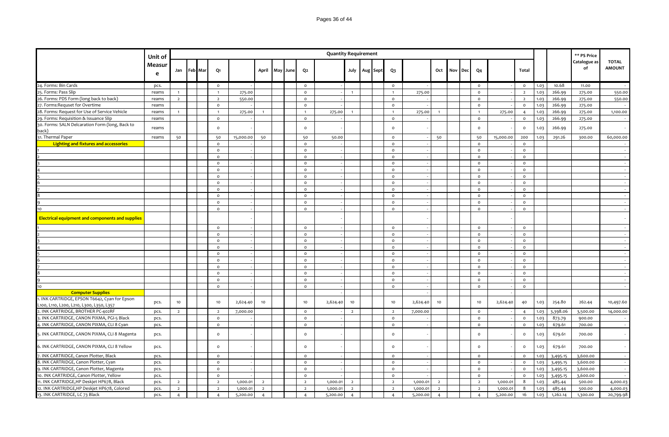|                                                                                           | Unit of     |                |                |                |           |    |                |                | <b>Quantity Requirement</b> |                |                   |                |          |                |             |                |           |                |      |          | ** PS Price        |                               |
|-------------------------------------------------------------------------------------------|-------------|----------------|----------------|----------------|-----------|----|----------------|----------------|-----------------------------|----------------|-------------------|----------------|----------|----------------|-------------|----------------|-----------|----------------|------|----------|--------------------|-------------------------------|
|                                                                                           | Measur<br>e | Jan            | <b>Feb Mar</b> | Q1             |           |    | April May June | Q <sub>2</sub> |                             |                | July   Aug   Sept | $Q_3$          |          |                | Oct Nov Dec | Q <sub>4</sub> |           | Total          |      |          | Catalogue as<br>of | <b>TOTAL</b><br><b>AMOUNT</b> |
| 24. Forms: Bin Cards                                                                      | pcs.        |                |                | $\circ$        |           |    |                | $\circ$        |                             |                |                   | $\circ$        |          |                |             | $\circ$        |           | $\circ$        | 1.03 | 10.68    | 11.00              | $\sim$ $-$                    |
| 25. Forms: Pass Slip                                                                      | reams       | $\overline{1}$ |                | $\blacksquare$ | 275.00    |    |                | $\circ$        |                             | $\overline{1}$ |                   | $\mathbf{1}$   | 275.00   |                |             | $\circ$        |           | $\overline{2}$ | 1.03 | 266.99   | 275.00             | 550.00                        |
| 26. Forms: PDS Form (long back to back)                                                   | reams       | $\overline{2}$ |                | $\overline{2}$ | 550.00    |    |                | $\circ$        |                             |                |                   | $\circ$        |          |                |             | $\circ$        |           | $\overline{2}$ | 1.03 | 266.99   | 275.00             | 550.00                        |
| 27. Forms: Requset for Overtime                                                           | reams       |                |                | $\circ$        |           |    |                | $\circ$        |                             |                |                   | $\circ$        |          |                |             | $\circ$        |           | $\circ$        | 1.03 | 266.99   | 275.00             | $\sim$                        |
| 28. Forms: Request for Use of Service Vehicle                                             | reams       | $\overline{1}$ |                | $\overline{1}$ | 275.00    |    |                | $\overline{1}$ | 275.00                      | $\blacksquare$ |                   | $\mathbf{1}$   | 275.00   | $\overline{1}$ |             | $\overline{1}$ | 275.00    | $\overline{a}$ | 1.03 | 266.99   | 275.00             | 1,100.00                      |
| 29. Forms: Requisition & Issuance Slip                                                    | reams       |                |                | $\circ$        |           |    |                | $\circ$        |                             |                |                   | $\circ$        |          |                |             | $\circ$        |           | $\circ$        | 1.03 | 266.99   | 275.00             |                               |
| 30. Forms: SALN Delcaration Form (long, Back to<br>back)                                  | reams       |                |                | $\circ$        |           |    |                | $\circ$        |                             |                |                   | $\circ$        |          |                |             | $\circ$        |           | $\circ$        | 1.03 | 266.99   | 275.00             | $\sim$                        |
| 31. Thermal Paper                                                                         | reams       | 50             |                | 50             | 15,000.00 | 50 |                | 50             | 50.00                       |                |                   | $\circ$        |          | 50             |             | 50             | 15,000.00 | 200            | 1.03 | 291.26   | 300.00             | 60,000.00                     |
| Lighting and fixtures and accessories                                                     |             |                |                | $\circ$        |           |    |                | $\circ$        |                             |                |                   | $\circ$        |          |                |             | $\circ$        |           | $\circ$        |      |          |                    | $\sim$                        |
|                                                                                           |             |                |                | $\Omega$       |           |    |                | $\circ$        |                             |                |                   | $\circ$        |          |                |             | $\circ$        |           | $\circ$        |      |          |                    | $\sim$                        |
|                                                                                           |             |                |                | $\circ$        |           |    |                | $\circ$        |                             |                |                   | $\circ$        |          |                |             | $\circ$        |           | $\circ$        |      |          |                    | $\sim$ $-$                    |
|                                                                                           |             |                |                | $\circ$        |           |    |                | $\circ$        |                             |                |                   | $\circ$        |          |                |             | $\circ$        |           | $\circ$        |      |          |                    | $\sim$                        |
|                                                                                           |             |                |                | $\circ$        |           |    |                | $\circ$        |                             |                |                   | $\circ$        |          |                |             | $\circ$        |           | $\circ$        |      |          |                    | $\sim$                        |
|                                                                                           |             |                |                | $\circ$        |           |    |                | $\circ$        |                             |                |                   | $\circ$        |          |                |             | $\circ$        |           | $\circ$        |      |          |                    | $\sim$                        |
|                                                                                           |             |                |                | $\circ$        |           |    |                | $\circ$        |                             |                |                   | $\circ$        |          |                |             | $\circ$        |           | $\circ$        |      |          |                    | $\sim$                        |
|                                                                                           |             |                |                | $\circ$        |           |    |                | $\circ$        |                             |                |                   | $\circ$        |          |                |             | $\circ$        |           | $\Omega$       |      |          |                    | $\sim$                        |
|                                                                                           |             |                |                | $\circ$        |           |    |                | $\circ$        |                             |                |                   | $\circ$        |          |                |             | $\circ$        |           | $\circ$        |      |          |                    | $\sim$                        |
|                                                                                           |             |                |                | $\circ$        |           |    |                | $\circ$        |                             |                |                   | $\circ$        |          |                |             | $\circ$        |           | $\circ$        |      |          |                    | $\sim$                        |
| ١O                                                                                        |             |                |                | $\circ$        |           |    |                | $\circ$        |                             |                |                   | $\circ$        |          |                |             | $\circ$        |           | $\circ$        |      |          |                    | $\sim$                        |
| <b>Electrical equipment and components and supplies</b>                                   |             |                |                |                |           |    |                |                |                             |                |                   |                |          |                |             |                |           |                |      |          |                    | $\sim$                        |
|                                                                                           |             |                |                | $\circ$        |           |    |                | $\circ$        |                             |                |                   | $\circ$        |          |                |             | $\circ$        |           | $\circ$        |      |          |                    | $\sim$                        |
|                                                                                           |             |                |                | $\circ$        |           |    |                | $\circ$        |                             |                |                   | $\circ$        |          |                |             | $\circ$        |           | $\Omega$       |      |          |                    | $\sim$                        |
|                                                                                           |             |                |                | $\circ$        |           |    |                | $\circ$        |                             |                |                   | $\circ$        |          |                |             | $\circ$        |           | $\circ$        |      |          |                    | $\sim$                        |
|                                                                                           |             |                |                | $\circ$        |           |    |                | $\circ$        |                             |                |                   | $\circ$        |          |                |             | $\circ$        |           | $\Omega$       |      |          |                    | $\sim$                        |
|                                                                                           |             |                |                | $\circ$        |           |    |                | $\circ$        |                             |                |                   | $\circ$        |          |                |             | $\circ$        |           | $\circ$        |      |          |                    | $\sim$                        |
|                                                                                           |             |                |                | $\circ$        |           |    |                | $\circ$        |                             |                |                   | $\circ$        |          |                |             | $\circ$        |           | $\circ$        |      |          |                    | $\sim$                        |
|                                                                                           |             |                |                | $\circ$        |           |    |                | $\circ$        |                             |                |                   | $\circ$        |          |                |             | $\circ$        |           | $\circ$        |      |          |                    | $\sim$                        |
|                                                                                           |             |                |                | $\circ$        |           |    |                | $\circ$        |                             |                |                   | $\circ$        |          |                |             | $\circ$        |           | $\circ$        |      |          |                    | $\sim$                        |
|                                                                                           |             |                |                | $\circ$        |           |    |                | $\circ$        |                             |                |                   | $\circ$        |          |                |             | $\circ$        |           | $\circ$        |      |          |                    | $\sim$                        |
| 10                                                                                        |             |                |                | $\circ$        |           |    |                | $\circ$        |                             |                |                   | $\circ$        |          |                |             | $\circ$        |           | $\circ$        |      |          |                    | $\sim$                        |
| <b>Computer Supplies</b>                                                                  |             |                |                |                |           |    |                |                |                             |                |                   |                |          |                |             |                |           |                |      |          |                    |                               |
| 1. INK CARTRIDGE, EPSON T6642, Cyan for Epson<br>L100, L110, L200, L210, L300, L350, L357 | pcs.        | 10             |                | 10             | 2,624.40  | 10 |                | 10             | 2,624.40                    | 10             |                   | 10             | 2,624.40 | 10             |             | 10             | 2,624.40  | 40             | 1.03 | 254.80   | 262.44             | 10,497.60                     |
| 2. INK CARTRIDGE, BROTHER PC-402RF                                                        | pcs.        | $\overline{2}$ |                | $\overline{2}$ | 7,000.00  |    |                | $\circ$        |                             | $\overline{2}$ |                   | $\overline{2}$ | 7,000.00 |                |             | $\circ$        |           | $\overline{4}$ | 1.03 | 3,398.06 | 3,500.00           | 14,000.00                     |
| 3. INK CARTRIDGE, CANON PIXMA, PGI-5 Black                                                | pcs.        |                |                | $\Omega$       |           |    |                | $\circ$        |                             |                |                   | $\Omega$       |          |                |             | $\circ$        |           | $\circ$        | 1.03 | 873.79   | 900.00             | $\sim$                        |

4. INK CARTRIDGE, CANON PIXMA, CLI 8 Cyan pcs. 0 - 0 - 0 - 0 - 0 1.03 679.61 700.00 - 5. INK CARTRIDGE, CANON PIXMA, CLI 8 Magenta pcs. 0 - 0 - 0 - 0 - 0 1.03 679.61 700.00 - 6. INK CARTRIDGE, CANON PIXMA, CLI 8 Yellow pcs. 0 - 0 - 0 - 0 - 0 1.03 679.61 700.00 - 7. INK CARTRIDGE, Canon Plotter, Black pcs. 0 - 0 - 0 - 0 - 0 1.03 3,495.15 3,600.00 - 8. INK CARTRIDGE, Canon Plotter, Cyan pcs. 0 - 0 - 0 - 0 - 0 1.03 3,495.15 3,600.00 - 9. INK CARTRIDGE, Canon Plotter, Magenta | pcs. | | | | o | - | | | | o | - | | | | | o | - | o | | 1.03 3,495.15 | 3,600.00 -10. INK CARTRIDGE, Canon Plotter, Yellow pcs. 0 - 0 - 0 - 0 - 0 1.03 3,495.15 3,600.00 -

11. INK CARTRIDGE,HP Deskjet HP678, Black pcs. 2 1 2 1,000.01 2 1,000.01 2 1,000.01 2 1,000.01 2 1,000.01 2 1,000.01 8 1.03 485.44 500.00 4,000.03 12. INK CARTRIDGE,HP Deskjet HP678, Colored pcs. 2 | 2 1,000.01 2 | 2 1,000.01 2 | 2 1,000.01 2 | 2 1,000.01 8 1.03 485.44 500.00 4,000.03 13. INK CARTRIDGE, LC 73 Black **pcs. 4 4 4 5,200.00 4 4 5,200.00 4 4 5,200.00** 4 4 5,200.00 4 4 5,200.00 4 4 5,200.00 56 1.03 1,262.14 1,300.00 20,799.98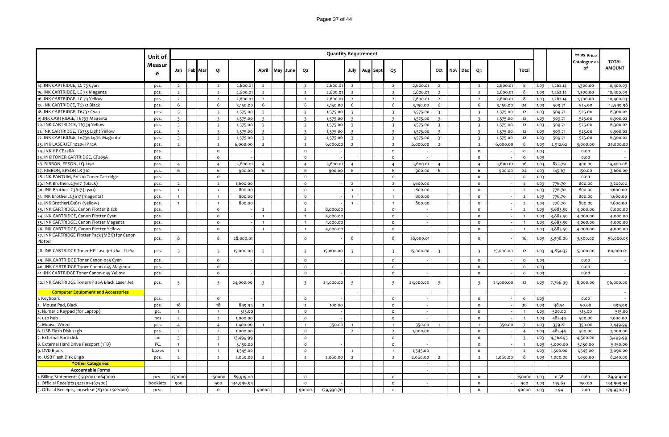|                                                 | Unit of     |                         |         |                         |            |                         |     |      |                         | <b>Quantity Requirement</b> |                         |                   |                         |           |                         |     |     |                         |           |                         |      |          | ** PS Price        |                               |
|-------------------------------------------------|-------------|-------------------------|---------|-------------------------|------------|-------------------------|-----|------|-------------------------|-----------------------------|-------------------------|-------------------|-------------------------|-----------|-------------------------|-----|-----|-------------------------|-----------|-------------------------|------|----------|--------------------|-------------------------------|
|                                                 | Measur<br>e | Jan                     | Feb Mar | Q1                      |            | April                   | May | June | Q <sub>2</sub>          |                             |                         | July   Aug   Sept | Q <sub>3</sub>          |           | Oct                     | Nov | Dec | Q <sub>4</sub>          |           | Total                   |      |          | Catalogue as<br>of | <b>TOTAL</b><br><b>AMOUNT</b> |
| 14. INK CARTRIDGE, LC 73 Cyan                   | pcs.        | $\overline{2}$          |         | $\overline{2}$          | 2,600.01   | $\overline{2}$          |     |      | $\overline{2}$          | 2,600.01                    | $\overline{2}$          |                   | $\overline{2}$          | 2,600.01  | $\overline{2}$          |     |     | $\overline{2}$          | 2,600.01  | 8                       | 1.03 | 1,262.14 | 1,300.00           | 10,400.03                     |
| 15. INK CARTRIDGE, LC 73 Magenta                | pcs.        | $\overline{2}$          |         | $\overline{2}$          | 2,600.01   | $\overline{2}$          |     |      | $\overline{2}$          | 2,600.01                    | $\overline{2}$          |                   | $\overline{2}$          | 2,600.0   | $\overline{2}$          |     |     | $\overline{2}$          | 2,600.01  | 8                       | 1.03 | 1,262.14 | 1,300.00           | 10,400.03                     |
| 16. INK CARTRIDGE, LC 73 Yellow                 | pcs.        | $\overline{2}$          |         | $\overline{2}$          | 2,600.01   | $\overline{2}$          |     |      | $\overline{2}$          | 2,600.01                    | $\overline{2}$          |                   | $\overline{2}$          | 2,600.01  | $\overline{2}$          |     |     | $\overline{2}$          | 2,600.01  | 8                       | 1.03 | 1,262.14 | 1,300.00           | 10,400.03                     |
| 17. INK CARTRIDGE, T6731 Black                  | pcs.        | 6                       |         | 6                       | 3,150.00   | 6                       |     |      | 6                       | 3,150.00                    | 6                       |                   | 6                       | 3,150.00  | 6                       |     |     | 6                       | 3,150.00  | 24                      | 1.03 | 509.71   | 525.00             | 12,599.98                     |
| 18. INK CARTRIDGE, T6732 Cyan                   | pcs.        | $\overline{3}$          |         | $\overline{3}$          | 1,575.00   | $\overline{\mathbf{z}}$ |     |      | $\overline{3}$          | 1,575.00                    | $\overline{3}$          |                   | $\overline{\mathbf{3}}$ | 1,575.00  | $\overline{3}$          |     |     | $\overline{\mathbf{z}}$ | 1,575.00  | 12                      | 1.03 | 509.71   | 525.00             | 6,300.02                      |
| 19.INK CARTRIDGE, T6733 Magenta                 | pcs.        | $\overline{\mathbf{3}}$ |         | $\overline{\mathbf{3}}$ | 1,575.00   |                         |     |      | $\overline{\mathbf{3}}$ | 1,575.00                    | $\overline{\mathbf{3}}$ |                   | $\overline{\mathbf{3}}$ | 1,575.00  | $\overline{3}$          |     |     | $\overline{\mathbf{3}}$ | 1,575.00  | 12                      | 1.03 | 509.71   | 525.00             | 6,300.02                      |
| 20. INK CARTRIDGE, T6734 Yellow                 | pcs.        | $\overline{3}$          |         | $\overline{\mathbf{3}}$ | 1,575.00   | $\overline{\mathbf{z}}$ |     |      | $\overline{\mathbf{3}}$ | 1,575.00                    | $\overline{\mathbf{3}}$ |                   | $\overline{3}$          | 1,575.00  | $\overline{3}$          |     |     | $\overline{3}$          | 1,575.00  | 12                      | 1.03 | 509.71   | 525.00             | 6,300.02                      |
| 21. INK CARTRIDGE, T6735 Light Yellow           | pcs.        | $\overline{3}$          |         | $\overline{3}$          | 1,575.00   | $\overline{\mathbf{z}}$ |     |      | $\overline{3}$          | 1,575.00                    | $\overline{\mathbf{z}}$ |                   | $\overline{3}$          | 1,575.00  | $\overline{3}$          |     |     | $\overline{\mathbf{z}}$ | 1,575.00  | 12                      | 1.03 | 509.71   | 525.00             | 6,300.02                      |
| 22. INK CARTRIDGE, T6736 Light Magenta          | pcs.        | $\overline{3}$          |         | $\overline{3}$          | 1,575.00   | $\overline{\mathbf{z}}$ |     |      | $\overline{3}$          | 1,575.00                    | $\overline{\mathbf{z}}$ |                   | $\overline{3}$          | 1,575.00  | $\overline{3}$          |     |     | $\overline{3}$          | 1,575.00  | 12                      | 1.03 | 509.71   | 525.00             | 6,300.02                      |
| 23. INK LASERJET 1020-HP 12A                    | pcs.        | $\overline{2}$          |         | $\overline{2}$          | 6,000.00   | $\overline{2}$          |     |      | $\overline{2}$          | 6,000.00                    | $\overline{2}$          |                   | $\overline{2}$          | 6,000.00  | $\overline{2}$          |     |     | $\overline{2}$          | 6,000.00  | 8                       | 1.03 | 2,912.62 | 3,000.00           | 24,000.00                     |
| 24. INK HP CE278A                               | pcs.        |                         |         | $\circ$                 |            |                         |     |      | $\circ$                 |                             |                         |                   | $\circ$                 |           |                         |     |     | $\circ$                 |           | $\circ$                 | 1.03 |          | 0.00               |                               |
| 25. INK:TONER CARTRIDGE, CF283A                 | pcs.        |                         |         | $\circ$                 |            |                         |     |      | $\circ$                 |                             |                         |                   | $\circ$                 |           |                         |     |     | $\circ$                 |           | $\Omega$                | 1.03 |          | 0.00               |                               |
| 26. RIBBON, EPSON, LQ 2190                      | pcs.        | $\overline{4}$          |         | $\overline{4}$          | 3,600.01   | $\overline{4}$          |     |      | $\overline{4}$          | 3,600.01                    | $\overline{4}$          |                   | $\overline{4}$          | 3,600.01  | $\overline{4}$          |     |     | $\overline{4}$          | 3,600.01  | 16                      | 1.03 | 873.79   | 900.00             | 14,400.06                     |
| 27. RIBBON, EPSON LX 310                        | pcs.        | 6                       |         | 6                       | 900.00     | 6                       |     |      | 6                       | 900.00                      | 6                       |                   | 6                       | 900.00    | 6                       |     |     | 6                       | 900.00    | 24                      | 1.03 | 145.63   | 150.00             | 3,600.00                      |
| 28. INK PANTUM, EV-210 Toner Cartridge          | pcs.        |                         |         | $\circ$                 |            |                         |     |      | $\circ$                 |                             |                         |                   | $\circ$                 |           |                         |     |     | $\mathsf{o}$            |           | $\circ$                 | 1.03 |          | 0.00               |                               |
| 29. INK BrotherLC3617 (black)                   | pcs.        | $\overline{2}$          |         | $\overline{2}$          | 1,600.00   |                         |     |      | $\circ$                 |                             | $\overline{2}$          |                   | $\overline{2}$          | 1,600.00  |                         |     |     | $\circ$                 |           | $\overline{4}$          | 1.03 | 776.70   | 800.00             | 3,200.00                      |
| 30. INK BrotherLC3617 (cyan)                    | pcs.        | $\overline{1}$          |         | $\overline{1}$          | 800.00     |                         |     |      | $\circ$                 |                             | $\overline{1}$          |                   | $\mathbf{1}$            | 800.00    |                         |     |     | $\circ$                 |           | $\overline{2}$          | 1.03 | 776.70   | 800.00             | 1,600.00                      |
| 31. INK BrotherLC3617 (magenta)                 | pcs.        | $\mathbf{1}$            |         | $\overline{1}$          | 800.00     |                         |     |      | $\mathsf{o}\xspace$     |                             | $\overline{1}$          |                   | $\mathbf{1}$            | 800.00    |                         |     |     | $\circ$                 |           | $\overline{2}$          | 1.03 | 776.70   | 800.00             | 1,600.00                      |
| 32. INK BrotherLC3617 (yellow)                  | pcs.        | $\overline{1}$          |         | $\overline{1}$          | 800.00     |                         |     |      | $\circ$                 |                             |                         |                   | $\mathbf{1}$            | 800.00    |                         |     |     | $\circ$                 |           | $\overline{2}$          | 1.03 | 776.70   | 800.00             | 1,600.00                      |
| 33. INK CARTRIDGE, Canon Plotter Black          | pcs.        |                         |         | $\circ$                 |            | $\overline{2}$          |     |      | $\overline{2}$          | 8,000.00                    |                         |                   | $\circ$                 |           |                         |     |     | $\circ$                 |           | $\overline{2}$          | 1.03 | 3,883.50 | 4,000.00           | 8,000.00                      |
| 34. INK CARTRIDGE, Canon Plotter Cyan           | pcs.        |                         |         | $\circ$                 |            | $\overline{1}$          |     |      | $\overline{1}$          | 4,000.00                    |                         |                   | $\circ$                 |           |                         |     |     | $\circ$                 |           | $\overline{1}$          | 1.03 | 3,883.50 | 4,000.00           | 4,000.00                      |
| 35. INK CARTRIDGE, Canon Plotter Magenta        | pcs.        |                         |         | $\circ$                 |            | $\overline{1}$          |     |      | $\mathbf{1}$            | 4,000.00                    |                         |                   | $\circ$                 |           |                         |     |     | $\circ$                 |           | $\overline{1}$          | 1.03 | 3,883.50 | 4,000.00           | 4,000.00                      |
| 36. INK CARTRIDGE, Canon Plotter Yellow         | pcs.        |                         |         | $\circ$                 |            | $\overline{1}$          |     |      | $\overline{1}$          | 4,000.00                    |                         |                   | $\circ$                 |           |                         |     |     | $\circ$                 |           | $\overline{1}$          | 1.03 | 3,883.50 | 4,000.00           | 4,000.00                      |
| 37. INK CARTRIDGE Plotter Pack (MBK) for Canon  |             |                         |         |                         |            |                         |     |      |                         |                             |                         |                   |                         |           |                         |     |     |                         |           |                         |      |          |                    |                               |
| Plotter                                         | pcs.        | 8                       |         | 8                       | 28,000.01  |                         |     |      | $\circ$                 |                             | 8                       |                   | 8                       | 28,000.01 |                         |     |     | $\Omega$                |           | 16                      | 1.03 | 3,398.06 | 3,500.00           | 56,000.03                     |
| 38. INK CARTRIDGE Toner HP Laserjet 26a cf226a  | pcs.        | $\overline{\mathbf{3}}$ |         | $\overline{\mathbf{3}}$ | 15,000.00  | $\overline{3}$          |     |      | $\overline{\mathbf{3}}$ | 15,000.00                   | $\overline{\mathbf{3}}$ |                   | $\overline{3}$          | 15,000.00 | $\overline{\mathbf{3}}$ |     |     | $\overline{3}$          | 15,000.00 | 12                      | 1.03 | 4,854.37 | 5,000.00           | 60,000.01                     |
| 39. INK CARTRIDGE Toner Canon-045 Cyan          | pcs.        |                         |         | $\circ$                 |            |                         |     |      | $\circ$                 |                             |                         |                   | $\circ$                 |           |                         |     |     | $\circ$                 |           | $\circ$                 | 1.03 |          | 0.00               |                               |
| 40. INK CARTRIDGE Toner Canon-045 Magenta       | pcs.        |                         |         | $\circ$                 |            |                         |     |      | $\circ$                 |                             |                         |                   | $\circ$                 |           |                         |     |     | $\circ$                 |           | $\circ$                 | 1.03 |          | 0.00               |                               |
| 41. INK CARTRIDGE Toner Canon-045 Yellow        | pcs.        |                         |         | $\circ$                 |            |                         |     |      | $\circ$                 |                             |                         |                   | $\circ$                 |           |                         |     |     | $\circ$                 |           | $\circ$                 | 1.03 |          | 0.00               |                               |
| 42. INK CARTRIDGE TonerHP 26A Black Laser Jet   | pcs.        | $\overline{\mathbf{3}}$ |         | $\overline{\mathbf{3}}$ | 24,000.00  | $\overline{\mathbf{3}}$ |     |      | $\overline{\mathbf{3}}$ | 24,000.00                   | $\overline{\mathbf{3}}$ |                   | $\overline{3}$          | 24,000.00 | $\overline{\mathbf{3}}$ |     |     | $\overline{\mathbf{3}}$ | 24,000.00 | 12                      | 1.03 | 7,766.99 | 8,000.00           | 96,000.00                     |
| <b>Computer Equipment and Accessories</b>       |             |                         |         |                         |            |                         |     |      |                         |                             |                         |                   |                         |           |                         |     |     |                         |           |                         |      |          |                    |                               |
| 1. Keyboard                                     | pcs.        |                         |         | $\circ$                 |            |                         |     |      | $\circ$                 |                             |                         |                   | $\circ$                 |           |                         |     |     | $\circ$                 |           | $\circ$                 | 1.03 |          | 0.00               | $\sim$                        |
| Mouse Pad, Black                                | pcs.        | 18                      |         | 18                      | 899.99     | $\overline{2}$          |     |      | $\overline{2}$          | 100.00                      |                         |                   | $\mathsf{o}\,$          |           |                         |     |     | $\circ$                 |           | 20                      | 1.03 | 48.54    | 50.00              | 999.99                        |
| Numeric Keypad (for Laptop)                     | pc.         | $\mathbf{1}$            |         | $\overline{1}$          | 515.00     |                         |     |      | $\circ$                 |                             |                         |                   | $\circ$                 |           |                         |     |     | $\circ$                 |           | $\overline{1}$          | 1.03 | 500.00   | 515.00             | 515.00                        |
| usb hub                                         | pcs         | $\overline{2}$          |         | $\overline{2}$          | 1,000.00   |                         |     |      | $\circ$                 |                             |                         |                   | $\circ$                 |           |                         |     |     | $\circ$                 |           | $\overline{2}$          | 1.03 | 485.44   | 500.00             | 1,000.00                      |
| Mouse, Wired                                    | pcs.        | $\overline{4}$          |         | $\overline{4}$          | 1,400.00   |                         |     |      | $\overline{1}$          | 350.00                      |                         |                   | $\mathbf{1}$            | 350.00    |                         |     |     | $\overline{1}$          | 350.00    | $7^{\circ}$             | 1.03 | 339.81   | 350.00             | 2,449.99                      |
| USB Flash Disk 32gb                             | pcs.        | $\overline{2}$          |         | $\overline{2}$          | 1,000.00   |                         |     |      | $\circ$                 |                             | $\overline{2}$          |                   | $\overline{2}$          | 1,000.00  |                         |     |     | $\circ$                 |           | $\overline{4}$          | 1.03 | 485.44   | 500.00             | 2,000.00                      |
| External Hard disk                              | DC          | $\overline{\mathbf{z}}$ |         | $\overline{3}$          | 13,499.99  |                         |     |      | $\circ$                 |                             |                         |                   | $\circ$                 |           |                         |     |     | $\circ$                 |           | $\overline{\mathbf{z}}$ | 1.03 | 4,368.93 | 4,500.00           | 13,499.99                     |
| External Hard Drive Passport (1TB)              | PC.         | $\overline{1}$          |         | $\overline{1}$          | 5,150.00   |                         |     |      | $\mathsf{o}\xspace$     |                             |                         |                   | $\mathsf{o}\,$          |           |                         |     |     | $\circ$                 |           | $\overline{1}$          | 1.03 | 5,000.00 | 5,150.00           | 5,150.00                      |
| . DVD Blank                                     | boxes       | $\mathbf{1}$            |         | $\overline{1}$          | 1,545.00   |                         |     |      | $\mathsf{o}\xspace$     |                             |                         |                   | $\mathbf{1}$            | 1,545.00  |                         |     |     | $\mathsf{o}$            |           | $\overline{2}$          | 1.03 | 1,500.00 | 1,545.00           | 3,090.00                      |
| 10. USB Flash Disk 64gb                         | pcs.        | $\overline{2}$          |         | $\overline{2}$          | 2,060.00   | $\overline{z}$          |     |      | $\overline{2}$          | 2,060.00                    | $\overline{2}$          |                   | $\overline{2}$          | 2,060.00  | $\overline{2}$          |     |     | $\overline{2}$          | 2,060.00  | 8                       | 1.03 | 1,000.00 | 1,030.00           | 8,240.00                      |
| *Other Categories                               |             |                         |         |                         |            |                         |     |      |                         |                             |                         |                   |                         |           |                         |     |     |                         |           |                         |      |          |                    |                               |
| <b>Accountable Forms</b>                        |             |                         |         |                         |            |                         |     |      |                         |                             |                         |                   |                         |           |                         |     |     |                         |           |                         |      |          |                    |                               |
| Billing Statements (932001-1064000)             | pcs.        | 150000                  |         | 150000                  | 89,919.00  |                         |     |      | $\circ$                 |                             |                         |                   | $\circ$                 |           |                         |     |     | $\circ$                 |           | 150000                  | 1.03 | 0.58     | 0.60               | 89,919.00                     |
| Official Receipts (322501-367500)               | booklets    | 900                     |         | 900                     | 134,999.94 |                         |     |      | $\circ$                 |                             |                         |                   | $\circ$                 |           |                         |     |     | $\circ$                 |           | 900                     | 1.03 | 145.63   | 150.00             | 134,999.94                    |
| 3. Official Receipts, looseleaf (832001-922000) | pcs.        |                         |         | $\circ$                 |            | 90000                   |     |      | 90000                   | 179,930.70                  |                         |                   | $\circ$                 |           |                         |     |     | $\circ$                 |           | 90000                   | 1.03 | 1.94     | 2.00               | 179,930.70                    |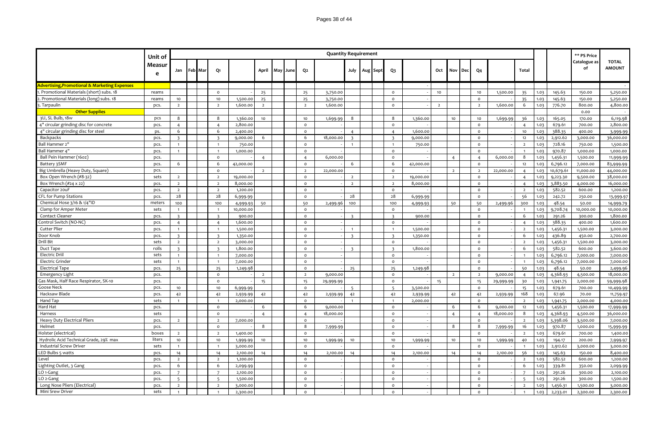|                                                          | Unit of      |                         |         |                         |                      |                |     |      |                     | <b>Quantity Requirement</b> |                         |          |                                |                      |                |                |     |                         |           |                      |      |                    | ** PS Price          |                               |
|----------------------------------------------------------|--------------|-------------------------|---------|-------------------------|----------------------|----------------|-----|------|---------------------|-----------------------------|-------------------------|----------|--------------------------------|----------------------|----------------|----------------|-----|-------------------------|-----------|----------------------|------|--------------------|----------------------|-------------------------------|
|                                                          | Measur<br>e  | Jan                     | Feb Mar | Q1                      |                      | April          | May | June | Q2                  |                             | July                    | Aug Sept | Q3                             |                      | Oct            | Nov            | Dec | Q4                      |           | Total                |      |                    | Catalogue as<br>of   | <b>TOTAL</b><br><b>AMOUNT</b> |
| <b>Advertising, Promotional &amp; Marketing Expenses</b> |              |                         |         |                         |                      |                |     |      |                     |                             |                         |          |                                |                      |                |                |     |                         |           |                      |      |                    |                      |                               |
| Promotional Materials (short) subs. 18                   | reams        |                         |         | $\circ$                 |                      | 25             |     |      | 25                  | 3,750.00                    |                         |          | $\circ$                        |                      | 10             |                |     | 10                      | 1,500.00  | 35                   | 1.03 | 145.63             | 150.00               | 5,250.00                      |
| Promotional Materials (long) subs. 18                    | reams        | 10                      |         | 10                      | 1,500.00             | 25             |     |      | 25                  | 3,750.00                    |                         |          | $\Omega$                       |                      |                |                |     | $\circ$                 |           | 35                   | 1.03 | 145.63             | 150.00               | 5,250.00                      |
| . Tarpaulin                                              | pcs.         | $\overline{2}$          |         | $\overline{2}$          | 1,600.00             | $\overline{2}$ |     |      | $\overline{2}$      | 1,600.00                    |                         |          | $\circ$                        |                      | $\overline{2}$ |                |     | $\overline{2}$          | 1,600.00  | 6                    | 1.03 | 776.70             | 800.00               | 4,800.00                      |
| <b>Other Supplies</b>                                    |              |                         |         |                         |                      |                |     |      |                     |                             |                         |          |                                |                      |                |                |     |                         |           |                      |      |                    | 0.00                 |                               |
| 3U, SL Bulb, 18w                                         | pcs          | 8                       |         | 8                       | 1,360.00             | 10             |     |      | 10                  | 1,699.99                    | -8                      |          | 8                              | 1,360.00             |                | 10             |     | 10                      | 1,699.99  | 36                   | 1.03 | 165.05             | 170.00               | 6,119.98                      |
| 4" circular grinding disc for concrete                   | pcs.         | $\overline{4}$          |         | $\overline{4}$          | 2,800.00             |                |     |      | $\mathsf{o}\,$      |                             |                         |          | $\mathsf{o}\,$                 |                      |                |                |     | $\mathsf{o}$            |           | $\overline{4}$       | 1.03 | 679.61             | 700.00               | 2,800.00                      |
| 4" circular grinding disc for steel                      | ps.          | 6                       |         | 6                       | 2,400.00             |                |     |      | $\Omega$            |                             | $\overline{a}$          |          | $\overline{4}$                 | 1,600.00             |                |                |     | $\circ$                 |           | 10                   | 1.03 | 388.35             | 400.00               | 3,999.99                      |
| Backpacks                                                | pcs.         | $\overline{\mathbf{3}}$ |         | $\overline{\mathbf{3}}$ | 9,000.00             | 6              |     |      | 6                   | 18,000.00                   | $\overline{\mathbf{z}}$ |          | $\overline{\mathbf{3}}$        | 9,000.00             |                |                |     | $\circ$                 |           | 12                   | 1.03 | 2,912.62           | 3,000.00             | 36,000.00                     |
| Ball Hammer 2"                                           | pcs.         | $\overline{1}$          |         | $\overline{1}$          | 750.00               |                |     |      | $\circ$             |                             | $\overline{1}$          |          | $\overline{1}$                 | 750.00               |                |                |     | $\mathsf{o}$            |           | $\overline{2}$       | 1.03 | 728.16             | 750.00               | 1,500.00                      |
| Ball Hammer 4"                                           | pcs.         | $\mathbf{1}$            |         | $\overline{1}$          | 1,000.00             |                |     |      | $\mathsf{o}$        |                             |                         |          | $\mathsf{o}\,$                 |                      |                |                |     | $\circ$                 |           | $\overline{1}$       | 1.03 | 970.87             | 1,000.00             | 1,000.00                      |
| Ball Pein Hammer (160z)                                  | pcs.         |                         |         | $\circ$                 |                      | $\overline{4}$ |     |      | $\overline{4}$      | 6,000.00                    |                         |          | $\mathsf{o}\,$                 |                      |                | $\overline{4}$ |     | $\overline{4}$          | 6,000.00  | 8                    | 1.03 | 1,456.31           | 1,500.00             | 11,999.99                     |
| Battery 3SMF                                             | pcs.         | 6                       |         | 6                       | 42,000.00            |                |     |      | $\Omega$            |                             | 6                       |          | 6                              | 42,000.00            |                |                |     | $\circ$                 |           | $12\,$               | 1.03 | 6,796.12           | 7,000.00             | 83,999.99                     |
| Big Umbrella (Heavy Duty, Square)                        | pcs.         |                         |         | $\mathsf{o}$            |                      | $\overline{2}$ |     |      | $\overline{2}$      | 22,000.00                   |                         |          | $\mathsf{o}\,$                 |                      |                | $\overline{2}$ |     | $\overline{2}$          | 22,000.00 | $\overline{4}$       | 1.03 | 10,679.61          | 11,000.00            | 44,000.00                     |
| Box Open Wrench (#8-32)                                  | sets         | $\overline{2}$          |         | $\overline{2}$          | 19,000.00            |                |     |      | $\mathsf{o}$        |                             | $\overline{2}$          |          | $\overline{2}$                 | 19,000.00            |                |                |     | $\mathsf{o}$            |           | $\overline{4}$       | 1.03 | 9,223.30           | 9,500.00             | 38,000.00                     |
| Box Wrench (#24 x 22)                                    | pcs.         | $\overline{2}$          |         | $\overline{2}$          | 8,000.00             |                |     |      | $\circ$             |                             | $\overline{2}$          |          | $\overline{2}$                 | 8,000.00             |                |                |     | $\circ$                 |           | $\overline{4}$       | 1.03 | 3,883.50           | 4,000.00             | 16,000.00                     |
| Capacitor 20uF                                           | pcs.         | $\overline{2}$          |         | $\overline{2}$          | 1,200.00             |                |     |      | $\circ$             |                             |                         |          | $\circ$                        |                      |                |                |     | $\circ$                 |           | $\overline{2}$       | 1.03 | 582.52             | 600.00               | 1,200.00                      |
| CFL for Pump Stations                                    | pcs.         | 28                      |         | 28                      | 6,999.99             |                |     |      | $\Omega$            |                             | 28                      |          | 28                             | 6,999.99             |                |                |     | $\circ$                 |           | 56                   | 1.03 | 242.72             | 250.00               | 13,999.97                     |
| Chemical Hose 3/16 & 1/4"ID                              | meters       | 100                     |         | 100                     | 4,999.93             | 50             |     |      | 50                  | 2,499.96                    | 100                     |          | 100                            | 4,999.93             |                | 50             |     | 50                      | 2,499.96  | 300                  | 1.03 | 48.54              | 50.00                | 14,999.79                     |
| Clamp for Amper Meter                                    | sets         | $\overline{1}$          |         | $\overline{1}$          | 10,000.00            |                |     |      | $\Omega$            |                             |                         |          | $\circ$                        |                      |                |                |     | $\circ$                 |           | $\overline{1}$       | 1.03 | 9,708.74           | 10,000.00            | 10,000.00                     |
| Contact Cleaner                                          | pcs.         | $\overline{3}$          |         | $\overline{3}$          | 900.00               |                |     |      | $\circ$             |                             | $\overline{\mathbf{z}}$ |          | $\overline{\mathbf{3}}$        | 900.00               |                |                |     | $\circ$                 |           | 6                    | 1.03 | 291.26             | 300.00               | 1,800.00                      |
| Control Switch (NO-NC)                                   | pcs.         | $\overline{4}$          |         | $\overline{4}$          | 1,600.00             |                |     |      | $\mathsf{o}\,$      |                             |                         |          | $\circ$                        |                      |                |                |     | $\mathsf{o}$            |           | $\overline{4}$       | 1.03 | 388.35             | 400.00               | 1,600.00                      |
| Cutter Plier                                             | pcs.         | $\mathbf{1}$            |         | $\overline{1}$          | 1,500.00             |                |     |      | $\Omega$            |                             | $\overline{1}$          |          | $\overline{1}$                 | 1,500.00             |                |                |     | $\circ$                 |           | $\overline{2}$       | 1.03 | 1,456.31           | 1,500.00             | 3,000.00                      |
| Door Knob                                                | pcs.         | $\overline{3}$          |         | $\overline{3}$          | 1,350.00             |                |     |      | $\Omega$            |                             | $\overline{\mathbf{3}}$ |          | $\overline{\mathbf{3}}$        | 1,350.00             |                |                |     | $\circ$                 |           | 6                    | 1.03 | 436.89             | 450.00               | 2,700.00                      |
| Drill Bit                                                | sets         | $\overline{2}$          |         | $\overline{2}$          | 3,000.00             |                |     |      | $\circ$             |                             |                         |          | $\circ$                        |                      |                |                |     | $\mathsf{o}$            |           | $\overline{2}$       | 1.03 | 1,456.31           | 1,500.00             | 3,000.00                      |
| Duct Tape                                                | rolls        | $\overline{3}$          |         | $\overline{3}$          | 1,800.00             |                |     |      | $\Omega$            |                             | $\overline{3}$          |          | $\overline{3}$                 | 1,800.00             |                |                |     | $\circ$                 |           | 6                    | 1.03 | 582.52             | 600.00               | 3,600.00                      |
| <b>Electric Driil</b>                                    | sets         | $\mathbf{1}$            |         | $\overline{1}$          | 7,000.00             |                |     |      | $\mathsf{o}\,$      |                             |                         |          | $\circ$                        |                      |                |                |     | $\mathsf{o}$            |           | $\overline{1}$       | 1.03 | 6,796.12           | 7,000.00             | 7,000.00                      |
| <b>Electric Grinder</b>                                  | sets         | $\overline{1}$          |         |                         | 7,000.00             |                |     |      | $\circ$             |                             |                         |          | $\circ$                        |                      |                |                |     | $\circ$                 |           | $\overline{1}$       | 1.03 | 6,796.12           | 7,000.00             | 7,000.00                      |
| <b>Electrical Tape</b>                                   | pcs.         | 25                      |         | 25                      | 1,249.98             |                |     |      | $\circ$             |                             | 25                      |          | 25                             | 1,249.98             |                |                |     | $\mathsf{o}$            |           | 50                   | 1.03 | 48.54              | 50.00                | 2,499.96                      |
| Emergency Light                                          | pcs.         |                         |         | $\circ$                 |                      | $\overline{2}$ |     |      | $\overline{2}$      | 9,000.00                    |                         |          | $\circ$                        |                      |                | $\overline{2}$ |     | $\overline{2}$          | 9,000.00  | $\overline{4}$       | 1.03 | 4,368.93           | 4,500.00             | 18,000.00                     |
| Gas Mask, Half Race Respirator, SK-10                    |              |                         |         | $\circ$                 |                      | 15             |     |      | 15                  |                             |                         |          | $\mathsf{o}\,$                 |                      | 15             |                |     | 15                      |           | 30                   | 1.03 |                    | 2,000.00             |                               |
| Goose Neck                                               | pcs.<br>pcs. | 10                      |         | 10                      | 6,999.99             |                |     |      | $\mathsf{o}\xspace$ | 29,999.99                   | 5                       |          | 5                              | 3,500.00             |                |                |     | $\mathsf{o}$            | 29,999.99 | 15                   | 1.03 | 1,941.75<br>679.61 | 700.00               | 59,999.98<br>10,499.99        |
| Hacksaw Blade                                            | pcs.         |                         |         | 42                      |                      | 42             |     |      | 42                  |                             |                         |          | 42                             |                      |                | 42             |     |                         |           | 168                  | 1.03 | 67.96              | 70.00                |                               |
| Hand Tap                                                 | sets         | 42<br>$\mathbf{1}$      |         |                         | 2,939.99<br>2,000.00 |                |     |      | $\Omega$            | 2,939.99                    | 42                      |          |                                | 2,939.99<br>2,000.00 |                |                |     | 42<br>$\mathsf{o}$      | 2,939.99  | $\overline{2}$       | 1.03 | 1,941.75           | 2,000.00             | 11,759.97<br>4,000.00         |
| Hard Hat                                                 | pcs.         |                         |         | $\circ$                 |                      | 6              |     |      | 6                   | 9,000.00                    |                         |          | $\circ$                        |                      |                | 6              |     | 6                       | 9,000.00  | $12$                 | 1.03 | 1,456.31           | 1,500.00             | 17,999.99                     |
| Harness                                                  | sets         |                         |         | $\circ$                 |                      | $\overline{4}$ |     |      | $\overline{4}$      | 18,000.00                   |                         |          | $\circ$                        |                      |                | $\overline{4}$ |     | $\overline{4}$          | 18,000.00 | 8                    | 1.03 | 4,368.93           |                      | 36,000.00                     |
| Heavy Duty Electrical Pliers                             | pcs.         | $\overline{2}$          |         | $\overline{2}$          | 7,000.00             |                |     |      | $\circ$             |                             |                         |          | $\circ$                        |                      |                |                |     | $\circ$                 |           | $\overline{2}$       | 1.03 | 3,398.06           | 4,500.00<br>3,500.00 | 7,000.00                      |
| Helmet                                                   | pcs.         |                         |         | $\circ$                 |                      | 8              |     |      | 8                   |                             |                         |          | $\circ$                        |                      |                | 8              |     | 8                       |           | 16                   | 1.03 |                    | 1,000.00             |                               |
| Holster (electrical)                                     | boxes        |                         |         | $\overline{2}$          |                      |                |     |      | $\Omega$            | 7,999.99                    |                         |          | $\circ$                        |                      |                |                |     | $\circ$                 | 7,999.99  |                      | 1.03 | 970.87             |                      | 15,999.99                     |
|                                                          |              | $\overline{2}$          |         |                         | 1,400.00             |                |     |      |                     |                             |                         |          |                                |                      |                |                |     |                         |           | $\overline{2}$       |      | 679.61             | 700.00               | 1,400.00                      |
| Hydrolic Acid Technical Grade, 29% max                   | liters       | 10                      |         | 10                      | 1,999.99             | 10             |     |      | 10                  | 1,999.99                    | 10                      |          | 10                             | 1,999.99             |                | 10             |     | 10                      | 1,999.99  | 40                   | 1.03 | 194.17             | 200.00               | 7,999.97                      |
| Industrial Screw Driver<br>LED Bulbs 5 watts             | sets         | $\overline{1}$          |         | $\overline{1}$          | 3,000.00             |                |     |      | $\Omega$            |                             |                         |          | $\circ$                        |                      |                |                |     | $\circ$                 |           | $\overline{1}$<br>56 | 1.03 | 2,912.62           | 3,000.00             | 3,000.00                      |
|                                                          | pcs.         | 14                      |         | 14                      | 2,100.00             | 14             |     |      | 14                  | 2,100.00                    | 14                      |          | 14                             | 2,100.00             |                | 14             |     | 14                      | 2,100.00  |                      | 1.03 | 145.63             | 150.00               | 8,400.00                      |
| Level                                                    | pcs.         | $\overline{2}$<br>6     |         | $\overline{2}$<br>6     | 1,200.00             |                |     |      | $\Omega$<br>$\circ$ |                             |                         |          | $\circ$                        |                      |                |                |     | $\circ$                 |           | $\overline{2}$       | 1.03 | 582.52             | 600.00               | 1,200.00                      |
| Lighting Outlet, 3 Gang                                  | pcs.         | $\overline{7}$          |         | $\overline{7}$          | 2,099.99             |                |     |      | $\circ$             |                             |                         |          | $\mathsf{o}\xspace$<br>$\circ$ |                      |                |                |     | $\mathsf{o}$<br>$\circ$ |           | 6<br>$\overline{7}$  | 1.03 | 339.81             | 350.00               | 2,099.99                      |
| LO <sub>1</sub> -Gang<br>LO <sub>2</sub> -Gang           | pcs.         |                         |         |                         | 2,100.00             |                |     |      | $\Omega$            |                             |                         |          | $\Omega$                       |                      |                |                |     |                         |           |                      | 1.03 | 291.26             | 300.00               | 2,100.00                      |
|                                                          | pcs.         | $5^{\circ}$             |         | $5\overline{)}$         | 1,500.00             |                |     |      | $\Omega$            |                             |                         |          |                                |                      |                |                |     | $\circ$                 |           | -5                   | 1.03 | 291.26             | 300.00               | 1,500.00                      |
| Long Nose Pliers (Electrical)                            | pcs.         | $\overline{2}$          |         | $\overline{2}$          | 3,000.00             |                |     |      |                     |                             |                         |          | $\circ$                        |                      |                |                |     | $\mathsf{o}$            |           | $\overline{2}$       | 1.03 | 1,456.31           | 1,500.00             | 3,000.00                      |
| Mini Srew Driver                                         | sets         | $\mathbf{1}$            |         | $\overline{1}$          | 2,300.00             |                |     |      | $\circ$             |                             |                         |          | $\mathsf{o}\,$                 |                      |                |                |     | $\circ$                 |           | $\mathbf{1}$         | 1.03 | 2,233.01           | 2,300.00             | 2,300.00                      |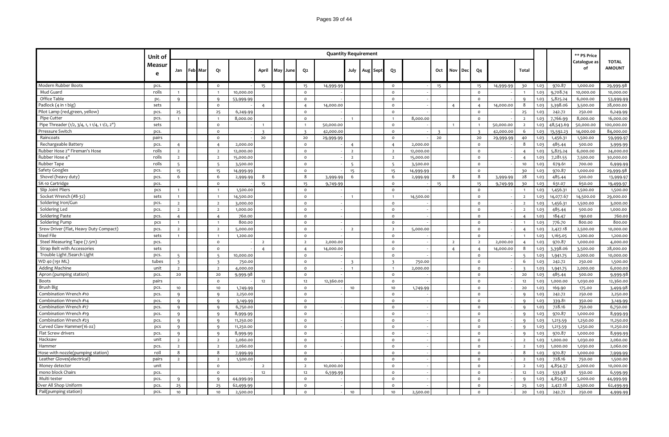|                                               | Unit of     |                          |         |                          |           |                |     |      |                         | <b>Quantity Requirement</b> |                         |          |                          |           |     |                |     |                |           |                |      |           | ** PS Price        |                               |
|-----------------------------------------------|-------------|--------------------------|---------|--------------------------|-----------|----------------|-----|------|-------------------------|-----------------------------|-------------------------|----------|--------------------------|-----------|-----|----------------|-----|----------------|-----------|----------------|------|-----------|--------------------|-------------------------------|
|                                               | Measur<br>e | Jan                      | Feb Mar | Q1                       |           | April          | May | June | Q <sub>2</sub>          |                             | July                    | Aug Sept | $Q_3$                    |           | Oct | Nov            | Dec | Q4             |           | Total          |      |           | Catalogue as<br>of | <b>TOTAL</b><br><b>AMOUNT</b> |
| Modern Rubber Boots                           | pcs.        |                          |         | $\circ$                  |           | 15             |     |      | 15                      | 14,999.99                   |                         |          | $\circ$                  |           | 15  |                |     | 15             | 14,999.99 | 30             | 1.03 | 970.87    | 1,000.00           | 29,999.98                     |
| Mud Guard                                     | rolls       | $\overline{1}$           |         | $\overline{1}$           | 10,000.00 |                |     |      | $\mathsf{o}\,$          |                             |                         |          | $\mathsf{o}$             |           |     |                |     | $\mathsf{o}$   |           | $\overline{1}$ | 1.03 | 9,708.74  | 10,000.00          | 10,000.00                     |
| Office Table                                  | pc.         | $\mathbf{q}$             |         | $\mathsf{q}$             | 53,999.99 |                |     |      | $\circ$                 |                             |                         |          | $\circ$                  |           |     |                |     | $\mathsf{o}$   |           | $\mathbf{q}$   | 1.03 | 5,825.24  | 6,000.00           | 53,999.99                     |
| Padlock (4 in 1 big)                          | sets        |                          |         | $\circ$                  |           | $\overline{4}$ |     |      | $\overline{4}$          | 14,000.00                   |                         |          | $\circ$                  |           |     | $\overline{4}$ |     | $\overline{4}$ | 14,000.00 | 8              | 1.03 | 3,398.06  | 3,500.00           | 28,000.00                     |
| Pilot Lamp (red, green, yellow)               | pcs.        | 25                       |         | 25                       | 6,249.99  |                |     |      | $\mathsf{o}$            |                             |                         |          | $\circ$                  |           |     |                |     | $\mathsf{o}$   |           | 25             | 1.03 | 242.72    | 250.00             | 6,249.99                      |
| Pipe Cutter                                   | pcs.        | $\overline{1}$           |         | $\overline{1}$           | 8,000.00  |                |     |      | $\circ$                 |                             |                         |          | $\overline{1}$           | 8,000.00  |     |                |     | $\circ$        |           | $\overline{2}$ | 1.03 | 7,766.99  | 8,000.00           | 16,000.00                     |
| Pipe Threader (1/2, 3/4, 1, 1 1/4, 1 1/2, 2") | sets        |                          |         | $\circ$                  |           | $\overline{1}$ |     |      | $\overline{1}$          | 50,000.00                   |                         |          | $\circ$                  |           |     | $\overline{1}$ |     | $\overline{1}$ | 50,000.00 | $\overline{2}$ | 1.03 | 48,543.69 | 50,000.00          | 100,000.00                    |
| Prressure Switch                              | pcs.        |                          |         | $\circ$                  |           | В              |     |      | $\overline{\mathbf{z}}$ | 42,000.00                   |                         |          | $\circ$                  |           |     |                |     |                | 42,000.00 | 6              | 1.03 | 13,592.23 | 14,000.00          | 84,000.00                     |
| Raincoats                                     | pairs       |                          |         | $\circ$                  |           | 20             |     |      | 20                      | 29,999.99                   |                         |          | $\circ$                  |           | 20  |                |     | 20             | 29,999.99 | 40             | 1.03 | 1,456.31  | 1,500.00           | 59,999.97                     |
| Rechargeable Battery                          | pcs.        | $\overline{4}$           |         | $\overline{4}$           | 2,000.00  |                |     |      | $\mathsf{o}$            |                             | $\overline{4}$          |          | $\overline{4}$           | 2,000.00  |     |                |     | $\mathsf{o}$   |           | 8              | 1.03 | 485.44    | 500.00             | 3,999.99                      |
| Rubber Hose 2" Fireman's Hose                 | rolls       | $\overline{2}$           |         | $\overline{2}$           | 12,000.00 |                |     |      | $\circ$                 |                             | $\overline{2}$          |          | $\overline{2}$           | 12,000.00 |     |                |     | $\mathsf{o}$   |           | $\overline{4}$ | 1.03 | 5,825.24  | 6,000.00           | 24,000.00                     |
| Rubber Hose 4"                                | rolls       | $\overline{2}$           |         | $\overline{2}$           | 15,000.00 |                |     |      | $\circ$                 |                             | $\overline{2}$          |          | $\overline{2}$           | 15,000.00 |     |                |     | $\mathsf{o}$   |           | $\overline{4}$ | 1.03 | 7,281.55  | 7,500.00           | 30,000.00                     |
| Rubber Tape                                   | rolls       | $\overline{5}$           |         | $\overline{\phantom{a}}$ | 3,500.00  |                |     |      | $\circ$                 |                             | 5                       |          | $\overline{\phantom{a}}$ | 3,500.00  |     |                |     | $\circ$        |           | 10             | 1.03 | 679.61    | 700.00             | 6,999.99                      |
| Safety Googles                                | pcs.        | 15                       |         | 15                       | 14,999.99 |                |     |      | $\circ$                 |                             | 15                      |          | 15                       | 14,999.99 |     |                |     | $\mathsf{o}$   |           | 30             | 1.03 | 970.87    | 1,000.00           | 29,999.98                     |
| Shovel (heavy duty)                           | pcs.        | 6                        |         | 6                        | 2,999.99  | 8              |     |      | 8                       | 3,999.99                    | 6                       |          | 6                        | 2,999.99  |     | 8              |     | 8              | 3,999.99  | 28             | 1.03 | 485.44    | 500.00             | 13,999.9                      |
| SK-10 Cartridge                               | pcs.        |                          |         | $\circ$                  |           | 15             |     |      | 15                      | 9,749.99                    |                         |          | $\circ$                  |           | 15  |                |     | 15             | 9,749.99  | 30             | 1.03 | 631.07    | 650.00             | 19,499.97                     |
| Slip Joint Pliers                             | pcs         | $\overline{1}$           |         | $\overline{1}$           | 1,500.00  |                |     |      | $\mathsf{o}\,$          |                             |                         |          | $\circ$                  |           |     |                |     | $\mathsf{o}$   |           | $\overline{1}$ | 1.03 | 1,456.31  | 1,500.00           | 1,500.00                      |
| Socket Wrench (#8-32)                         | sets        | $\mathbf{1}$             |         |                          | 14,500.00 |                |     |      | $\Omega$                |                             |                         |          |                          | 14,500.00 |     |                |     | $\circ$        |           | $\overline{2}$ | 1.03 | 14,077.67 | 14,500.00          | 29,000.00                     |
| Soldering Iron/Gun                            | pcs.        | $\overline{2}$           |         | $\overline{2}$           | 3,000.00  |                |     |      | $\circ$                 |                             |                         |          | $\circ$                  |           |     |                |     | $\mathsf{o}$   |           | $\overline{2}$ | 1.03 | 1,456.31  | 1,500.00           | 3,000.00                      |
| Soldering Led                                 | pcs.        | $\overline{2}$           |         | $\overline{2}$           | 1,000.00  |                |     |      | $\circ$                 |                             |                         |          | $\circ$                  |           |     |                |     | $\mathsf{o}$   |           | $\overline{2}$ | 1.03 | 485.44    | 500.00             | 1,000.00                      |
| Soldering Paste                               | pcs.        | $\overline{4}$           |         | $\overline{4}$           | 760.00    |                |     |      | $\mathsf{o}$            |                             |                         |          | $\circ$                  |           |     |                |     | $\mathsf{o}$   |           | $\overline{4}$ | 1.03 | 184.47    | 190.00             | 760.00                        |
| Soldering Pump                                | pcs         | $\overline{1}$           |         | $\overline{1}$           | 800.00    |                |     |      | $\mathsf{o}\,$          |                             |                         |          | $\circ$                  |           |     |                |     | $\mathsf{o}$   |           | $\overline{1}$ | 1.03 | 776.70    | 800.00             | 800.00                        |
| Srew Driver (Flat, Heavy Duty Compact)        | pcs.        | $\overline{2}$           |         | $\overline{2}$           | 5,000.00  |                |     |      | $\circ$                 |                             | $\overline{2}$          |          | $\overline{2}$           | 5,000.00  |     |                |     | $\mathsf{o}$   |           | $\overline{4}$ | 1.03 | 2,427.18  | 2,500.00           | 10,000.00                     |
| <b>Steel File</b>                             | sets        | $\overline{1}$           |         | $\overline{1}$           | 1,200.00  |                |     |      | $\circ$                 |                             |                         |          | $\circ$                  |           |     |                |     | $\mathsf{o}$   |           | $\overline{1}$ | 1.03 | 1,165.05  | 1,200.00           | 1,200.00                      |
| Steel Measuring Tape (7.5m)                   | pcs.        |                          |         | $\mathsf{o}$             |           | $\overline{2}$ |     |      | $\overline{2}$          | 2,000.00                    |                         |          | $\circ$                  |           |     | $\overline{2}$ |     | $\overline{2}$ | 2,000.00  | $\overline{4}$ | 1.03 | 970.87    | 1,000.00           | 4,000.00                      |
| Strap Belt with Accessories                   | sets        |                          |         | $\circ$                  |           | $\overline{4}$ |     |      | $\overline{4}$          | 14,000.00                   |                         |          | $\circ$                  |           |     | $\overline{4}$ |     | $\overline{4}$ | 14,000.00 | 8              | 1.03 | 3,398.06  | 3,500.00           | 28,000.00                     |
| Trouble Light /Search Light                   | pcs.        | $\overline{\phantom{0}}$ |         | $\overline{\phantom{a}}$ | 10,000.00 |                |     |      | $\Omega$                |                             |                         |          | $\circ$                  |           |     |                |     | $\mathsf{o}$   |           | $\overline{5}$ | 1.03 | 1,941.75  | 2,000.00           | 10,000.00                     |
| WD 40 (191 ML)                                | tubes       | $\overline{3}$           |         | $\overline{3}$           | 750.00    |                |     |      | $\mathsf{o}$            |                             | $\overline{\mathbf{3}}$ |          | $\overline{3}$           | 750.00    |     |                |     | $\mathsf{o}$   |           | 6              | 1.03 | 242.72    | 250.00             | 1,500.00                      |
| <b>Adding Machine</b>                         | unit        | $\overline{2}$           |         | $\overline{2}$           | 4,000.00  |                |     |      | $\circ$                 |                             | $\overline{1}$          |          | $\overline{1}$           | 2,000.00  |     |                |     | $\mathsf{o}$   |           | $\overline{3}$ | 1.03 | 1,941.75  | 2,000.00           | 6,000.00                      |
| Apron (pumping station)                       | pcs.        | 20                       |         | 20                       | 9,999.98  |                |     |      | $\circ$                 |                             |                         |          | $\circ$                  |           |     |                |     | $\mathsf{o}$   |           | 20             | 1.03 | 485.44    | 500.00             | 9,999.98                      |
| Boots                                         | pairs       |                          |         | $\circ$                  |           | 12             |     |      | 12                      | 12,360.00                   |                         |          | $\circ$                  |           |     |                |     | $\circ$        |           | 12             | 1.03 | 1,000.00  | 1,030.00           | 12,360.00                     |
| <b>Brush Big</b>                              | pcs.        | 10                       |         | 10                       | 1,749.99  |                |     |      | $\Omega$                |                             | 10                      |          | 10                       | 1,749.99  |     |                |     | $\circ$        |           | 20             | 1.03 | 169.90    | 175.00             | 3,499.98                      |
| Combination Wrench #10                        | pcs.        | $\mathsf{q}$             |         | $\mathbf{q}$             | 2,250.00  |                |     |      | $\circ$                 |                             |                         |          | $\circ$                  |           |     |                |     | $\circ$        |           | $\mathbf{q}$   | 1.03 | 242.72    | 250.00             | 2,250.00                      |
| Combination Wrench #14                        | pcs.        | $\mathbf{q}$             |         | 9                        | 3,149.99  |                |     |      | $\circ$                 |                             |                         |          | $\circ$                  |           |     |                |     | $\circ$        |           | 9              | 1.03 | 339.81    | 350.00             | 3,149.99                      |
| Combination Wrench #17                        | pcs.        | $\mathsf{q}$             |         | $\mathbf{q}$             | 6,750.00  |                |     |      | $\mathsf{o}$            |                             |                         |          | $\circ$                  |           |     |                |     | $\mathsf{o}$   |           | $\mathbf{q}$   | 1.03 | 728.16    | 750.00             | 6,750.00                      |
| Combination Wrench #19                        | pcs.        | 9                        |         | $\mathbf{q}$             | 8,999.99  |                |     |      | $\mathsf{o}$            |                             |                         |          | $\mathsf{o}\xspace$      |           |     |                |     | $\circ$        |           | 9              | 1.03 | 970.87    | 1,000.00           | 8,999.99                      |
| Combination Wrench #23                        | pcs.        | $\mathbf{q}$             |         | $\mathbf{q}$             | 11,250.00 |                |     |      | $\Omega$                |                             |                         |          | $\Omega$                 |           |     |                |     | $\Omega$       |           | $\mathbf{q}$   | 1.03 | 1,213.59  | 1,250.00           | 11,250.00                     |
| Curved Claw Hammer(16 oz)                     | pcs         | 9                        |         | 9                        | 11,250.00 |                |     |      | $\Omega$                |                             |                         |          | $\mathsf{o}$             |           |     |                |     | $\mathsf{o}$   |           | $\mathsf{q}$   | 1.03 | 1,213.59  | 1,250.00           | 11,250.00                     |
| Flat Screw drivers                            | pcs.        | $\mathbf{q}$             |         | $\mathbf{q}$             | 8,999.99  |                |     |      | $\mathsf{o}$            |                             |                         |          | $\circ$                  |           |     |                |     | $\circ$        |           | $\mathbf{q}$   | 1.03 | 970.87    | 1,000.00           | 8,999.99                      |
| Hacksaw                                       | unit        | $\overline{2}$           |         | $\overline{2}$           | 2,060.00  |                |     |      | $\mathsf{o}$            |                             |                         |          | $\mathsf{o}$             |           |     |                |     | $\mathsf{o}$   |           | $\overline{2}$ | 1.03 | 1,000.00  | 1,030.00           | 2,060.00                      |
| Hammer                                        | pcs.        | $\overline{2}$           |         | $\overline{2}$           | 2,060.00  |                |     |      | $\mathsf{o}$            |                             |                         |          | $\mathsf{o}$             |           |     |                |     | $\circ$        |           | $\overline{2}$ | 1.03 | 1,000.00  | 1,030.00           | 2,060.00                      |
| Hose with nozzle(pumping station)             | roll        | 8                        |         | 8                        | 7,999.99  |                |     |      | $\Omega$                |                             |                         |          | $\circ$                  |           |     |                |     | $\circ$        |           | 8              | 1.03 | 970.87    | 1,000.00           | 7,999.99                      |
| Leather Gloves(electrical)                    | pairs       | $\overline{2}$           |         | $\overline{2}$           | 1,500.00  |                |     |      | $\Omega$                |                             |                         |          | $\mathsf{o}\xspace$      |           |     |                |     | $\circ$        |           | $\overline{2}$ | 1.03 | 728.16    | 750.00             | 1,500.00                      |
| Money detector                                | unit        |                          |         | $\circ$                  |           | $\overline{2}$ |     |      | $\overline{2}$          | 10,000.00                   |                         |          | $\Omega$                 |           |     |                |     | $\circ$        |           | $\overline{2}$ | 1.03 | 4,854.37  | 5,000.00           | 10,000.00                     |
| mono block Chairs                             | pcs.        |                          |         | $\circ$                  |           | 12             |     |      | $12\,$                  | 6,599.99                    |                         |          | $\circ$                  |           |     |                |     | $\circ$        |           | 12             | 1.03 | 533.98    | 550.00             | 6,599.99                      |
| Multi tester                                  | pcs.        | 9                        |         | $\mathsf{q}$             | 44,999.99 |                |     |      | $\Omega$                |                             |                         |          | $\Omega$                 |           |     |                |     | $\circ$        |           | $\alpha$       | 1.03 | 4,854.37  | 5,000.00           | 44,999.99                     |
| Over All Shop Uniform                         | pcs.        | 25                       |         | 25                       | 62,499.99 |                |     |      | $\Omega$                |                             |                         |          | $\circ$                  |           |     |                |     | $\circ$        |           | 25             | 1.03 | 2,427.18  | 2,500.00           | 62,499.99                     |
| Pail(pumping station)                         | pcs.        | 10 <sub>1</sub>          |         | 10                       | 2,500.00  |                |     |      | $\Omega$                |                             | 10                      |          | 10 <sub>10</sub>         | 2,500.00  |     |                |     | $\mathsf{o}$   |           | 20             | 1.03 | 242.72    | 250.00             | 4,999.99                      |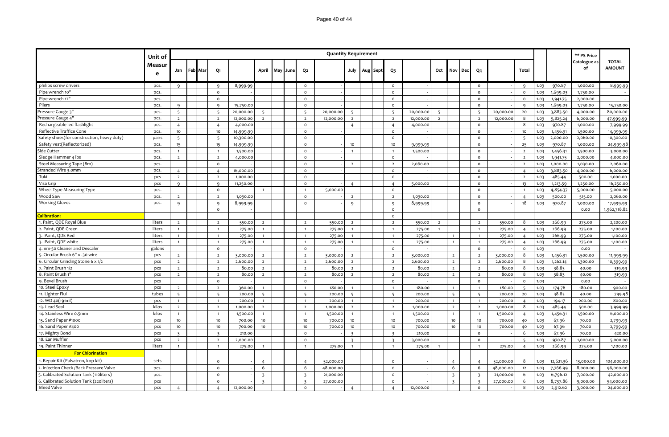|                                            | Unit of     |                         |         |                          |           |                         |                |                          | <b>Quantity Requirement</b> |                          |          |                          |           |                          |                         |     |                         |           |                          |      |           | ** PS Price        |                               |
|--------------------------------------------|-------------|-------------------------|---------|--------------------------|-----------|-------------------------|----------------|--------------------------|-----------------------------|--------------------------|----------|--------------------------|-----------|--------------------------|-------------------------|-----|-------------------------|-----------|--------------------------|------|-----------|--------------------|-------------------------------|
|                                            | Measur<br>e | Jan                     | Feb Mar | Q1                       |           |                         | April May June | Q <sub>2</sub>           |                             | July                     | Aug Sept | Q <sub>3</sub>           |           | Oct                      | Nov                     | Dec | Q <sub>4</sub>          |           | <b>Total</b>             |      |           | Catalogue as<br>of | <b>TOTAL</b><br><b>AMOUNT</b> |
| philips screw drivers                      | pcs.        | $\mathbf{Q}$            |         | $\mathsf{Q}$             | 8,999.99  |                         |                | $\circ$                  |                             |                          |          | $\circ$                  |           |                          |                         |     | $\circ$                 |           | $\mathbf{q}$             | 1.03 | 970.87    | 1,000.00           | 8,999.99                      |
| Pipe wrench 10"                            | pcs.        |                         |         | $\circ$                  |           |                         |                | $\circ$                  |                             |                          |          | $\circ$                  |           |                          |                         |     | $\circ$                 |           | $\circ$                  | 1.03 | 1,699.03  | 1,750.00           |                               |
| Pipe wrench 12"                            | pcs.        |                         |         | $\circ$                  |           |                         |                | $\circ$                  |                             |                          |          | $\mathsf{o}\,$           |           |                          |                         |     | $\circ$                 |           | $\circ$                  | 1.03 | 1,941.75  | 2,000.00           |                               |
| Pliers                                     | pcs.        | $\Omega$                |         | Q                        | 15,750.00 |                         |                | $\circ$                  |                             |                          |          | $\circ$                  |           |                          |                         |     | $\circ$                 |           | $\mathsf{Q}$             | 1.03 | 1,699.03  | 1,750.00           | 15,750.00                     |
| Pressure Gauge 3"                          | pcs.        | $5^{\circ}$             |         |                          | 20,000.00 | $\overline{5}$          |                | $\overline{\phantom{a}}$ | 20,000.00                   | $\overline{\phantom{a}}$ |          | $\overline{\phantom{a}}$ | 20,000.00 | $\overline{\phantom{a}}$ |                         |     | 5                       | 20,000.00 | 20                       | 1.03 | 3,883.50  | 4,000.00           | 80,000.00                     |
| Pressure Gauge 4"                          | pcs.        | $\overline{2}$          |         | $\overline{2}$           | 12,000.00 | $\overline{2}$          |                | $\overline{2}$           | 12,000.00                   | $\overline{2}$           |          | $\overline{2}$           | 12,000.00 | $\overline{2}$           |                         |     | $\overline{2}$          | 12,000.00 | 8                        | 1.03 | 5,825.24  | 6,000.00           | 47,999.99                     |
| Rechargeable led flashlight                | pcs.        | $\overline{4}$          |         | $\overline{4}$           | 4,000.00  |                         |                | $\mathsf{o}$             |                             | $\overline{4}$           |          | $\overline{4}$           | 4,000.00  |                          |                         |     | $\circ$                 |           | 8                        | 1.03 | 970.87    | 1,000.00           | 7,999.99                      |
| Reflective Traffice Cone                   | pcs.        | 10 <sub>1</sub>         |         | 10                       | 14,999.99 |                         |                | $\circ$                  |                             |                          |          | $\circ$                  |           |                          |                         |     | $\circ$                 |           | 10                       | 1.03 | 1,456.31  | 1,500.00           | 14,999.99                     |
| Safety shoes(for construction, heavy duty) | pairs       | 5 <sup>5</sup>          |         | $\overline{5}$           | 10,300.00 |                         |                | $\circ$                  |                             |                          |          | $\circ$                  |           |                          |                         |     | $\mathsf{o}$            |           | $5^{\circ}$              | 1.03 | 2,000.00  | 2,060.00           | 10,300.00                     |
| Safety vest(Reflectorized)                 | pcs.        | 15                      |         | 15                       | 14,999.99 |                         |                | $\circ$                  |                             | 10 <sub>10</sub>         |          | $10$                     | 9,999.99  |                          |                         |     | $\mathsf{o}$            |           | 25                       | 1.03 | 970.87    | 1,000.00           | 24,999.98                     |
| Side Cutter                                | pcs.        | $\mathbf{1}$            |         | $\overline{1}$           | 1,500.00  |                         |                | $\circ$                  |                             | $\overline{1}$           |          | $\mathbf{1}$             | 1,500.00  |                          |                         |     | $\circ$                 |           | $\overline{2}$           | 1.03 | 1,456.31  | 1,500.00           | 3,000.00                      |
| Sledge Hammer 4 lbs                        | pcs.        | $\overline{2}$          |         | $\overline{2}$           | 4,000.00  |                         |                | $\circ$                  |                             |                          |          | $\circ$                  |           |                          |                         |     | $\Omega$                |           | $\overline{2}$           | 1.03 | 1,941.75  | 2,000.00           | 4,000.00                      |
| Steel Measuring Tape (8m)                  | pcs.        |                         |         | $\Omega$                 |           |                         |                | $\circ$                  |                             | $\overline{2}$           |          | $\overline{2}$           | 2,060.00  |                          |                         |     | $\mathsf{o}$            |           | $\overline{2}$           | 1.03 | 1,000.00  | 1,030.00           | 2,060.00                      |
| Stranded Wire 3.0mm                        | pcs.        | $\overline{4}$          |         | $\overline{4}$           | 16,000.00 |                         |                | $\circ$                  |                             |                          |          | $\circ$                  |           |                          |                         |     | $\circ$                 |           | $\overline{4}$           | 1.03 | 3,883.50  | 4,000.00           | 16,000.00                     |
| Tuki                                       | pcs         | $\overline{2}$          |         | $\overline{2}$           | 1,000.00  |                         |                | $\circ$                  |                             |                          |          | $\mathsf{o}\,$           |           |                          |                         |     | $\mathsf{o}$            |           | $\overline{2}$           | 1.03 | 485.44    | 500.00             | 1,000.00                      |
| Visa Grip                                  | pcs         | $\mathsf{q}$            |         | ۹                        | 11,250.00 |                         |                | $\circ$                  |                             | $\overline{4}$           |          | $\overline{4}$           | 5,000.00  |                          |                         |     | $\circ$                 |           | 13                       | 1.03 | 1,213.59  | 1,250.00           | 16,250.00                     |
| Wheel Type Measuring Type                  | pcs.        |                         |         | $\circ$                  |           |                         |                | $\overline{1}$           | 5,000.00                    |                          |          | $\mathsf{o}\,$           |           |                          |                         |     | $\circ$                 |           | $\overline{1}$           | 1.03 | 4,854.37  | 5,000.00           | 5,000.00                      |
| Wood Saw                                   | pcs.        | $\overline{2}$          |         | $\overline{2}$           | 1,030.00  |                         |                | $\mathsf{o}$             |                             | $\overline{2}$           |          | $\overline{2}$           | 1,030.00  |                          |                         |     | $\circ$                 |           | $\overline{4}$           | 1.03 | 500.00    | 515.00             | 2,060.00                      |
| <b>Working Gloves</b>                      | pcs.        | Q                       |         | $\mathsf{Q}$             | 8,999.99  |                         |                | $\circ$                  |                             | 9                        |          | Q                        | 8,999.99  |                          |                         |     | $\circ$                 |           | 18                       | 1.03 | 970.87    | 1,000.00           | 17,999.99                     |
|                                            |             |                         |         | $\circ$                  |           |                         |                |                          |                             |                          |          | $\mathsf{o}\,$           |           |                          |                         |     | $\circ$                 |           |                          |      |           | 0.00               | 1,962,718.82                  |
| <b>Calibration:</b>                        |             |                         |         |                          |           |                         |                |                          |                             |                          |          | $\circ$                  |           |                          |                         |     |                         |           |                          |      |           |                    |                               |
| 1. Paint, QDE Royal Blue                   | liters      | $\overline{2}$          |         | $\overline{2}$           | 550.00    | $\overline{2}$          |                | $\overline{2}$           | 550.00                      | $\overline{2}$           |          | $\overline{2}$           | 550.00    | $\overline{2}$           |                         |     | $\overline{2}$          | 550.00    | 8                        | 1.03 | 266.99    | 275.00             | 2,200.00                      |
| 2. Paint, QDE Green                        | liters      | $\overline{1}$          |         |                          | 275.00    |                         |                |                          | 275.00                      |                          |          | $\overline{1}$           | 275.00    |                          |                         |     |                         | 275.00    | $\overline{4}$           | 1.03 | 266.99    | 275.00             | 1,100.00                      |
| 3. Paint, QDE Red                          | liters      | $\overline{1}$          |         | $\overline{1}$           | 275.00    | $\overline{1}$          |                | $\overline{1}$           | 275.00                      |                          |          | $\overline{1}$           | 275.00    |                          |                         |     | $\overline{1}$          | 275.00    | $\overline{4}$           | 1.03 | 266.99    | 275.00             | 1,100.00                      |
| 3. Paint, QDE white                        | liters      | $\overline{1}$          |         | $\overline{1}$           | 275.00    | $\overline{1}$          |                | $\overline{1}$           | 275.00                      |                          |          | $\overline{1}$           | 275.00    |                          |                         |     | $\overline{1}$          | 275.00    | $\overline{4}$           | 1.03 | 266.99    | 275.00             | 1,100.00                      |
| 4. nm-50 Cleaner and Descaler              | galons      |                         |         | $\mathsf{o}\,$           |           |                         |                | $\circ$                  |                             |                          |          | $\circ$                  |           |                          |                         |     | $\circ$                 |           | $\circ$                  | 1.03 |           | 0.00               |                               |
| 5. Circular Brush 6" x .30 wire            | pcs         | $\overline{2}$          |         | $\overline{2}$           | 3,000.00  | $\overline{2}$          |                | $\overline{2}$           | 3,000.00                    | $\overline{2}$           |          | $\overline{2}$           | 3,000.00  |                          | $\overline{2}$          |     | $\overline{2}$          | 3,000.00  | 8                        | 1.03 | 1,456.31  | 1,500.00           | 11,999.99                     |
| 6. Circular Grinding Stone 6 x 1/2         | pcs         | $\overline{2}$          |         | $\overline{2}$           | 2,600.00  | $\overline{2}$          |                | $\overline{2}$           | 2,600.00                    | $\overline{2}$           |          | $\overline{2}$           | 2,600.00  |                          | $\overline{2}$          |     | $\overline{2}$          | 2,600.00  | 8                        | 1.03 | 1,262.14  | 1,300.00           | 10,399.99                     |
| 7. Paint Brush 1/2                         | pcs         | $\overline{2}$          |         | $\overline{2}$           | 80.00     | $\overline{2}$          |                | $\overline{2}$           | 80.00                       | $\overline{2}$           |          | $\overline{2}$           | 80.00     |                          | $\overline{2}$          |     | $\overline{2}$          | 80.00     | 8                        | 1.03 | 38.83     | 40.00              | 319.99                        |
| 8. Paint Brush 1"                          | pcs         | $\overline{2}$          |         | $\overline{2}$           | 80.00     | $\overline{2}$          |                | $\overline{2}$           | 80.00                       | $\overline{2}$           |          | $\overline{2}$           | 80.00     |                          | $\overline{2}$          |     | $\overline{2}$          | 80.00     | 8                        | 1.03 | 38.83     | 40.00              | 319.99                        |
| 9. Bevel Brush                             | pcs         |                         |         | $\circ$                  |           |                         |                | $\circ$                  |                             |                          |          | $\circ$                  |           |                          |                         |     | $\circ$                 |           | $\circ$                  | 1.03 |           | 0.00               |                               |
| 10. Steel Epoxy                            | pcs         | $\overline{2}$          |         | $\overline{2}$           | 360.00    | $\overline{1}$          |                | $\overline{1}$           | 180.00                      |                          |          | $\mathbf{1}$             | 180.00    |                          |                         |     | $\overline{1}$          | 180.00    | 5                        | 1.03 | 174.76    | 180.00             | 900.00                        |
| 11. Lighter Flui                           | tubes       | 5                       |         | $\overline{\phantom{0}}$ | 200.00    | $\overline{5}$          |                | $\overline{5}$           | 200.00                      | 5                        |          | 5                        | 200.00    |                          | 5                       |     | -5                      | 200.00    | 20                       | 1.03 | 38.83     | 40.00              | 799.98                        |
| 12. WD 40(191ml)                           | pcs         |                         |         | $\overline{1}$           | 200.00    | $\overline{1}$          |                | $\overline{1}$           | 200.00                      |                          |          | $\mathbf{1}$             | 200.00    |                          | $\mathbf{1}$            |     | $\overline{1}$          | 200.00    | $\overline{4}$           | 1.03 | 194.17    | 200.00             | 800.00                        |
| 13. Lead Sea                               | kilos       | $\overline{2}$          |         | $\overline{2}$           | 1,000.00  | $\overline{2}$          |                | $\overline{2}$           | 1,000.00                    | $\overline{2}$           |          | $\overline{2}$           | 1,000.00  |                          | $\overline{2}$          |     | $\overline{2}$          | 1,000.00  | 8                        | 1.03 | 485.44    | 500.00             | 3,999.99                      |
| 14. Stainless Wire 0.5mm                   | kilos       | $\overline{1}$          |         | $\overline{1}$           | 1,500.00  | $\overline{1}$          |                | $\overline{1}$           | 1,500.00                    | $\overline{1}$           |          | $\mathbf{1}$             | 1,500.00  |                          | $\overline{1}$          |     | $\overline{1}$          | 1,500.00  | $\overline{4}$           | 1.03 | 1,456.31  | 1,500.00           | 6,000.00                      |
| 15. Sand Paper #1000                       | pcs         | 10                      |         | 10                       | 700.00    | 10                      |                | 10                       | 700.00                      | 10                       |          | 10                       | 700.00    |                          | 10                      |     | 10                      | 700.00    | 40                       | 1.03 | 67.96     | 70.00              | 2,799.99                      |
| 16. Sand Paper #400                        | pcs         | 10                      |         | 10                       | 700.00    | 10                      |                | 10                       | 700.00                      | 10                       |          | 10                       | 700.00    |                          | 10                      |     | 10                      | 700.00    | 40                       | 1.03 | 67.96     | 70.00              | 2,799.99                      |
| 17. Mighty Bond                            | pcs         | $\overline{\mathbf{z}}$ |         | $\mathbf{R}$             | 210.00    |                         |                | $\circ$                  |                             |                          |          | $\overline{\mathbf{3}}$  | 210.00    |                          |                         |     | $\circ$                 |           | 6                        | 1.03 | 67.96     | 70.00              | 420.00                        |
| 18. Ear Muffler                            | pcs         | $\overline{2}$          |         | $\overline{2}$           | 2,000.00  |                         |                | $\circ$                  |                             |                          |          | $\overline{\mathbf{3}}$  | 3,000.00  |                          |                         |     | $\circ$                 |           | $\overline{\phantom{a}}$ | 1.03 | 970.87    | 1,000.00           | 5,000.00                      |
| 19. Paint Thinner                          | liters      | $\overline{1}$          |         | $\overline{1}$           | 275.00    | $\overline{1}$          |                | $\overline{1}$           | 275.00                      |                          |          | $\overline{1}$           | 275.00    |                          |                         |     | $\overline{1}$          | 275.00    | $\overline{4}$           | 1.03 | 266.99    | 275.00             | 1,100.00                      |
| <b>For Chlorination</b>                    |             |                         |         |                          |           |                         |                |                          |                             |                          |          |                          |           |                          |                         |     |                         |           |                          |      |           |                    |                               |
| 1. Repair Kit (Pulsatron, kop kit)         | sets        |                         |         | $\circ$                  |           | $\overline{4}$          |                | $\overline{4}$           | 52,000.00                   |                          |          | $\mathsf{o}\,$           |           |                          | $\overline{4}$          |     | $\overline{4}$          | 52,000.00 | 8                        | 1.03 | 12,621.36 | 13,000.00          | 104,000.00                    |
| 2. Injection Check /Back Pressure Valve    | pcs.        |                         |         | $\circ$                  |           | 6                       |                | 6                        | 48,000.00                   |                          |          | $\circ$                  |           |                          | 6                       |     | 6                       | 48,000.00 | 12                       | 1.03 | 7,766.99  | 8,000.00           | 96,000.00                     |
| Calibrated Solution Tank (110liters)       | pcs.        |                         |         | $\Omega$                 |           | $\overline{\mathbf{z}}$ |                |                          | 21,000.00                   |                          |          | $\circ$                  |           |                          | $\overline{\mathbf{z}}$ |     |                         | 21,000.00 | 6                        | 1.03 | 6,796.12  | 7,000.00           | 42,000.00                     |
| 6. Calibrated Solution Tank (220liters)    | pcs         |                         |         | $\Omega$                 |           | $\overline{\mathbf{3}}$ |                | $\overline{\mathbf{3}}$  | 27,000.00                   |                          |          | $\Omega$                 |           |                          | $\overline{\mathbf{3}}$ |     | $\overline{\mathbf{3}}$ | 27,000.00 | 6                        | 1.03 | 8,737.86  | 9,000.00           | 54,000.00                     |
| <b>Bleed Valve</b>                         | pcs         | $\overline{4}$          |         | $\overline{4}$           | 12,000.00 |                         |                | $\circ$                  |                             | $\overline{4}$           |          | $\overline{4}$           | 12,000.00 |                          |                         |     | $\mathsf{o}$            |           | 8                        | 1.03 | 2,912.62  | 3,000.00           | 24,000.00                     |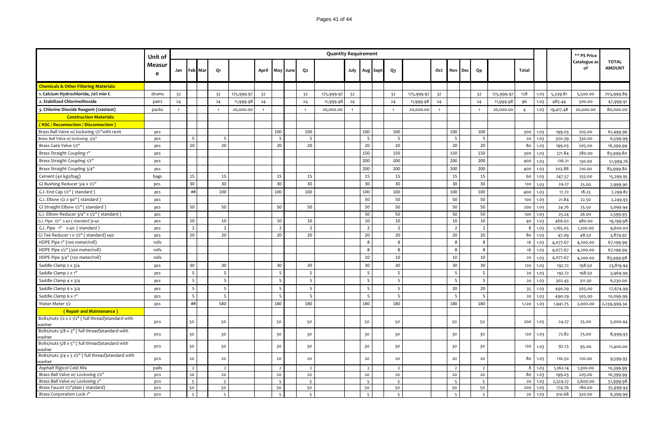|                                                              | Unit of     |                |                |             |                |            |                |                |          |                | <b>Quantity Requirement</b> |                |                |               |                |            |              |                          |     |                |            |                |               |                 | ** PS Price        |                               |
|--------------------------------------------------------------|-------------|----------------|----------------|-------------|----------------|------------|----------------|----------------|----------|----------------|-----------------------------|----------------|----------------|---------------|----------------|------------|--------------|--------------------------|-----|----------------|------------|----------------|---------------|-----------------|--------------------|-------------------------------|
|                                                              | Measur<br>e |                |                | Jan Feb Mar | Q1             |            | April          |                | May June | Q2             |                             |                |                | July Aug Sept | Q3             |            | Oct          | Nov                      | Dec | Q <sub>4</sub> |            | <b>Total</b>   |               |                 | Catalogue as<br>of | <b>TOTAL</b><br><b>AMOUNT</b> |
| <b>Chemicals &amp; Other Filtering Materials:</b>            |             |                |                |             |                |            |                |                |          |                |                             |                |                |               |                |            |              |                          |     |                |            |                |               |                 |                    |                               |
| 1. Calcium Hydrochloride, 70% min C                          | drums       | 32             |                |             | 32             | 175,999.97 | 32             |                |          | 32             | 175,999.97                  | 3 <sup>2</sup> |                |               | 32             | 175,999.97 | 32           |                          |     | 32             | 175,999.97 | 128            | 1.03          | 5,339.81        | 5,500.00           | 703,999.89                    |
| 2. Stabilized ChlorineDioxide                                | pairs       | 24             |                |             | 24             | 11,999.98  | 24             |                |          | 24             | 11,999.98                   | 24             |                |               | 24             | 11,999.98  | 24           |                          |     | 24             | 11,999.98  | 96             | 1.03          | 485.44          | 500.00             | 47,999.91                     |
| 3. Chlorine Dioxide Reagent (1200test)                       | packs       | $\overline{1}$ |                |             | $\mathbf{1}$   | 20,000.00  | $\overline{1}$ |                |          | $\overline{1}$ | 20,000.00                   | $\overline{1}$ |                |               | $\overline{1}$ | 20,000.00  | $\mathbf{1}$ |                          |     | $\overline{1}$ | 20,000.00  | $\overline{4}$ | 1.03          | 19,417.48       | 20,000.00          | 80,000.00                     |
| <b>Construction Materials:</b>                               |             |                |                |             |                |            |                |                |          |                |                             |                |                |               |                |            |              |                          |     |                |            |                |               |                 |                    |                               |
| (NSC / Reconnection / Disconnection )                        |             |                |                |             |                |            |                |                |          |                |                             |                |                |               |                |            |              |                          |     |                |            |                |               |                 |                    |                               |
| Brass Ball Valve w/ lockwing 1/2" with revit                 | pcs         |                |                |             |                |            |                | 100            |          | 100            |                             |                | 100            |               | 100            |            |              | 100                      |     | 100            |            | 300            | 1.03          | 199.03          | 205.00             | 61,499.96                     |
| Brass Ball Valve w/ lockwing 3/4"                            | pcs         |                | - 5            |             | 5              |            |                | 5              |          | 5              |                             |                | 5              |               | 5              |            |              | 5                        |     | 5              |            | 20             | 1.03          | 320.39          | 330.00             | 6,599.99                      |
| Brass Gate Valve 1/2"                                        | pcs         |                | 20             |             | 20             |            |                | 20             |          | 20             |                             |                | 20             |               | 20             |            |              | 20                       |     | 20             |            | 80             | 1.03          | 199.03          | 205.00             | 16,399.99                     |
| Brass Straight Coupling 1"                                   | pcs         |                |                |             |                |            |                |                |          |                |                             |                | 150            |               | 150            |            |              | 150                      |     | 150            |            | 300            | 1.03          | 271.84          | 280.00             | 83,999.80                     |
| Brass Straight Coupling 1/2"                                 | pcs         |                |                |             |                |            |                |                |          |                |                             |                | 200            |               | 200            |            |              | 200                      |     | 200            |            | 400            | 1.03          | 126.21          | 130.00             | 51,999.76                     |
| Brass Straight Coupling 3/4"                                 | pcs         |                |                |             |                |            |                |                |          |                |                             |                | 200            |               | 200            |            |              | 200                      |     | 200            |            | 400            | 1.03          | 203.88          | 210.00             | 83,999.80                     |
| Cement (40 kgs/bag)                                          | bags        |                | 15             |             | 15             |            |                | 15             |          | 15             |                             |                | 15             |               | 15             |            |              | 15                       |     | 15             |            | 60             | 1.03          | 247.57          | 255.00             | 15,299.95                     |
| GI Bushing Reducer 3/4 x 1/2"                                | pcs.        |                | 30             |             | 30             |            |                | 30             |          | 30             |                             |                | 30             |               | 30             |            |              | 30                       |     | 30             |            | 120            | 1.03          | 24.27           | 25.00              | 2,999.90                      |
| G.I. End Cap 1/2" (standard)                                 | pcs         |                | ##             |             | 100            |            |                | 100            |          | 100            |                             |                | 100            |               | 100            |            |              | 100                      |     | 100            |            | 400            | 1.03          | 17.72           | 18.25              | 7,299.82                      |
| G.I. Elbow 1/2 x 90" (standard)                              | pcs         |                |                |             |                |            |                |                |          |                |                             |                | 50             |               | 50             |            |              | 50                       |     | 50             |            | 100            | 1.03          | 21.84           | 22.50              | 2,249.93                      |
| GI Straight Elbow 1/2" (standard)                            |             |                | 50             |             | 50             |            |                | 50             |          | 50             |                             |                | 50             |               | 50             |            |              | 50                       |     | 50             |            |                | 1.03          | 24.76           | 25.50              |                               |
| G.I. Elbow Reducer 3/4" x 1/2" (standard)                    | pcs         |                |                |             |                |            |                |                |          |                |                             |                | 50             |               | 50             |            |              | 50                       |     | 50             |            | 200<br>100     | 1.03          |                 | 26.00              | 5,099.94                      |
| G.I. Pipe 1/2" s-40 (standard)s-40                           | pcs<br>pcs  |                | 10             |             | 10             |            |                | 10             |          | 10             |                             |                | 10             |               | 10             |            |              | 10                       |     | 10             |            | 40             | 1.03          | 25.24<br>466.02 | 480.00             | 2,599.93<br>19,199.98         |
| G.I. Pipe 1" s-40 (standard)                                 | pcs         |                | 2              |             | $\overline{2}$ |            |                | $\overline{2}$ |          | $\overline{2}$ |                             |                | $\overline{2}$ |               | $\overline{2}$ |            |              | $\overline{2}$           |     | $\overline{2}$ |            | 8              | 1.03          | 1,165.05        | 1,200.00           | 9,600.00                      |
| GI Tee Reducer 1 x 1/2" (standard) s40                       | pcs         |                | 20             |             | 20             |            |                | 20             |          | 20             |                             |                | 20             |               | 20             |            |              | 20                       |     | 20             |            | 80             | 1.03          | 47.09           | 48.50              | 3,879.97                      |
| HDPE Pipe 1" (100 meter/roll)                                | rolls       |                |                |             |                |            |                |                |          |                |                             |                | $\mathbf{g}$   |               | -8             |            |              | 8                        |     | 8              |            | 16             | 1.03          | 4,077.67        | 4,200.00           | 67,199.99                     |
| HDPE Pipe 1/2" (300 meter/roll)                              | rolls       |                |                |             |                |            |                |                |          |                |                             |                | 8              |               | -8             |            |              | 8                        |     | 8              |            | 16             | 1.03          | 4,077.67        | 4,200.00           | 67,199.99                     |
| HDPE Pipe 3/4" (150 meter/roll)                              | rolls       |                |                |             |                |            |                |                |          |                |                             |                | 10             |               | 10             |            |              | 10                       |     | 10             |            | 20             | 1.03          | 4,077.67        | 4,200.00           | 83,999.98                     |
| Saddle Clamp 2 x 3/4                                         | pcs         |                | 30             |             | 30             |            |                | 30             |          | 30             |                             |                | 30             |               | 30             |            |              | 30                       |     | 30             |            | 120            | 1.03          | 192.72          | 198.50             | 23,819.94                     |
| Saddle Clamp 2 x 1"                                          | pcs         |                | -5             |             | .5             |            |                | 5              |          | 5              |                             |                | 5              |               | -5             |            |              | 5                        |     | 5              |            | 20             | 1.03          | 192.72          | 198.50             | 3,969.99                      |
|                                                              |             |                | 5              |             | 5              |            |                | 5              |          | 5              |                             |                | 5              |               | 5              |            |              | 5                        |     | 5              |            |                |               |                 |                    |                               |
| Saddle Clamp 4 x 3/4                                         | pcs         |                |                |             |                |            |                | 5              |          |                |                             |                |                |               | -5             |            |              |                          |     |                |            | 20             | 1.03          | 302.43          | 311.50             | 6,230.00                      |
| Saddle Clamp 6 x 3/4                                         | pcs         |                | - 5            |             | 5              |            |                |                |          | 5              |                             |                | - 5            |               |                |            |              | 20                       |     | 20             |            | 35             | 1.03          | 490.29          | 505.00             | 17,674.99                     |
| Saddle Clamp 6 x 1"                                          | pcs         |                | 5              |             | 5              |            |                | 5              |          | 5              |                             |                | 5              |               | -5             |            |              | 5                        |     | 5              |            | 20             | 1.03          | 490.29          | 505.00             | 10,099.99                     |
| Water Meter 1/2                                              | pcs         |                | ##             |             | 580            |            |                | 180            |          | 180            |                             |                | 180            |               | 180            |            |              | 180                      |     | 180            |            | 1,120          | 1.03          | 1,941.75        | 2,000.00           | 2,239,999.34                  |
| (Repair and Maintenance)                                     |             |                |                |             |                |            |                |                |          |                |                             |                |                |               |                |            |              |                          |     |                |            |                |               |                 |                    |                               |
| Bolts/nuts 1/2 x 2 1/2" (full thread)standard with<br>vasher | pcs         |                | 50             |             | 50             |            |                | 50             |          | 50             |                             |                | 50             |               | 50             |            |              | 50                       |     | 50             |            | 200            | 1.03          | 24.27           | 25.00              | 5,000.44                      |
| Bolts/nuts 5/8 x 3" (full thread)standard with<br>washer     | pcs         |                | 30             |             | 30             |            |                | 30             |          | 30             |                             |                | 30             |               | 30             |            |              | 30                       |     | 30             |            | 120            | 1.03          | 72.82           | 75.00              | 8,999.93                      |
| Bolts/nuts 5/8 x 5" (full thread)standard with<br>washer     | pcs         |                | 30             |             | 30             |            |                | 30             |          | 30             |                             |                | 30             |               | 30             |            |              | 30                       |     | 30             |            | 120            | 1.03          | 92.23           | 95.00              | 11,400.00                     |
| Bolts/nuts 3/4 x 5 1/2" (full thread)standard with<br>washer | pcs         |                | 20             |             | 20             |            |                | 20             |          | 20             |                             |                | 20             |               | 20             |            |              | 20                       |     | 20             |            | 80             | 1.03          | 116.50          | 120.00             | 9,599.93                      |
| Asphalt Rigicol Cold Mix                                     | pails       |                | $\overline{2}$ |             | $\overline{2}$ |            |                | $\overline{2}$ |          | $\overline{2}$ |                             |                | $\overline{2}$ |               | $\overline{2}$ |            |              | $\overline{2}$           |     | $\overline{2}$ |            |                | $8 \mid 1.03$ | 1,262.14        | 1,300.00           | 10,399.99                     |
| Brass Ball Valve w/ Lockwing 1/2"                            | pcs         |                | 20             |             | 20             |            |                | 20             |          | 20             |                             |                | 20             |               | 20             |            |              | 20                       |     | 20             |            | 80             | 1.03          | 199.03          | 205.00             | 16,399.99                     |
| Brass Ball Valve w/ Lockwing 2"                              | pcs         |                |                |             | $\overline{5}$ |            |                | $\overline{5}$ |          | 5              |                             |                | $\overline{5}$ |               | 5              |            |              | $\overline{5}$           |     | 5              |            | 20             | 1.03          | 2,524.27        | 2,600.00           | 51,999.98                     |
| Brass Faucet 1/2"plain (standard)                            | pcs         |                | 50             |             | 50             |            |                | 50             |          | 50             |                             |                | 50             |               | 50             |            |              | 50                       |     | 50             |            | 200            | 1.03          | 174.76          | 180.00             | 35,999.94                     |
| Brass Corporation Lock 1"                                    | pcs         |                | $\overline{5}$ |             | 5              |            |                | $\overline{5}$ |          | 5              |                             |                | $\overline{5}$ |               | $\overline{5}$ |            |              | $\overline{\phantom{a}}$ |     | $\overline{5}$ |            | 20             | 1.03          | 310.68          | 320.00             | 6,399.99                      |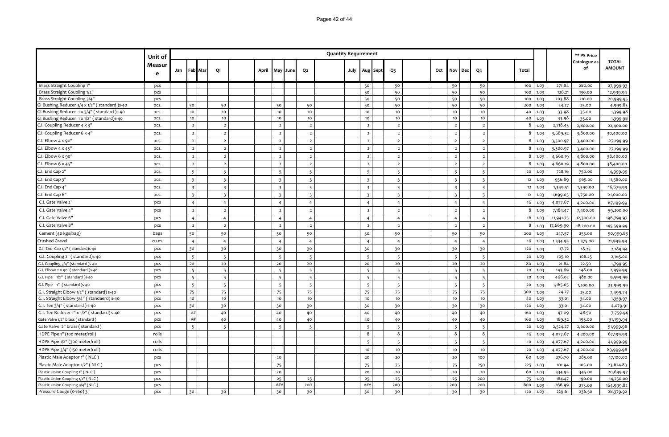| Pages 42 of 44 |  |
|----------------|--|
|                |  |

|                                               | Unit of     |     |                          |                          |       |                         |      |                          | <b>Quantity Requirement</b> |      |                         |                         |     |                          |     |     |                         |         |      |           | ** PS Price        |                               |
|-----------------------------------------------|-------------|-----|--------------------------|--------------------------|-------|-------------------------|------|--------------------------|-----------------------------|------|-------------------------|-------------------------|-----|--------------------------|-----|-----|-------------------------|---------|------|-----------|--------------------|-------------------------------|
|                                               | Measur<br>e | Jan | Feb Mar                  | Q1                       | April | May                     | June | Q2                       |                             | July | Aug Sept                | Q3                      | Oct | Nov                      | Dec | Q4  |                         | Total   |      |           | Catalogue as<br>of | <b>TOTAL</b><br><b>AMOUNT</b> |
| Brass Straight Coupling 1"                    | pcs         |     |                          |                          |       |                         |      |                          |                             |      | 50                      | 50                      |     | 50                       |     |     | 50                      | 100     | 1.03 | 271.84    | 280.00             | 27,999.93                     |
| Brass Straight Coupling 1/2'                  | pcs         |     |                          |                          |       |                         |      |                          |                             |      | 50                      | 50                      |     | 50                       |     |     | 50                      | 100     | 1.03 | 126.21    | 130.00             | 12,999.94                     |
| Brass Straight Coupling 3/4'                  | pcs         |     |                          |                          |       |                         |      |                          |                             |      | 50                      | 50                      |     | 50                       |     |     | 50                      | 100     | 1.03 | 203.88    | 210.00             | 20,999.95                     |
| GI Bushing Reducer 3/4 x 1/2" (standard) s-40 | pcs.        |     | 50                       | 50                       |       | 50                      |      | 50                       |                             |      | 50                      | 50                      |     | 50                       |     |     | 50                      | 200     | 1.03 | 24.27     | 25.00              | 4,999.83                      |
| I Bushing Reducer 1 x 3/4" (standard) s-40    | pcs.        |     | 10                       | 10                       |       | 10                      |      | 10                       |                             |      | 10                      | 10                      |     | 10                       |     |     | 10                      | 40      | 1.03 | 33.98     | 35.00              | 1,399.98                      |
| GI Bushing Reducer 1 x 1/2" (standard)s-40    | pcs.        |     | 10<br>$\overline{2}$     | 10                       |       | 10                      |      | 10                       |                             |      | 10                      | 10                      |     | 10                       |     |     | 10<br>$\overline{2}$    | 40<br>8 | 1.03 | 33.98     | 35.00              | 1,399.98                      |
| C.I. Coupling Reducer 4 x 3'                  | pcs.        |     |                          | $\overline{2}$           |       | $\overline{2}$          |      | $\overline{2}$           |                             |      | $\overline{2}$          | $\overline{2}$          |     | $\overline{2}$           |     |     |                         |         | 1.03 | 2,718.45  | 2,800.00           | 22,400.00                     |
| C.I. Coupling Reducer 6 x 4                   | pcs.        |     | $\overline{2}$           | $\overline{2}$           |       | $\overline{2}$          |      | $\overline{2}$           |                             |      | $\overline{2}$          | $\overline{2}$          |     | $\overline{2}$           |     |     | $\overline{2}$          | 8       | 1.03 | 3,689.32  | 3,800.00           | 30,400.00                     |
| C.I. Elbow $4 \times 90"$                     | pcs.        |     | $\overline{2}$           | $\overline{2}$           |       | $\overline{2}$          |      | $\overline{2}$           |                             |      | $\overline{2}$          | $\overline{2}$          |     | $\overline{2}$           |     |     | $\overline{2}$          | 8       | 1.03 | 3,300.97  | 3,400.00           | 27,199.99                     |
| C.I. Elbow 4 x 45"                            | pcs.        |     | $\overline{2}$           | $\overline{2}$           |       | $\overline{2}$          |      | $\overline{2}$           |                             |      | $\overline{2}$          | $\overline{2}$          |     | $\overline{2}$           |     |     | $\overline{2}$          | 8       | 1.03 | 3,300.97  | 3,400.00           | 27,199.99                     |
| C.I. Elbow 6 x 90"                            | pcs.        |     | $\overline{2}$           | $\overline{2}$           |       | $\overline{2}$          |      | $\overline{2}$           |                             |      | $\overline{2}$          | $\overline{2}$          |     | $\overline{2}$           |     |     | $\overline{2}$          | 8       | 1.03 | 4,660.19  | 4,800.00           | 38,400.00                     |
| C.I. Elbow 6 x 45"                            | pcs.        |     | $\overline{2}$           | $\overline{2}$           |       | $\overline{2}$          |      | $\overline{2}$           |                             |      | $\overline{2}$          | $\overline{2}$          |     | $\overline{2}$           |     |     | $\overline{2}$          | 8       | 1.03 | 4,660.19  | 4,800.00           | 38,400.00                     |
| C.I. End Cap 2"                               | pcs.        |     | $\overline{5}$           | $\overline{5}$           |       | $\overline{5}$          |      | $5^{\circ}$              |                             |      | $\overline{5}$          | 5                       |     | -5                       |     |     | $5\overline{5}$         | 20      | 1.03 | 728.16    | 750.00             | 14,999.99                     |
| C.I. End Cap 3"                               | pcs.        |     | $\overline{\mathbf{3}}$  | -3                       |       | $\overline{3}$          |      | $\overline{\mathbf{3}}$  |                             |      | $\overline{3}$          | $\overline{\mathbf{3}}$ |     | $\overline{\mathbf{3}}$  |     |     | $\overline{\mathbf{3}}$ | 12      | 1.03 | 936.89    | 965.00             | 11,580.00                     |
| C.I. End Cap 4"                               | pcs.        |     | $\overline{\mathbf{3}}$  | $\overline{\mathbf{3}}$  |       | $\overline{\mathbf{3}}$ |      | $\overline{\mathbf{3}}$  |                             |      | $\overline{\mathbf{3}}$ | $\overline{\mathbf{3}}$ |     | $\overline{\mathbf{3}}$  |     |     | $\overline{\mathbf{3}}$ | 12      | 1.03 | 1,349.51  | 1,390.00           | 16,679.99                     |
| C.I. End Cap 6"                               | pcs.        |     | $\overline{\mathbf{3}}$  | $\overline{3}$           |       | $\overline{\mathbf{3}}$ |      | $\overline{\mathbf{3}}$  |                             |      | $\overline{\mathbf{3}}$ | $\overline{\mathbf{3}}$ |     | $\overline{\mathbf{3}}$  |     |     | $\overline{\mathbf{3}}$ | 12      | 1.03 | 1,699.03  | 1,750.00           | 21,000.00                     |
| C.I. Gate Valve 2"                            | pcs         |     | $\overline{4}$           | $\overline{4}$           |       | $\overline{4}$          |      | $\overline{4}$           |                             |      | $\overline{4}$          | $\overline{4}$          |     | $\overline{4}$           |     |     | $\overline{4}$          | 16      | 1.03 | 4,077.67  | 4,200.00           | 67,199.99                     |
| C.I. Gate Valve 4"                            | pcs         |     | $\overline{2}$           | $\overline{2}$           |       | $\overline{2}$          |      | $\overline{2}$           |                             |      | $\overline{2}$          | $\overline{z}$          |     | $\overline{2}$           |     |     | $\overline{2}$          | 8       | 1.03 | 7,184.47  | 7,400.00           | 59,200.00                     |
| C.I. Gate Valve 6"                            | pcs         |     | $\overline{4}$           | $\overline{4}$           |       | $\overline{4}$          |      | $\overline{4}$           |                             |      | $\overline{4}$          | $\overline{4}$          |     | $\overline{4}$           |     |     | $\overline{4}$          | 16      | 1.03 | 11,941.75 | 12,300.00          | 196,799.97                    |
| C.I. Gate Valve 8"                            | pcs         |     | $\overline{2}$           | $\overline{2}$           |       | $\overline{2}$          |      | $\overline{2}$           |                             |      | $\overline{2}$          | $\overline{2}$          |     | $\overline{2}$           |     |     | $\overline{2}$          | 8       | 1.03 | 17,669.90 | 18,200.00          | 145,599.99                    |
| Cement (40 kgs/bag)                           | bags        |     | 50                       | 50                       |       | 50                      |      | 50                       |                             |      | 50                      | 50                      |     | 50                       |     |     | 50                      | 200     | 1.03 | 247.57    | 255.00             | 50,999.83                     |
| Crushed Gravel                                | cu.m.       |     | $\overline{4}$           | $\overline{4}$           |       | $\overline{4}$          |      | $\overline{4}$           |                             |      | $\overline{4}$          | $\overline{4}$          |     | $\overline{4}$           |     |     | $\overline{4}$          | 16      | 1.03 | 1,334.95  | 1,375.00           | 21,999.99                     |
| G.I. End Cap 1/2" (standard)s-40              | pcs         |     | 30                       | 30                       |       | 30                      |      | 30                       |                             |      | 30                      | 30                      |     | 30                       |     |     | 30                      | 120     | 1.03 | 17.72     | 18.25              | 2,189.94                      |
| G.I. Coupling 2" (standard)s-40               | pcs         |     | $\overline{\phantom{0}}$ | $\overline{\phantom{a}}$ |       | $\overline{5}$          |      | 5                        |                             |      | $\overline{5}$          | -5                      |     | $\overline{5}$           |     |     | $\overline{5}$          | 20      | 1.03 | 105.10    | 108.25             | 2,165.00                      |
| G.I. Coupling 3/4" (standard )s-40            | pcs         |     | 20                       | 20                       |       | $20$                    |      | 20                       |                             |      | 20                      | $20$                    |     | 20                       |     |     | 20                      | 80      | 1.03 | 21.84     | 22.50              | 1,799.95                      |
| G.I. Elbow 2 x 90' (standard )s-40            | pcs         |     | $\overline{5}$           | $\overline{\phantom{a}}$ |       | $\overline{a}$          |      | 5                        |                             |      |                         | $\overline{5}$          |     | $\overline{\phantom{a}}$ |     |     | $\overline{5}$          | 20      | 1.03 | 143.69    | 148.00             | 2,959.99                      |
| G.I. Pipe 1/2" (standard)s-40                 | pcs         |     | 5                        | -5                       |       | 5                       |      | 5                        |                             |      | 5                       | 5                       |     | $\overline{5}$           |     |     | 5                       | 20      | 1.03 | 466.02    | 480.00             | 9,599.99                      |
| G.I. Pipe 1" (standard )s-40                  | pcs         |     | 5                        | 5                        |       | 5                       |      | 5                        |                             |      | 5                       | 5                       |     | 5                        |     |     | 5                       | 20      | 1.03 | 1,165.05  | 1,200.00           | 23,999.99                     |
| G.I. Straight Elbow 1/2" (standard) s-40      | pcs         |     | 75                       | 75                       |       | 75                      |      | 75                       |                             |      | 75                      | 75                      |     | 75                       |     |     | 75                      | 300     | 1.03 | 24.27     | 25.00              | 7,499.74                      |
| G.I. Straight Elbow 3/4" (standaerd) s-40     | pcs         |     | 10                       | 10                       |       | 10                      |      | 10                       |                             |      | 10                      | 10                      |     | 10                       |     |     | 10                      | 40      | 1.03 | 33.01     | 34.00              | 1,359.97                      |
| G.I. Tee 3/4" (standard) s-40                 | pcs         |     | 30                       | 30                       |       | 30                      |      | 30                       |                             |      | 30                      | 30                      |     | 30                       |     |     | 30                      | 120     | 1.03 | 33.01     | 34.00              | 4,079.91                      |
| G.I. Tee Reducer 1" x 1/2" (standard) s-40    | pcs         |     | ##                       | 40                       |       | 40                      |      | 40                       |                             |      | 40                      | 40                      |     | 40                       |     |     | 40                      | 160     | 1.03 | 47.09     | 48.50              | 7,759.94                      |
| Gate Valve 1/2" brass (standard               | pcs         |     | ##                       | 40                       |       | 40                      |      | 40                       |                             |      | 40                      | 40                      |     | 40                       |     |     | 40                      | 160     | 1.03 | 189.32    | 195.00             | 31,199.94                     |
| Gate Valve 2" brass (standard                 | pcs         |     | $\overline{5}$           | 5                        |       | $\overline{5}$          |      | $\overline{\phantom{0}}$ |                             |      | $\overline{5}$          | 5                       |     | $\overline{5}$           |     |     | $\overline{5}$          | 20      | 1.03 | 2,524.27  | 2,600.00           | 51,999.98                     |
| HDPE Pipe 1" (100 meter/roll)                 | rolls       |     |                          |                          |       |                         |      |                          |                             |      | 8                       | 8                       |     | 8                        |     |     | 8                       | 16      | 1.03 | 4,077.67  | 4,200.00           | 67,199.99                     |
| HDPE Pipe 1/2" (300 meter/roll)               | rolls       |     |                          |                          |       |                         |      |                          |                             |      |                         | 5                       |     | 5                        |     |     | $\overline{5}$          | 10      | 1.03 | 4,077.67  | 4,200.00           | 41,999.99                     |
| HDPE Pipe 3/4" (150 meter/roll)               | rolls       |     |                          |                          |       |                         |      |                          |                             |      | 10                      | 10                      |     | 10                       |     |     | 10                      | 20      | 1.03 | 4,077.67  | 4,200.00           | 83,999.98                     |
| Plastic Male Adaptor 1" (NLC)                 | pcs         |     |                          |                          |       | 20                      |      |                          |                             |      | 20                      | 20                      |     | 20                       |     | 100 |                         | 60      | 1.03 | 276.70    | 285.00             | 17,100.00                     |
| Plastic Male Adaptor 1/2" (NLC)               | pcs         |     |                          |                          |       | 75                      |      |                          |                             |      | 75                      | 75                      |     | 75                       |     | 250 |                         | 225     | 1.03 | 101.94    | 105.00             | 23,624.83                     |
| Plastic Union Coupling 1" (NLC)               | pcs         |     |                          |                          |       | 20                      |      |                          |                             |      | 20                      | 20                      |     | 20                       |     |     | 20                      | 60      | 1.03 | 334.95    | 345.00             | 20,699.97                     |
| Plastic Union Coupling 1/2" (NLC)             | pcs         |     |                          |                          |       | 25                      |      | 25                       |                             |      | 25                      | 25                      |     | 25                       |     | 200 |                         | 75      | 1.03 | 184.47    | 190.00             | 14,250.00                     |
| Plastic Union Coupling 3/4" (NLC)             | pcs         |     |                          |                          |       | ###                     |      | 200                      |                             |      | ###                     | 200                     |     | 200                      |     | 200 |                         | 600     | 1.03 | 266.99    | 275.00             | 164,999.82                    |
| Pressure Gauge (0-160) 3'                     | pcs         |     | 30                       | 30                       |       | 30                      |      | 30                       |                             |      | 30                      | 30                      |     | 30                       |     |     | 30                      | 120     | 1.03 | 229.61    | 236.50             | 28,379.92                     |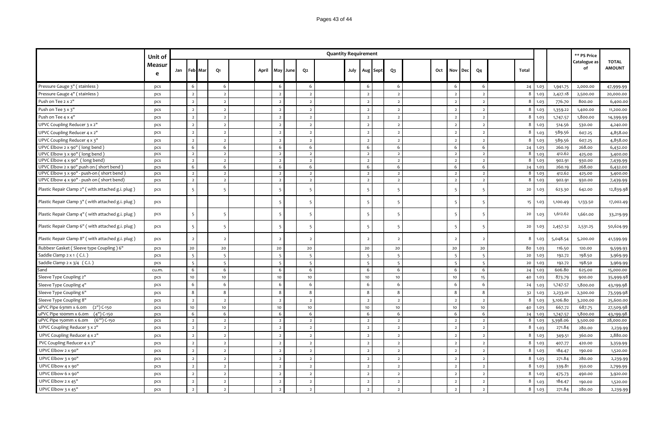|                                                                                        | Unit of     |     |                                  |                                  |       |                                  |                                  | <b>Quantity Requirement</b> |      |                                  |          |                                  |     |                                  |            |                                  |        |              |                  | ** PS Price        |                               |
|----------------------------------------------------------------------------------------|-------------|-----|----------------------------------|----------------------------------|-------|----------------------------------|----------------------------------|-----------------------------|------|----------------------------------|----------|----------------------------------|-----|----------------------------------|------------|----------------------------------|--------|--------------|------------------|--------------------|-------------------------------|
|                                                                                        | Measur<br>e | Jan | Feb Mar                          | Q1                               | April | May<br>June                      | Q <sub>2</sub>                   |                             | July |                                  | Aug Sept | Q <sub>3</sub>                   | Oct | Nov                              | <b>Dec</b> | Q <sub>4</sub>                   | Total  |              |                  | Catalogue as<br>of | <b>TOTAL</b><br><b>AMOUNT</b> |
| Pressure Gauge 3" (stainless)                                                          | pcs         |     | 6                                | 6                                |       | 6                                | 6                                |                             |      | 6                                |          | 6                                |     | 6                                |            | 6                                | 24     | 1.03         | 1,941.75         | 2,000.00           | 47,999.99                     |
| Pressure Gauge 4" (stainless)                                                          | pcs         |     | $\overline{2}$                   | $\overline{2}$                   |       | $\overline{2}$                   | $\overline{2}$                   |                             |      | $\overline{2}$                   |          | $\overline{2}$                   |     | $\overline{2}$                   |            | $\overline{2}$                   | 8      | 1.03         | 2,427.18         | 2,500.00           | 20,000.00                     |
| Push on Tee 2 x 2"                                                                     | pcs         |     | $\overline{2}$                   | $\overline{2}$                   |       | $\overline{2}$                   | $\overline{2}$                   |                             |      | $\overline{2}$                   |          | $\overline{2}$                   |     | $\overline{2}$                   |            | $\overline{2}$                   | 8      | 1.03         | 776.70           | 800.00             | 6,400.00                      |
| Push on Tee 3 x 3"                                                                     | pcs         |     | $\overline{2}$                   | $\overline{2}$                   |       | $\overline{2}$                   | $\overline{2}$                   |                             |      | $\overline{2}$                   |          | $\overline{2}$                   |     | $\overline{2}$                   |            | $\overline{2}$                   | 8      | 1.03         | 1,359.22         | 1,400.00           | 11,200.00                     |
| Push on Tee 4 x 4"                                                                     | pcs         |     | $\overline{2}$                   | $\overline{2}$                   |       | $\overline{2}$                   | $\overline{2}$                   |                             |      | $\overline{2}$                   |          | $\overline{2}$                   |     | $\overline{2}$                   |            | $\overline{2}$                   | 8      | 1.03         | 1,747.57         | 1,800.00           | 14,399.99                     |
| UPVC Coupling Reducer 3 x 2"                                                           | pcs         |     | $\overline{z}$                   | $\overline{2}$                   |       | $\overline{2}$                   | $\overline{2}$                   |                             |      | $\overline{2}$                   |          | $\overline{2}$                   |     | $\overline{2}$                   |            | $\overline{\phantom{a}}$         | 8      | 1.03         | 514.56           | 530.00             | 4,240.00                      |
| UPVC Coupling Reducer 4 x 2"                                                           | pcs         |     | $\overline{2}$                   | $\overline{2}$                   |       | $\overline{2}$                   | $\overline{2}$                   |                             |      | $\overline{2}$                   |          | $\overline{2}$                   |     | $\overline{2}$                   |            | $\overline{2}$                   | 8      | 1.03         | 589.56           | 607.25             | 4,858.00                      |
| UPVC Coupling Reducer 4 x 3"                                                           | pcs         |     | $\overline{2}$                   | $\overline{2}$                   |       | $\overline{2}$                   | $\overline{2}$                   |                             |      | $\overline{2}$                   |          | $\overline{2}$                   |     | $\overline{2}$                   |            | $\overline{2}$                   | 8      | 1.03         | 589.56           | 607.25             | 4,858.00                      |
| UPVC Elbow 2 x 90" (long bend)                                                         | pcs         |     | 6                                | 6                                |       | 6                                | 6                                |                             |      | 6                                |          | 6                                |     | 6                                |            | 6                                | 24     | 1.03         | 260.19           | 268.00             | 6,432.00                      |
| UPVC Elbow 3 x 90" (long bend)                                                         | pcs         |     | $\overline{2}$                   | $\overline{2}$                   |       | $\overline{2}$                   | $\overline{2}$                   |                             |      | $\overline{2}$                   |          | $\overline{2}$                   |     | $\overline{2}$                   |            | $\overline{2}$                   | 8      | 1.03         | 412.62           | 425.00             | 3,400.00                      |
| UPVC Elbow 4 x 90" (long bend)                                                         | pcs         |     | $\overline{2}$                   | $\overline{2}$                   |       | $\overline{2}$                   | $\overline{2}$                   |                             |      | $\overline{2}$                   |          | $\overline{2}$                   |     | $\overline{2}$                   |            | $\overline{2}$                   | 8      | 1.03         | 902.91           | 930.00             | 7,439.99                      |
| UPVC Elbow 2 x 90" push on (short bend)                                                | pcs         |     | 6                                | 6                                |       | 6                                | $6\phantom{.}6$                  |                             |      | 6                                |          | 6                                |     | 6                                |            | 6                                | 24     | 1.03         | 260.19           | 268.00             | 6,432.00                      |
| UPVC Elbow 3 x 90" - push-on (short bend)<br>UPVC Elbow 4 x 90" - push on (short bend) | pcs         |     | $\overline{2}$<br>$\overline{2}$ | $\overline{2}$<br>$\overline{2}$ |       | $\overline{2}$<br>$\overline{2}$ | $\overline{2}$<br>$\overline{2}$ |                             |      | $\overline{2}$<br>$\overline{2}$ |          | $\overline{2}$<br>$\overline{2}$ |     | $\overline{2}$<br>$\overline{2}$ |            | $\overline{2}$<br>$\overline{2}$ | 8<br>8 | 1.03<br>1.03 | 412.62<br>902.91 | 425.00             | 3,400.00                      |
|                                                                                        | pcs         |     |                                  |                                  |       |                                  |                                  |                             |      |                                  |          |                                  |     |                                  |            |                                  |        |              |                  | 930.00             | 7,439.99                      |
| Plastic Repair Clamp 2" (with attached g.i. plug)                                      | pcs         |     | 5                                | 5                                |       | 5                                | 5                                |                             |      | 5                                |          | 5                                |     | - 5                              |            | 5                                | 20     | 1.03         | 623.30           | 642.00             | 12,839.98                     |
| Plastic Repair Clamp 3" (with attached g.i. plug)                                      | pcs         |     |                                  |                                  |       | -5                               | 5                                |                             |      | 5                                |          | 5                                |     | -5                               |            | 5                                | 15     | 1.03         | 1,100.49         | 1,133.50           | 17,002.49                     |
| Plastic Repair Clamp 4" (with attached g.i. plug)                                      | pcs         |     | - 5                              | 5                                |       | - 5                              | 5                                |                             |      | 5                                |          | -5                               |     | -5                               |            | 5                                | 20     | 1.03         | 1,612.62         | 1,661.00           | 33,219.99                     |
| Plastic Repair Clamp 6" (with attached g.i. plug)                                      | pcs         |     | 5                                | 5                                |       | -5                               | 5                                |                             |      | - 5                              |          | 5                                |     | -5                               |            | -5                               | 20     | 1.03         | 2,457.52         | 2,531.25           | 50,624.99                     |
| Plastic Repair Clamp 8" (with attached g.i. plug)                                      | pcs         |     | $\overline{2}$                   |                                  |       | $\overline{2}$                   | $\overline{2}$                   |                             |      | $\overline{2}$                   |          | $\overline{2}$                   |     | $\overline{2}$                   |            | $\overline{\phantom{a}}$         | 8      | 1.03         | 5,048.54         | 5,200.00           | 41,599.99                     |
| Rubbesr Gasket (Sleeve type Coupling) 6"                                               | pcs         |     | 20                               | 20                               |       | 20                               | 20                               |                             |      | 20                               |          | 20                               |     | 20                               |            | 20                               | 80     | 1.03         | 116.50           | 120.00             | 9,599.93                      |
| Saddle Clamp 2 x 1 (C.I.)                                                              | pcs         |     | 5                                | $\overline{a}$                   |       | -5                               | 5                                |                             |      | 5                                |          | 5                                |     | $\overline{5}$                   |            | 5                                | 20     | 1.03         | 192.72           | 198.50             | 3,969.99                      |
| Saddle Clamp $2 \times 3/4$ (C.I.)                                                     | pcs         |     | -5                               | 5                                |       | 5                                | 5                                |                             |      | 5                                |          | 5                                |     | $\overline{5}$                   |            | $\overline{\phantom{0}}$         | 20     | 1.03         | 192.72           | 198.50             | 3,969.99                      |
| Sand                                                                                   | cu.m.       |     | 6                                | 6                                |       | 6                                | 6                                |                             |      | 6                                |          | 6                                |     | 6                                |            | 6                                | 24     | 1.03         | 606.80           | 625.00             | 15,000.00                     |
| Sleeve Type Coupling 2"                                                                | pcs         |     | 10                               | 10                               |       | 10                               | 10                               |                             |      | 10                               |          | 10                               |     | 10                               |            | 15                               | 40     | 1.03         | 873.79           | 900.00             | 35,999.98                     |
| Sleeve Type Coupling 4"                                                                | pcs         |     | 6                                | 6                                |       | 6                                | 6                                |                             |      | 6                                |          | 6                                |     | 6                                |            | 6                                | 24     | 1.03         | 1,747.57         | 1,800.00           | 43,199.98                     |
| Sleeve Type Coupling 6"                                                                | pcs         |     | 8                                | 8                                |       | 8                                | 8                                |                             |      | -8                               |          | 8                                |     | -8                               |            | 8                                | 32     | 1.03         | 2,233.01         | 2,300.00           | 73,599.98                     |
| Sleeve Type Coupling 8"                                                                | pcs         |     | $\overline{2}$                   | $\overline{2}$                   |       | $\overline{2}$                   | $\overline{2}$                   |                             |      | $\overline{2}$                   |          | $\overline{2}$                   |     | $\overline{2}$                   |            | $\overline{2}$                   | 8      | 1.03         | 3,106.80         | 3,200.00           | 25,600.00                     |
| $(2")$ C-150<br>uPVC Pipe 63mm x 6.om                                                  | pcs         |     | 10                               | 10                               |       | 10                               | 10                               |                             |      | 10                               |          | 10                               |     | 10                               |            | 10                               | 40     | 1.03         | 667.72           | 687.75             | 27,509.98                     |
| uPVC Pipe 100mm x 6.0m<br>$(4")$ C-150                                                 | pcs         |     | 6                                | 6                                |       | 6                                | 6                                |                             |      | 6                                |          | 6                                |     | 6                                |            | 6                                | 24     | 1.03         | 1,747.57         | 1,800.00           | 43,199.98                     |
| uPVC Pipe 150mm x 6.0m<br>$(6"')$ C-150                                                | pcs         |     | $\overline{2}$                   | $\overline{2}$                   |       | $\overline{2}$                   | $\overline{2}$                   |                             |      | $\overline{2}$                   |          | $\overline{2}$                   |     | $\overline{2}$                   |            | $\overline{2}$                   | 8      | 1.03         | 3,398.06         | 3,500.00           | 28,000.00                     |
| UPVC Coupling Reducer 3 x 2"                                                           | pcs         |     | $\overline{2}$                   | $\overline{2}$                   |       | $\overline{2}$                   | $\overline{2}$                   |                             |      | $\overline{2}$                   |          | $\overline{2}$                   |     | $\overline{2}$                   |            | $\overline{2}$                   | 8      | 1.03         | 271.84           | 280.00             | 2,239.99                      |
| UPVC Coupling Reducer 4 x 2"                                                           | pcs         |     | $\overline{2}$                   | $\overline{2}$                   |       | $\overline{2}$                   | $\overline{2}$                   |                             |      | $\overline{2}$                   |          | $\overline{2}$                   |     | $\overline{2}$                   |            | $\overline{2}$                   | 8      | 1.03         | 349.51           | 360.00             | 2,880.00                      |
| PVC Coupling Reducer 4 x 3"                                                            | pcs         |     | $\overline{2}$                   | $\overline{2}$                   |       | $\overline{2}$                   | $\overline{2}$                   |                             |      | $\overline{2}$                   |          | $\overline{2}$                   |     | $\overline{2}$                   |            | $\overline{2}$                   | 8      | 1.03         | 407.77           | 420.00             | 3,359.99                      |
| UPVC Elbow 2 x 90"                                                                     | pcs         |     | $\overline{2}$                   | $\overline{2}$                   |       | $\overline{2}$                   | $\overline{2}$                   |                             |      | $\overline{2}$                   |          | $\overline{2}$                   |     | $\overline{2}$                   |            | $\overline{2}$                   | 8      | 1.03         | 184.47           | 190.00             | 1,520.00                      |
| UPVC Elbow 3 x 90"                                                                     | pcs         |     | $\overline{2}$                   | $\overline{2}$                   |       | $\overline{2}$                   | $\overline{2}$                   |                             |      | $\overline{2}$                   |          | $\overline{2}$                   |     | $\overline{2}$                   |            | $\overline{2}$                   | 8      | 1.03         | 271.84           | 280.00             | 2,239.99                      |
| UPVC Elbow 4 x 90"                                                                     | pcs         |     | $\overline{2}$                   | $\overline{2}$                   |       | $\overline{2}$                   | $\overline{2}$                   |                             |      | $\overline{2}$                   |          | $\overline{2}$                   |     | $\overline{2}$                   |            | $\overline{2}$                   | 8      | 1.03         | 339.81           | 350.00             | 2,799.99                      |
| UPVC Elbow 6 x 90"                                                                     | pcs         |     | $\overline{2}$                   | $\overline{2}$                   |       | $\overline{2}$                   | $\overline{2}$                   |                             |      | $\overline{2}$                   |          | $\overline{2}$                   |     | $\overline{2}$                   |            | $\overline{2}$                   | 8      | 1.03         | 475.73           | 490.00             | 3,920.00                      |
| UPVC Elbow 2 x 45"                                                                     | pcs         |     | $\overline{2}$                   | $\overline{2}$                   |       | $\overline{2}$                   | $\overline{2}$                   |                             |      | $\overline{2}$                   |          | $\overline{2}$                   |     | $\overline{2}$                   |            | $\overline{2}$                   | 8      | 1.03         | 184.47           | 190.00             | 1,520.00                      |
| UPVC Elbow 3 x 45"                                                                     | pcs         |     |                                  | $\overline{z}$                   |       | $\overline{2}$                   | $\overline{2}$                   |                             |      | $\overline{2}$                   |          | $\overline{2}$                   |     | $\overline{z}$                   |            | $\overline{z}$                   | 8      | 1.03         | 271.84           | 280.00             | 2,239.99                      |